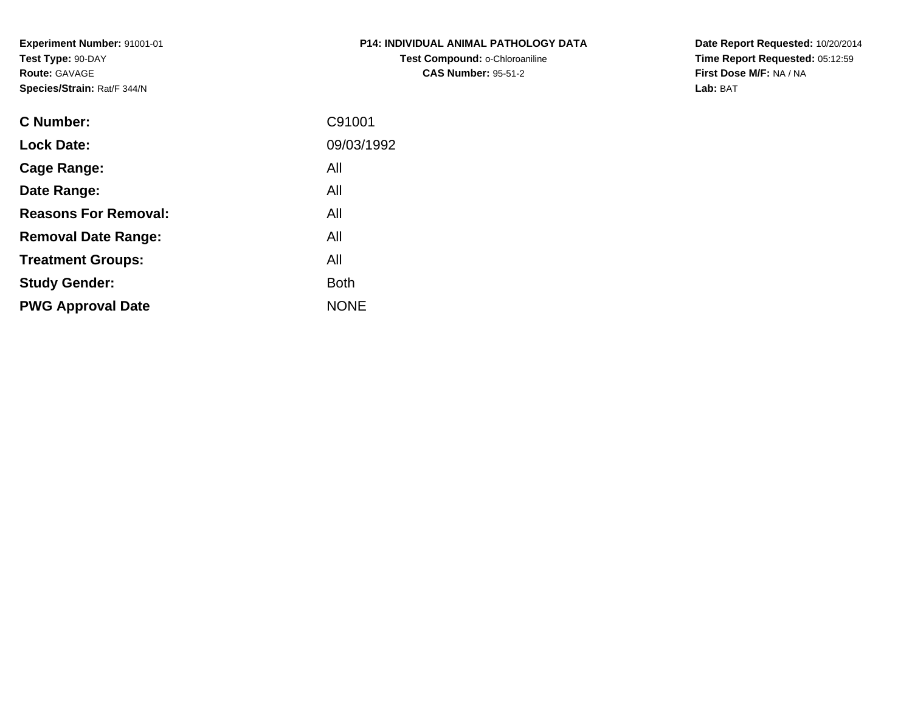**Experiment Number:** 91001-01**Test Type:** 90-DAY**Route:** GAVAGE**Species/Strain:** Rat/F 344/N

| <b>P14: INDIVIDUAL ANIMAL PATHOLOGY DATA</b> |
|----------------------------------------------|
| Test Compound: o-Chloroaniline               |
| <b>CAS Number: 95-51-2</b>                   |

**Date Report Requested:** 10/20/2014 **Time Report Requested:** 05:12:59**First Dose M/F:** NA / NA**Lab:** BAT

| C91001      |
|-------------|
| 09/03/1992  |
| All         |
| All         |
| All         |
| All         |
| All         |
| <b>Both</b> |
| <b>NONE</b> |
|             |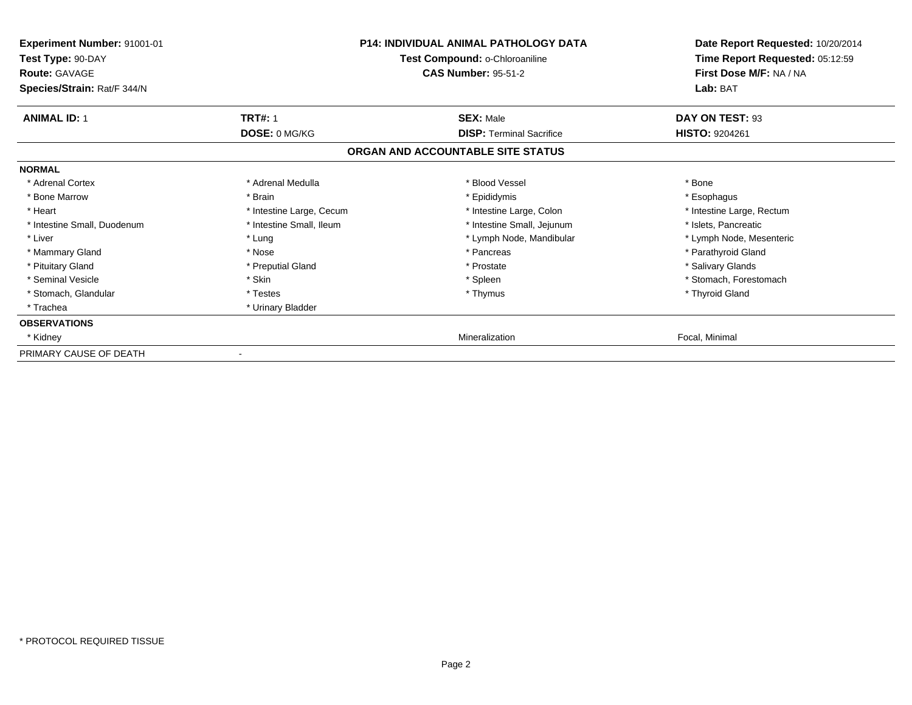| Experiment Number: 91001-01<br>Test Type: 90-DAY    |                          | <b>P14: INDIVIDUAL ANIMAL PATHOLOGY DATA</b><br>Test Compound: o-Chloroaniline | Date Report Requested: 10/20/2014<br>Time Report Requested: 05:12:59 |
|-----------------------------------------------------|--------------------------|--------------------------------------------------------------------------------|----------------------------------------------------------------------|
| <b>Route: GAVAGE</b><br>Species/Strain: Rat/F 344/N |                          | <b>CAS Number: 95-51-2</b>                                                     | First Dose M/F: NA / NA<br>Lab: BAT                                  |
| <b>ANIMAL ID: 1</b>                                 | <b>TRT#: 1</b>           | <b>SEX: Male</b>                                                               | DAY ON TEST: 93                                                      |
|                                                     | DOSE: 0 MG/KG            | <b>DISP: Terminal Sacrifice</b>                                                | <b>HISTO: 9204261</b>                                                |
|                                                     |                          | ORGAN AND ACCOUNTABLE SITE STATUS                                              |                                                                      |
| <b>NORMAL</b>                                       |                          |                                                                                |                                                                      |
| * Adrenal Cortex                                    | * Adrenal Medulla        | * Blood Vessel                                                                 | * Bone                                                               |
| * Bone Marrow                                       | * Brain                  | * Epididymis                                                                   | * Esophagus                                                          |
| * Heart                                             | * Intestine Large, Cecum | * Intestine Large, Colon                                                       | * Intestine Large, Rectum                                            |
| * Intestine Small, Duodenum                         | * Intestine Small, Ileum | * Intestine Small, Jejunum                                                     | * Islets, Pancreatic                                                 |
| * Liver                                             | * Lung                   | * Lymph Node, Mandibular                                                       | * Lymph Node, Mesenteric                                             |
| * Mammary Gland                                     | * Nose                   | * Pancreas                                                                     | * Parathyroid Gland                                                  |
| * Pituitary Gland                                   | * Preputial Gland        | * Prostate                                                                     | * Salivary Glands                                                    |
| * Seminal Vesicle                                   | * Skin                   | * Spleen                                                                       | * Stomach, Forestomach                                               |
| * Stomach, Glandular                                | * Testes                 | * Thymus                                                                       | * Thyroid Gland                                                      |
| * Trachea                                           | * Urinary Bladder        |                                                                                |                                                                      |
| <b>OBSERVATIONS</b>                                 |                          |                                                                                |                                                                      |
| * Kidney                                            |                          | Mineralization                                                                 | Focal, Minimal                                                       |
| PRIMARY CAUSE OF DEATH                              |                          |                                                                                |                                                                      |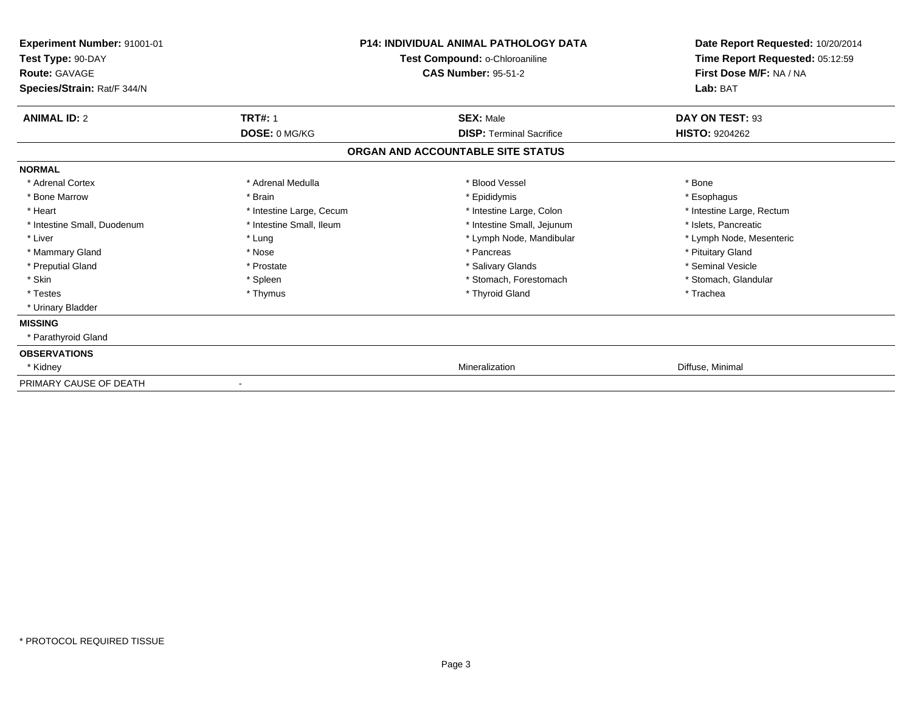| Experiment Number: 91001-01<br>Test Type: 90-DAY<br>Route: GAVAGE | <b>P14: INDIVIDUAL ANIMAL PATHOLOGY DATA</b><br>Test Compound: o-Chloroaniline<br><b>CAS Number: 95-51-2</b> |                                   | Date Report Requested: 10/20/2014<br>Time Report Requested: 05:12:59<br>First Dose M/F: NA / NA<br>Lab: BAT |  |
|-------------------------------------------------------------------|--------------------------------------------------------------------------------------------------------------|-----------------------------------|-------------------------------------------------------------------------------------------------------------|--|
| Species/Strain: Rat/F 344/N                                       |                                                                                                              |                                   |                                                                                                             |  |
| <b>ANIMAL ID: 2</b>                                               | <b>TRT#: 1</b>                                                                                               | <b>SEX: Male</b>                  | DAY ON TEST: 93                                                                                             |  |
|                                                                   | DOSE: 0 MG/KG                                                                                                | <b>DISP: Terminal Sacrifice</b>   | <b>HISTO: 9204262</b>                                                                                       |  |
|                                                                   |                                                                                                              | ORGAN AND ACCOUNTABLE SITE STATUS |                                                                                                             |  |
| <b>NORMAL</b>                                                     |                                                                                                              |                                   |                                                                                                             |  |
| * Adrenal Cortex                                                  | * Adrenal Medulla                                                                                            | * Blood Vessel                    | * Bone                                                                                                      |  |
| * Bone Marrow                                                     | * Brain                                                                                                      | * Epididymis                      | * Esophagus                                                                                                 |  |
| * Heart                                                           | * Intestine Large, Cecum                                                                                     | * Intestine Large, Colon          | * Intestine Large, Rectum                                                                                   |  |
| * Intestine Small, Duodenum                                       | * Intestine Small, Ileum                                                                                     | * Intestine Small, Jejunum        | * Islets, Pancreatic                                                                                        |  |
| * Liver                                                           | * Lung                                                                                                       | * Lymph Node, Mandibular          | * Lymph Node, Mesenteric                                                                                    |  |
| * Mammary Gland                                                   | * Nose                                                                                                       | * Pancreas                        | * Pituitary Gland                                                                                           |  |
| * Preputial Gland                                                 | * Prostate                                                                                                   | * Salivary Glands                 | * Seminal Vesicle                                                                                           |  |
| * Skin                                                            | * Spleen                                                                                                     | * Stomach, Forestomach            | * Stomach, Glandular                                                                                        |  |
| * Testes                                                          | * Thymus                                                                                                     | * Thyroid Gland                   | * Trachea                                                                                                   |  |
| * Urinary Bladder                                                 |                                                                                                              |                                   |                                                                                                             |  |
| <b>MISSING</b>                                                    |                                                                                                              |                                   |                                                                                                             |  |
| * Parathyroid Gland                                               |                                                                                                              |                                   |                                                                                                             |  |
| <b>OBSERVATIONS</b>                                               |                                                                                                              |                                   |                                                                                                             |  |
| * Kidney                                                          |                                                                                                              | Mineralization                    | Diffuse, Minimal                                                                                            |  |
| PRIMARY CAUSE OF DEATH                                            | $\qquad \qquad \blacksquare$                                                                                 |                                   |                                                                                                             |  |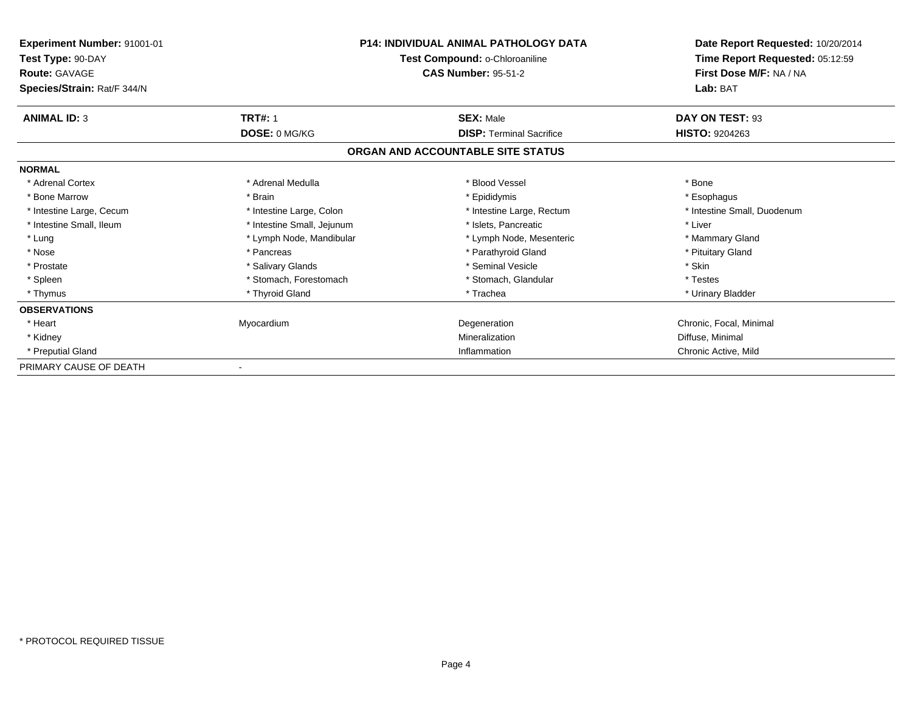| <b>Experiment Number: 91001-01</b><br>Test Type: 90-DAY<br><b>Route: GAVAGE</b><br>Species/Strain: Rat/F 344/N | <b>P14: INDIVIDUAL ANIMAL PATHOLOGY DATA</b><br>Test Compound: o-Chloroaniline<br><b>CAS Number: 95-51-2</b> |                                   | Date Report Requested: 10/20/2014<br>Time Report Requested: 05:12:59<br>First Dose M/F: NA / NA<br>Lab: BAT |
|----------------------------------------------------------------------------------------------------------------|--------------------------------------------------------------------------------------------------------------|-----------------------------------|-------------------------------------------------------------------------------------------------------------|
| <b>ANIMAL ID: 3</b>                                                                                            | <b>TRT#: 1</b>                                                                                               | <b>SEX: Male</b>                  | DAY ON TEST: 93                                                                                             |
|                                                                                                                | DOSE: 0 MG/KG                                                                                                | <b>DISP: Terminal Sacrifice</b>   | HISTO: 9204263                                                                                              |
|                                                                                                                |                                                                                                              | ORGAN AND ACCOUNTABLE SITE STATUS |                                                                                                             |
| <b>NORMAL</b>                                                                                                  |                                                                                                              |                                   |                                                                                                             |
| * Adrenal Cortex                                                                                               | * Adrenal Medulla                                                                                            | * Blood Vessel                    | * Bone                                                                                                      |
| * Bone Marrow                                                                                                  | * Brain                                                                                                      | * Epididymis                      | * Esophagus                                                                                                 |
| * Intestine Large, Cecum                                                                                       | * Intestine Large, Colon                                                                                     | * Intestine Large, Rectum         | * Intestine Small, Duodenum                                                                                 |
| * Intestine Small, Ileum                                                                                       | * Intestine Small, Jejunum                                                                                   | * Islets, Pancreatic              | * Liver                                                                                                     |
| * Lung                                                                                                         | * Lymph Node, Mandibular                                                                                     | * Lymph Node, Mesenteric          | * Mammary Gland                                                                                             |
| * Nose                                                                                                         | * Pancreas                                                                                                   | * Parathyroid Gland               | * Pituitary Gland                                                                                           |
| * Prostate                                                                                                     | * Salivary Glands                                                                                            | * Seminal Vesicle                 | * Skin                                                                                                      |
| * Spleen                                                                                                       | * Stomach. Forestomach                                                                                       | * Stomach, Glandular              | * Testes                                                                                                    |
| * Thymus                                                                                                       | * Thyroid Gland                                                                                              | * Trachea                         | * Urinary Bladder                                                                                           |
| <b>OBSERVATIONS</b>                                                                                            |                                                                                                              |                                   |                                                                                                             |
| * Heart                                                                                                        | Myocardium                                                                                                   | Degeneration                      | Chronic, Focal, Minimal                                                                                     |
| * Kidney                                                                                                       |                                                                                                              | Mineralization                    | Diffuse, Minimal                                                                                            |
| * Preputial Gland                                                                                              |                                                                                                              | Inflammation                      | Chronic Active, Mild                                                                                        |
| PRIMARY CAUSE OF DEATH                                                                                         |                                                                                                              |                                   |                                                                                                             |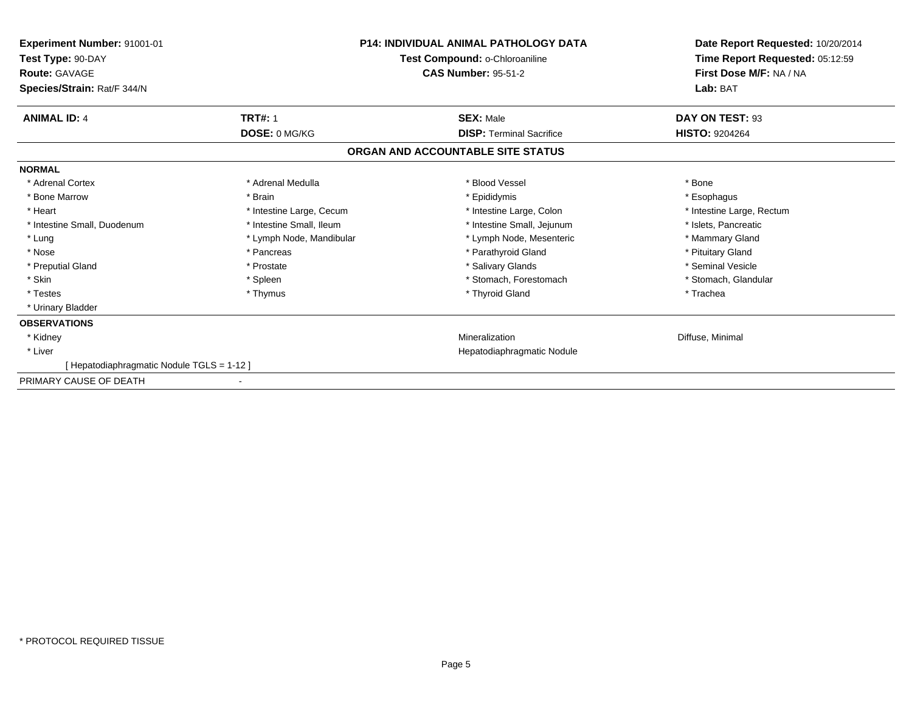| Experiment Number: 91001-01<br>Test Type: 90-DAY    | <b>P14: INDIVIDUAL ANIMAL PATHOLOGY DATA</b><br>Test Compound: o-Chloroaniline |                                   | Date Report Requested: 10/20/2014<br>Time Report Requested: 05:12:59 |
|-----------------------------------------------------|--------------------------------------------------------------------------------|-----------------------------------|----------------------------------------------------------------------|
| <b>Route: GAVAGE</b><br>Species/Strain: Rat/F 344/N |                                                                                | <b>CAS Number: 95-51-2</b>        | First Dose M/F: NA / NA<br>Lab: BAT                                  |
| <b>ANIMAL ID: 4</b>                                 | <b>TRT#: 1</b>                                                                 | <b>SEX: Male</b>                  | DAY ON TEST: 93                                                      |
|                                                     | DOSE: 0 MG/KG                                                                  | <b>DISP: Terminal Sacrifice</b>   | <b>HISTO: 9204264</b>                                                |
|                                                     |                                                                                | ORGAN AND ACCOUNTABLE SITE STATUS |                                                                      |
| <b>NORMAL</b>                                       |                                                                                |                                   |                                                                      |
| * Adrenal Cortex                                    | * Adrenal Medulla                                                              | * Blood Vessel                    | * Bone                                                               |
| * Bone Marrow                                       | * Brain                                                                        | * Epididymis                      | * Esophagus                                                          |
| * Heart                                             | * Intestine Large, Cecum                                                       | * Intestine Large, Colon          | * Intestine Large, Rectum                                            |
| * Intestine Small, Duodenum                         | * Intestine Small, Ileum                                                       | * Intestine Small, Jejunum        | * Islets, Pancreatic                                                 |
| * Lung                                              | * Lymph Node, Mandibular                                                       | * Lymph Node, Mesenteric          | * Mammary Gland                                                      |
| * Nose                                              | * Pancreas                                                                     | * Parathyroid Gland               | * Pituitary Gland                                                    |
| * Preputial Gland                                   | * Prostate                                                                     | * Salivary Glands                 | * Seminal Vesicle                                                    |
| * Skin                                              | * Spleen                                                                       | * Stomach, Forestomach            | * Stomach, Glandular                                                 |
| * Testes                                            | * Thymus                                                                       | * Thyroid Gland                   | * Trachea                                                            |
| * Urinary Bladder                                   |                                                                                |                                   |                                                                      |
| <b>OBSERVATIONS</b>                                 |                                                                                |                                   |                                                                      |
| * Kidney                                            |                                                                                | Mineralization                    | Diffuse, Minimal                                                     |
| * Liver                                             |                                                                                | Hepatodiaphragmatic Nodule        |                                                                      |
| [Hepatodiaphragmatic Nodule TGLS = 1-12]            |                                                                                |                                   |                                                                      |
| PRIMARY CAUSE OF DEATH                              |                                                                                |                                   |                                                                      |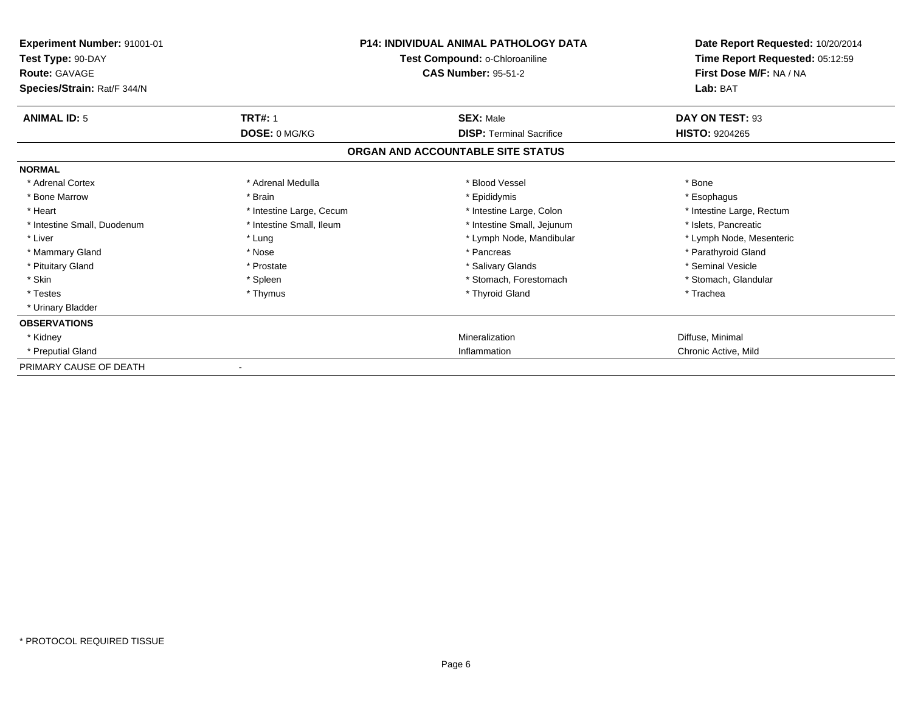| Experiment Number: 91001-01<br>Test Type: 90-DAY<br><b>Route: GAVAGE</b><br>Species/Strain: Rat/F 344/N |                          | <b>P14: INDIVIDUAL ANIMAL PATHOLOGY DATA</b><br>Test Compound: o-Chloroaniline<br><b>CAS Number: 95-51-2</b> | Date Report Requested: 10/20/2014<br>Time Report Requested: 05:12:59<br>First Dose M/F: NA / NA<br>Lab: BAT |
|---------------------------------------------------------------------------------------------------------|--------------------------|--------------------------------------------------------------------------------------------------------------|-------------------------------------------------------------------------------------------------------------|
| <b>ANIMAL ID: 5</b>                                                                                     | <b>TRT#: 1</b>           | <b>SEX: Male</b>                                                                                             | DAY ON TEST: 93                                                                                             |
|                                                                                                         | DOSE: 0 MG/KG            | <b>DISP: Terminal Sacrifice</b>                                                                              | <b>HISTO: 9204265</b>                                                                                       |
|                                                                                                         |                          | ORGAN AND ACCOUNTABLE SITE STATUS                                                                            |                                                                                                             |
| <b>NORMAL</b>                                                                                           |                          |                                                                                                              |                                                                                                             |
| * Adrenal Cortex                                                                                        | * Adrenal Medulla        | * Blood Vessel                                                                                               | * Bone                                                                                                      |
| * Bone Marrow                                                                                           | * Brain                  | * Epididymis                                                                                                 | * Esophagus                                                                                                 |
| * Heart                                                                                                 | * Intestine Large, Cecum | * Intestine Large, Colon                                                                                     | * Intestine Large, Rectum                                                                                   |
| * Intestine Small, Duodenum                                                                             | * Intestine Small, Ileum | * Intestine Small, Jejunum                                                                                   | * Islets, Pancreatic                                                                                        |
| * Liver                                                                                                 | * Lung                   | * Lymph Node, Mandibular                                                                                     | * Lymph Node, Mesenteric                                                                                    |
| * Mammary Gland                                                                                         | * Nose                   | * Pancreas                                                                                                   | * Parathyroid Gland                                                                                         |
| * Pituitary Gland                                                                                       | * Prostate               | * Salivary Glands                                                                                            | * Seminal Vesicle                                                                                           |
| * Skin                                                                                                  | * Spleen                 | * Stomach, Forestomach                                                                                       | * Stomach, Glandular                                                                                        |
| * Testes                                                                                                | * Thymus                 | * Thyroid Gland                                                                                              | * Trachea                                                                                                   |
| * Urinary Bladder                                                                                       |                          |                                                                                                              |                                                                                                             |
| <b>OBSERVATIONS</b>                                                                                     |                          |                                                                                                              |                                                                                                             |
| * Kidney                                                                                                |                          | Mineralization                                                                                               | Diffuse, Minimal                                                                                            |
| * Preputial Gland                                                                                       |                          | Inflammation                                                                                                 | Chronic Active, Mild                                                                                        |
| PRIMARY CAUSE OF DEATH                                                                                  |                          |                                                                                                              |                                                                                                             |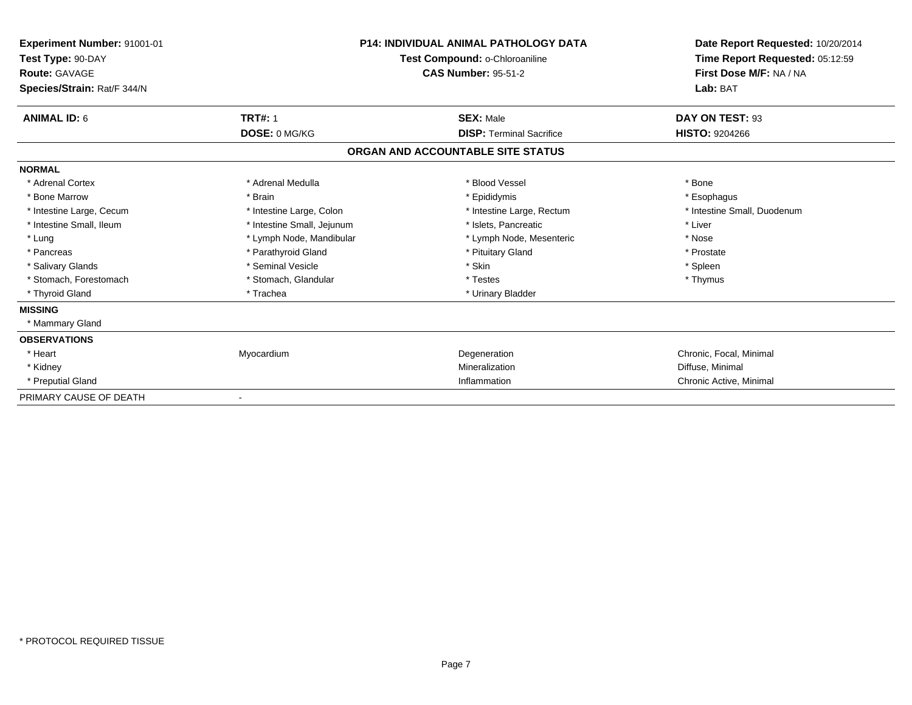| Experiment Number: 91001-01<br>Test Type: 90-DAY<br><b>Route: GAVAGE</b><br>Species/Strain: Rat/F 344/N |                            | <b>P14: INDIVIDUAL ANIMAL PATHOLOGY DATA</b><br>Test Compound: o-Chloroaniline<br><b>CAS Number: 95-51-2</b> | Date Report Requested: 10/20/2014<br>Time Report Requested: 05:12:59<br>First Dose M/F: NA / NA<br>Lab: BAT |
|---------------------------------------------------------------------------------------------------------|----------------------------|--------------------------------------------------------------------------------------------------------------|-------------------------------------------------------------------------------------------------------------|
| <b>ANIMAL ID: 6</b>                                                                                     | <b>TRT#: 1</b>             | <b>SEX: Male</b>                                                                                             | DAY ON TEST: 93                                                                                             |
|                                                                                                         | DOSE: 0 MG/KG              | <b>DISP: Terminal Sacrifice</b>                                                                              | <b>HISTO: 9204266</b>                                                                                       |
|                                                                                                         |                            | ORGAN AND ACCOUNTABLE SITE STATUS                                                                            |                                                                                                             |
| <b>NORMAL</b>                                                                                           |                            |                                                                                                              |                                                                                                             |
| * Adrenal Cortex                                                                                        | * Adrenal Medulla          | * Blood Vessel                                                                                               | * Bone                                                                                                      |
| * Bone Marrow                                                                                           | * Brain                    | * Epididymis                                                                                                 | * Esophagus                                                                                                 |
| * Intestine Large, Cecum                                                                                | * Intestine Large, Colon   | * Intestine Large, Rectum                                                                                    | * Intestine Small, Duodenum                                                                                 |
| * Intestine Small, Ileum                                                                                | * Intestine Small, Jejunum | * Islets, Pancreatic                                                                                         | * Liver                                                                                                     |
| * Lung                                                                                                  | * Lymph Node, Mandibular   | * Lymph Node, Mesenteric                                                                                     | * Nose                                                                                                      |
| * Pancreas                                                                                              | * Parathyroid Gland        | * Pituitary Gland                                                                                            | * Prostate                                                                                                  |
| * Salivary Glands                                                                                       | * Seminal Vesicle          | * Skin                                                                                                       | * Spleen                                                                                                    |
| * Stomach, Forestomach                                                                                  | * Stomach, Glandular       | * Testes                                                                                                     | * Thymus                                                                                                    |
| * Thyroid Gland                                                                                         | * Trachea                  | * Urinary Bladder                                                                                            |                                                                                                             |
| <b>MISSING</b>                                                                                          |                            |                                                                                                              |                                                                                                             |
| * Mammary Gland                                                                                         |                            |                                                                                                              |                                                                                                             |
| <b>OBSERVATIONS</b>                                                                                     |                            |                                                                                                              |                                                                                                             |
| * Heart                                                                                                 | Myocardium                 | Degeneration                                                                                                 | Chronic, Focal, Minimal                                                                                     |
| * Kidney                                                                                                |                            | Mineralization                                                                                               | Diffuse, Minimal                                                                                            |
| * Preputial Gland                                                                                       |                            | Inflammation                                                                                                 | Chronic Active, Minimal                                                                                     |
| PRIMARY CAUSE OF DEATH                                                                                  |                            |                                                                                                              |                                                                                                             |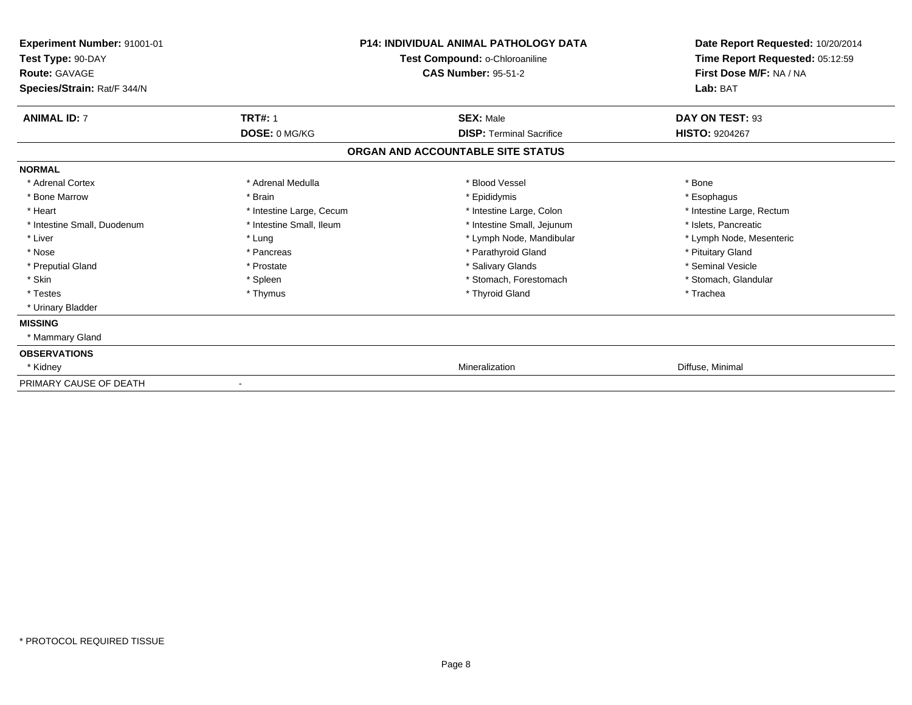| Experiment Number: 91001-01<br>Test Type: 90-DAY<br><b>Route: GAVAGE</b><br>Species/Strain: Rat/F 344/N |                              | <b>P14: INDIVIDUAL ANIMAL PATHOLOGY DATA</b><br>Test Compound: o-Chloroaniline<br><b>CAS Number: 95-51-2</b> | Date Report Requested: 10/20/2014<br>Time Report Requested: 05:12:59<br>First Dose M/F: NA / NA<br>Lab: BAT |
|---------------------------------------------------------------------------------------------------------|------------------------------|--------------------------------------------------------------------------------------------------------------|-------------------------------------------------------------------------------------------------------------|
| <b>ANIMAL ID: 7</b>                                                                                     | <b>TRT#: 1</b>               | <b>SEX: Male</b>                                                                                             | DAY ON TEST: 93                                                                                             |
|                                                                                                         | DOSE: 0 MG/KG                | <b>DISP:</b> Terminal Sacrifice                                                                              | <b>HISTO: 9204267</b>                                                                                       |
|                                                                                                         |                              | ORGAN AND ACCOUNTABLE SITE STATUS                                                                            |                                                                                                             |
| <b>NORMAL</b>                                                                                           |                              |                                                                                                              |                                                                                                             |
| * Adrenal Cortex                                                                                        | * Adrenal Medulla            | * Blood Vessel                                                                                               | * Bone                                                                                                      |
| * Bone Marrow                                                                                           | * Brain                      | * Epididymis                                                                                                 | * Esophagus                                                                                                 |
| * Heart                                                                                                 | * Intestine Large, Cecum     | * Intestine Large, Colon                                                                                     | * Intestine Large, Rectum                                                                                   |
| * Intestine Small, Duodenum                                                                             | * Intestine Small, Ileum     | * Intestine Small, Jejunum                                                                                   | * Islets, Pancreatic                                                                                        |
| * Liver                                                                                                 | * Lung                       | * Lymph Node, Mandibular                                                                                     | * Lymph Node, Mesenteric                                                                                    |
| * Nose                                                                                                  | * Pancreas                   | * Parathyroid Gland                                                                                          | * Pituitary Gland                                                                                           |
| * Preputial Gland                                                                                       | * Prostate                   | * Salivary Glands                                                                                            | * Seminal Vesicle                                                                                           |
| * Skin                                                                                                  | * Spleen                     | * Stomach, Forestomach                                                                                       | * Stomach, Glandular                                                                                        |
| * Testes                                                                                                | * Thymus                     | * Thyroid Gland                                                                                              | * Trachea                                                                                                   |
| * Urinary Bladder                                                                                       |                              |                                                                                                              |                                                                                                             |
| <b>MISSING</b>                                                                                          |                              |                                                                                                              |                                                                                                             |
| * Mammary Gland                                                                                         |                              |                                                                                                              |                                                                                                             |
| <b>OBSERVATIONS</b>                                                                                     |                              |                                                                                                              |                                                                                                             |
| * Kidney                                                                                                |                              | Mineralization                                                                                               | Diffuse, Minimal                                                                                            |
| PRIMARY CAUSE OF DEATH                                                                                  | $\qquad \qquad \blacksquare$ |                                                                                                              |                                                                                                             |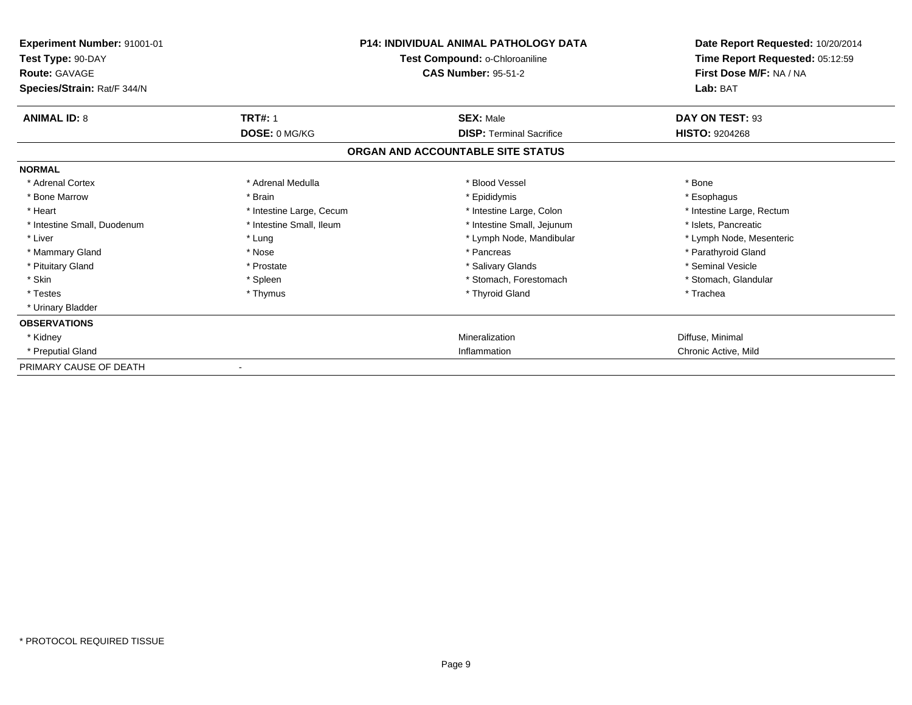| Experiment Number: 91001-01<br>Test Type: 90-DAY<br><b>Route: GAVAGE</b><br>Species/Strain: Rat/F 344/N |                          | <b>P14: INDIVIDUAL ANIMAL PATHOLOGY DATA</b><br>Test Compound: o-Chloroaniline<br><b>CAS Number: 95-51-2</b> | Date Report Requested: 10/20/2014<br>Time Report Requested: 05:12:59<br>First Dose M/F: NA / NA<br>Lab: BAT |
|---------------------------------------------------------------------------------------------------------|--------------------------|--------------------------------------------------------------------------------------------------------------|-------------------------------------------------------------------------------------------------------------|
| <b>ANIMAL ID: 8</b>                                                                                     | <b>TRT#: 1</b>           | <b>SEX: Male</b>                                                                                             | DAY ON TEST: 93                                                                                             |
|                                                                                                         | DOSE: 0 MG/KG            | <b>DISP: Terminal Sacrifice</b>                                                                              | <b>HISTO: 9204268</b>                                                                                       |
|                                                                                                         |                          | ORGAN AND ACCOUNTABLE SITE STATUS                                                                            |                                                                                                             |
| <b>NORMAL</b>                                                                                           |                          |                                                                                                              |                                                                                                             |
| * Adrenal Cortex                                                                                        | * Adrenal Medulla        | * Blood Vessel                                                                                               | * Bone                                                                                                      |
| * Bone Marrow                                                                                           | * Brain                  | * Epididymis                                                                                                 | * Esophagus                                                                                                 |
| * Heart                                                                                                 | * Intestine Large, Cecum | * Intestine Large, Colon                                                                                     | * Intestine Large, Rectum                                                                                   |
| * Intestine Small, Duodenum                                                                             | * Intestine Small, Ileum | * Intestine Small, Jejunum                                                                                   | * Islets, Pancreatic                                                                                        |
| * Liver                                                                                                 | * Lung                   | * Lymph Node, Mandibular                                                                                     | * Lymph Node, Mesenteric                                                                                    |
| * Mammary Gland                                                                                         | * Nose                   | * Pancreas                                                                                                   | * Parathyroid Gland                                                                                         |
| * Pituitary Gland                                                                                       | * Prostate               | * Salivary Glands                                                                                            | * Seminal Vesicle                                                                                           |
| * Skin                                                                                                  | * Spleen                 | * Stomach, Forestomach                                                                                       | * Stomach, Glandular                                                                                        |
| * Testes                                                                                                | * Thymus                 | * Thyroid Gland                                                                                              | * Trachea                                                                                                   |
| * Urinary Bladder                                                                                       |                          |                                                                                                              |                                                                                                             |
| <b>OBSERVATIONS</b>                                                                                     |                          |                                                                                                              |                                                                                                             |
| * Kidney                                                                                                |                          | Mineralization                                                                                               | Diffuse, Minimal                                                                                            |
| * Preputial Gland                                                                                       |                          | Inflammation                                                                                                 | Chronic Active, Mild                                                                                        |
| PRIMARY CAUSE OF DEATH                                                                                  |                          |                                                                                                              |                                                                                                             |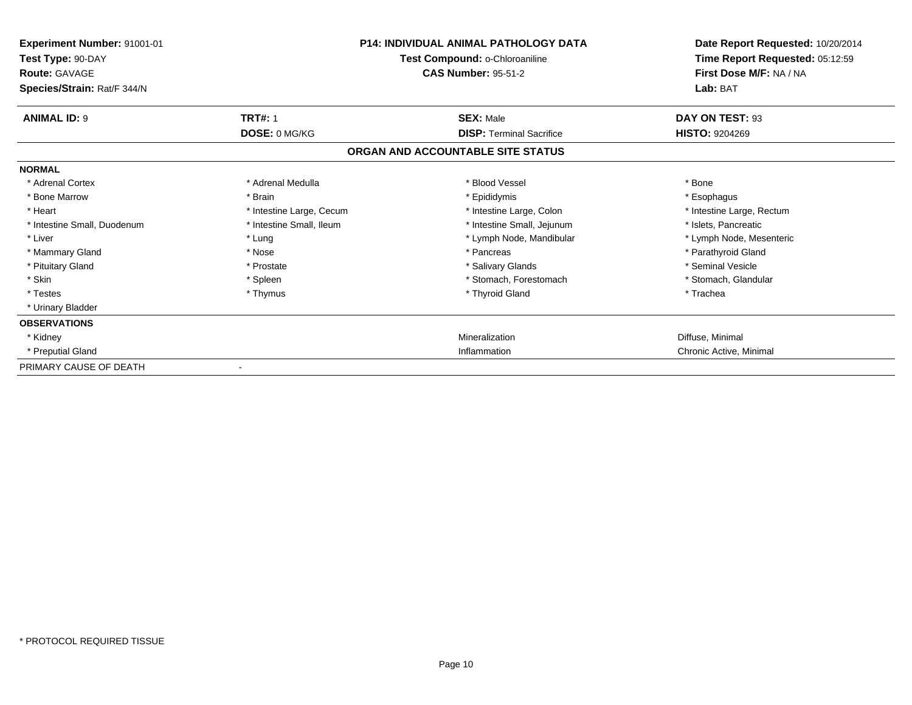| Experiment Number: 91001-01<br>Test Type: 90-DAY<br><b>Route: GAVAGE</b><br>Species/Strain: Rat/F 344/N |                          | <b>P14: INDIVIDUAL ANIMAL PATHOLOGY DATA</b><br>Test Compound: o-Chloroaniline<br><b>CAS Number: 95-51-2</b> | Date Report Requested: 10/20/2014<br>Time Report Requested: 05:12:59<br>First Dose M/F: NA / NA<br>Lab: BAT |
|---------------------------------------------------------------------------------------------------------|--------------------------|--------------------------------------------------------------------------------------------------------------|-------------------------------------------------------------------------------------------------------------|
| <b>ANIMAL ID: 9</b>                                                                                     | <b>TRT#: 1</b>           | <b>SEX: Male</b>                                                                                             | DAY ON TEST: 93                                                                                             |
|                                                                                                         | DOSE: 0 MG/KG            | <b>DISP: Terminal Sacrifice</b>                                                                              | <b>HISTO: 9204269</b>                                                                                       |
|                                                                                                         |                          | ORGAN AND ACCOUNTABLE SITE STATUS                                                                            |                                                                                                             |
| <b>NORMAL</b>                                                                                           |                          |                                                                                                              |                                                                                                             |
| * Adrenal Cortex                                                                                        | * Adrenal Medulla        | * Blood Vessel                                                                                               | * Bone                                                                                                      |
| * Bone Marrow                                                                                           | * Brain                  | * Epididymis                                                                                                 | * Esophagus                                                                                                 |
| * Heart                                                                                                 | * Intestine Large, Cecum | * Intestine Large, Colon                                                                                     | * Intestine Large, Rectum                                                                                   |
| * Intestine Small, Duodenum                                                                             | * Intestine Small, Ileum | * Intestine Small, Jejunum                                                                                   | * Islets, Pancreatic                                                                                        |
| * Liver                                                                                                 | * Lung                   | * Lymph Node, Mandibular                                                                                     | * Lymph Node, Mesenteric                                                                                    |
| * Mammary Gland                                                                                         | * Nose                   | * Pancreas                                                                                                   | * Parathyroid Gland                                                                                         |
| * Pituitary Gland                                                                                       | * Prostate               | * Salivary Glands                                                                                            | * Seminal Vesicle                                                                                           |
| * Skin                                                                                                  | * Spleen                 | * Stomach. Forestomach                                                                                       | * Stomach, Glandular                                                                                        |
| * Testes                                                                                                | * Thymus                 | * Thyroid Gland                                                                                              | * Trachea                                                                                                   |
| * Urinary Bladder                                                                                       |                          |                                                                                                              |                                                                                                             |
| <b>OBSERVATIONS</b>                                                                                     |                          |                                                                                                              |                                                                                                             |
| * Kidney                                                                                                |                          | Mineralization                                                                                               | Diffuse, Minimal                                                                                            |
| * Preputial Gland                                                                                       |                          | Inflammation                                                                                                 | Chronic Active, Minimal                                                                                     |
| PRIMARY CAUSE OF DEATH                                                                                  |                          |                                                                                                              |                                                                                                             |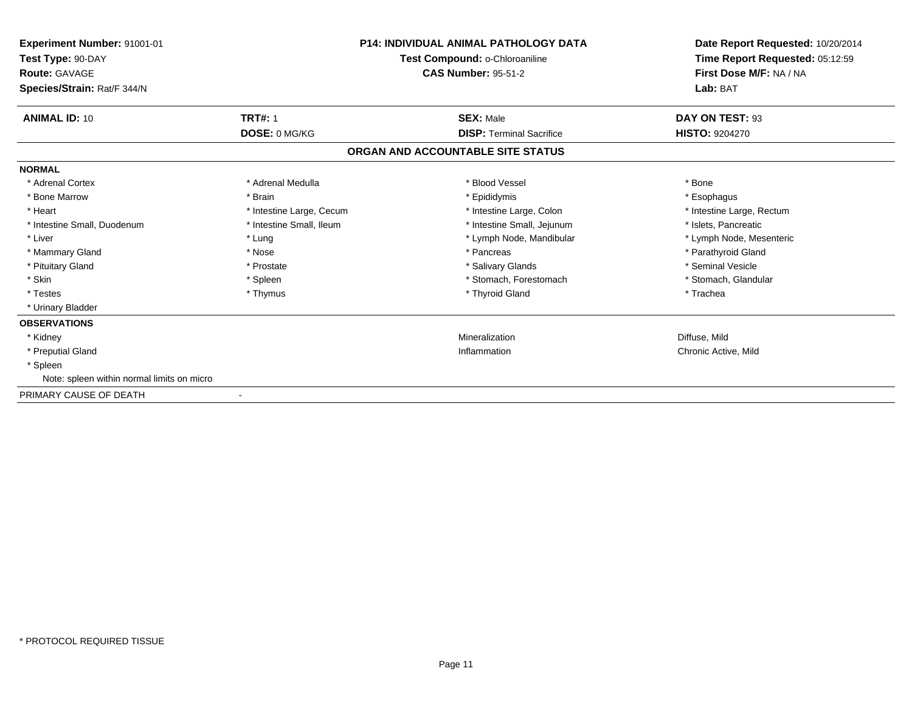| Experiment Number: 91001-01<br>Test Type: 90-DAY<br><b>Route: GAVAGE</b> |                          | <b>P14: INDIVIDUAL ANIMAL PATHOLOGY DATA</b><br>Test Compound: o-Chloroaniline<br><b>CAS Number: 95-51-2</b> | Date Report Requested: 10/20/2014<br>Time Report Requested: 05:12:59<br>First Dose M/F: NA / NA |  |
|--------------------------------------------------------------------------|--------------------------|--------------------------------------------------------------------------------------------------------------|-------------------------------------------------------------------------------------------------|--|
| Species/Strain: Rat/F 344/N                                              |                          |                                                                                                              | Lab: BAT                                                                                        |  |
| <b>ANIMAL ID: 10</b>                                                     | <b>TRT#: 1</b>           | <b>SEX: Male</b>                                                                                             | DAY ON TEST: 93                                                                                 |  |
|                                                                          | DOSE: 0 MG/KG            | <b>DISP: Terminal Sacrifice</b>                                                                              | <b>HISTO: 9204270</b>                                                                           |  |
|                                                                          |                          | ORGAN AND ACCOUNTABLE SITE STATUS                                                                            |                                                                                                 |  |
| <b>NORMAL</b>                                                            |                          |                                                                                                              |                                                                                                 |  |
| * Adrenal Cortex                                                         | * Adrenal Medulla        | * Blood Vessel                                                                                               | * Bone                                                                                          |  |
| * Bone Marrow                                                            | * Brain                  | * Epididymis                                                                                                 | * Esophagus                                                                                     |  |
| * Heart                                                                  | * Intestine Large, Cecum | * Intestine Large, Colon                                                                                     | * Intestine Large, Rectum                                                                       |  |
| * Intestine Small, Duodenum                                              | * Intestine Small, Ileum | * Intestine Small, Jejunum                                                                                   | * Islets, Pancreatic                                                                            |  |
| * Liver                                                                  | * Lung                   | * Lymph Node, Mandibular                                                                                     | * Lymph Node, Mesenteric                                                                        |  |
| * Mammary Gland                                                          | * Nose                   | * Pancreas                                                                                                   | * Parathyroid Gland                                                                             |  |
| * Pituitary Gland                                                        | * Prostate               | * Salivary Glands                                                                                            | * Seminal Vesicle                                                                               |  |
| * Skin                                                                   | * Spleen                 | * Stomach, Forestomach                                                                                       | * Stomach, Glandular                                                                            |  |
| * Testes                                                                 | * Thymus                 | * Thyroid Gland                                                                                              | * Trachea                                                                                       |  |
| * Urinary Bladder                                                        |                          |                                                                                                              |                                                                                                 |  |
| <b>OBSERVATIONS</b>                                                      |                          |                                                                                                              |                                                                                                 |  |
| * Kidney                                                                 |                          | Mineralization                                                                                               | Diffuse, Mild                                                                                   |  |
| * Preputial Gland                                                        |                          | Inflammation                                                                                                 | Chronic Active, Mild                                                                            |  |
| * Spleen                                                                 |                          |                                                                                                              |                                                                                                 |  |
| Note: spleen within normal limits on micro                               |                          |                                                                                                              |                                                                                                 |  |
| PRIMARY CAUSE OF DEATH                                                   | $\blacksquare$           |                                                                                                              |                                                                                                 |  |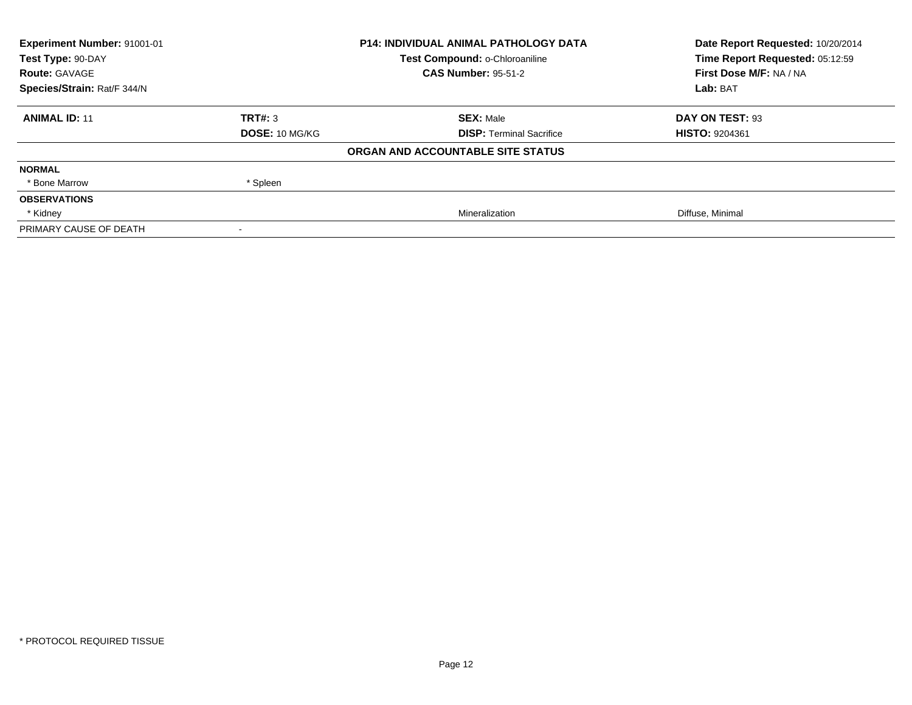| Experiment Number: 91001-01 | <b>P14: INDIVIDUAL ANIMAL PATHOLOGY DATA</b> |                                   | Date Report Requested: 10/20/2014 |
|-----------------------------|----------------------------------------------|-----------------------------------|-----------------------------------|
| Test Type: 90-DAY           |                                              | Test Compound: o-Chloroaniline    | Time Report Requested: 05:12:59   |
| <b>Route: GAVAGE</b>        |                                              | <b>CAS Number: 95-51-2</b>        | First Dose M/F: NA / NA           |
| Species/Strain: Rat/F 344/N |                                              |                                   | Lab: BAT                          |
| <b>ANIMAL ID: 11</b>        | TRT#: 3                                      | <b>SEX: Male</b>                  | DAY ON TEST: 93                   |
|                             | <b>DOSE: 10 MG/KG</b>                        | <b>DISP: Terminal Sacrifice</b>   | <b>HISTO: 9204361</b>             |
|                             |                                              | ORGAN AND ACCOUNTABLE SITE STATUS |                                   |
| <b>NORMAL</b>               |                                              |                                   |                                   |
| * Bone Marrow               | * Spleen                                     |                                   |                                   |
| <b>OBSERVATIONS</b>         |                                              |                                   |                                   |
| * Kidney                    |                                              | Mineralization                    | Diffuse, Minimal                  |
| PRIMARY CAUSE OF DEATH      |                                              |                                   |                                   |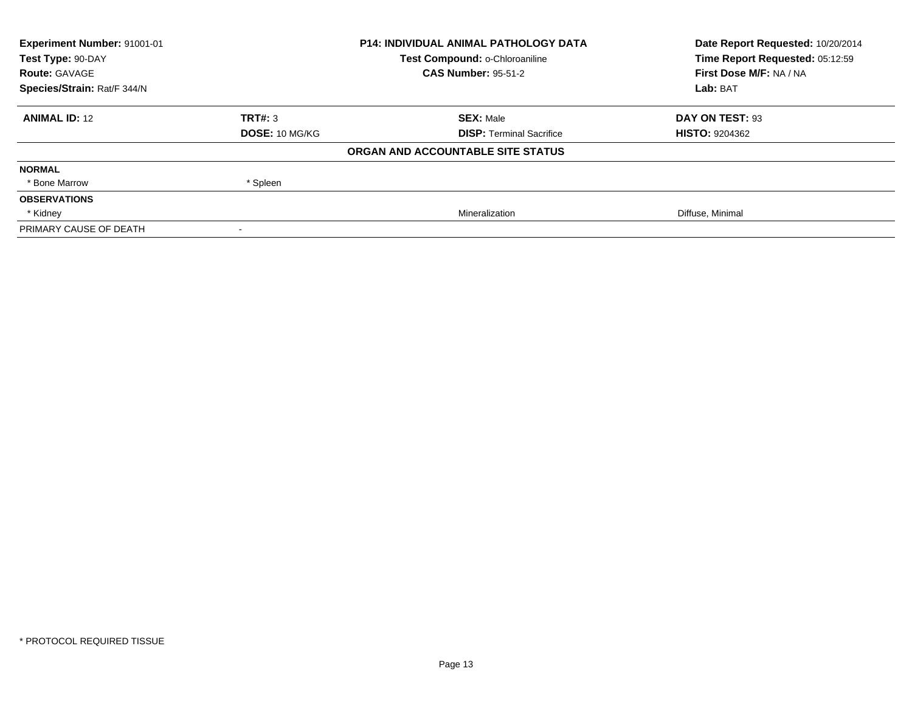| Experiment Number: 91001-01 | <b>P14: INDIVIDUAL ANIMAL PATHOLOGY DATA</b> |                                   | Date Report Requested: 10/20/2014 |
|-----------------------------|----------------------------------------------|-----------------------------------|-----------------------------------|
| Test Type: 90-DAY           |                                              | Test Compound: o-Chloroaniline    | Time Report Requested: 05:12:59   |
| <b>Route: GAVAGE</b>        |                                              | <b>CAS Number: 95-51-2</b>        | First Dose M/F: NA / NA           |
| Species/Strain: Rat/F 344/N |                                              |                                   | Lab: BAT                          |
| <b>ANIMAL ID: 12</b>        | TRT#: 3                                      | <b>SEX: Male</b>                  | DAY ON TEST: 93                   |
|                             | <b>DOSE: 10 MG/KG</b>                        | <b>DISP: Terminal Sacrifice</b>   | <b>HISTO: 9204362</b>             |
|                             |                                              | ORGAN AND ACCOUNTABLE SITE STATUS |                                   |
| <b>NORMAL</b>               |                                              |                                   |                                   |
| * Bone Marrow               | * Spleen                                     |                                   |                                   |
| <b>OBSERVATIONS</b>         |                                              |                                   |                                   |
| * Kidney                    |                                              | Mineralization                    | Diffuse, Minimal                  |
| PRIMARY CAUSE OF DEATH      |                                              |                                   |                                   |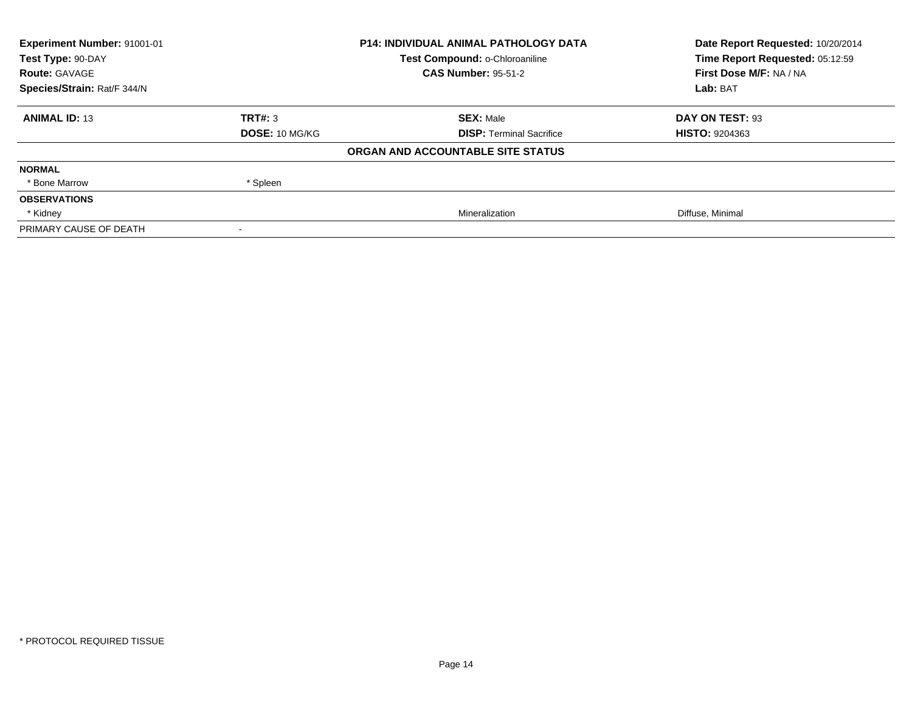| <b>Experiment Number: 91001-01</b> | <b>P14: INDIVIDUAL ANIMAL PATHOLOGY DATA</b> |                                   | Date Report Requested: 10/20/2014 |
|------------------------------------|----------------------------------------------|-----------------------------------|-----------------------------------|
| Test Type: 90-DAY                  |                                              | Test Compound: o-Chloroaniline    | Time Report Requested: 05:12:59   |
| <b>Route: GAVAGE</b>               |                                              | <b>CAS Number: 95-51-2</b>        | First Dose M/F: NA / NA           |
| Species/Strain: Rat/F 344/N        |                                              |                                   | Lab: BAT                          |
| <b>ANIMAL ID: 13</b>               | TRT#: 3                                      | <b>SEX: Male</b>                  | DAY ON TEST: 93                   |
|                                    | <b>DOSE: 10 MG/KG</b>                        | <b>DISP:</b> Terminal Sacrifice   | <b>HISTO: 9204363</b>             |
|                                    |                                              | ORGAN AND ACCOUNTABLE SITE STATUS |                                   |
| <b>NORMAL</b>                      |                                              |                                   |                                   |
| * Bone Marrow                      | * Spleen                                     |                                   |                                   |
| <b>OBSERVATIONS</b>                |                                              |                                   |                                   |
| * Kidney                           |                                              | Mineralization                    | Diffuse, Minimal                  |
| PRIMARY CAUSE OF DEATH             |                                              |                                   |                                   |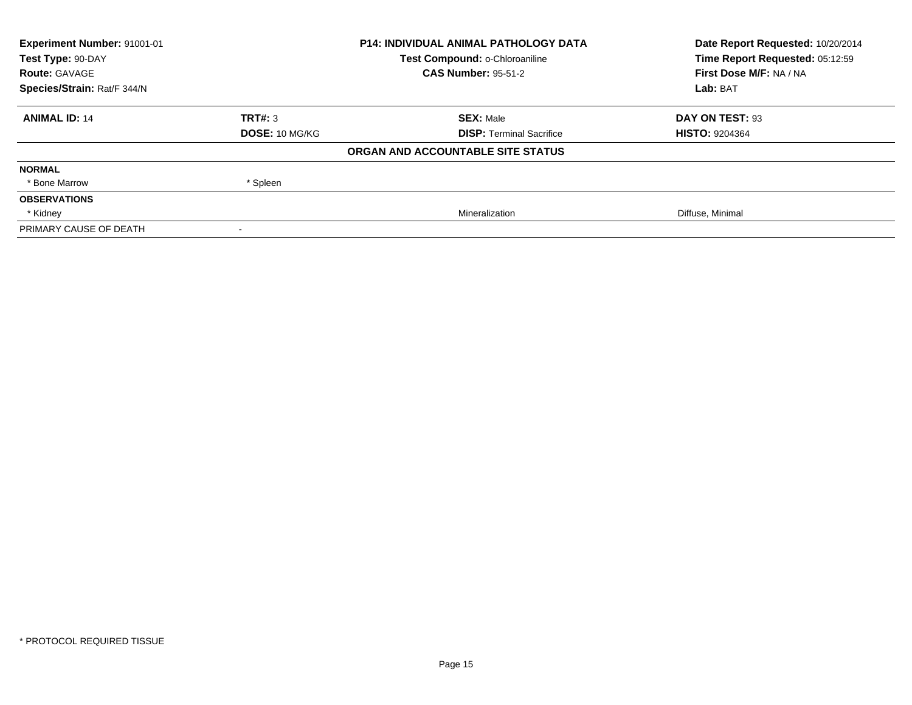| <b>Experiment Number: 91001-01</b> | <b>P14: INDIVIDUAL ANIMAL PATHOLOGY DATA</b> |                                   | Date Report Requested: 10/20/2014 |
|------------------------------------|----------------------------------------------|-----------------------------------|-----------------------------------|
| Test Type: 90-DAY                  |                                              | Test Compound: o-Chloroaniline    | Time Report Requested: 05:12:59   |
| <b>Route: GAVAGE</b>               |                                              | <b>CAS Number: 95-51-2</b>        | First Dose M/F: NA / NA           |
| Species/Strain: Rat/F 344/N        |                                              |                                   | Lab: BAT                          |
| <b>ANIMAL ID: 14</b>               | TRT#: 3                                      | <b>SEX: Male</b>                  | DAY ON TEST: 93                   |
|                                    | <b>DOSE: 10 MG/KG</b>                        | <b>DISP:</b> Terminal Sacrifice   | <b>HISTO: 9204364</b>             |
|                                    |                                              | ORGAN AND ACCOUNTABLE SITE STATUS |                                   |
| <b>NORMAL</b>                      |                                              |                                   |                                   |
| * Bone Marrow                      | * Spleen                                     |                                   |                                   |
| <b>OBSERVATIONS</b>                |                                              |                                   |                                   |
| * Kidney                           |                                              | Mineralization                    | Diffuse, Minimal                  |
| PRIMARY CAUSE OF DEATH             |                                              |                                   |                                   |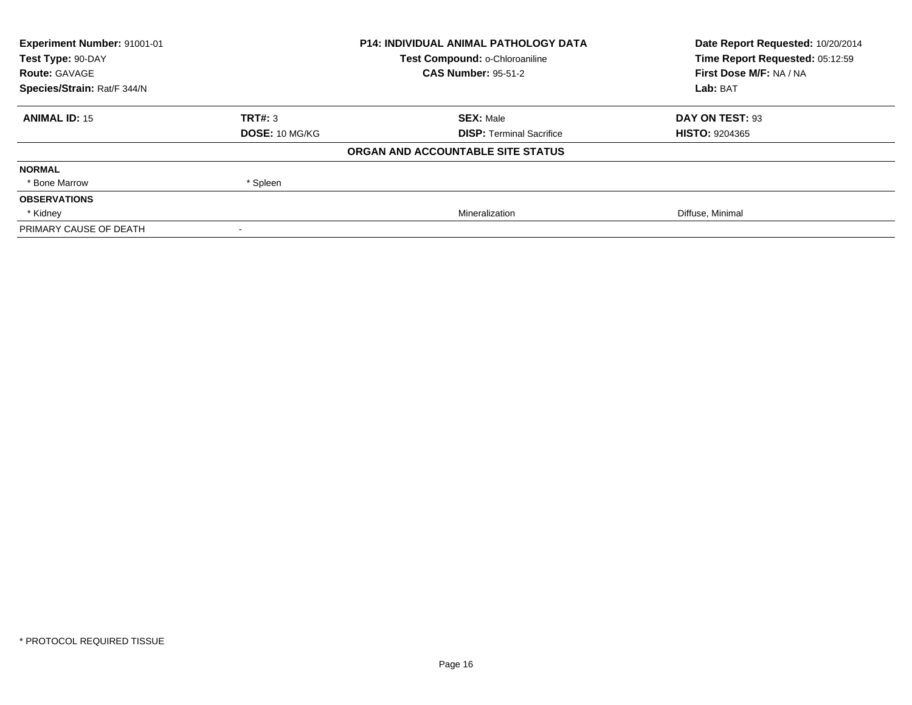| <b>Experiment Number: 91001-01</b> | <b>P14: INDIVIDUAL ANIMAL PATHOLOGY DATA</b> |                                   | Date Report Requested: 10/20/2014 |
|------------------------------------|----------------------------------------------|-----------------------------------|-----------------------------------|
| Test Type: 90-DAY                  |                                              | Test Compound: o-Chloroaniline    | Time Report Requested: 05:12:59   |
| <b>Route: GAVAGE</b>               |                                              | <b>CAS Number: 95-51-2</b>        | First Dose M/F: NA / NA           |
| Species/Strain: Rat/F 344/N        |                                              |                                   | Lab: BAT                          |
| <b>ANIMAL ID: 15</b>               | TRT#: 3                                      | <b>SEX: Male</b>                  | DAY ON TEST: 93                   |
|                                    | <b>DOSE: 10 MG/KG</b>                        | <b>DISP:</b> Terminal Sacrifice   | <b>HISTO: 9204365</b>             |
|                                    |                                              | ORGAN AND ACCOUNTABLE SITE STATUS |                                   |
| <b>NORMAL</b>                      |                                              |                                   |                                   |
| * Bone Marrow                      | * Spleen                                     |                                   |                                   |
| <b>OBSERVATIONS</b>                |                                              |                                   |                                   |
| * Kidney                           |                                              | Mineralization                    | Diffuse, Minimal                  |
| PRIMARY CAUSE OF DEATH             |                                              |                                   |                                   |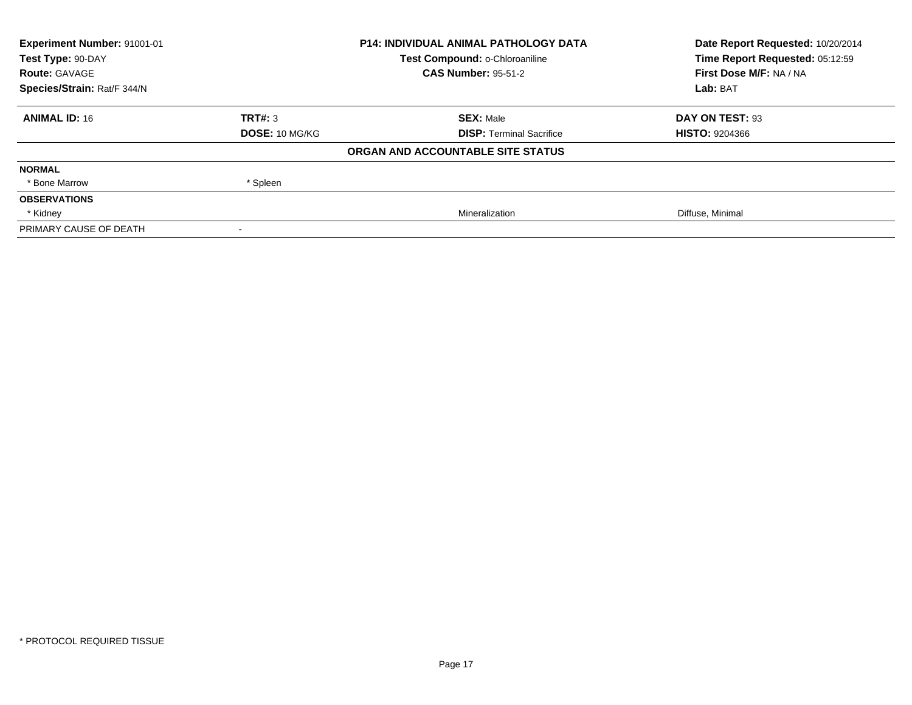| Experiment Number: 91001-01 | <b>P14: INDIVIDUAL ANIMAL PATHOLOGY DATA</b> |                                   | Date Report Requested: 10/20/2014 |
|-----------------------------|----------------------------------------------|-----------------------------------|-----------------------------------|
| Test Type: 90-DAY           |                                              | Test Compound: o-Chloroaniline    | Time Report Requested: 05:12:59   |
| <b>Route: GAVAGE</b>        |                                              | <b>CAS Number: 95-51-2</b>        | First Dose M/F: NA / NA           |
| Species/Strain: Rat/F 344/N |                                              |                                   | Lab: BAT                          |
| <b>ANIMAL ID: 16</b>        | TRT#: 3                                      | <b>SEX: Male</b>                  | DAY ON TEST: 93                   |
|                             | <b>DOSE: 10 MG/KG</b>                        | <b>DISP: Terminal Sacrifice</b>   | <b>HISTO: 9204366</b>             |
|                             |                                              | ORGAN AND ACCOUNTABLE SITE STATUS |                                   |
| <b>NORMAL</b>               |                                              |                                   |                                   |
| * Bone Marrow               | * Spleen                                     |                                   |                                   |
| <b>OBSERVATIONS</b>         |                                              |                                   |                                   |
| * Kidney                    |                                              | Mineralization                    | Diffuse, Minimal                  |
| PRIMARY CAUSE OF DEATH      |                                              |                                   |                                   |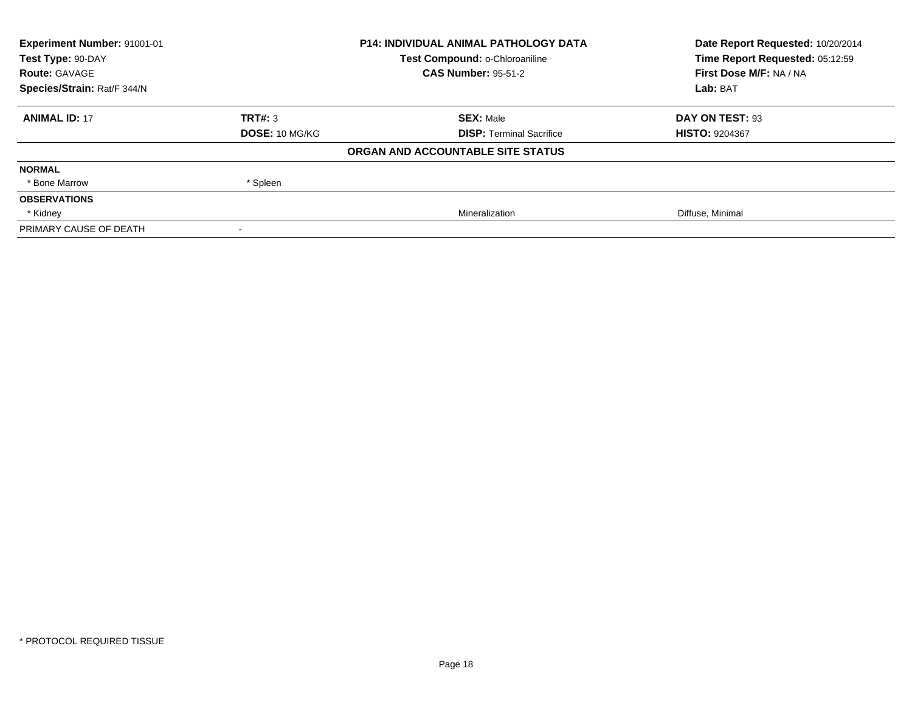| <b>Experiment Number: 91001-01</b> | <b>P14: INDIVIDUAL ANIMAL PATHOLOGY DATA</b> |                                   | Date Report Requested: 10/20/2014 |
|------------------------------------|----------------------------------------------|-----------------------------------|-----------------------------------|
| Test Type: 90-DAY                  |                                              | Test Compound: o-Chloroaniline    | Time Report Requested: 05:12:59   |
| <b>Route: GAVAGE</b>               |                                              | <b>CAS Number: 95-51-2</b>        | First Dose M/F: NA / NA           |
| Species/Strain: Rat/F 344/N        |                                              |                                   | Lab: BAT                          |
| <b>ANIMAL ID: 17</b>               | TRT#: 3                                      | <b>SEX: Male</b>                  | DAY ON TEST: 93                   |
|                                    | <b>DOSE: 10 MG/KG</b>                        | <b>DISP:</b> Terminal Sacrifice   | <b>HISTO: 9204367</b>             |
|                                    |                                              | ORGAN AND ACCOUNTABLE SITE STATUS |                                   |
| <b>NORMAL</b>                      |                                              |                                   |                                   |
| * Bone Marrow                      | * Spleen                                     |                                   |                                   |
| <b>OBSERVATIONS</b>                |                                              |                                   |                                   |
| * Kidney                           |                                              | Mineralization                    | Diffuse, Minimal                  |
| PRIMARY CAUSE OF DEATH             |                                              |                                   |                                   |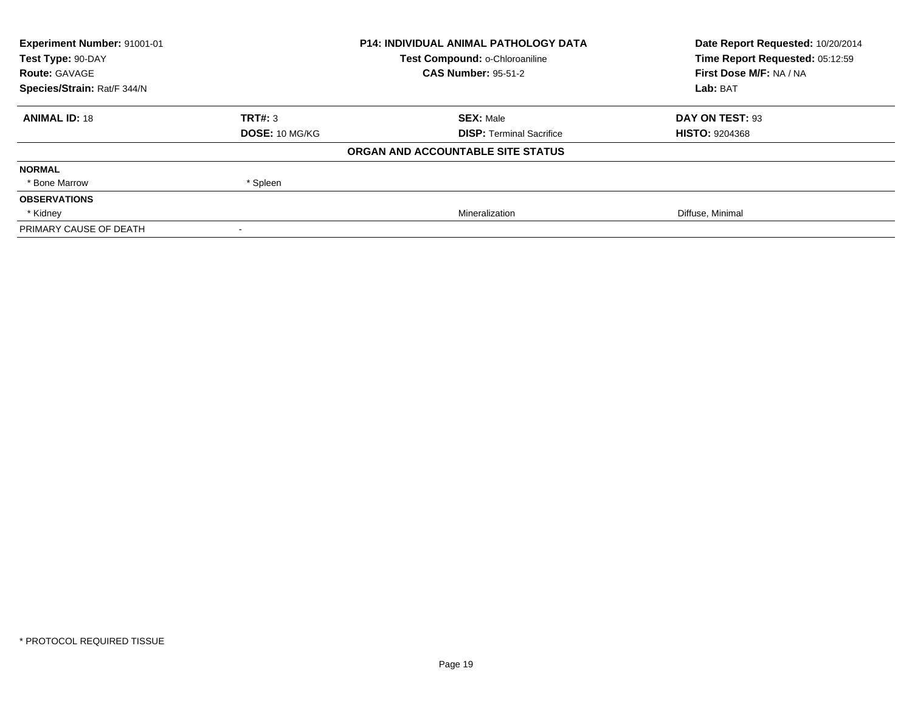| <b>Experiment Number: 91001-01</b> | <b>P14: INDIVIDUAL ANIMAL PATHOLOGY DATA</b> |                                   | Date Report Requested: 10/20/2014 |
|------------------------------------|----------------------------------------------|-----------------------------------|-----------------------------------|
| Test Type: 90-DAY                  |                                              | Test Compound: o-Chloroaniline    | Time Report Requested: 05:12:59   |
| <b>Route: GAVAGE</b>               |                                              | <b>CAS Number: 95-51-2</b>        | First Dose M/F: NA / NA           |
| Species/Strain: Rat/F 344/N        |                                              |                                   | Lab: BAT                          |
| <b>ANIMAL ID: 18</b>               | TRT#: 3                                      | <b>SEX: Male</b>                  | DAY ON TEST: 93                   |
|                                    | <b>DOSE: 10 MG/KG</b>                        | <b>DISP:</b> Terminal Sacrifice   | <b>HISTO: 9204368</b>             |
|                                    |                                              | ORGAN AND ACCOUNTABLE SITE STATUS |                                   |
| <b>NORMAL</b>                      |                                              |                                   |                                   |
| * Bone Marrow                      | * Spleen                                     |                                   |                                   |
| <b>OBSERVATIONS</b>                |                                              |                                   |                                   |
| * Kidney                           |                                              | Mineralization                    | Diffuse, Minimal                  |
| PRIMARY CAUSE OF DEATH             |                                              |                                   |                                   |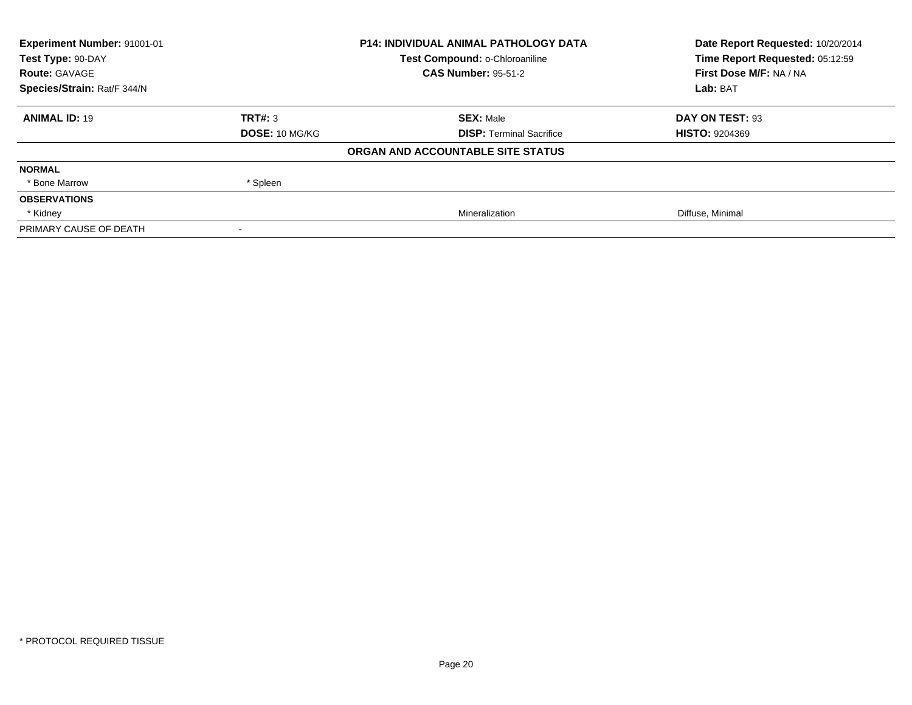| <b>Experiment Number: 91001-01</b> | <b>P14: INDIVIDUAL ANIMAL PATHOLOGY DATA</b> |                                   | Date Report Requested: 10/20/2014 |
|------------------------------------|----------------------------------------------|-----------------------------------|-----------------------------------|
| Test Type: 90-DAY                  |                                              | Test Compound: o-Chloroaniline    | Time Report Requested: 05:12:59   |
| <b>Route: GAVAGE</b>               |                                              | <b>CAS Number: 95-51-2</b>        | First Dose M/F: NA / NA           |
| Species/Strain: Rat/F 344/N        |                                              |                                   | Lab: BAT                          |
| <b>ANIMAL ID: 19</b>               | TRT#: 3                                      | <b>SEX: Male</b>                  | DAY ON TEST: 93                   |
|                                    | <b>DOSE: 10 MG/KG</b>                        | <b>DISP:</b> Terminal Sacrifice   | <b>HISTO: 9204369</b>             |
|                                    |                                              | ORGAN AND ACCOUNTABLE SITE STATUS |                                   |
| <b>NORMAL</b>                      |                                              |                                   |                                   |
| * Bone Marrow                      | * Spleen                                     |                                   |                                   |
| <b>OBSERVATIONS</b>                |                                              |                                   |                                   |
| * Kidney                           |                                              | Mineralization                    | Diffuse, Minimal                  |
| PRIMARY CAUSE OF DEATH             |                                              |                                   |                                   |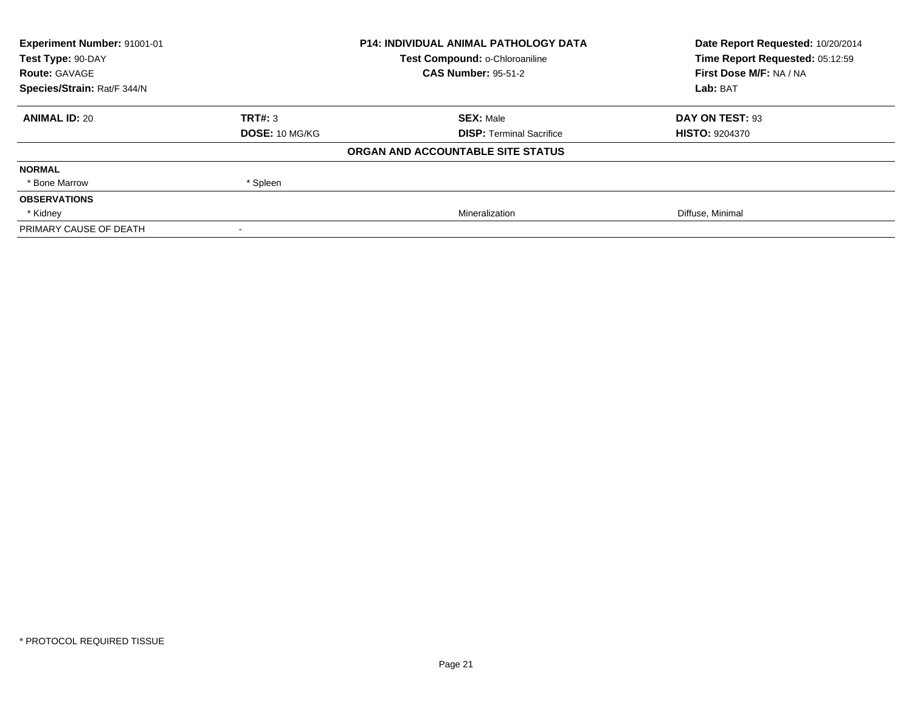| <b>Experiment Number: 91001-01</b> | <b>P14: INDIVIDUAL ANIMAL PATHOLOGY DATA</b> |                                   | Date Report Requested: 10/20/2014 |
|------------------------------------|----------------------------------------------|-----------------------------------|-----------------------------------|
| Test Type: 90-DAY                  |                                              | Test Compound: o-Chloroaniline    | Time Report Requested: 05:12:59   |
| <b>Route: GAVAGE</b>               |                                              | <b>CAS Number: 95-51-2</b>        | First Dose M/F: NA / NA           |
| Species/Strain: Rat/F 344/N        |                                              |                                   | Lab: BAT                          |
| <b>ANIMAL ID: 20</b>               | TRT#: 3                                      | <b>SEX: Male</b>                  | DAY ON TEST: 93                   |
|                                    | <b>DOSE: 10 MG/KG</b>                        | <b>DISP:</b> Terminal Sacrifice   | <b>HISTO: 9204370</b>             |
|                                    |                                              | ORGAN AND ACCOUNTABLE SITE STATUS |                                   |
| <b>NORMAL</b>                      |                                              |                                   |                                   |
| * Bone Marrow                      | * Spleen                                     |                                   |                                   |
| <b>OBSERVATIONS</b>                |                                              |                                   |                                   |
| * Kidney                           |                                              | Mineralization                    | Diffuse, Minimal                  |
| PRIMARY CAUSE OF DEATH             |                                              |                                   |                                   |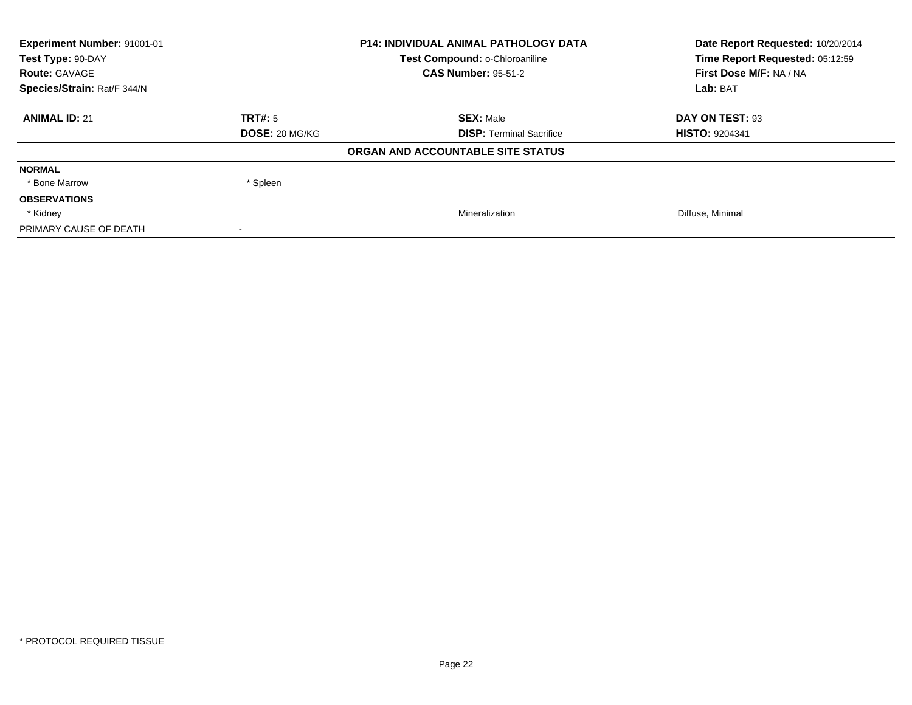| Experiment Number: 91001-01 | <b>P14: INDIVIDUAL ANIMAL PATHOLOGY DATA</b> |                                   | Date Report Requested: 10/20/2014 |
|-----------------------------|----------------------------------------------|-----------------------------------|-----------------------------------|
| Test Type: 90-DAY           |                                              | Test Compound: o-Chloroaniline    | Time Report Requested: 05:12:59   |
| <b>Route: GAVAGE</b>        |                                              | <b>CAS Number: 95-51-2</b>        | First Dose M/F: NA / NA           |
| Species/Strain: Rat/F 344/N |                                              |                                   | Lab: BAT                          |
| <b>ANIMAL ID: 21</b>        | TRT#: 5                                      | <b>SEX: Male</b>                  | DAY ON TEST: 93                   |
|                             | <b>DOSE: 20 MG/KG</b>                        | <b>DISP: Terminal Sacrifice</b>   | <b>HISTO: 9204341</b>             |
|                             |                                              | ORGAN AND ACCOUNTABLE SITE STATUS |                                   |
| <b>NORMAL</b>               |                                              |                                   |                                   |
| * Bone Marrow               | * Spleen                                     |                                   |                                   |
| <b>OBSERVATIONS</b>         |                                              |                                   |                                   |
| * Kidney                    |                                              | Mineralization                    | Diffuse, Minimal                  |
| PRIMARY CAUSE OF DEATH      |                                              |                                   |                                   |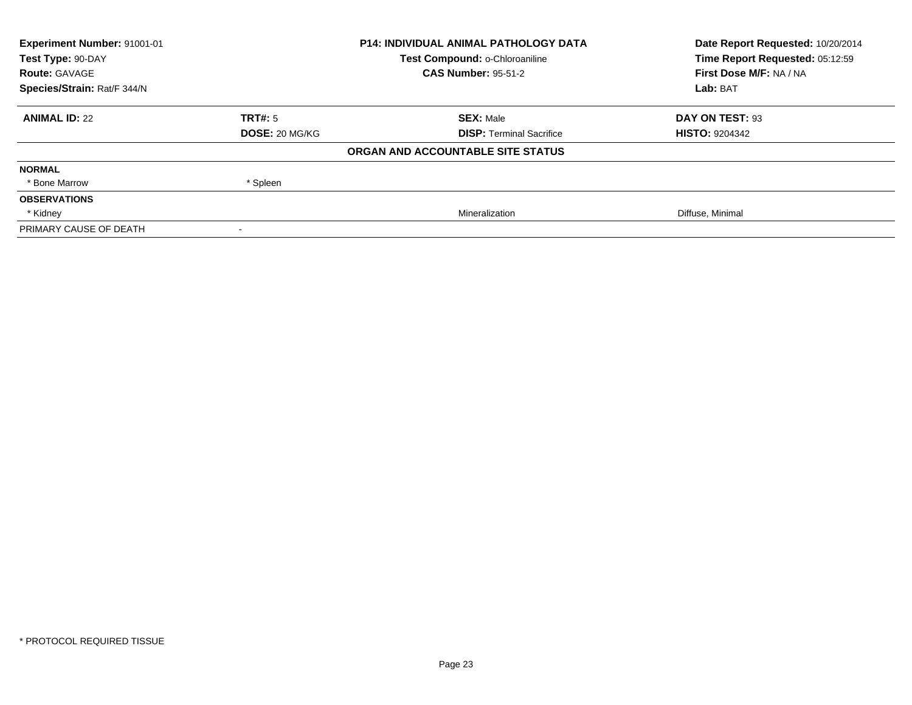| Experiment Number: 91001-01 | <b>P14: INDIVIDUAL ANIMAL PATHOLOGY DATA</b> |                                   | Date Report Requested: 10/20/2014 |
|-----------------------------|----------------------------------------------|-----------------------------------|-----------------------------------|
| Test Type: 90-DAY           |                                              | Test Compound: o-Chloroaniline    | Time Report Requested: 05:12:59   |
| <b>Route: GAVAGE</b>        |                                              | <b>CAS Number: 95-51-2</b>        | First Dose M/F: NA / NA           |
| Species/Strain: Rat/F 344/N |                                              |                                   | Lab: BAT                          |
| <b>ANIMAL ID: 22</b>        | TRT#: 5                                      | <b>SEX: Male</b>                  | DAY ON TEST: 93                   |
|                             | <b>DOSE: 20 MG/KG</b>                        | <b>DISP: Terminal Sacrifice</b>   | <b>HISTO: 9204342</b>             |
|                             |                                              | ORGAN AND ACCOUNTABLE SITE STATUS |                                   |
| <b>NORMAL</b>               |                                              |                                   |                                   |
| * Bone Marrow               | * Spleen                                     |                                   |                                   |
| <b>OBSERVATIONS</b>         |                                              |                                   |                                   |
| * Kidney                    |                                              | Mineralization                    | Diffuse, Minimal                  |
| PRIMARY CAUSE OF DEATH      |                                              |                                   |                                   |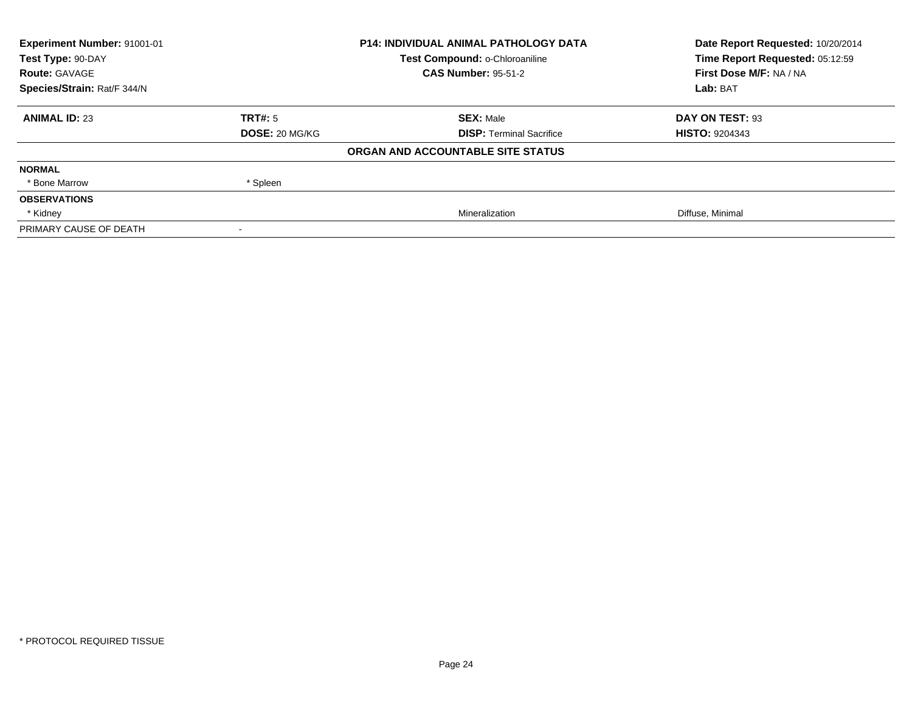| Experiment Number: 91001-01 | <b>P14: INDIVIDUAL ANIMAL PATHOLOGY DATA</b> |                                   | Date Report Requested: 10/20/2014 |
|-----------------------------|----------------------------------------------|-----------------------------------|-----------------------------------|
| Test Type: 90-DAY           |                                              | Test Compound: o-Chloroaniline    | Time Report Requested: 05:12:59   |
| <b>Route: GAVAGE</b>        |                                              | <b>CAS Number: 95-51-2</b>        | First Dose M/F: NA / NA           |
| Species/Strain: Rat/F 344/N |                                              |                                   | Lab: BAT                          |
| <b>ANIMAL ID: 23</b>        | TRT#: 5                                      | <b>SEX: Male</b>                  | DAY ON TEST: 93                   |
|                             | <b>DOSE: 20 MG/KG</b>                        | <b>DISP: Terminal Sacrifice</b>   | <b>HISTO: 9204343</b>             |
|                             |                                              | ORGAN AND ACCOUNTABLE SITE STATUS |                                   |
| <b>NORMAL</b>               |                                              |                                   |                                   |
| * Bone Marrow               | * Spleen                                     |                                   |                                   |
| <b>OBSERVATIONS</b>         |                                              |                                   |                                   |
| * Kidney                    |                                              | Mineralization                    | Diffuse, Minimal                  |
| PRIMARY CAUSE OF DEATH      |                                              |                                   |                                   |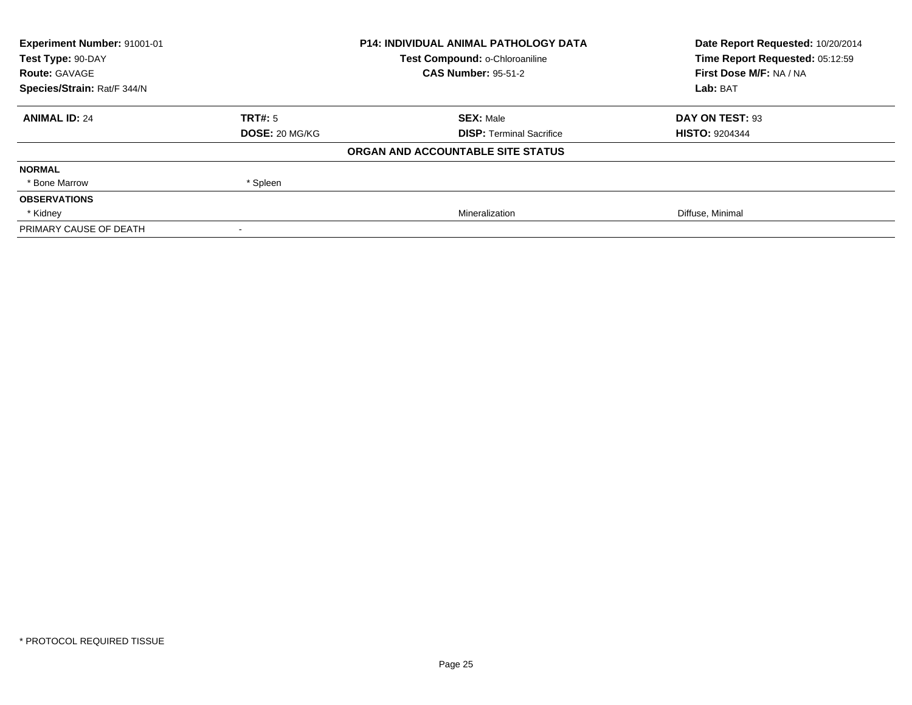| Experiment Number: 91001-01 | <b>P14: INDIVIDUAL ANIMAL PATHOLOGY DATA</b> |                                   | Date Report Requested: 10/20/2014 |
|-----------------------------|----------------------------------------------|-----------------------------------|-----------------------------------|
| Test Type: 90-DAY           |                                              | Test Compound: o-Chloroaniline    | Time Report Requested: 05:12:59   |
| <b>Route: GAVAGE</b>        |                                              | <b>CAS Number: 95-51-2</b>        | First Dose M/F: NA / NA           |
| Species/Strain: Rat/F 344/N |                                              |                                   | Lab: BAT                          |
| <b>ANIMAL ID: 24</b>        | TRT#: 5                                      | <b>SEX: Male</b>                  | DAY ON TEST: 93                   |
|                             | <b>DOSE: 20 MG/KG</b>                        | <b>DISP: Terminal Sacrifice</b>   | <b>HISTO: 9204344</b>             |
|                             |                                              | ORGAN AND ACCOUNTABLE SITE STATUS |                                   |
| <b>NORMAL</b>               |                                              |                                   |                                   |
| * Bone Marrow               | * Spleen                                     |                                   |                                   |
| <b>OBSERVATIONS</b>         |                                              |                                   |                                   |
| * Kidney                    |                                              | Mineralization                    | Diffuse, Minimal                  |
| PRIMARY CAUSE OF DEATH      |                                              |                                   |                                   |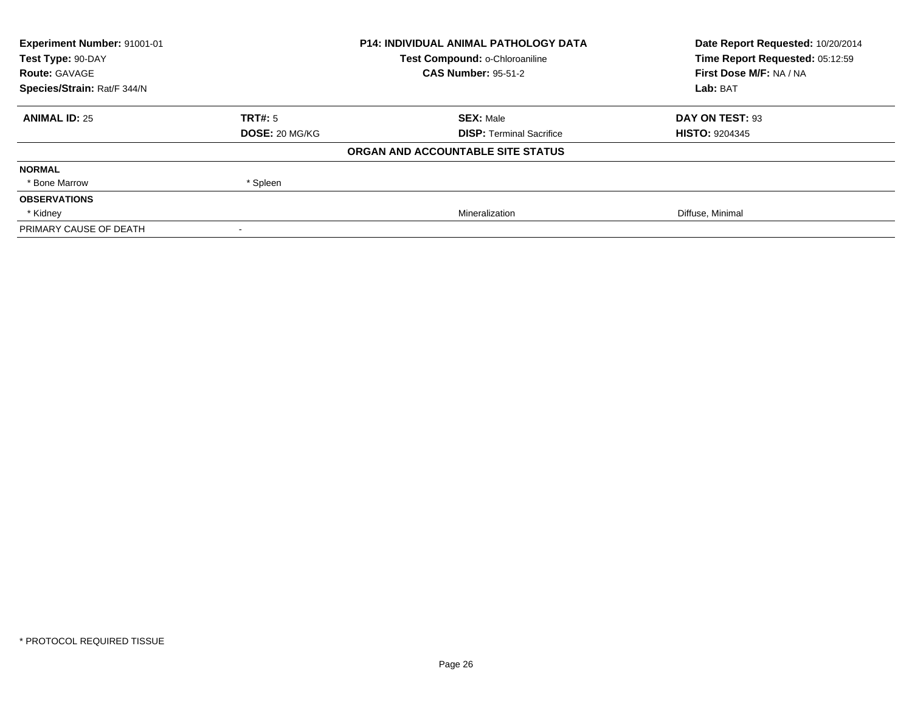| Experiment Number: 91001-01 | <b>P14: INDIVIDUAL ANIMAL PATHOLOGY DATA</b> |                                   | Date Report Requested: 10/20/2014 |
|-----------------------------|----------------------------------------------|-----------------------------------|-----------------------------------|
| Test Type: 90-DAY           |                                              | Test Compound: o-Chloroaniline    | Time Report Requested: 05:12:59   |
| <b>Route: GAVAGE</b>        |                                              | <b>CAS Number: 95-51-2</b>        | First Dose M/F: NA / NA           |
| Species/Strain: Rat/F 344/N |                                              |                                   | Lab: BAT                          |
| <b>ANIMAL ID: 25</b>        | TRT#: 5                                      | <b>SEX: Male</b>                  | DAY ON TEST: 93                   |
|                             | <b>DOSE: 20 MG/KG</b>                        | <b>DISP: Terminal Sacrifice</b>   | <b>HISTO: 9204345</b>             |
|                             |                                              | ORGAN AND ACCOUNTABLE SITE STATUS |                                   |
| <b>NORMAL</b>               |                                              |                                   |                                   |
| * Bone Marrow               | * Spleen                                     |                                   |                                   |
| <b>OBSERVATIONS</b>         |                                              |                                   |                                   |
| * Kidney                    |                                              | Mineralization                    | Diffuse, Minimal                  |
| PRIMARY CAUSE OF DEATH      |                                              |                                   |                                   |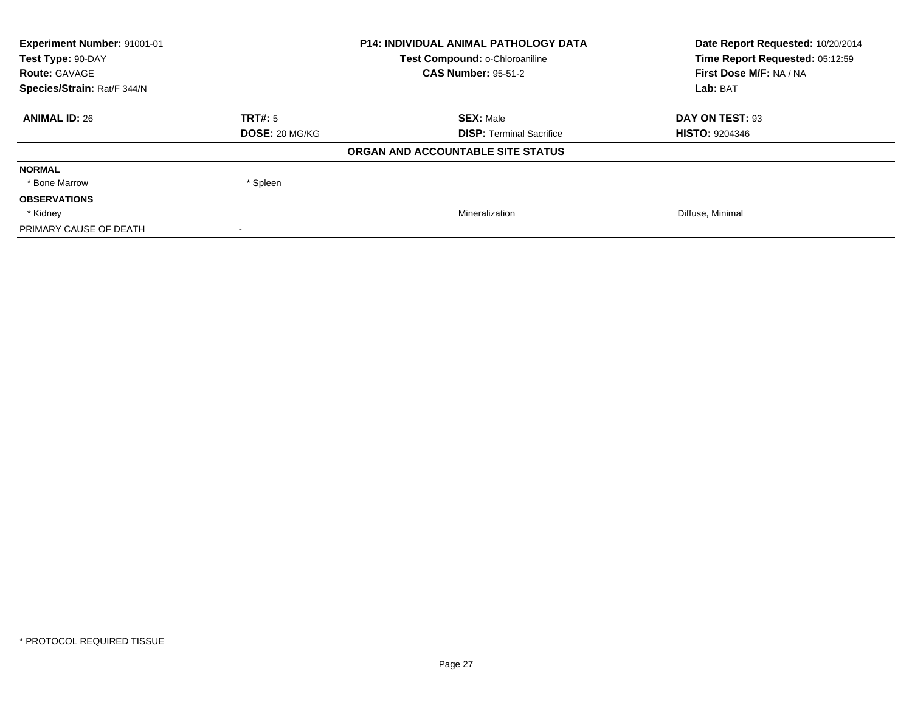| Experiment Number: 91001-01 | <b>P14: INDIVIDUAL ANIMAL PATHOLOGY DATA</b> |                                   | Date Report Requested: 10/20/2014 |
|-----------------------------|----------------------------------------------|-----------------------------------|-----------------------------------|
| Test Type: 90-DAY           |                                              | Test Compound: o-Chloroaniline    | Time Report Requested: 05:12:59   |
| <b>Route: GAVAGE</b>        |                                              | <b>CAS Number: 95-51-2</b>        | First Dose M/F: NA / NA           |
| Species/Strain: Rat/F 344/N |                                              |                                   | Lab: BAT                          |
| <b>ANIMAL ID: 26</b>        | TRT#: 5                                      | <b>SEX: Male</b>                  | DAY ON TEST: 93                   |
|                             | <b>DOSE: 20 MG/KG</b>                        | <b>DISP: Terminal Sacrifice</b>   | <b>HISTO: 9204346</b>             |
|                             |                                              | ORGAN AND ACCOUNTABLE SITE STATUS |                                   |
| <b>NORMAL</b>               |                                              |                                   |                                   |
| * Bone Marrow               | * Spleen                                     |                                   |                                   |
| <b>OBSERVATIONS</b>         |                                              |                                   |                                   |
| * Kidney                    |                                              | Mineralization                    | Diffuse, Minimal                  |
| PRIMARY CAUSE OF DEATH      |                                              |                                   |                                   |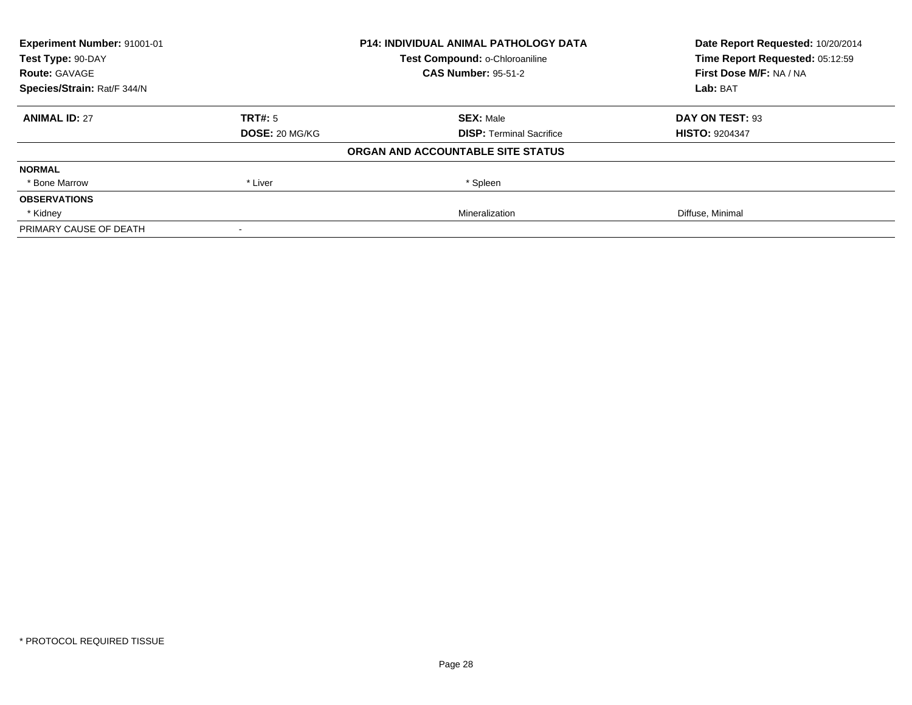| Experiment Number: 91001-01 |                       | <b>P14: INDIVIDUAL ANIMAL PATHOLOGY DATA</b> | Date Report Requested: 10/20/2014 |
|-----------------------------|-----------------------|----------------------------------------------|-----------------------------------|
| Test Type: 90-DAY           |                       | Test Compound: o-Chloroaniline               | Time Report Requested: 05:12:59   |
| <b>Route: GAVAGE</b>        |                       | <b>CAS Number: 95-51-2</b>                   | First Dose M/F: NA / NA           |
| Species/Strain: Rat/F 344/N |                       |                                              | Lab: BAT                          |
| <b>ANIMAL ID: 27</b>        | TRT#: 5               | <b>SEX: Male</b>                             | DAY ON TEST: 93                   |
|                             | <b>DOSE: 20 MG/KG</b> | <b>DISP: Terminal Sacrifice</b>              | <b>HISTO: 9204347</b>             |
|                             |                       | ORGAN AND ACCOUNTABLE SITE STATUS            |                                   |
| <b>NORMAL</b>               |                       |                                              |                                   |
| * Bone Marrow               | * Liver               | * Spleen                                     |                                   |
| <b>OBSERVATIONS</b>         |                       |                                              |                                   |
| * Kidney                    |                       | Mineralization                               | Diffuse, Minimal                  |
| PRIMARY CAUSE OF DEATH      |                       |                                              |                                   |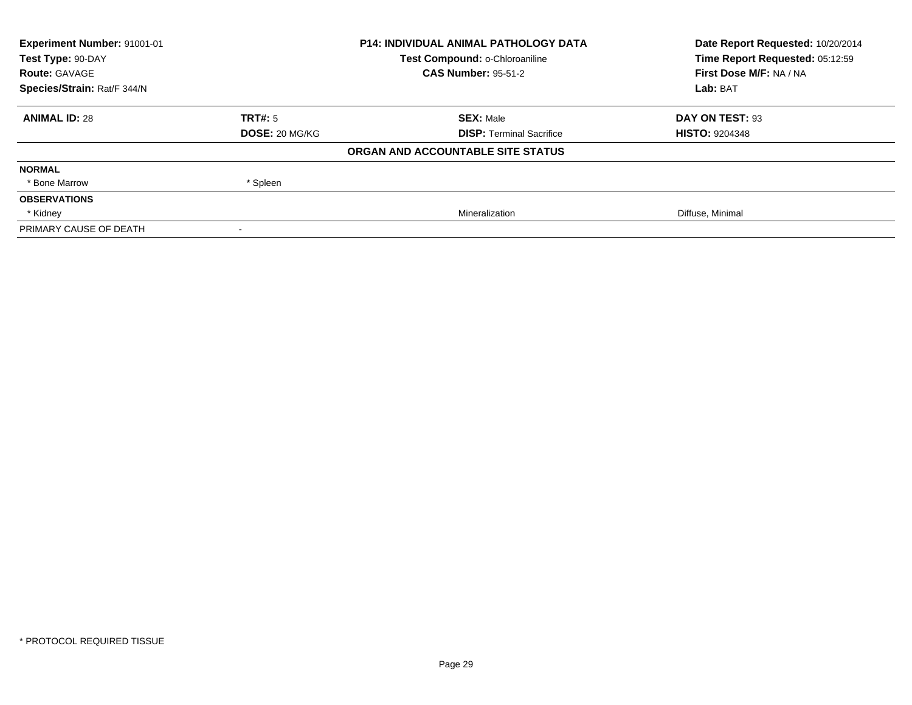| Experiment Number: 91001-01 | <b>P14: INDIVIDUAL ANIMAL PATHOLOGY DATA</b> |                                   | Date Report Requested: 10/20/2014 |
|-----------------------------|----------------------------------------------|-----------------------------------|-----------------------------------|
| Test Type: 90-DAY           |                                              | Test Compound: o-Chloroaniline    | Time Report Requested: 05:12:59   |
| <b>Route: GAVAGE</b>        |                                              | <b>CAS Number: 95-51-2</b>        | First Dose M/F: NA / NA           |
| Species/Strain: Rat/F 344/N |                                              |                                   | Lab: BAT                          |
| <b>ANIMAL ID: 28</b>        | TRT#: 5                                      | <b>SEX: Male</b>                  | DAY ON TEST: 93                   |
|                             | <b>DOSE: 20 MG/KG</b>                        | <b>DISP: Terminal Sacrifice</b>   | <b>HISTO: 9204348</b>             |
|                             |                                              | ORGAN AND ACCOUNTABLE SITE STATUS |                                   |
| <b>NORMAL</b>               |                                              |                                   |                                   |
| * Bone Marrow               | * Spleen                                     |                                   |                                   |
| <b>OBSERVATIONS</b>         |                                              |                                   |                                   |
| * Kidney                    |                                              | Mineralization                    | Diffuse, Minimal                  |
| PRIMARY CAUSE OF DEATH      |                                              |                                   |                                   |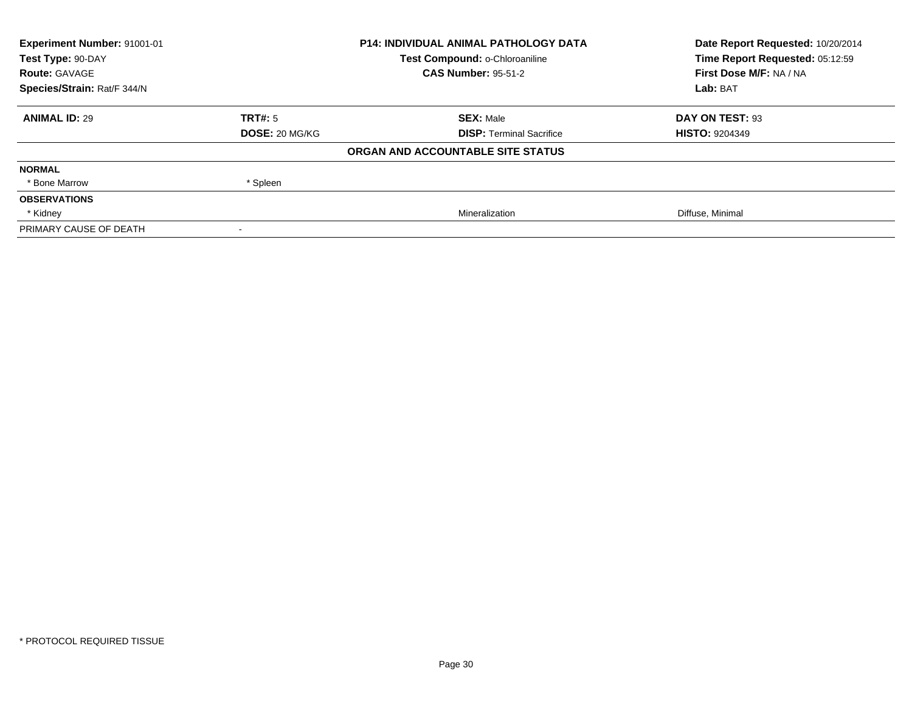| Experiment Number: 91001-01 | <b>P14: INDIVIDUAL ANIMAL PATHOLOGY DATA</b> |                                   | Date Report Requested: 10/20/2014 |
|-----------------------------|----------------------------------------------|-----------------------------------|-----------------------------------|
| Test Type: 90-DAY           |                                              | Test Compound: o-Chloroaniline    | Time Report Requested: 05:12:59   |
| <b>Route: GAVAGE</b>        |                                              | <b>CAS Number: 95-51-2</b>        | First Dose M/F: NA / NA           |
| Species/Strain: Rat/F 344/N |                                              |                                   | Lab: BAT                          |
| <b>ANIMAL ID: 29</b>        | TRT#: 5                                      | <b>SEX: Male</b>                  | DAY ON TEST: 93                   |
|                             | <b>DOSE: 20 MG/KG</b>                        | <b>DISP: Terminal Sacrifice</b>   | <b>HISTO: 9204349</b>             |
|                             |                                              | ORGAN AND ACCOUNTABLE SITE STATUS |                                   |
| <b>NORMAL</b>               |                                              |                                   |                                   |
| * Bone Marrow               | * Spleen                                     |                                   |                                   |
| <b>OBSERVATIONS</b>         |                                              |                                   |                                   |
| * Kidney                    |                                              | Mineralization                    | Diffuse, Minimal                  |
| PRIMARY CAUSE OF DEATH      |                                              |                                   |                                   |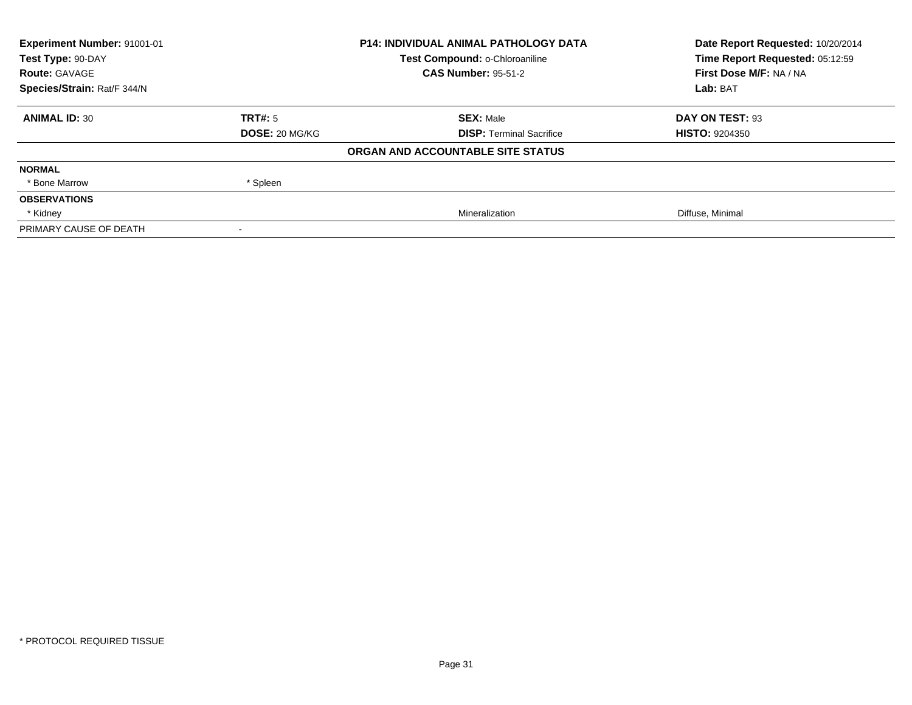| Experiment Number: 91001-01 | <b>P14: INDIVIDUAL ANIMAL PATHOLOGY DATA</b> |                                   | Date Report Requested: 10/20/2014 |
|-----------------------------|----------------------------------------------|-----------------------------------|-----------------------------------|
| Test Type: 90-DAY           |                                              | Test Compound: o-Chloroaniline    | Time Report Requested: 05:12:59   |
| <b>Route: GAVAGE</b>        |                                              | <b>CAS Number: 95-51-2</b>        | First Dose M/F: NA / NA           |
| Species/Strain: Rat/F 344/N |                                              |                                   | Lab: BAT                          |
| <b>ANIMAL ID: 30</b>        | TRT#: 5                                      | <b>SEX: Male</b>                  | DAY ON TEST: 93                   |
|                             | <b>DOSE: 20 MG/KG</b>                        | <b>DISP: Terminal Sacrifice</b>   | <b>HISTO: 9204350</b>             |
|                             |                                              | ORGAN AND ACCOUNTABLE SITE STATUS |                                   |
| <b>NORMAL</b>               |                                              |                                   |                                   |
| * Bone Marrow               | * Spleen                                     |                                   |                                   |
| <b>OBSERVATIONS</b>         |                                              |                                   |                                   |
| * Kidney                    |                                              | Mineralization                    | Diffuse, Minimal                  |
| PRIMARY CAUSE OF DEATH      |                                              |                                   |                                   |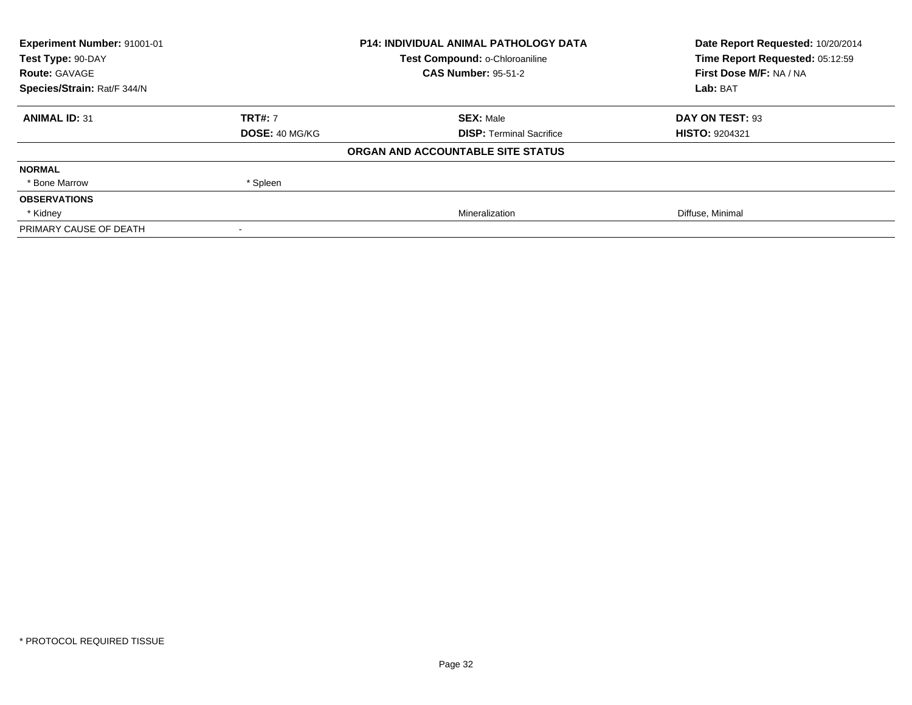| Experiment Number: 91001-01 | <b>P14: INDIVIDUAL ANIMAL PATHOLOGY DATA</b> |                                   | Date Report Requested: 10/20/2014 |
|-----------------------------|----------------------------------------------|-----------------------------------|-----------------------------------|
| Test Type: 90-DAY           |                                              | Test Compound: o-Chloroaniline    | Time Report Requested: 05:12:59   |
| <b>Route: GAVAGE</b>        |                                              | <b>CAS Number: 95-51-2</b>        | First Dose M/F: NA / NA           |
| Species/Strain: Rat/F 344/N |                                              |                                   | Lab: BAT                          |
| <b>ANIMAL ID: 31</b>        | <b>TRT#: 7</b>                               | <b>SEX: Male</b>                  | DAY ON TEST: 93                   |
|                             | <b>DOSE: 40 MG/KG</b>                        | <b>DISP: Terminal Sacrifice</b>   | <b>HISTO: 9204321</b>             |
|                             |                                              | ORGAN AND ACCOUNTABLE SITE STATUS |                                   |
| <b>NORMAL</b>               |                                              |                                   |                                   |
| * Bone Marrow               | * Spleen                                     |                                   |                                   |
| <b>OBSERVATIONS</b>         |                                              |                                   |                                   |
| * Kidney                    |                                              | Mineralization                    | Diffuse, Minimal                  |
| PRIMARY CAUSE OF DEATH      |                                              |                                   |                                   |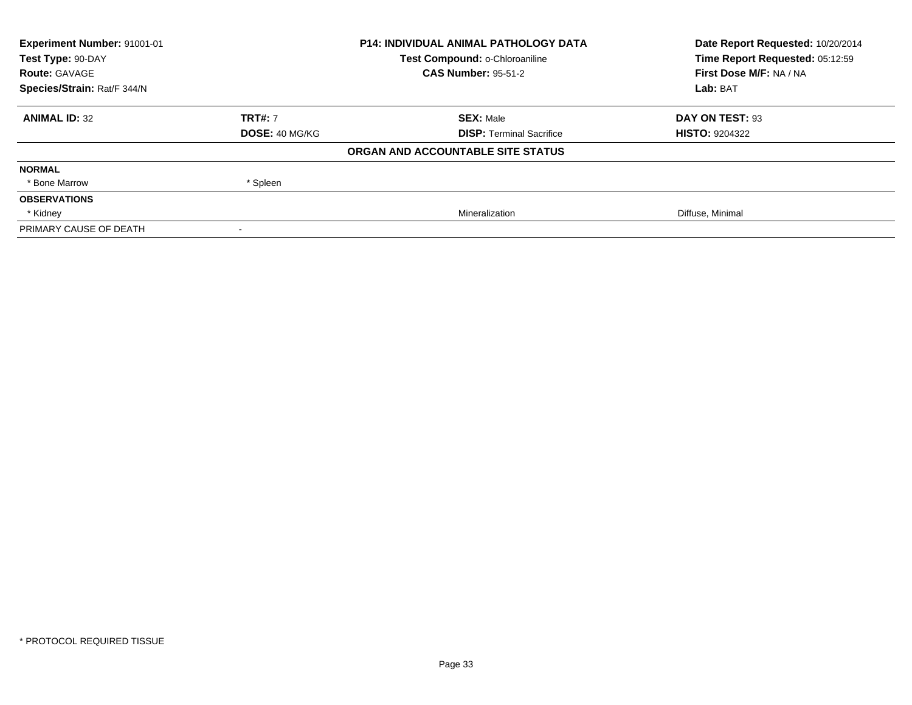| Experiment Number: 91001-01 | <b>P14: INDIVIDUAL ANIMAL PATHOLOGY DATA</b> |                                   | Date Report Requested: 10/20/2014 |
|-----------------------------|----------------------------------------------|-----------------------------------|-----------------------------------|
| Test Type: 90-DAY           |                                              | Test Compound: o-Chloroaniline    | Time Report Requested: 05:12:59   |
| <b>Route: GAVAGE</b>        |                                              | <b>CAS Number: 95-51-2</b>        | First Dose M/F: NA / NA           |
| Species/Strain: Rat/F 344/N |                                              |                                   | Lab: BAT                          |
| <b>ANIMAL ID: 32</b>        | <b>TRT#: 7</b>                               | <b>SEX: Male</b>                  | DAY ON TEST: 93                   |
|                             | <b>DOSE: 40 MG/KG</b>                        | <b>DISP: Terminal Sacrifice</b>   | <b>HISTO: 9204322</b>             |
|                             |                                              | ORGAN AND ACCOUNTABLE SITE STATUS |                                   |
| <b>NORMAL</b>               |                                              |                                   |                                   |
| * Bone Marrow               | * Spleen                                     |                                   |                                   |
| <b>OBSERVATIONS</b>         |                                              |                                   |                                   |
| * Kidney                    |                                              | Mineralization                    | Diffuse, Minimal                  |
| PRIMARY CAUSE OF DEATH      |                                              |                                   |                                   |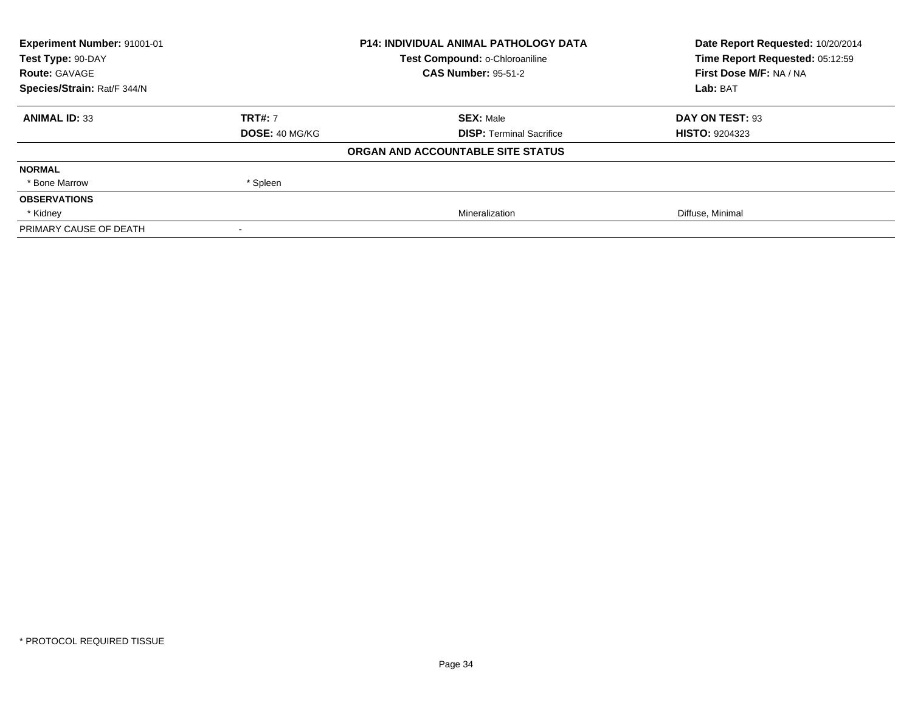| Experiment Number: 91001-01 | <b>P14: INDIVIDUAL ANIMAL PATHOLOGY DATA</b> |                                   | Date Report Requested: 10/20/2014 |
|-----------------------------|----------------------------------------------|-----------------------------------|-----------------------------------|
| Test Type: 90-DAY           |                                              | Test Compound: o-Chloroaniline    | Time Report Requested: 05:12:59   |
| <b>Route: GAVAGE</b>        |                                              | <b>CAS Number: 95-51-2</b>        | First Dose M/F: NA / NA           |
| Species/Strain: Rat/F 344/N |                                              |                                   | Lab: BAT                          |
| <b>ANIMAL ID: 33</b>        | <b>TRT#: 7</b>                               | <b>SEX: Male</b>                  | DAY ON TEST: 93                   |
|                             | <b>DOSE: 40 MG/KG</b>                        | <b>DISP: Terminal Sacrifice</b>   | <b>HISTO: 9204323</b>             |
|                             |                                              | ORGAN AND ACCOUNTABLE SITE STATUS |                                   |
| <b>NORMAL</b>               |                                              |                                   |                                   |
| * Bone Marrow               | * Spleen                                     |                                   |                                   |
| <b>OBSERVATIONS</b>         |                                              |                                   |                                   |
| * Kidney                    |                                              | Mineralization                    | Diffuse, Minimal                  |
| PRIMARY CAUSE OF DEATH      |                                              |                                   |                                   |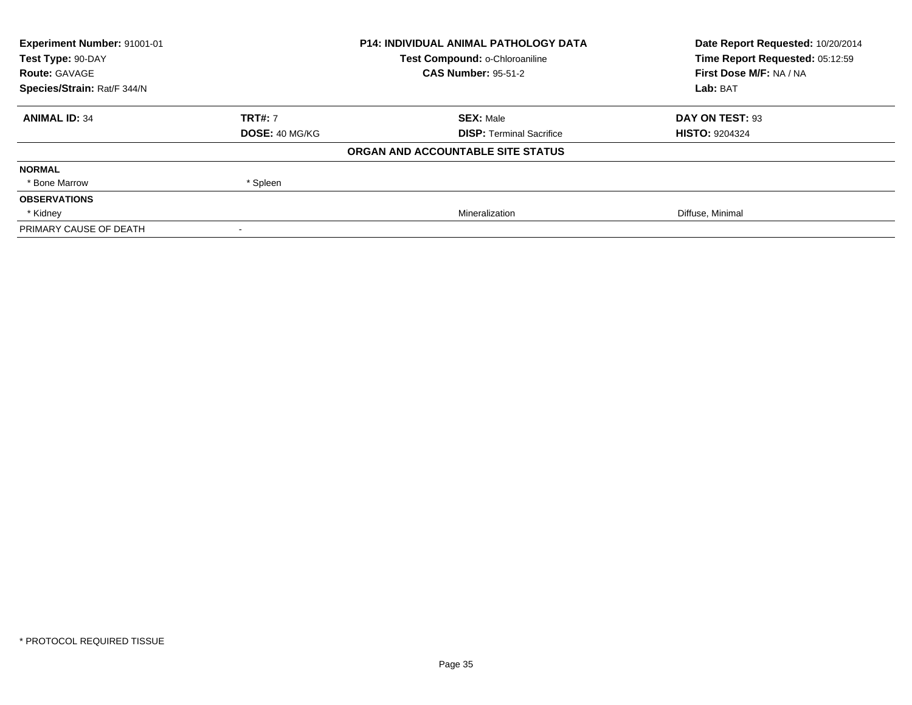| Experiment Number: 91001-01 | <b>P14: INDIVIDUAL ANIMAL PATHOLOGY DATA</b> |                                   | Date Report Requested: 10/20/2014 |
|-----------------------------|----------------------------------------------|-----------------------------------|-----------------------------------|
| Test Type: 90-DAY           |                                              | Test Compound: o-Chloroaniline    | Time Report Requested: 05:12:59   |
| <b>Route: GAVAGE</b>        |                                              | <b>CAS Number: 95-51-2</b>        | First Dose M/F: NA / NA           |
| Species/Strain: Rat/F 344/N |                                              |                                   | Lab: BAT                          |
| <b>ANIMAL ID: 34</b>        | <b>TRT#: 7</b>                               | <b>SEX: Male</b>                  | DAY ON TEST: 93                   |
|                             | <b>DOSE: 40 MG/KG</b>                        | <b>DISP: Terminal Sacrifice</b>   | <b>HISTO: 9204324</b>             |
|                             |                                              | ORGAN AND ACCOUNTABLE SITE STATUS |                                   |
| <b>NORMAL</b>               |                                              |                                   |                                   |
| * Bone Marrow               | * Spleen                                     |                                   |                                   |
| <b>OBSERVATIONS</b>         |                                              |                                   |                                   |
| * Kidney                    |                                              | Mineralization                    | Diffuse, Minimal                  |
| PRIMARY CAUSE OF DEATH      |                                              |                                   |                                   |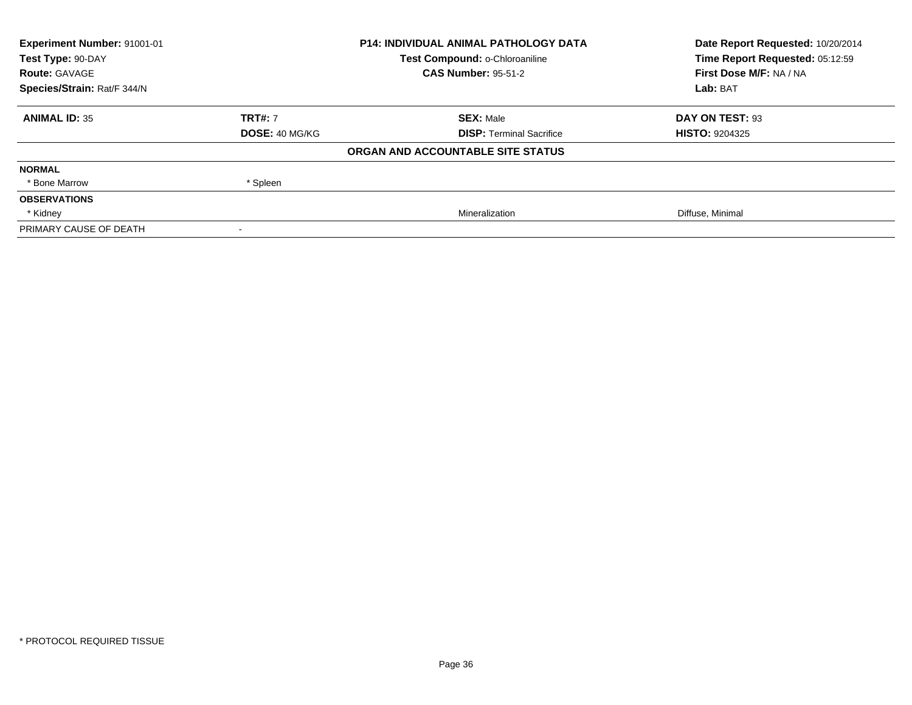| Experiment Number: 91001-01 |                       | <b>P14: INDIVIDUAL ANIMAL PATHOLOGY DATA</b> | Date Report Requested: 10/20/2014 |
|-----------------------------|-----------------------|----------------------------------------------|-----------------------------------|
| Test Type: 90-DAY           |                       | Test Compound: o-Chloroaniline               | Time Report Requested: 05:12:59   |
| <b>Route: GAVAGE</b>        |                       | <b>CAS Number: 95-51-2</b>                   | First Dose M/F: NA / NA           |
| Species/Strain: Rat/F 344/N |                       |                                              | Lab: BAT                          |
| <b>ANIMAL ID: 35</b>        | <b>TRT#: 7</b>        | <b>SEX: Male</b>                             | DAY ON TEST: 93                   |
|                             | <b>DOSE: 40 MG/KG</b> | <b>DISP: Terminal Sacrifice</b>              | <b>HISTO: 9204325</b>             |
|                             |                       | ORGAN AND ACCOUNTABLE SITE STATUS            |                                   |
| <b>NORMAL</b>               |                       |                                              |                                   |
| * Bone Marrow               | * Spleen              |                                              |                                   |
| <b>OBSERVATIONS</b>         |                       |                                              |                                   |
| * Kidney                    |                       | Mineralization                               | Diffuse, Minimal                  |
| PRIMARY CAUSE OF DEATH      |                       |                                              |                                   |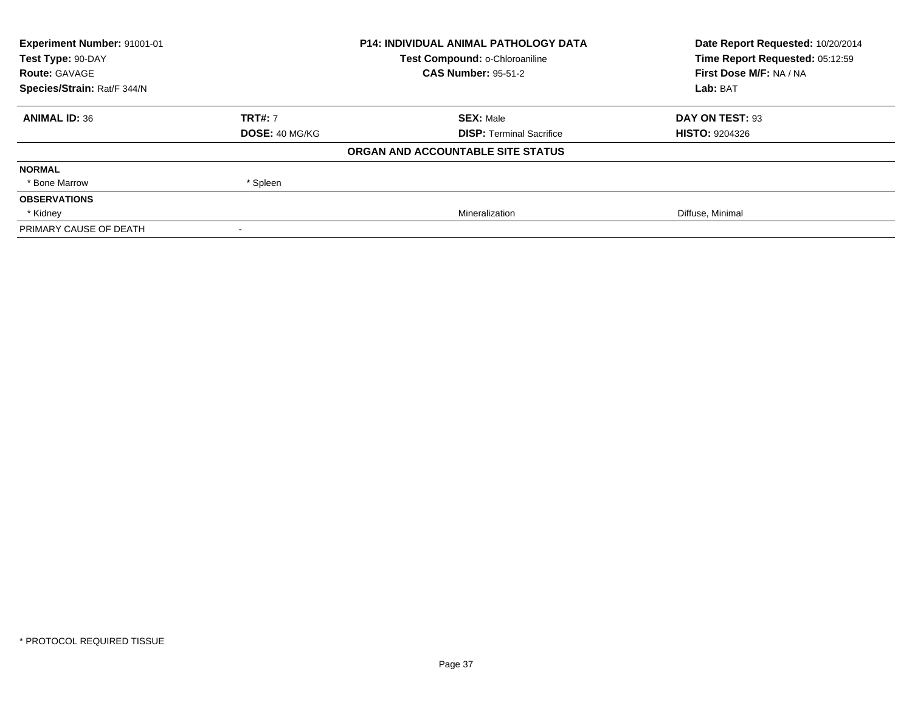| <b>Experiment Number: 91001-01</b> | <b>P14: INDIVIDUAL ANIMAL PATHOLOGY DATA</b> |                                   | Date Report Requested: 10/20/2014 |
|------------------------------------|----------------------------------------------|-----------------------------------|-----------------------------------|
| Test Type: 90-DAY                  |                                              | Test Compound: o-Chloroaniline    | Time Report Requested: 05:12:59   |
| <b>Route: GAVAGE</b>               |                                              | <b>CAS Number: 95-51-2</b>        | First Dose M/F: NA / NA           |
| Species/Strain: Rat/F 344/N        |                                              |                                   | Lab: BAT                          |
| <b>ANIMAL ID: 36</b>               | <b>TRT#: 7</b>                               | <b>SEX: Male</b>                  | DAY ON TEST: 93                   |
|                                    | <b>DOSE: 40 MG/KG</b>                        | <b>DISP:</b> Terminal Sacrifice   | <b>HISTO: 9204326</b>             |
|                                    |                                              | ORGAN AND ACCOUNTABLE SITE STATUS |                                   |
| <b>NORMAL</b>                      |                                              |                                   |                                   |
| * Bone Marrow                      | * Spleen                                     |                                   |                                   |
| <b>OBSERVATIONS</b>                |                                              |                                   |                                   |
| * Kidney                           |                                              | Mineralization                    | Diffuse, Minimal                  |
| PRIMARY CAUSE OF DEATH             |                                              |                                   |                                   |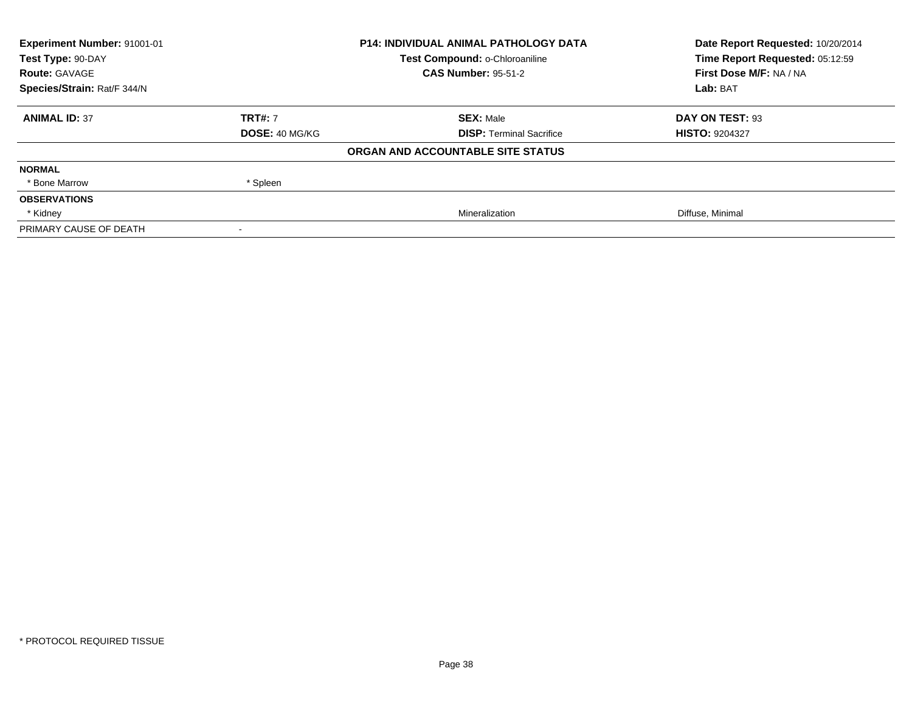| Experiment Number: 91001-01 | <b>P14: INDIVIDUAL ANIMAL PATHOLOGY DATA</b> |                                   | Date Report Requested: 10/20/2014 |
|-----------------------------|----------------------------------------------|-----------------------------------|-----------------------------------|
| Test Type: 90-DAY           |                                              | Test Compound: o-Chloroaniline    | Time Report Requested: 05:12:59   |
| <b>Route: GAVAGE</b>        |                                              | <b>CAS Number: 95-51-2</b>        | First Dose M/F: NA / NA           |
| Species/Strain: Rat/F 344/N |                                              |                                   | Lab: BAT                          |
| <b>ANIMAL ID: 37</b>        | <b>TRT#: 7</b>                               | <b>SEX: Male</b>                  | DAY ON TEST: 93                   |
|                             | <b>DOSE: 40 MG/KG</b>                        | <b>DISP: Terminal Sacrifice</b>   | <b>HISTO: 9204327</b>             |
|                             |                                              | ORGAN AND ACCOUNTABLE SITE STATUS |                                   |
| <b>NORMAL</b>               |                                              |                                   |                                   |
| * Bone Marrow               | * Spleen                                     |                                   |                                   |
| <b>OBSERVATIONS</b>         |                                              |                                   |                                   |
| * Kidney                    |                                              | Mineralization                    | Diffuse, Minimal                  |
| PRIMARY CAUSE OF DEATH      |                                              |                                   |                                   |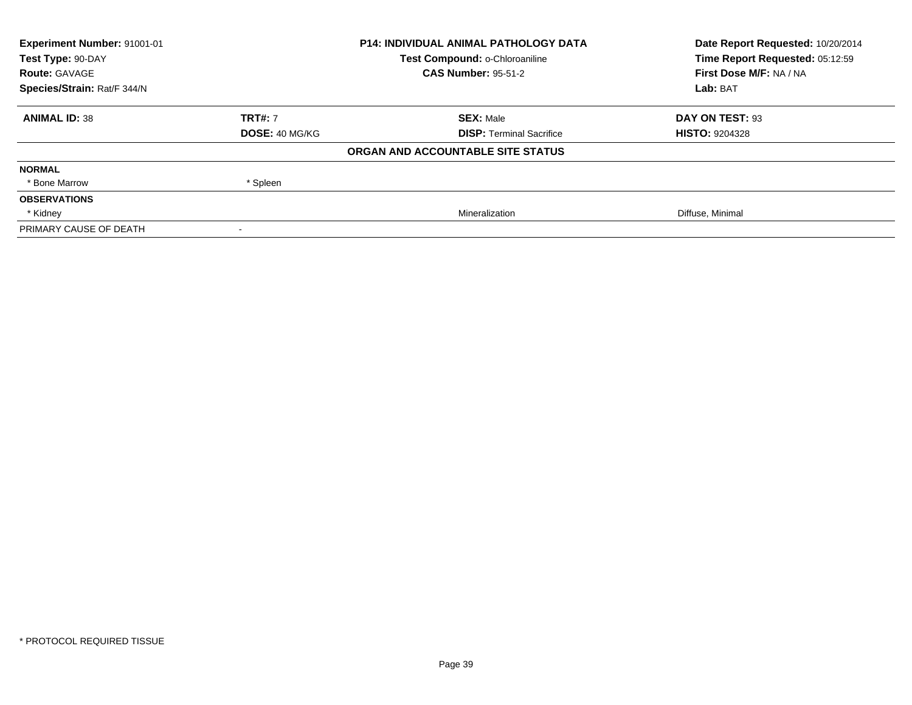| Experiment Number: 91001-01 | <b>P14: INDIVIDUAL ANIMAL PATHOLOGY DATA</b> |                                   | Date Report Requested: 10/20/2014 |
|-----------------------------|----------------------------------------------|-----------------------------------|-----------------------------------|
| Test Type: 90-DAY           |                                              | Test Compound: o-Chloroaniline    | Time Report Requested: 05:12:59   |
| <b>Route: GAVAGE</b>        |                                              | <b>CAS Number: 95-51-2</b>        | First Dose M/F: NA / NA           |
| Species/Strain: Rat/F 344/N |                                              |                                   | Lab: BAT                          |
| <b>ANIMAL ID: 38</b>        | <b>TRT#: 7</b>                               | <b>SEX: Male</b>                  | DAY ON TEST: 93                   |
|                             | <b>DOSE: 40 MG/KG</b>                        | <b>DISP: Terminal Sacrifice</b>   | <b>HISTO: 9204328</b>             |
|                             |                                              | ORGAN AND ACCOUNTABLE SITE STATUS |                                   |
| <b>NORMAL</b>               |                                              |                                   |                                   |
| * Bone Marrow               | * Spleen                                     |                                   |                                   |
| <b>OBSERVATIONS</b>         |                                              |                                   |                                   |
| * Kidney                    |                                              | Mineralization                    | Diffuse, Minimal                  |
| PRIMARY CAUSE OF DEATH      |                                              |                                   |                                   |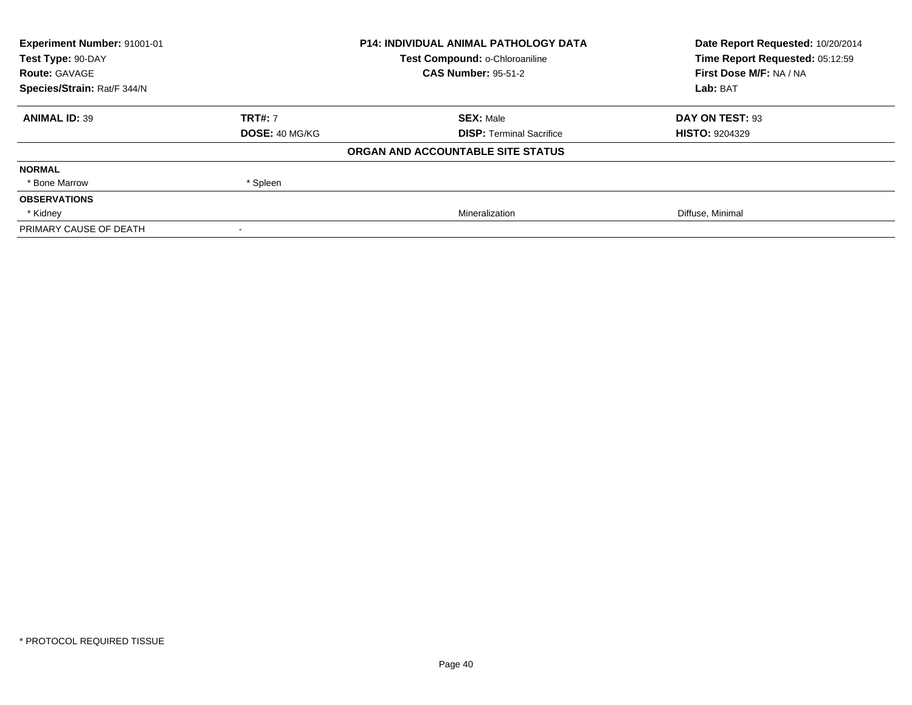| Experiment Number: 91001-01 | <b>P14: INDIVIDUAL ANIMAL PATHOLOGY DATA</b> |                                   | Date Report Requested: 10/20/2014 |
|-----------------------------|----------------------------------------------|-----------------------------------|-----------------------------------|
| Test Type: 90-DAY           |                                              | Test Compound: o-Chloroaniline    | Time Report Requested: 05:12:59   |
| <b>Route: GAVAGE</b>        |                                              | <b>CAS Number: 95-51-2</b>        | First Dose M/F: NA / NA           |
| Species/Strain: Rat/F 344/N |                                              |                                   | Lab: BAT                          |
| <b>ANIMAL ID: 39</b>        | <b>TRT#: 7</b>                               | <b>SEX: Male</b>                  | DAY ON TEST: 93                   |
|                             | <b>DOSE: 40 MG/KG</b>                        | <b>DISP: Terminal Sacrifice</b>   | <b>HISTO: 9204329</b>             |
|                             |                                              | ORGAN AND ACCOUNTABLE SITE STATUS |                                   |
| <b>NORMAL</b>               |                                              |                                   |                                   |
| * Bone Marrow               | * Spleen                                     |                                   |                                   |
| <b>OBSERVATIONS</b>         |                                              |                                   |                                   |
| * Kidney                    |                                              | Mineralization                    | Diffuse, Minimal                  |
| PRIMARY CAUSE OF DEATH      |                                              |                                   |                                   |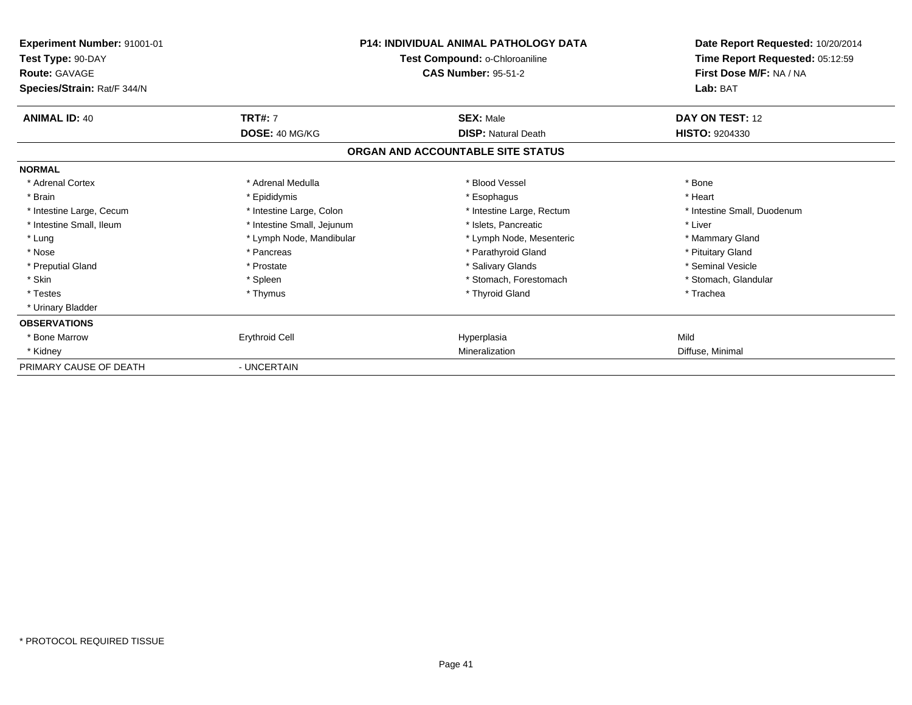| Experiment Number: 91001-01<br>Test Type: 90-DAY<br><b>Route: GAVAGE</b><br>Species/Strain: Rat/F 344/N |                            | <b>P14: INDIVIDUAL ANIMAL PATHOLOGY DATA</b><br>Test Compound: o-Chloroaniline<br><b>CAS Number: 95-51-2</b> | Date Report Requested: 10/20/2014<br>Time Report Requested: 05:12:59<br>First Dose M/F: NA / NA<br>Lab: BAT |
|---------------------------------------------------------------------------------------------------------|----------------------------|--------------------------------------------------------------------------------------------------------------|-------------------------------------------------------------------------------------------------------------|
| <b>ANIMAL ID: 40</b>                                                                                    | <b>TRT#: 7</b>             | <b>SEX: Male</b><br><b>DISP: Natural Death</b>                                                               | DAY ON TEST: 12<br><b>HISTO: 9204330</b>                                                                    |
|                                                                                                         | DOSE: 40 MG/KG             | ORGAN AND ACCOUNTABLE SITE STATUS                                                                            |                                                                                                             |
| <b>NORMAL</b>                                                                                           |                            |                                                                                                              |                                                                                                             |
| * Adrenal Cortex                                                                                        | * Adrenal Medulla          | * Blood Vessel                                                                                               | * Bone                                                                                                      |
| * Brain                                                                                                 | * Epididymis               | * Esophagus                                                                                                  | * Heart                                                                                                     |
| * Intestine Large, Cecum                                                                                | * Intestine Large, Colon   | * Intestine Large, Rectum                                                                                    | * Intestine Small, Duodenum                                                                                 |
| * Intestine Small, Ileum                                                                                | * Intestine Small, Jejunum | * Islets. Pancreatic                                                                                         | * Liver                                                                                                     |
| * Lung                                                                                                  | * Lymph Node, Mandibular   | * Lymph Node, Mesenteric                                                                                     | * Mammary Gland                                                                                             |
| * Nose                                                                                                  | * Pancreas                 | * Parathyroid Gland                                                                                          | * Pituitary Gland                                                                                           |
| * Preputial Gland                                                                                       | * Prostate                 | * Salivary Glands                                                                                            | * Seminal Vesicle                                                                                           |
| * Skin                                                                                                  | * Spleen                   | * Stomach, Forestomach                                                                                       | * Stomach, Glandular                                                                                        |
| * Testes                                                                                                | * Thymus                   | * Thyroid Gland                                                                                              | * Trachea                                                                                                   |
| * Urinary Bladder                                                                                       |                            |                                                                                                              |                                                                                                             |
| <b>OBSERVATIONS</b>                                                                                     |                            |                                                                                                              |                                                                                                             |
| * Bone Marrow                                                                                           | <b>Erythroid Cell</b>      | Hyperplasia                                                                                                  | Mild                                                                                                        |
| * Kidney                                                                                                |                            | Mineralization                                                                                               | Diffuse, Minimal                                                                                            |
| PRIMARY CAUSE OF DEATH                                                                                  | - UNCERTAIN                |                                                                                                              |                                                                                                             |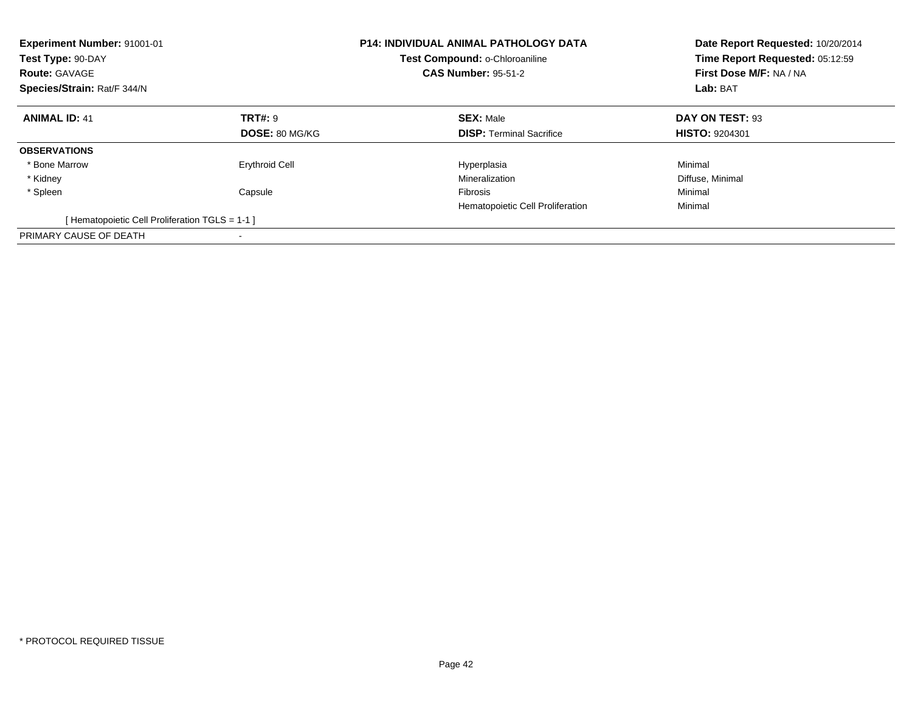| Experiment Number: 91001-01<br>Test Type: 90-DAY<br><b>Route: GAVAGE</b><br>Species/Strain: Rat/F 344/N |                       | <b>P14: INDIVIDUAL ANIMAL PATHOLOGY DATA</b><br>Test Compound: o-Chloroaniline<br><b>CAS Number: 95-51-2</b> | Date Report Requested: 10/20/2014<br>Time Report Requested: 05:12:59<br>First Dose M/F: NA / NA<br>Lab: BAT |
|---------------------------------------------------------------------------------------------------------|-----------------------|--------------------------------------------------------------------------------------------------------------|-------------------------------------------------------------------------------------------------------------|
| <b>ANIMAL ID: 41</b>                                                                                    | <b>TRT#: 9</b>        | <b>SEX: Male</b>                                                                                             | DAY ON TEST: 93                                                                                             |
|                                                                                                         | <b>DOSE: 80 MG/KG</b> | <b>DISP:</b> Terminal Sacrifice                                                                              | <b>HISTO: 9204301</b>                                                                                       |
| <b>OBSERVATIONS</b>                                                                                     |                       |                                                                                                              |                                                                                                             |
| * Bone Marrow                                                                                           | <b>Erythroid Cell</b> | Hyperplasia                                                                                                  | Minimal                                                                                                     |
| * Kidney                                                                                                |                       | Mineralization                                                                                               | Diffuse, Minimal                                                                                            |
| * Spleen                                                                                                | Capsule               | <b>Fibrosis</b>                                                                                              | Minimal                                                                                                     |
|                                                                                                         |                       | Hematopoietic Cell Proliferation                                                                             | Minimal                                                                                                     |
| [Hematopoietic Cell Proliferation TGLS = 1-1 ]                                                          |                       |                                                                                                              |                                                                                                             |
| PRIMARY CAUSE OF DEATH                                                                                  |                       |                                                                                                              |                                                                                                             |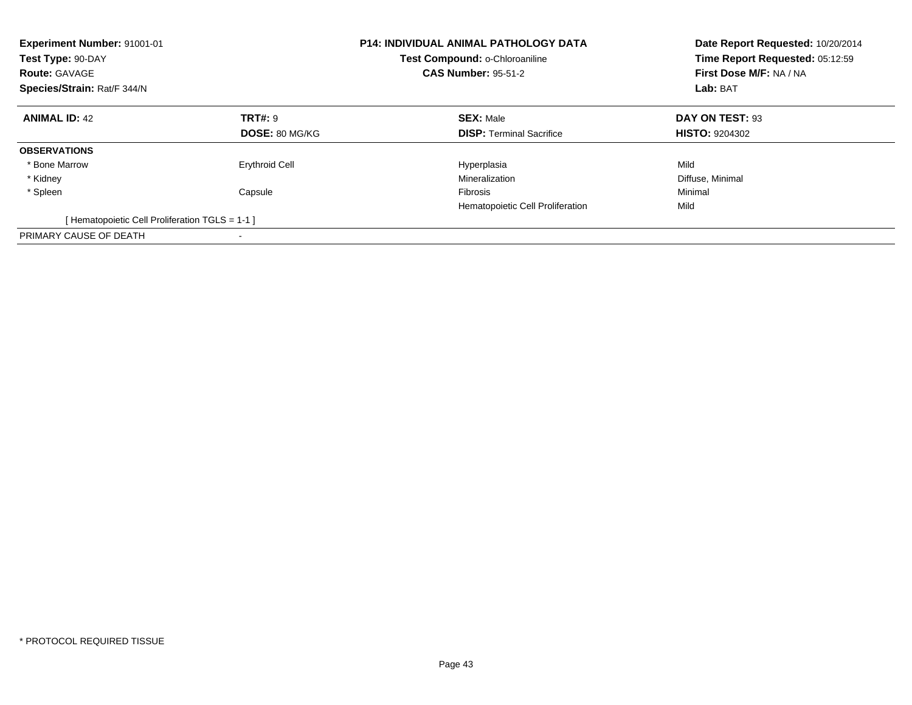| Experiment Number: 91001-01<br>Test Type: 90-DAY<br><b>Route: GAVAGE</b><br>Species/Strain: Rat/F 344/N |                       | <b>P14: INDIVIDUAL ANIMAL PATHOLOGY DATA</b><br>Test Compound: o-Chloroaniline<br><b>CAS Number: 95-51-2</b> | Date Report Requested: 10/20/2014<br>Time Report Requested: 05:12:59<br>First Dose M/F: NA / NA<br>Lab: BAT |
|---------------------------------------------------------------------------------------------------------|-----------------------|--------------------------------------------------------------------------------------------------------------|-------------------------------------------------------------------------------------------------------------|
| <b>ANIMAL ID: 42</b>                                                                                    | <b>TRT#: 9</b>        | <b>SEX: Male</b>                                                                                             | DAY ON TEST: 93                                                                                             |
|                                                                                                         | DOSE: 80 MG/KG        | <b>DISP: Terminal Sacrifice</b>                                                                              | <b>HISTO: 9204302</b>                                                                                       |
| <b>OBSERVATIONS</b>                                                                                     |                       |                                                                                                              |                                                                                                             |
| * Bone Marrow                                                                                           | <b>Erythroid Cell</b> | Hyperplasia                                                                                                  | Mild                                                                                                        |
| * Kidney                                                                                                |                       | Mineralization                                                                                               | Diffuse, Minimal                                                                                            |
| * Spleen                                                                                                | Capsule               | <b>Fibrosis</b>                                                                                              | Minimal                                                                                                     |
|                                                                                                         |                       | Hematopoietic Cell Proliferation                                                                             | Mild                                                                                                        |
| [Hematopoietic Cell Proliferation TGLS = 1-1 ]                                                          |                       |                                                                                                              |                                                                                                             |
| PRIMARY CAUSE OF DEATH                                                                                  |                       |                                                                                                              |                                                                                                             |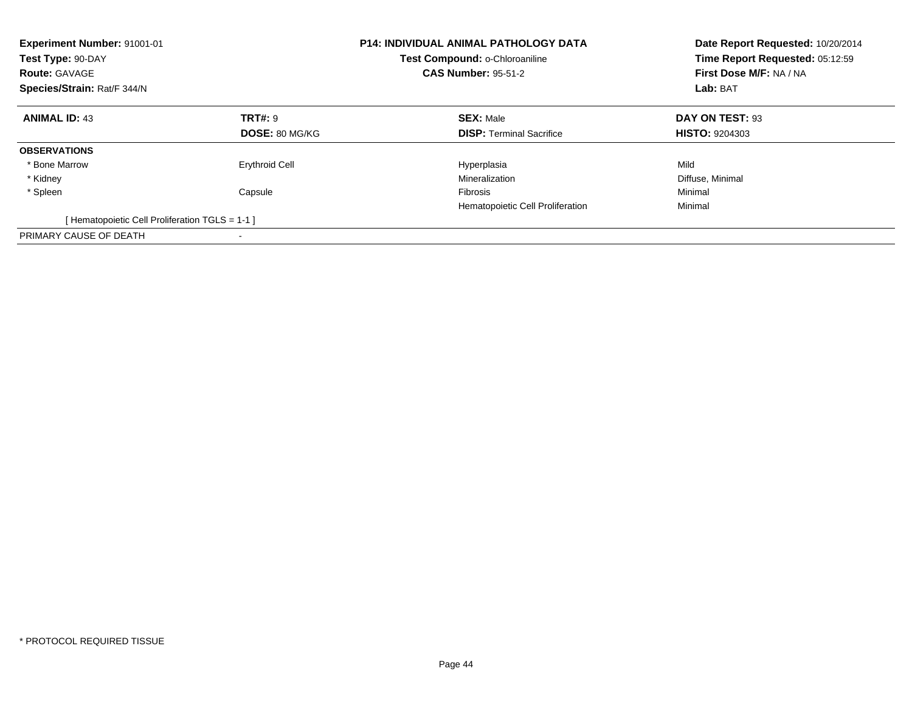| Experiment Number: 91001-01<br>Test Type: 90-DAY<br><b>Route: GAVAGE</b><br>Species/Strain: Rat/F 344/N |                       | <b>P14: INDIVIDUAL ANIMAL PATHOLOGY DATA</b><br>Test Compound: o-Chloroaniline<br><b>CAS Number: 95-51-2</b> | Date Report Requested: 10/20/2014<br>Time Report Requested: 05:12:59<br>First Dose M/F: NA / NA<br>Lab: BAT |
|---------------------------------------------------------------------------------------------------------|-----------------------|--------------------------------------------------------------------------------------------------------------|-------------------------------------------------------------------------------------------------------------|
| <b>ANIMAL ID: 43</b>                                                                                    | <b>TRT#: 9</b>        | <b>SEX: Male</b>                                                                                             | DAY ON TEST: 93                                                                                             |
|                                                                                                         | <b>DOSE: 80 MG/KG</b> | <b>DISP:</b> Terminal Sacrifice                                                                              | <b>HISTO: 9204303</b>                                                                                       |
| <b>OBSERVATIONS</b>                                                                                     |                       |                                                                                                              |                                                                                                             |
| * Bone Marrow                                                                                           | <b>Erythroid Cell</b> | Hyperplasia                                                                                                  | Mild                                                                                                        |
| * Kidney                                                                                                |                       | Mineralization                                                                                               | Diffuse, Minimal                                                                                            |
| * Spleen                                                                                                | Capsule               | <b>Fibrosis</b>                                                                                              | Minimal                                                                                                     |
|                                                                                                         |                       | Hematopoietic Cell Proliferation                                                                             | Minimal                                                                                                     |
| [Hematopoietic Cell Proliferation TGLS = 1-1 ]                                                          |                       |                                                                                                              |                                                                                                             |
| PRIMARY CAUSE OF DEATH                                                                                  |                       |                                                                                                              |                                                                                                             |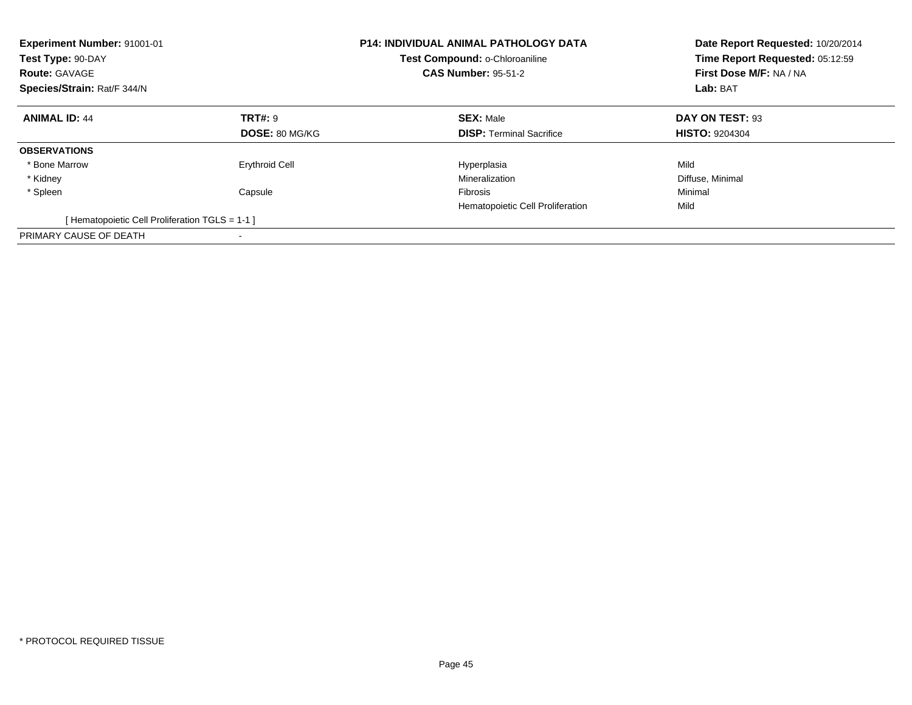| Experiment Number: 91001-01<br>Test Type: 90-DAY<br><b>Route: GAVAGE</b><br>Species/Strain: Rat/F 344/N |                       | <b>P14: INDIVIDUAL ANIMAL PATHOLOGY DATA</b><br>Test Compound: o-Chloroaniline<br><b>CAS Number: 95-51-2</b> | Date Report Requested: 10/20/2014<br>Time Report Requested: 05:12:59<br>First Dose M/F: NA / NA<br>Lab: BAT |
|---------------------------------------------------------------------------------------------------------|-----------------------|--------------------------------------------------------------------------------------------------------------|-------------------------------------------------------------------------------------------------------------|
| <b>ANIMAL ID: 44</b>                                                                                    | <b>TRT#: 9</b>        | <b>SEX: Male</b>                                                                                             | DAY ON TEST: 93                                                                                             |
|                                                                                                         | DOSE: 80 MG/KG        | <b>DISP: Terminal Sacrifice</b>                                                                              | <b>HISTO: 9204304</b>                                                                                       |
| <b>OBSERVATIONS</b>                                                                                     |                       |                                                                                                              |                                                                                                             |
| * Bone Marrow                                                                                           | <b>Erythroid Cell</b> | Hyperplasia                                                                                                  | Mild                                                                                                        |
| * Kidney                                                                                                |                       | Mineralization                                                                                               | Diffuse, Minimal                                                                                            |
| * Spleen                                                                                                | Capsule               | <b>Fibrosis</b>                                                                                              | Minimal                                                                                                     |
|                                                                                                         |                       | Hematopoietic Cell Proliferation                                                                             | Mild                                                                                                        |
| [Hematopoietic Cell Proliferation TGLS = 1-1 ]                                                          |                       |                                                                                                              |                                                                                                             |
| PRIMARY CAUSE OF DEATH                                                                                  |                       |                                                                                                              |                                                                                                             |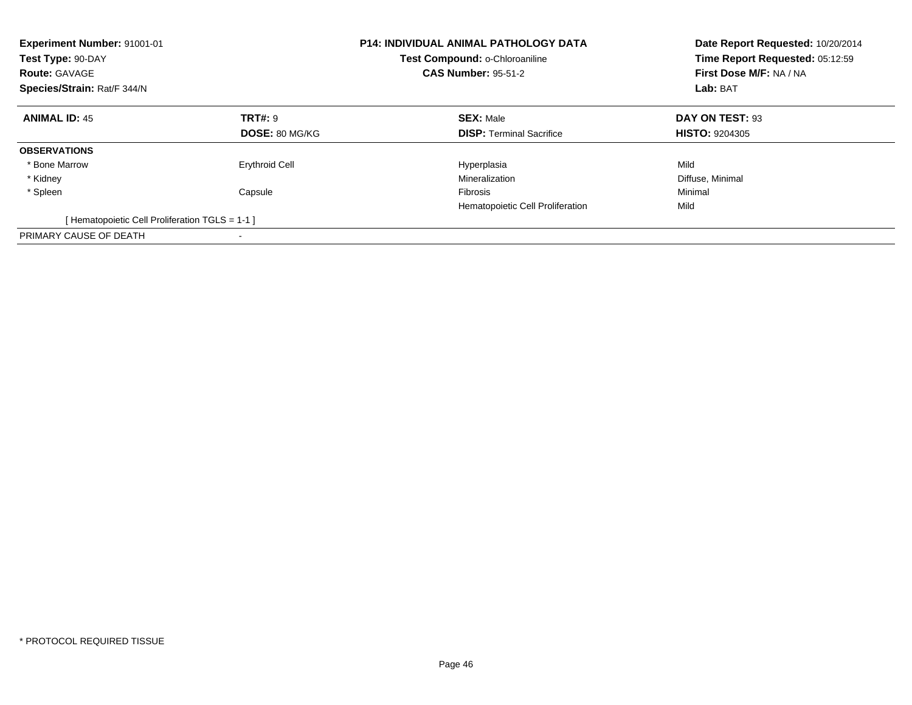| Experiment Number: 91001-01<br>Test Type: 90-DAY<br><b>Route: GAVAGE</b><br>Species/Strain: Rat/F 344/N |                       | <b>P14: INDIVIDUAL ANIMAL PATHOLOGY DATA</b><br>Test Compound: o-Chloroaniline<br><b>CAS Number: 95-51-2</b> | Date Report Requested: 10/20/2014<br>Time Report Requested: 05:12:59<br>First Dose M/F: NA / NA<br>Lab: BAT |
|---------------------------------------------------------------------------------------------------------|-----------------------|--------------------------------------------------------------------------------------------------------------|-------------------------------------------------------------------------------------------------------------|
| <b>ANIMAL ID: 45</b>                                                                                    | TRT#: 9               | <b>SEX: Male</b>                                                                                             | DAY ON TEST: 93                                                                                             |
|                                                                                                         | <b>DOSE: 80 MG/KG</b> | <b>DISP:</b> Terminal Sacrifice                                                                              | <b>HISTO: 9204305</b>                                                                                       |
| <b>OBSERVATIONS</b>                                                                                     |                       |                                                                                                              |                                                                                                             |
| * Bone Marrow                                                                                           | <b>Erythroid Cell</b> | Hyperplasia                                                                                                  | Mild                                                                                                        |
| * Kidney                                                                                                |                       | Mineralization                                                                                               | Diffuse, Minimal                                                                                            |
| * Spleen                                                                                                | Capsule               | <b>Fibrosis</b>                                                                                              | Minimal                                                                                                     |
|                                                                                                         |                       | Hematopoietic Cell Proliferation                                                                             | Mild                                                                                                        |
| [Hematopoietic Cell Proliferation TGLS = 1-1 ]                                                          |                       |                                                                                                              |                                                                                                             |
| PRIMARY CAUSE OF DEATH                                                                                  |                       |                                                                                                              |                                                                                                             |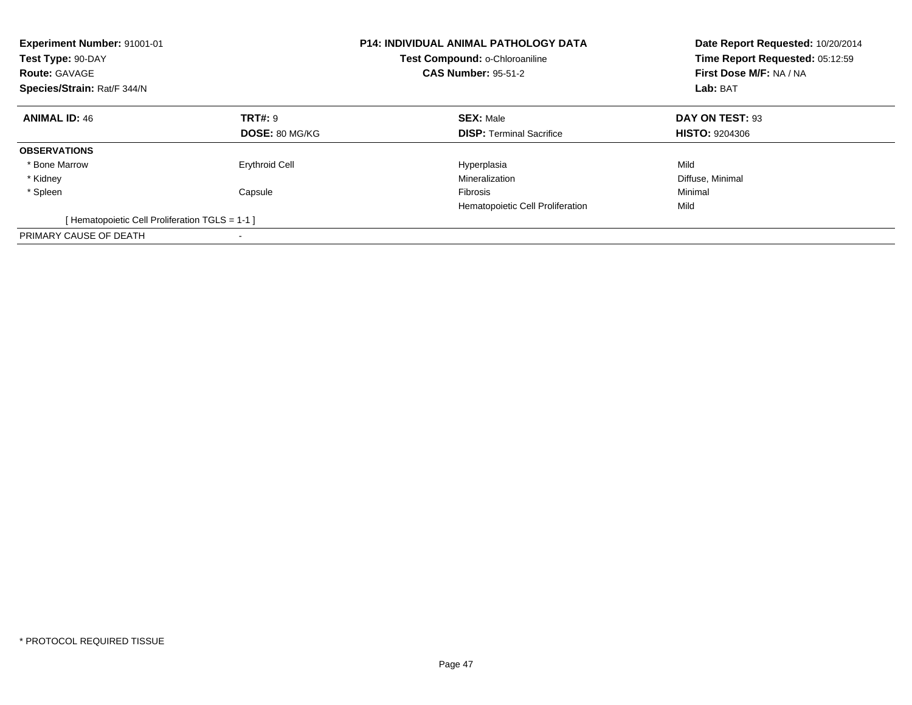| Experiment Number: 91001-01<br>Test Type: 90-DAY<br><b>Route: GAVAGE</b><br>Species/Strain: Rat/F 344/N |                       | <b>P14: INDIVIDUAL ANIMAL PATHOLOGY DATA</b><br>Test Compound: o-Chloroaniline<br><b>CAS Number: 95-51-2</b> | Date Report Requested: 10/20/2014<br>Time Report Requested: 05:12:59<br>First Dose M/F: NA / NA<br>Lab: BAT |
|---------------------------------------------------------------------------------------------------------|-----------------------|--------------------------------------------------------------------------------------------------------------|-------------------------------------------------------------------------------------------------------------|
| <b>ANIMAL ID: 46</b>                                                                                    | <b>TRT#: 9</b>        | <b>SEX: Male</b>                                                                                             | DAY ON TEST: 93                                                                                             |
|                                                                                                         | DOSE: 80 MG/KG        | <b>DISP: Terminal Sacrifice</b>                                                                              | <b>HISTO: 9204306</b>                                                                                       |
| <b>OBSERVATIONS</b>                                                                                     |                       |                                                                                                              |                                                                                                             |
| * Bone Marrow                                                                                           | <b>Erythroid Cell</b> | Hyperplasia                                                                                                  | Mild                                                                                                        |
| * Kidney                                                                                                |                       | Mineralization                                                                                               | Diffuse, Minimal                                                                                            |
| * Spleen                                                                                                | Capsule               | <b>Fibrosis</b>                                                                                              | Minimal                                                                                                     |
|                                                                                                         |                       | Hematopoietic Cell Proliferation                                                                             | Mild                                                                                                        |
| [Hematopoietic Cell Proliferation TGLS = 1-1 ]                                                          |                       |                                                                                                              |                                                                                                             |
| PRIMARY CAUSE OF DEATH                                                                                  |                       |                                                                                                              |                                                                                                             |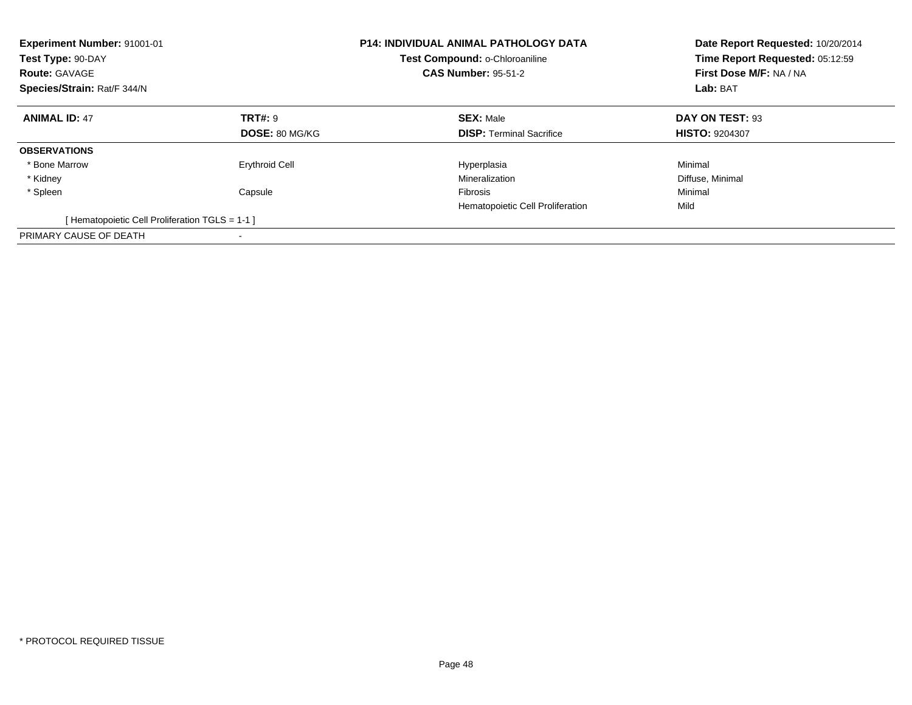| Experiment Number: 91001-01<br>Test Type: 90-DAY<br><b>Route: GAVAGE</b><br>Species/Strain: Rat/F 344/N |                       | <b>P14: INDIVIDUAL ANIMAL PATHOLOGY DATA</b><br>Test Compound: o-Chloroaniline<br><b>CAS Number: 95-51-2</b> | Date Report Requested: 10/20/2014<br>Time Report Requested: 05:12:59<br>First Dose M/F: NA / NA<br>Lab: BAT |
|---------------------------------------------------------------------------------------------------------|-----------------------|--------------------------------------------------------------------------------------------------------------|-------------------------------------------------------------------------------------------------------------|
| <b>ANIMAL ID: 47</b>                                                                                    | <b>TRT#: 9</b>        | <b>SEX: Male</b>                                                                                             | DAY ON TEST: 93                                                                                             |
|                                                                                                         | <b>DOSE: 80 MG/KG</b> | <b>DISP:</b> Terminal Sacrifice                                                                              | <b>HISTO: 9204307</b>                                                                                       |
| <b>OBSERVATIONS</b>                                                                                     |                       |                                                                                                              |                                                                                                             |
| * Bone Marrow                                                                                           | <b>Erythroid Cell</b> | Hyperplasia                                                                                                  | Minimal                                                                                                     |
| * Kidney                                                                                                |                       | Mineralization                                                                                               | Diffuse, Minimal                                                                                            |
| * Spleen                                                                                                | Capsule               | <b>Fibrosis</b>                                                                                              | Minimal                                                                                                     |
|                                                                                                         |                       | Hematopoietic Cell Proliferation                                                                             | Mild                                                                                                        |
| [Hematopoietic Cell Proliferation TGLS = 1-1 ]                                                          |                       |                                                                                                              |                                                                                                             |
| PRIMARY CAUSE OF DEATH                                                                                  |                       |                                                                                                              |                                                                                                             |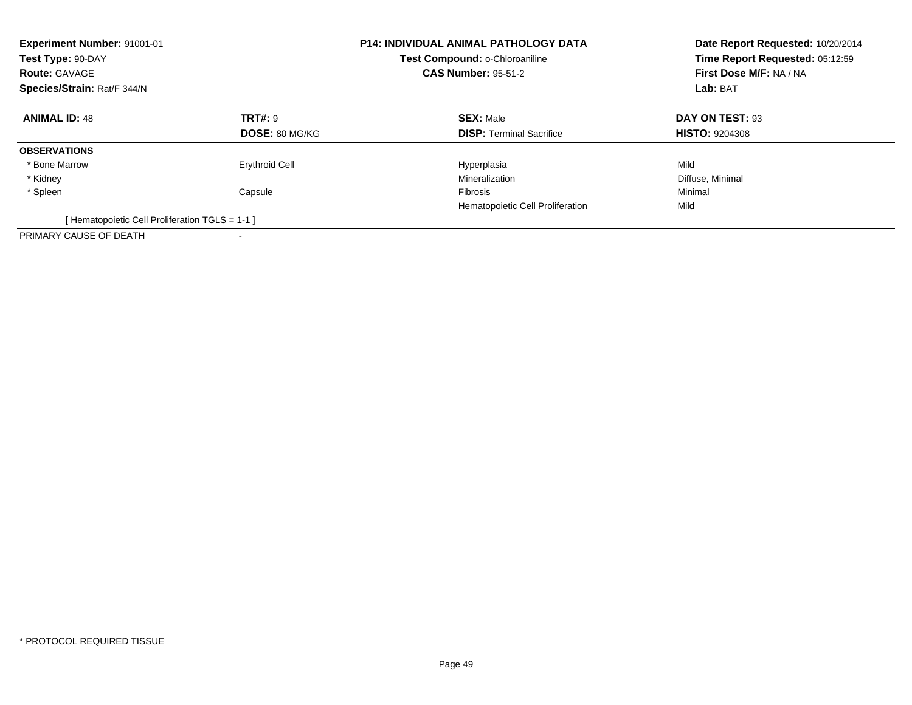| Experiment Number: 91001-01<br>Test Type: 90-DAY<br><b>Route: GAVAGE</b><br>Species/Strain: Rat/F 344/N |                       | <b>P14: INDIVIDUAL ANIMAL PATHOLOGY DATA</b><br>Test Compound: o-Chloroaniline<br><b>CAS Number: 95-51-2</b> | Date Report Requested: 10/20/2014<br>Time Report Requested: 05:12:59<br>First Dose M/F: NA / NA<br>Lab: BAT |
|---------------------------------------------------------------------------------------------------------|-----------------------|--------------------------------------------------------------------------------------------------------------|-------------------------------------------------------------------------------------------------------------|
| <b>ANIMAL ID: 48</b>                                                                                    | TRT#: 9               | <b>SEX: Male</b>                                                                                             | DAY ON TEST: 93                                                                                             |
|                                                                                                         | DOSE: 80 MG/KG        | <b>DISP:</b> Terminal Sacrifice                                                                              | <b>HISTO: 9204308</b>                                                                                       |
| <b>OBSERVATIONS</b>                                                                                     |                       |                                                                                                              |                                                                                                             |
| * Bone Marrow                                                                                           | <b>Erythroid Cell</b> | Hyperplasia                                                                                                  | Mild                                                                                                        |
| * Kidney                                                                                                |                       | Mineralization                                                                                               | Diffuse, Minimal                                                                                            |
| * Spleen                                                                                                | Capsule               | <b>Fibrosis</b>                                                                                              | Minimal                                                                                                     |
|                                                                                                         |                       | Hematopoietic Cell Proliferation                                                                             | Mild                                                                                                        |
| [Hematopoietic Cell Proliferation TGLS = 1-1 ]                                                          |                       |                                                                                                              |                                                                                                             |
| PRIMARY CAUSE OF DEATH                                                                                  |                       |                                                                                                              |                                                                                                             |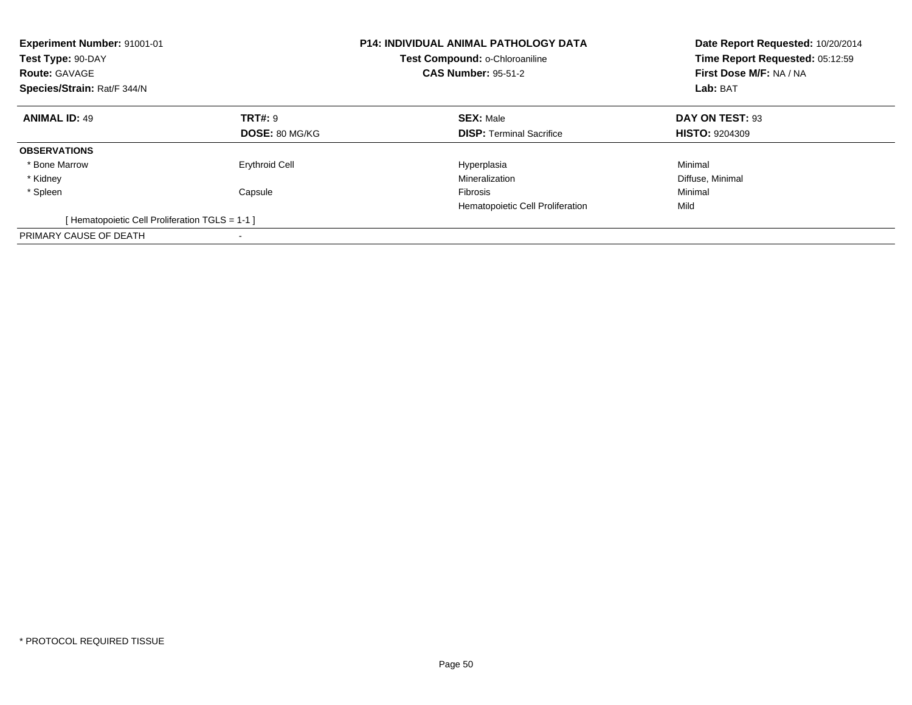| <b>Experiment Number: 91001-01</b><br>Test Type: 90-DAY<br><b>Route: GAVAGE</b><br>Species/Strain: Rat/F 344/N |                       | <b>P14: INDIVIDUAL ANIMAL PATHOLOGY DATA</b><br>Test Compound: o-Chloroaniline<br><b>CAS Number: 95-51-2</b> | Date Report Requested: 10/20/2014<br>Time Report Requested: 05:12:59<br>First Dose M/F: NA / NA<br>Lab: BAT |
|----------------------------------------------------------------------------------------------------------------|-----------------------|--------------------------------------------------------------------------------------------------------------|-------------------------------------------------------------------------------------------------------------|
| <b>ANIMAL ID: 49</b>                                                                                           | <b>TRT#: 9</b>        | <b>SEX: Male</b>                                                                                             | DAY ON TEST: 93                                                                                             |
|                                                                                                                | <b>DOSE: 80 MG/KG</b> | <b>DISP:</b> Terminal Sacrifice                                                                              | <b>HISTO: 9204309</b>                                                                                       |
| <b>OBSERVATIONS</b>                                                                                            |                       |                                                                                                              |                                                                                                             |
| * Bone Marrow                                                                                                  | <b>Erythroid Cell</b> | Hyperplasia                                                                                                  | Minimal                                                                                                     |
| * Kidney                                                                                                       |                       | Mineralization                                                                                               | Diffuse, Minimal                                                                                            |
| * Spleen                                                                                                       | Capsule               | <b>Fibrosis</b>                                                                                              | Minimal                                                                                                     |
|                                                                                                                |                       | Hematopoietic Cell Proliferation                                                                             | Mild                                                                                                        |
| [Hematopoietic Cell Proliferation TGLS = 1-1 ]                                                                 |                       |                                                                                                              |                                                                                                             |
| PRIMARY CAUSE OF DEATH                                                                                         |                       |                                                                                                              |                                                                                                             |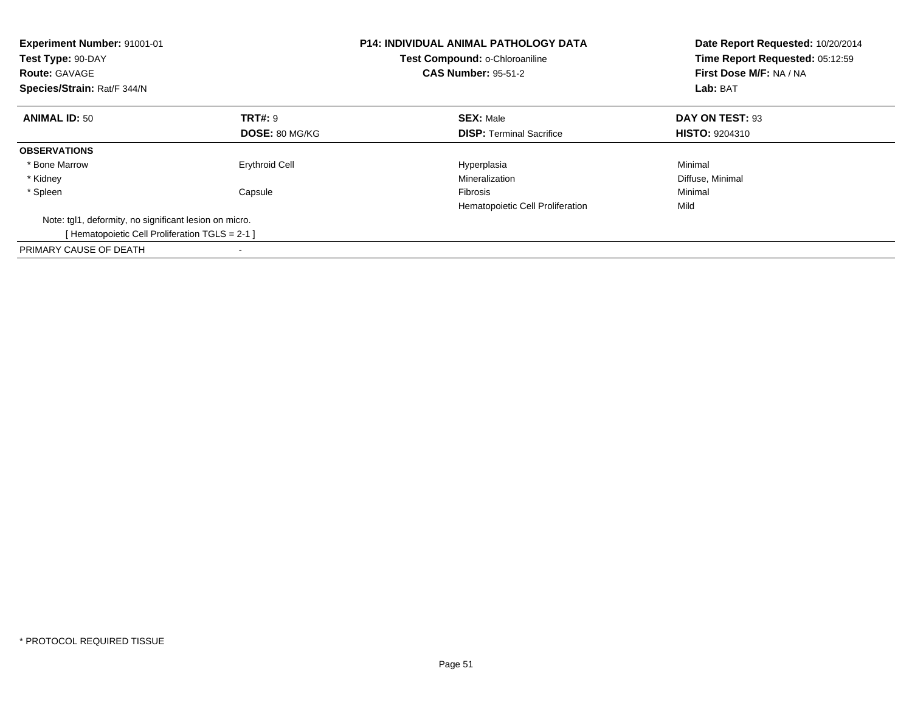| <b>Experiment Number: 91001-01</b><br>Test Type: 90-DAY<br><b>Route: GAVAGE</b><br>Species/Strain: Rat/F 344/N |                       | <b>P14: INDIVIDUAL ANIMAL PATHOLOGY DATA</b><br>Test Compound: o-Chloroaniline<br><b>CAS Number: 95-51-2</b> | Date Report Requested: 10/20/2014<br>Time Report Requested: 05:12:59<br>First Dose M/F: NA / NA<br>Lab: BAT |
|----------------------------------------------------------------------------------------------------------------|-----------------------|--------------------------------------------------------------------------------------------------------------|-------------------------------------------------------------------------------------------------------------|
| <b>ANIMAL ID: 50</b>                                                                                           | <b>TRT#: 9</b>        | <b>SEX: Male</b>                                                                                             | DAY ON TEST: 93                                                                                             |
|                                                                                                                | <b>DOSE: 80 MG/KG</b> | <b>DISP:</b> Terminal Sacrifice                                                                              | <b>HISTO: 9204310</b>                                                                                       |
| <b>OBSERVATIONS</b>                                                                                            |                       |                                                                                                              |                                                                                                             |
| * Bone Marrow                                                                                                  | <b>Erythroid Cell</b> | Hyperplasia                                                                                                  | Minimal                                                                                                     |
| * Kidney                                                                                                       |                       | Mineralization                                                                                               | Diffuse, Minimal                                                                                            |
| * Spleen                                                                                                       | Capsule               | Fibrosis                                                                                                     | Minimal                                                                                                     |
|                                                                                                                |                       | Hematopoietic Cell Proliferation                                                                             | Mild                                                                                                        |
| Note: tgl1, deformity, no significant lesion on micro.                                                         |                       |                                                                                                              |                                                                                                             |
| [Hematopoietic Cell Proliferation TGLS = 2-1 ]                                                                 |                       |                                                                                                              |                                                                                                             |
| PRIMARY CAUSE OF DEATH                                                                                         |                       |                                                                                                              |                                                                                                             |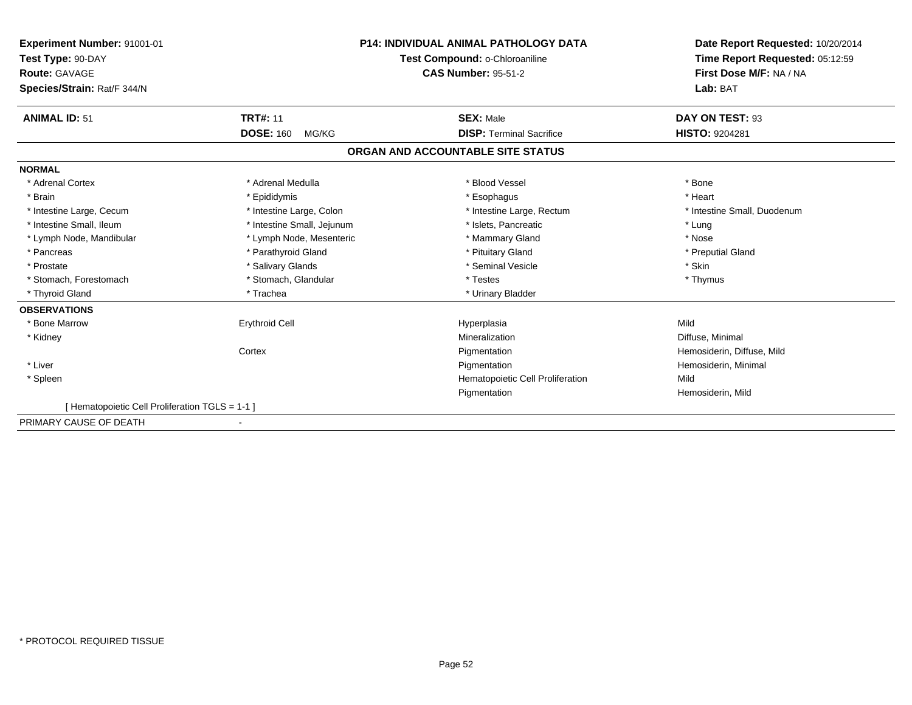| <b>Experiment Number: 91001-01</b><br>Test Type: 90-DAY<br><b>Route: GAVAGE</b><br>Species/Strain: Rat/F 344/N |                            | <b>P14: INDIVIDUAL ANIMAL PATHOLOGY DATA</b><br>Test Compound: o-Chloroaniline<br><b>CAS Number: 95-51-2</b> | Date Report Requested: 10/20/2014<br>Time Report Requested: 05:12:59<br>First Dose M/F: NA / NA<br>Lab: BAT |
|----------------------------------------------------------------------------------------------------------------|----------------------------|--------------------------------------------------------------------------------------------------------------|-------------------------------------------------------------------------------------------------------------|
| <b>ANIMAL ID: 51</b>                                                                                           | <b>TRT#: 11</b>            | <b>SEX: Male</b>                                                                                             | DAY ON TEST: 93                                                                                             |
|                                                                                                                | <b>DOSE: 160</b><br>MG/KG  | <b>DISP: Terminal Sacrifice</b>                                                                              | <b>HISTO: 9204281</b>                                                                                       |
|                                                                                                                |                            | ORGAN AND ACCOUNTABLE SITE STATUS                                                                            |                                                                                                             |
| <b>NORMAL</b>                                                                                                  |                            |                                                                                                              |                                                                                                             |
| * Adrenal Cortex                                                                                               | * Adrenal Medulla          | * Blood Vessel                                                                                               | * Bone                                                                                                      |
| * Brain                                                                                                        | * Epididymis               | * Esophagus                                                                                                  | * Heart                                                                                                     |
| * Intestine Large, Cecum                                                                                       | * Intestine Large, Colon   | * Intestine Large, Rectum                                                                                    | * Intestine Small, Duodenum                                                                                 |
| * Intestine Small, Ileum                                                                                       | * Intestine Small, Jejunum | * Islets. Pancreatic                                                                                         | * Lung                                                                                                      |
| * Lymph Node, Mandibular                                                                                       | * Lymph Node, Mesenteric   | * Mammary Gland                                                                                              | * Nose                                                                                                      |
| * Pancreas                                                                                                     | * Parathyroid Gland        | * Pituitary Gland                                                                                            | * Preputial Gland                                                                                           |
| * Prostate                                                                                                     | * Salivary Glands          | * Seminal Vesicle                                                                                            | * Skin                                                                                                      |
| * Stomach, Forestomach                                                                                         | * Stomach, Glandular       | * Testes                                                                                                     | * Thymus                                                                                                    |
| * Thyroid Gland                                                                                                | * Trachea                  | * Urinary Bladder                                                                                            |                                                                                                             |
| <b>OBSERVATIONS</b>                                                                                            |                            |                                                                                                              |                                                                                                             |
| * Bone Marrow                                                                                                  | <b>Erythroid Cell</b>      | Hyperplasia                                                                                                  | Mild                                                                                                        |
| * Kidney                                                                                                       |                            | Mineralization                                                                                               | Diffuse, Minimal                                                                                            |
|                                                                                                                | Cortex                     | Pigmentation                                                                                                 | Hemosiderin, Diffuse, Mild                                                                                  |
| * Liver                                                                                                        |                            | Pigmentation                                                                                                 | Hemosiderin, Minimal                                                                                        |
| * Spleen                                                                                                       |                            | Hematopoietic Cell Proliferation                                                                             | Mild                                                                                                        |
|                                                                                                                |                            | Pigmentation                                                                                                 | Hemosiderin, Mild                                                                                           |
| [ Hematopoietic Cell Proliferation TGLS = 1-1 ]                                                                |                            |                                                                                                              |                                                                                                             |
| PRIMARY CAUSE OF DEATH                                                                                         |                            |                                                                                                              |                                                                                                             |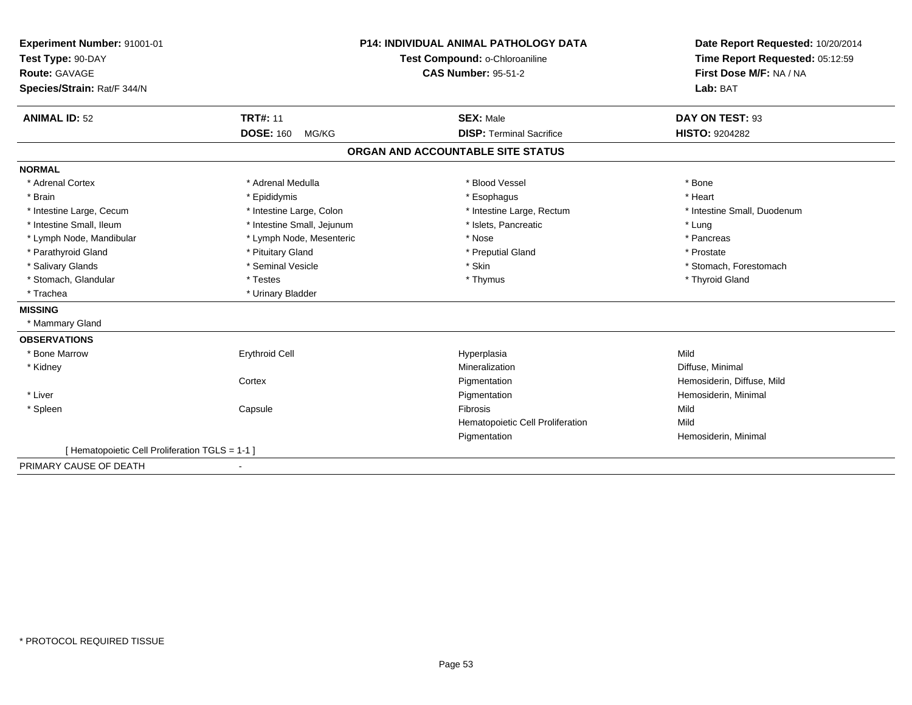| Experiment Number: 91001-01                     |                            | <b>P14: INDIVIDUAL ANIMAL PATHOLOGY DATA</b> | Date Report Requested: 10/20/2014 |
|-------------------------------------------------|----------------------------|----------------------------------------------|-----------------------------------|
| Test Type: 90-DAY                               |                            | Test Compound: o-Chloroaniline               | Time Report Requested: 05:12:59   |
| <b>Route: GAVAGE</b>                            |                            | <b>CAS Number: 95-51-2</b>                   | First Dose M/F: NA / NA           |
| Species/Strain: Rat/F 344/N                     |                            |                                              | Lab: BAT                          |
| <b>ANIMAL ID: 52</b>                            | <b>TRT#: 11</b>            | <b>SEX: Male</b>                             | DAY ON TEST: 93                   |
|                                                 | <b>DOSE: 160</b><br>MG/KG  | <b>DISP: Terminal Sacrifice</b>              | <b>HISTO: 9204282</b>             |
|                                                 |                            | ORGAN AND ACCOUNTABLE SITE STATUS            |                                   |
| <b>NORMAL</b>                                   |                            |                                              |                                   |
| * Adrenal Cortex                                | * Adrenal Medulla          | * Blood Vessel                               | * Bone                            |
| * Brain                                         | * Epididymis               | * Esophagus                                  | * Heart                           |
| * Intestine Large, Cecum                        | * Intestine Large, Colon   | * Intestine Large, Rectum                    | * Intestine Small, Duodenum       |
| * Intestine Small. Ileum                        | * Intestine Small, Jejunum | * Islets, Pancreatic                         | * Lung                            |
| * Lymph Node, Mandibular                        | * Lymph Node, Mesenteric   | * Nose                                       | * Pancreas                        |
| * Parathyroid Gland                             | * Pituitary Gland          | * Preputial Gland                            | * Prostate                        |
| * Salivary Glands                               | * Seminal Vesicle          | * Skin                                       | * Stomach, Forestomach            |
| * Stomach, Glandular                            | * Testes                   | * Thymus                                     | * Thyroid Gland                   |
| * Trachea                                       | * Urinary Bladder          |                                              |                                   |
| <b>MISSING</b>                                  |                            |                                              |                                   |
| * Mammary Gland                                 |                            |                                              |                                   |
| <b>OBSERVATIONS</b>                             |                            |                                              |                                   |
| * Bone Marrow                                   | <b>Erythroid Cell</b>      | Hyperplasia                                  | Mild                              |
| * Kidney                                        |                            | Mineralization                               | Diffuse, Minimal                  |
|                                                 | Cortex                     | Pigmentation                                 | Hemosiderin, Diffuse, Mild        |
| * Liver                                         |                            | Pigmentation                                 | Hemosiderin, Minimal              |
| * Spleen                                        | Capsule                    | Fibrosis                                     | Mild                              |
|                                                 |                            | Hematopoietic Cell Proliferation             | Mild                              |
|                                                 |                            | Pigmentation                                 | Hemosiderin, Minimal              |
| [ Hematopoietic Cell Proliferation TGLS = 1-1 ] |                            |                                              |                                   |
| PRIMARY CAUSE OF DEATH                          |                            |                                              |                                   |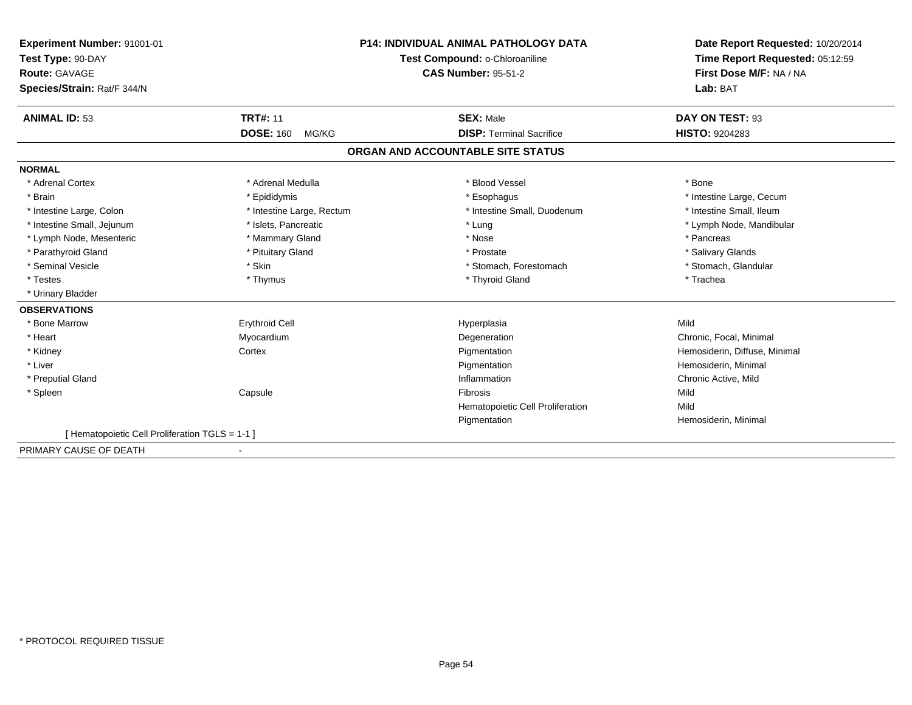| Experiment Number: 91001-01                    |                                | <b>P14: INDIVIDUAL ANIMAL PATHOLOGY DATA</b> | Date Report Requested: 10/20/2014 |
|------------------------------------------------|--------------------------------|----------------------------------------------|-----------------------------------|
| Test Type: 90-DAY                              | Test Compound: o-Chloroaniline |                                              | Time Report Requested: 05:12:59   |
| Route: GAVAGE                                  |                                | <b>CAS Number: 95-51-2</b>                   | First Dose M/F: NA / NA           |
| Species/Strain: Rat/F 344/N                    |                                |                                              | Lab: BAT                          |
| <b>ANIMAL ID: 53</b>                           | <b>TRT#: 11</b>                | <b>SEX: Male</b>                             | DAY ON TEST: 93                   |
|                                                | <b>DOSE: 160</b><br>MG/KG      | <b>DISP: Terminal Sacrifice</b>              | <b>HISTO: 9204283</b>             |
|                                                |                                | ORGAN AND ACCOUNTABLE SITE STATUS            |                                   |
| <b>NORMAL</b>                                  |                                |                                              |                                   |
| * Adrenal Cortex                               | * Adrenal Medulla              | * Blood Vessel                               | * Bone                            |
| * Brain                                        | * Epididymis                   | * Esophagus                                  | * Intestine Large, Cecum          |
| * Intestine Large, Colon                       | * Intestine Large, Rectum      | * Intestine Small, Duodenum                  | * Intestine Small, Ileum          |
| * Intestine Small, Jejunum                     | * Islets, Pancreatic           | * Lung                                       | * Lymph Node, Mandibular          |
| * Lymph Node, Mesenteric                       | * Mammary Gland                | * Nose                                       | * Pancreas                        |
| * Parathyroid Gland                            | * Pituitary Gland              | * Prostate                                   | * Salivary Glands                 |
| * Seminal Vesicle                              | * Skin                         | * Stomach, Forestomach                       | * Stomach, Glandular              |
| * Testes                                       | * Thymus                       | * Thyroid Gland                              | * Trachea                         |
| * Urinary Bladder                              |                                |                                              |                                   |
| <b>OBSERVATIONS</b>                            |                                |                                              |                                   |
| * Bone Marrow                                  | <b>Erythroid Cell</b>          | Hyperplasia                                  | Mild                              |
| * Heart                                        | Myocardium                     | Degeneration                                 | Chronic, Focal, Minimal           |
| * Kidney                                       | Cortex                         | Pigmentation                                 | Hemosiderin, Diffuse, Minimal     |
| * Liver                                        |                                | Pigmentation                                 | Hemosiderin, Minimal              |
| * Preputial Gland                              |                                | Inflammation                                 | Chronic Active, Mild              |
| * Spleen                                       | Capsule                        | Fibrosis                                     | Mild                              |
|                                                |                                | Hematopoietic Cell Proliferation             | Mild                              |
|                                                |                                | Pigmentation                                 | Hemosiderin, Minimal              |
| [Hematopoietic Cell Proliferation TGLS = 1-1 ] |                                |                                              |                                   |
| PRIMARY CAUSE OF DEATH                         |                                |                                              |                                   |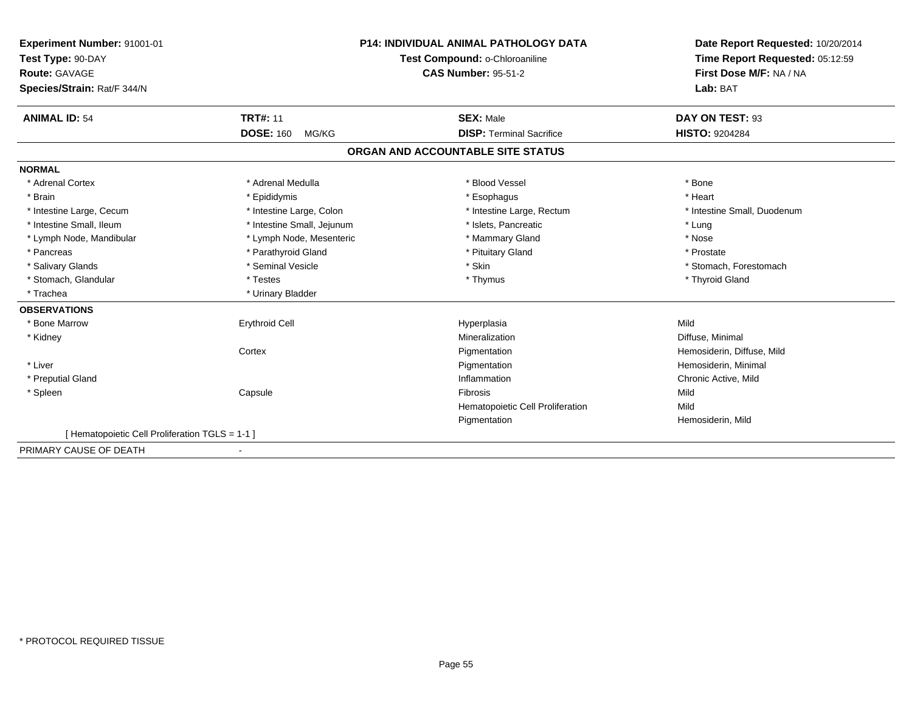| Experiment Number: 91001-01                    |                            | <b>P14: INDIVIDUAL ANIMAL PATHOLOGY DATA</b> | Date Report Requested: 10/20/2014<br>Time Report Requested: 05:12:59 |
|------------------------------------------------|----------------------------|----------------------------------------------|----------------------------------------------------------------------|
| Test Type: 90-DAY                              |                            | Test Compound: o-Chloroaniline               |                                                                      |
| Route: GAVAGE                                  |                            | <b>CAS Number: 95-51-2</b>                   | First Dose M/F: NA / NA                                              |
| Species/Strain: Rat/F 344/N                    |                            |                                              | Lab: BAT                                                             |
| <b>ANIMAL ID: 54</b>                           | <b>TRT#: 11</b>            | <b>SEX: Male</b>                             | DAY ON TEST: 93                                                      |
|                                                | <b>DOSE: 160</b><br>MG/KG  | <b>DISP: Terminal Sacrifice</b>              | <b>HISTO: 9204284</b>                                                |
|                                                |                            | ORGAN AND ACCOUNTABLE SITE STATUS            |                                                                      |
| <b>NORMAL</b>                                  |                            |                                              |                                                                      |
| * Adrenal Cortex                               | * Adrenal Medulla          | * Blood Vessel                               | * Bone                                                               |
| * Brain                                        | * Epididymis               | * Esophagus                                  | * Heart                                                              |
| * Intestine Large, Cecum                       | * Intestine Large, Colon   | * Intestine Large, Rectum                    | * Intestine Small, Duodenum                                          |
| * Intestine Small, Ileum                       | * Intestine Small, Jejunum | * Islets, Pancreatic                         | * Lung                                                               |
| * Lymph Node, Mandibular                       | * Lymph Node, Mesenteric   | * Mammary Gland                              | * Nose                                                               |
| * Pancreas                                     | * Parathyroid Gland        | * Pituitary Gland                            | * Prostate                                                           |
| * Salivary Glands                              | * Seminal Vesicle          | * Skin                                       | * Stomach, Forestomach                                               |
| * Stomach, Glandular                           | * Testes                   | * Thymus                                     | * Thyroid Gland                                                      |
| * Trachea                                      | * Urinary Bladder          |                                              |                                                                      |
| <b>OBSERVATIONS</b>                            |                            |                                              |                                                                      |
| * Bone Marrow                                  | <b>Erythroid Cell</b>      | Hyperplasia                                  | Mild                                                                 |
| * Kidney                                       |                            | Mineralization                               | Diffuse, Minimal                                                     |
|                                                | Cortex                     | Pigmentation                                 | Hemosiderin, Diffuse, Mild                                           |
| * Liver                                        |                            | Pigmentation                                 | Hemosiderin, Minimal                                                 |
| * Preputial Gland                              |                            | Inflammation                                 | Chronic Active, Mild                                                 |
| * Spleen                                       | Capsule                    | <b>Fibrosis</b>                              | Mild                                                                 |
|                                                |                            | Hematopoietic Cell Proliferation             | Mild                                                                 |
|                                                |                            | Pigmentation                                 | Hemosiderin, Mild                                                    |
| [Hematopoietic Cell Proliferation TGLS = 1-1 ] |                            |                                              |                                                                      |
| PRIMARY CAUSE OF DEATH                         |                            |                                              |                                                                      |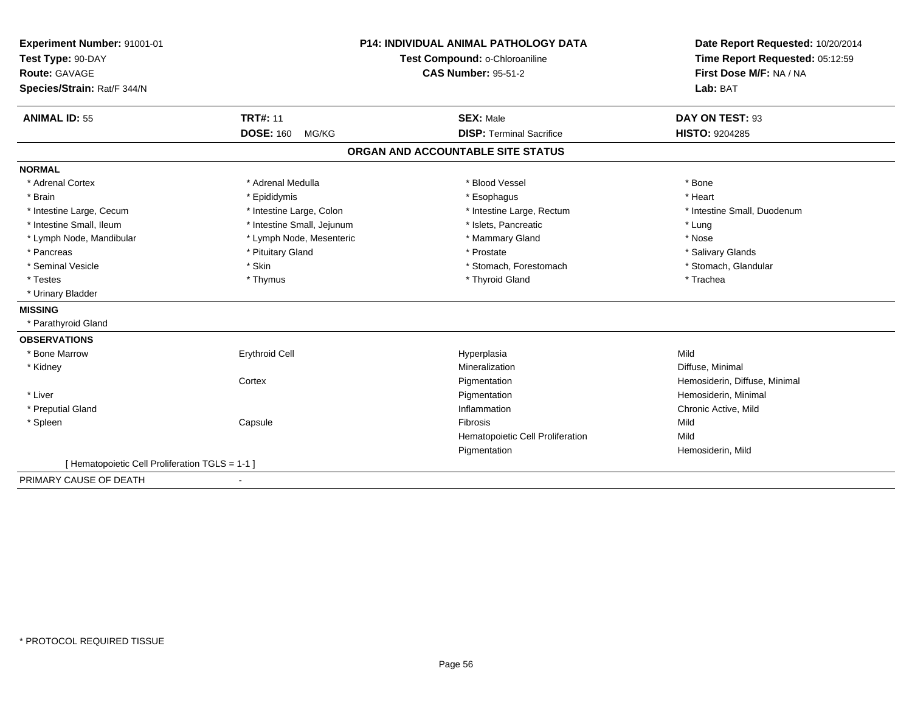| Experiment Number: 91001-01                     |                                | <b>P14: INDIVIDUAL ANIMAL PATHOLOGY DATA</b> | Date Report Requested: 10/20/2014 |
|-------------------------------------------------|--------------------------------|----------------------------------------------|-----------------------------------|
| Test Type: 90-DAY                               | Test Compound: o-Chloroaniline |                                              | Time Report Requested: 05:12:59   |
| <b>Route: GAVAGE</b>                            |                                | <b>CAS Number: 95-51-2</b>                   | First Dose M/F: NA / NA           |
| Species/Strain: Rat/F 344/N                     |                                |                                              | Lab: BAT                          |
| <b>ANIMAL ID: 55</b>                            | <b>TRT#: 11</b>                | <b>SEX: Male</b>                             | DAY ON TEST: 93                   |
|                                                 | <b>DOSE: 160</b><br>MG/KG      | <b>DISP: Terminal Sacrifice</b>              | HISTO: 9204285                    |
|                                                 |                                | ORGAN AND ACCOUNTABLE SITE STATUS            |                                   |
| <b>NORMAL</b>                                   |                                |                                              |                                   |
| * Adrenal Cortex                                | * Adrenal Medulla              | * Blood Vessel                               | * Bone                            |
| * Brain                                         | * Epididymis                   | * Esophagus                                  | * Heart                           |
| * Intestine Large, Cecum                        | * Intestine Large, Colon       | * Intestine Large, Rectum                    | * Intestine Small, Duodenum       |
| * Intestine Small, Ileum                        | * Intestine Small, Jejunum     | * Islets, Pancreatic                         | * Lung                            |
| * Lymph Node, Mandibular                        | * Lymph Node, Mesenteric       | * Mammary Gland                              | * Nose                            |
| * Pancreas                                      | * Pituitary Gland              | * Prostate                                   | * Salivary Glands                 |
| * Seminal Vesicle                               | * Skin                         | * Stomach, Forestomach                       | * Stomach, Glandular              |
| * Testes                                        | * Thymus                       | * Thyroid Gland                              | * Trachea                         |
| * Urinary Bladder                               |                                |                                              |                                   |
| <b>MISSING</b>                                  |                                |                                              |                                   |
| * Parathyroid Gland                             |                                |                                              |                                   |
| <b>OBSERVATIONS</b>                             |                                |                                              |                                   |
| * Bone Marrow                                   | <b>Erythroid Cell</b>          | Hyperplasia                                  | Mild                              |
| * Kidney                                        |                                | Mineralization                               | Diffuse, Minimal                  |
|                                                 | Cortex                         | Pigmentation                                 | Hemosiderin, Diffuse, Minimal     |
| * Liver                                         |                                | Pigmentation                                 | Hemosiderin, Minimal              |
| * Preputial Gland                               |                                | Inflammation                                 | Chronic Active, Mild              |
| * Spleen                                        | Capsule                        | Fibrosis                                     | Mild                              |
|                                                 |                                | Hematopoietic Cell Proliferation             | Mild                              |
|                                                 |                                | Pigmentation                                 | Hemosiderin, Mild                 |
| [ Hematopoietic Cell Proliferation TGLS = 1-1 ] |                                |                                              |                                   |
| PRIMARY CAUSE OF DEATH                          |                                |                                              |                                   |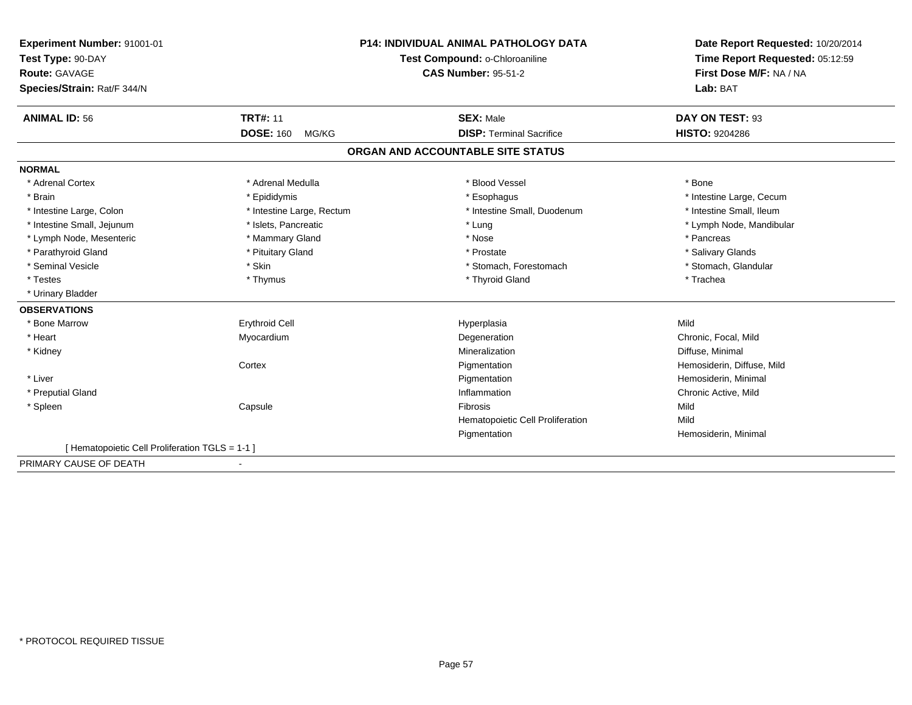| Experiment Number: 91001-01                     |                           | <b>P14: INDIVIDUAL ANIMAL PATHOLOGY DATA</b> | Date Report Requested: 10/20/2014 |
|-------------------------------------------------|---------------------------|----------------------------------------------|-----------------------------------|
| Test Type: 90-DAY                               |                           | Test Compound: o-Chloroaniline               | Time Report Requested: 05:12:59   |
| Route: GAVAGE                                   |                           | <b>CAS Number: 95-51-2</b>                   | First Dose M/F: NA / NA           |
| Species/Strain: Rat/F 344/N                     |                           |                                              | Lab: BAT                          |
| <b>ANIMAL ID: 56</b>                            | <b>TRT#: 11</b>           | <b>SEX: Male</b>                             | DAY ON TEST: 93                   |
|                                                 | <b>DOSE: 160</b><br>MG/KG | <b>DISP: Terminal Sacrifice</b>              | <b>HISTO: 9204286</b>             |
|                                                 |                           | ORGAN AND ACCOUNTABLE SITE STATUS            |                                   |
| <b>NORMAL</b>                                   |                           |                                              |                                   |
| * Adrenal Cortex                                | * Adrenal Medulla         | * Blood Vessel                               | * Bone                            |
| * Brain                                         | * Epididymis              | * Esophagus                                  | * Intestine Large, Cecum          |
| * Intestine Large, Colon                        | * Intestine Large, Rectum | * Intestine Small, Duodenum                  | * Intestine Small, Ileum          |
| * Intestine Small, Jejunum                      | * Islets, Pancreatic      | * Lung                                       | * Lymph Node, Mandibular          |
| * Lymph Node, Mesenteric                        | * Mammary Gland           | * Nose                                       | * Pancreas                        |
| * Parathyroid Gland                             | * Pituitary Gland         | * Prostate                                   | * Salivary Glands                 |
| * Seminal Vesicle                               | * Skin                    | * Stomach, Forestomach                       | * Stomach, Glandular              |
| * Testes                                        | * Thymus                  | * Thyroid Gland                              | * Trachea                         |
| * Urinary Bladder                               |                           |                                              |                                   |
| <b>OBSERVATIONS</b>                             |                           |                                              |                                   |
| * Bone Marrow                                   | <b>Erythroid Cell</b>     | Hyperplasia                                  | Mild                              |
| * Heart                                         | Myocardium                | Degeneration                                 | Chronic, Focal, Mild              |
| * Kidney                                        |                           | Mineralization                               | Diffuse, Minimal                  |
|                                                 | Cortex                    | Pigmentation                                 | Hemosiderin, Diffuse, Mild        |
| * Liver                                         |                           | Pigmentation                                 | Hemosiderin, Minimal              |
| * Preputial Gland                               |                           | Inflammation                                 | Chronic Active, Mild              |
| * Spleen                                        | Capsule                   | <b>Fibrosis</b>                              | Mild                              |
|                                                 |                           | Hematopoietic Cell Proliferation             | Mild                              |
|                                                 |                           | Pigmentation                                 | Hemosiderin, Minimal              |
| [ Hematopoietic Cell Proliferation TGLS = 1-1 ] |                           |                                              |                                   |
| PRIMARY CAUSE OF DEATH                          | ٠                         |                                              |                                   |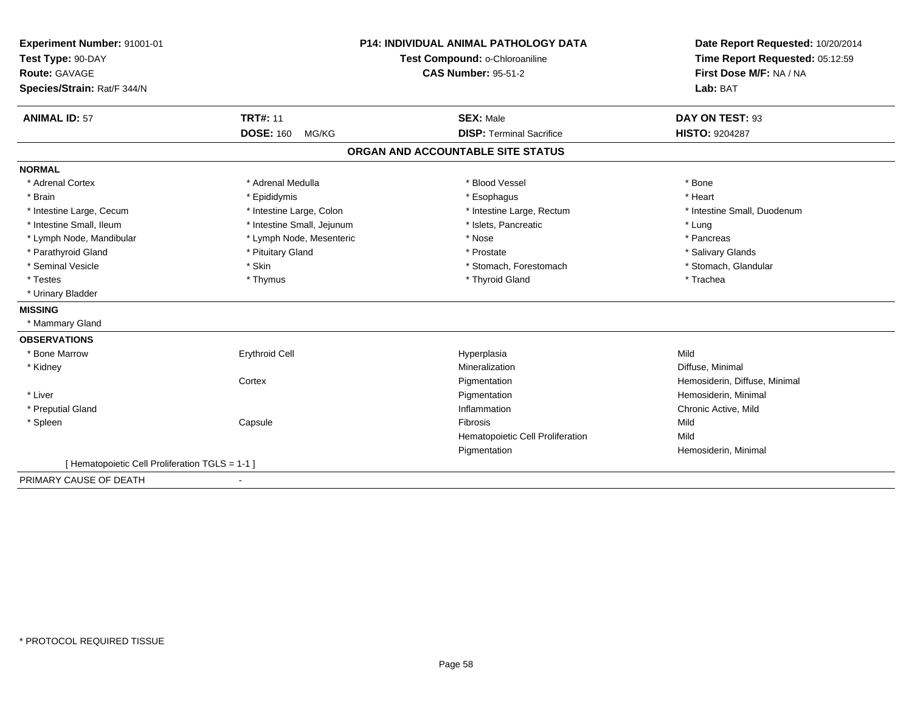| Experiment Number: 91001-01                     |                                | <b>P14: INDIVIDUAL ANIMAL PATHOLOGY DATA</b> | Date Report Requested: 10/20/2014 |
|-------------------------------------------------|--------------------------------|----------------------------------------------|-----------------------------------|
| Test Type: 90-DAY                               | Test Compound: o-Chloroaniline |                                              | Time Report Requested: 05:12:59   |
| <b>Route: GAVAGE</b>                            |                                | <b>CAS Number: 95-51-2</b>                   | First Dose M/F: NA / NA           |
| Species/Strain: Rat/F 344/N                     |                                |                                              | Lab: BAT                          |
| <b>ANIMAL ID: 57</b>                            | <b>TRT#: 11</b>                | <b>SEX: Male</b>                             | DAY ON TEST: 93                   |
|                                                 | <b>DOSE: 160</b><br>MG/KG      | <b>DISP: Terminal Sacrifice</b>              | HISTO: 9204287                    |
|                                                 |                                | ORGAN AND ACCOUNTABLE SITE STATUS            |                                   |
| <b>NORMAL</b>                                   |                                |                                              |                                   |
| * Adrenal Cortex                                | * Adrenal Medulla              | * Blood Vessel                               | * Bone                            |
| * Brain                                         | * Epididymis                   | * Esophagus                                  | * Heart                           |
| * Intestine Large, Cecum                        | * Intestine Large, Colon       | * Intestine Large, Rectum                    | * Intestine Small, Duodenum       |
| * Intestine Small, Ileum                        | * Intestine Small, Jejunum     | * Islets, Pancreatic                         | * Lung                            |
| * Lymph Node, Mandibular                        | * Lymph Node, Mesenteric       | * Nose                                       | * Pancreas                        |
| * Parathyroid Gland                             | * Pituitary Gland              | * Prostate                                   | * Salivary Glands                 |
| * Seminal Vesicle                               | * Skin                         | * Stomach, Forestomach                       | * Stomach, Glandular              |
| * Testes                                        | * Thymus                       | * Thyroid Gland                              | * Trachea                         |
| * Urinary Bladder                               |                                |                                              |                                   |
| <b>MISSING</b>                                  |                                |                                              |                                   |
| * Mammary Gland                                 |                                |                                              |                                   |
| <b>OBSERVATIONS</b>                             |                                |                                              |                                   |
| * Bone Marrow                                   | <b>Erythroid Cell</b>          | Hyperplasia                                  | Mild                              |
| * Kidney                                        |                                | Mineralization                               | Diffuse, Minimal                  |
|                                                 | Cortex                         | Pigmentation                                 | Hemosiderin, Diffuse, Minimal     |
| * Liver                                         |                                | Pigmentation                                 | Hemosiderin, Minimal              |
| * Preputial Gland                               |                                | Inflammation                                 | Chronic Active, Mild              |
| * Spleen                                        | Capsule                        | Fibrosis                                     | Mild                              |
|                                                 |                                | Hematopoietic Cell Proliferation             | Mild                              |
|                                                 |                                | Pigmentation                                 | Hemosiderin, Minimal              |
| [ Hematopoietic Cell Proliferation TGLS = 1-1 ] |                                |                                              |                                   |
| PRIMARY CAUSE OF DEATH                          |                                |                                              |                                   |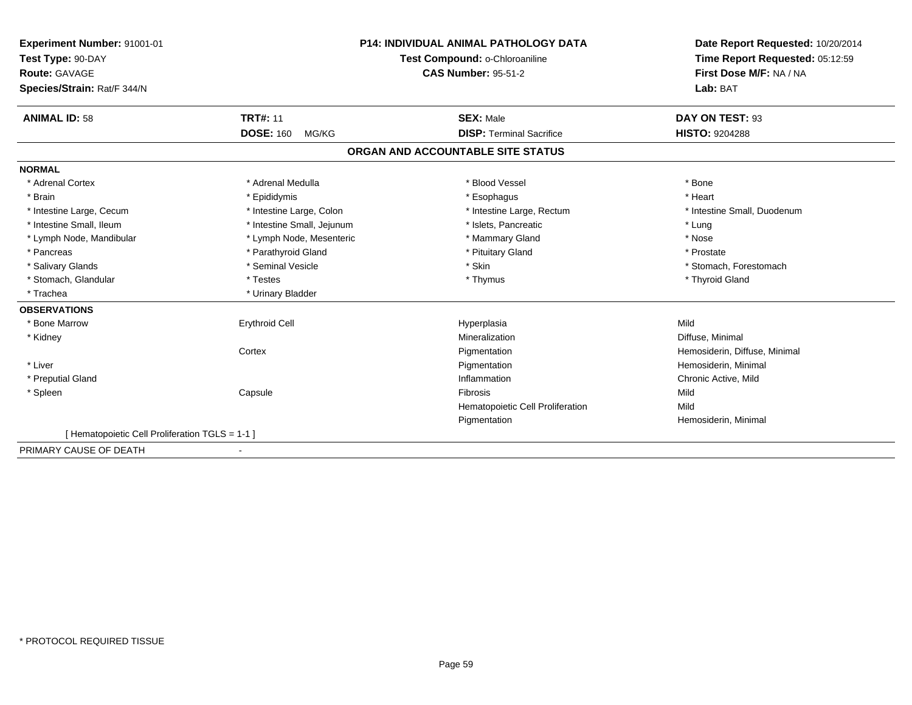| Experiment Number: 91001-01                    | <b>P14: INDIVIDUAL ANIMAL PATHOLOGY DATA</b><br>Test Compound: o-Chloroaniline |                                   | Date Report Requested: 10/20/2014<br>Time Report Requested: 05:12:59 |
|------------------------------------------------|--------------------------------------------------------------------------------|-----------------------------------|----------------------------------------------------------------------|
| Test Type: 90-DAY                              |                                                                                |                                   |                                                                      |
| Route: GAVAGE                                  |                                                                                | <b>CAS Number: 95-51-2</b>        | First Dose M/F: NA / NA                                              |
| Species/Strain: Rat/F 344/N                    |                                                                                |                                   | Lab: BAT                                                             |
| <b>ANIMAL ID: 58</b>                           | <b>TRT#: 11</b>                                                                | <b>SEX: Male</b>                  | DAY ON TEST: 93                                                      |
|                                                | <b>DOSE: 160</b><br>MG/KG                                                      | <b>DISP: Terminal Sacrifice</b>   | <b>HISTO: 9204288</b>                                                |
|                                                |                                                                                | ORGAN AND ACCOUNTABLE SITE STATUS |                                                                      |
| <b>NORMAL</b>                                  |                                                                                |                                   |                                                                      |
| * Adrenal Cortex                               | * Adrenal Medulla                                                              | * Blood Vessel                    | * Bone                                                               |
| * Brain                                        | * Epididymis                                                                   | * Esophagus                       | * Heart                                                              |
| * Intestine Large, Cecum                       | * Intestine Large, Colon                                                       | * Intestine Large, Rectum         | * Intestine Small, Duodenum                                          |
| * Intestine Small, Ileum                       | * Intestine Small, Jejunum                                                     | * Islets, Pancreatic              | * Lung                                                               |
| * Lymph Node, Mandibular                       | * Lymph Node, Mesenteric                                                       | * Mammary Gland                   | * Nose                                                               |
| * Pancreas                                     | * Parathyroid Gland                                                            | * Pituitary Gland                 | * Prostate                                                           |
| * Salivary Glands                              | * Seminal Vesicle                                                              | * Skin                            | * Stomach, Forestomach                                               |
| * Stomach, Glandular                           | * Testes                                                                       | * Thymus                          | * Thyroid Gland                                                      |
| * Trachea                                      | * Urinary Bladder                                                              |                                   |                                                                      |
| <b>OBSERVATIONS</b>                            |                                                                                |                                   |                                                                      |
| * Bone Marrow                                  | <b>Erythroid Cell</b>                                                          | Hyperplasia                       | Mild                                                                 |
| * Kidney                                       |                                                                                | Mineralization                    | Diffuse, Minimal                                                     |
|                                                | Cortex                                                                         | Pigmentation                      | Hemosiderin, Diffuse, Minimal                                        |
| * Liver                                        |                                                                                | Pigmentation                      | Hemosiderin, Minimal                                                 |
| * Preputial Gland                              |                                                                                | Inflammation                      | Chronic Active, Mild                                                 |
| * Spleen                                       | Capsule                                                                        | <b>Fibrosis</b>                   | Mild                                                                 |
|                                                |                                                                                | Hematopoietic Cell Proliferation  | Mild                                                                 |
|                                                |                                                                                | Pigmentation                      | Hemosiderin, Minimal                                                 |
| [Hematopoietic Cell Proliferation TGLS = 1-1 ] |                                                                                |                                   |                                                                      |
| PRIMARY CAUSE OF DEATH                         |                                                                                |                                   |                                                                      |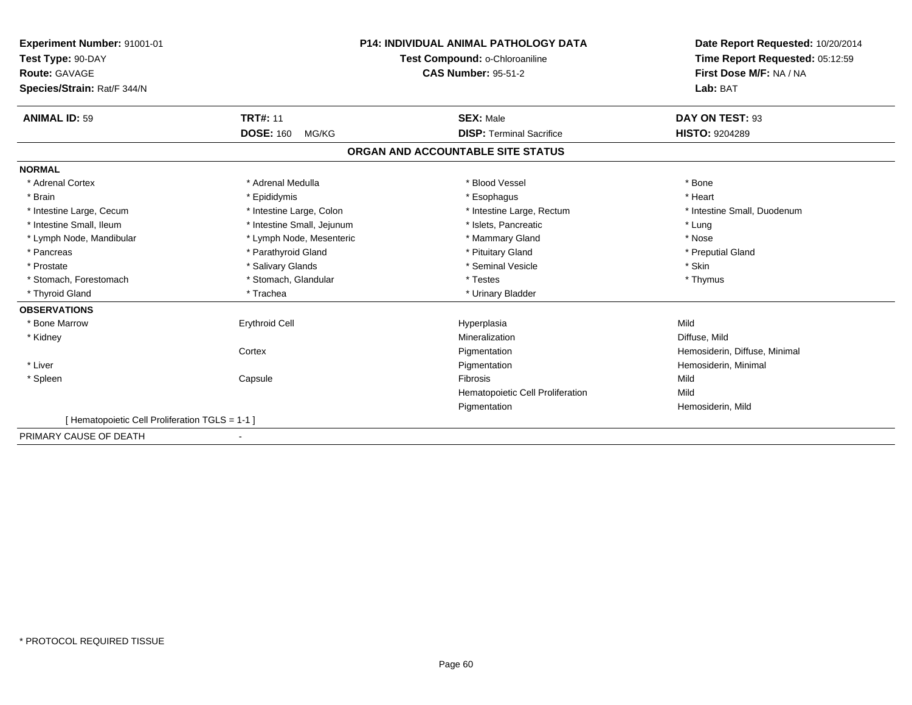| Experiment Number: 91001-01                    |                                | <b>P14: INDIVIDUAL ANIMAL PATHOLOGY DATA</b> | Date Report Requested: 10/20/2014 |
|------------------------------------------------|--------------------------------|----------------------------------------------|-----------------------------------|
| Test Type: 90-DAY                              | Test Compound: o-Chloroaniline |                                              | Time Report Requested: 05:12:59   |
| Route: GAVAGE                                  |                                | <b>CAS Number: 95-51-2</b>                   | First Dose M/F: NA / NA           |
| Species/Strain: Rat/F 344/N                    |                                |                                              | Lab: BAT                          |
| <b>ANIMAL ID: 59</b>                           | <b>TRT#: 11</b>                | <b>SEX: Male</b>                             | DAY ON TEST: 93                   |
|                                                | <b>DOSE: 160</b><br>MG/KG      | <b>DISP: Terminal Sacrifice</b>              | <b>HISTO: 9204289</b>             |
|                                                |                                | ORGAN AND ACCOUNTABLE SITE STATUS            |                                   |
| <b>NORMAL</b>                                  |                                |                                              |                                   |
| * Adrenal Cortex                               | * Adrenal Medulla              | * Blood Vessel                               | * Bone                            |
| * Brain                                        | * Epididymis                   | * Esophagus                                  | * Heart                           |
| * Intestine Large, Cecum                       | * Intestine Large, Colon       | * Intestine Large, Rectum                    | * Intestine Small. Duodenum       |
| * Intestine Small, Ileum                       | * Intestine Small, Jejunum     | * Islets. Pancreatic                         | * Lung                            |
| * Lymph Node, Mandibular                       | * Lymph Node, Mesenteric       | * Mammary Gland                              | * Nose                            |
| * Pancreas                                     | * Parathyroid Gland            | * Pituitary Gland                            | * Preputial Gland                 |
| * Prostate                                     | * Salivary Glands              | * Seminal Vesicle                            | * Skin                            |
| * Stomach, Forestomach                         | * Stomach, Glandular           | * Testes                                     | * Thymus                          |
| * Thyroid Gland                                | * Trachea                      | * Urinary Bladder                            |                                   |
| <b>OBSERVATIONS</b>                            |                                |                                              |                                   |
| * Bone Marrow                                  | <b>Erythroid Cell</b>          | Hyperplasia                                  | Mild                              |
| * Kidney                                       |                                | Mineralization                               | Diffuse, Mild                     |
|                                                | Cortex                         | Pigmentation                                 | Hemosiderin, Diffuse, Minimal     |
| * Liver                                        |                                | Pigmentation                                 | Hemosiderin, Minimal              |
| * Spleen                                       | Capsule                        | Fibrosis                                     | Mild                              |
|                                                |                                | Hematopoietic Cell Proliferation             | Mild                              |
|                                                |                                | Pigmentation                                 | Hemosiderin, Mild                 |
| [Hematopoietic Cell Proliferation TGLS = 1-1 ] |                                |                                              |                                   |
| PRIMARY CAUSE OF DEATH                         |                                |                                              |                                   |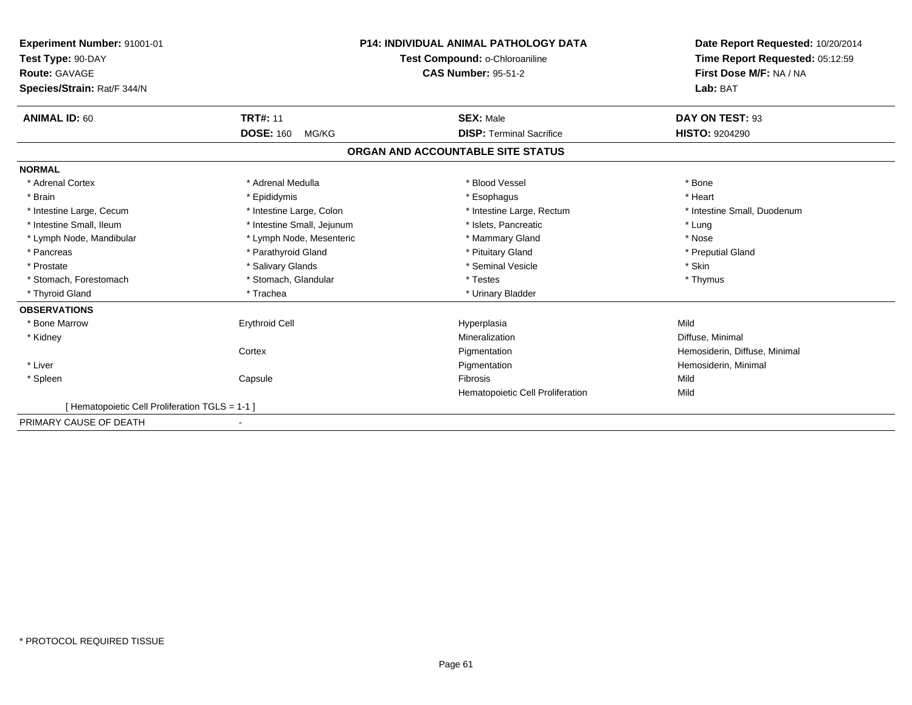| Experiment Number: 91001-01<br>Test Type: 90-DAY |                            | <b>P14: INDIVIDUAL ANIMAL PATHOLOGY DATA</b> | Date Report Requested: 10/20/2014<br>Time Report Requested: 05:12:59 |
|--------------------------------------------------|----------------------------|----------------------------------------------|----------------------------------------------------------------------|
|                                                  |                            | Test Compound: o-Chloroaniline               |                                                                      |
| Route: GAVAGE                                    |                            | <b>CAS Number: 95-51-2</b>                   | First Dose M/F: NA / NA                                              |
| Species/Strain: Rat/F 344/N                      |                            |                                              | Lab: BAT                                                             |
| <b>ANIMAL ID: 60</b>                             | <b>TRT#: 11</b>            | <b>SEX: Male</b>                             | DAY ON TEST: 93                                                      |
|                                                  | <b>DOSE: 160</b><br>MG/KG  | <b>DISP: Terminal Sacrifice</b>              | <b>HISTO: 9204290</b>                                                |
|                                                  |                            | ORGAN AND ACCOUNTABLE SITE STATUS            |                                                                      |
| <b>NORMAL</b>                                    |                            |                                              |                                                                      |
| * Adrenal Cortex                                 | * Adrenal Medulla          | * Blood Vessel                               | * Bone                                                               |
| * Brain                                          | * Epididymis               | * Esophagus                                  | * Heart                                                              |
| * Intestine Large, Cecum                         | * Intestine Large, Colon   | * Intestine Large, Rectum                    | * Intestine Small, Duodenum                                          |
| * Intestine Small, Ileum                         | * Intestine Small, Jejunum | * Islets, Pancreatic                         | * Lung                                                               |
| * Lymph Node, Mandibular                         | * Lymph Node, Mesenteric   | * Mammary Gland                              | * Nose                                                               |
| * Pancreas                                       | * Parathyroid Gland        | * Pituitary Gland                            | * Preputial Gland                                                    |
| * Prostate                                       | * Salivary Glands          | * Seminal Vesicle                            | * Skin                                                               |
| * Stomach, Forestomach                           | * Stomach, Glandular       | * Testes                                     | * Thymus                                                             |
| * Thyroid Gland                                  | * Trachea                  | * Urinary Bladder                            |                                                                      |
| <b>OBSERVATIONS</b>                              |                            |                                              |                                                                      |
| * Bone Marrow                                    | <b>Erythroid Cell</b>      | Hyperplasia                                  | Mild                                                                 |
| * Kidney                                         |                            | Mineralization                               | Diffuse, Minimal                                                     |
|                                                  | Cortex                     | Pigmentation                                 | Hemosiderin, Diffuse, Minimal                                        |
| * Liver                                          |                            | Pigmentation                                 | Hemosiderin, Minimal                                                 |
| * Spleen                                         | Capsule                    | <b>Fibrosis</b>                              | Mild                                                                 |
|                                                  |                            | Hematopoietic Cell Proliferation             | Mild                                                                 |
| [ Hematopoietic Cell Proliferation TGLS = 1-1 ]  |                            |                                              |                                                                      |
| PRIMARY CAUSE OF DEATH                           |                            |                                              |                                                                      |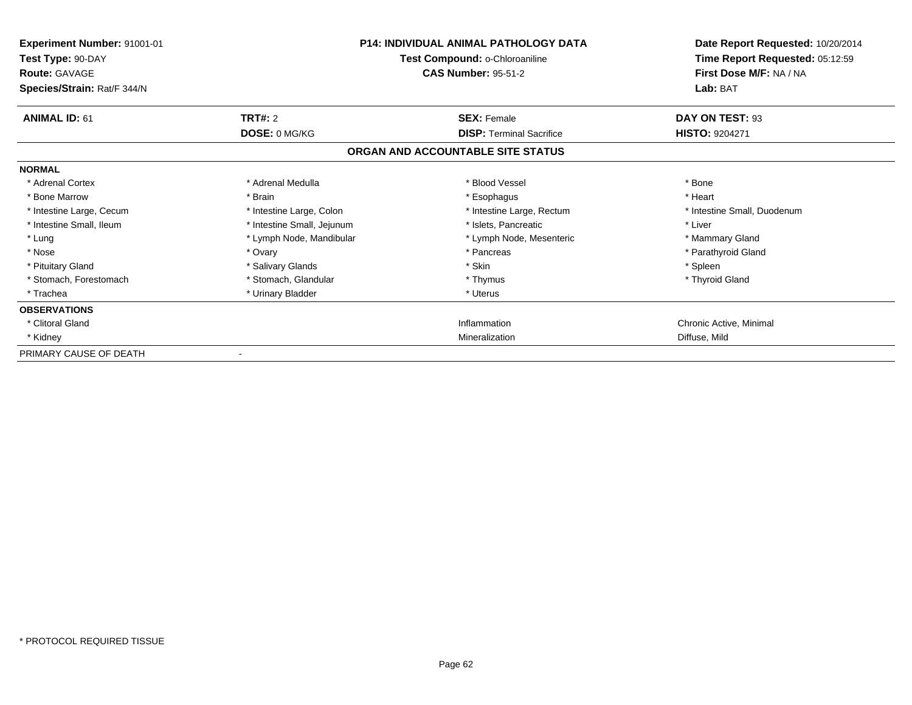| Experiment Number: 91001-01<br>Test Type: 90-DAY<br><b>Route: GAVAGE</b><br>Species/Strain: Rat/F 344/N | <b>P14: INDIVIDUAL ANIMAL PATHOLOGY DATA</b><br>Test Compound: o-Chloroaniline<br><b>CAS Number: 95-51-2</b> |                                   | Date Report Requested: 10/20/2014<br>Time Report Requested: 05:12:59<br>First Dose M/F: NA / NA<br>Lab: BAT |
|---------------------------------------------------------------------------------------------------------|--------------------------------------------------------------------------------------------------------------|-----------------------------------|-------------------------------------------------------------------------------------------------------------|
| <b>ANIMAL ID: 61</b>                                                                                    | TRT#: 2                                                                                                      | <b>SEX: Female</b>                | DAY ON TEST: 93                                                                                             |
|                                                                                                         | DOSE: 0 MG/KG                                                                                                | <b>DISP: Terminal Sacrifice</b>   | <b>HISTO: 9204271</b>                                                                                       |
|                                                                                                         |                                                                                                              | ORGAN AND ACCOUNTABLE SITE STATUS |                                                                                                             |
| <b>NORMAL</b>                                                                                           |                                                                                                              |                                   |                                                                                                             |
| * Adrenal Cortex                                                                                        | * Adrenal Medulla                                                                                            | * Blood Vessel                    | * Bone                                                                                                      |
| * Bone Marrow                                                                                           | * Brain                                                                                                      | * Esophagus                       | * Heart                                                                                                     |
| * Intestine Large, Cecum                                                                                | * Intestine Large, Colon                                                                                     | * Intestine Large, Rectum         | * Intestine Small, Duodenum                                                                                 |
| * Intestine Small, Ileum                                                                                | * Intestine Small, Jejunum                                                                                   | * Islets, Pancreatic              | * Liver                                                                                                     |
| * Lung                                                                                                  | * Lymph Node, Mandibular                                                                                     | * Lymph Node, Mesenteric          | * Mammary Gland                                                                                             |
| * Nose                                                                                                  | * Ovary                                                                                                      | * Pancreas                        | * Parathyroid Gland                                                                                         |
| * Pituitary Gland                                                                                       | * Salivary Glands                                                                                            | * Skin                            | * Spleen                                                                                                    |
| * Stomach, Forestomach                                                                                  | * Stomach, Glandular                                                                                         | * Thymus                          | * Thyroid Gland                                                                                             |
| * Trachea                                                                                               | * Urinary Bladder                                                                                            | * Uterus                          |                                                                                                             |
| <b>OBSERVATIONS</b>                                                                                     |                                                                                                              |                                   |                                                                                                             |
| * Clitoral Gland                                                                                        |                                                                                                              | Inflammation                      | Chronic Active, Minimal                                                                                     |
| * Kidney                                                                                                |                                                                                                              | Mineralization                    | Diffuse, Mild                                                                                               |
| PRIMARY CAUSE OF DEATH                                                                                  |                                                                                                              |                                   |                                                                                                             |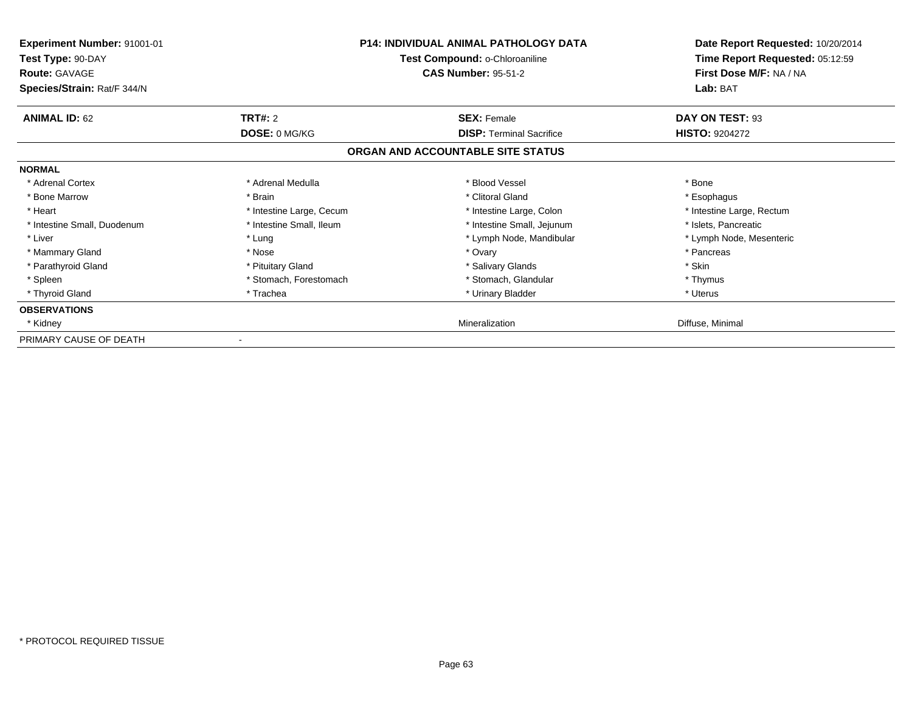| <b>Experiment Number: 91001-01</b><br>Test Type: 90-DAY<br><b>Route: GAVAGE</b><br>Species/Strain: Rat/F 344/N |                          | <b>P14: INDIVIDUAL ANIMAL PATHOLOGY DATA</b><br>Test Compound: o-Chloroaniline<br><b>CAS Number: 95-51-2</b> | Date Report Requested: 10/20/2014<br>Time Report Requested: 05:12:59<br>First Dose M/F: NA / NA<br>Lab: BAT |
|----------------------------------------------------------------------------------------------------------------|--------------------------|--------------------------------------------------------------------------------------------------------------|-------------------------------------------------------------------------------------------------------------|
| <b>ANIMAL ID: 62</b>                                                                                           | <b>TRT#: 2</b>           | <b>SEX: Female</b>                                                                                           | DAY ON TEST: 93                                                                                             |
|                                                                                                                | DOSE: 0 MG/KG            | <b>DISP: Terminal Sacrifice</b>                                                                              | <b>HISTO: 9204272</b>                                                                                       |
|                                                                                                                |                          | ORGAN AND ACCOUNTABLE SITE STATUS                                                                            |                                                                                                             |
| <b>NORMAL</b>                                                                                                  |                          |                                                                                                              |                                                                                                             |
| * Adrenal Cortex                                                                                               | * Adrenal Medulla        | * Blood Vessel                                                                                               | * Bone                                                                                                      |
| * Bone Marrow                                                                                                  | * Brain                  | * Clitoral Gland                                                                                             | * Esophagus                                                                                                 |
| * Heart                                                                                                        | * Intestine Large, Cecum | * Intestine Large, Colon                                                                                     | * Intestine Large, Rectum                                                                                   |
| * Intestine Small, Duodenum                                                                                    | * Intestine Small, Ileum | * Intestine Small, Jejunum                                                                                   | * Islets, Pancreatic                                                                                        |
| * Liver                                                                                                        | * Lung                   | * Lymph Node, Mandibular                                                                                     | * Lymph Node, Mesenteric                                                                                    |
| * Mammary Gland                                                                                                | * Nose                   | * Ovary                                                                                                      | * Pancreas                                                                                                  |
| * Parathyroid Gland                                                                                            | * Pituitary Gland        | * Salivary Glands                                                                                            | * Skin                                                                                                      |
| * Spleen                                                                                                       | * Stomach, Forestomach   | * Stomach, Glandular                                                                                         | * Thymus                                                                                                    |
| * Thyroid Gland                                                                                                | * Trachea                | * Urinary Bladder                                                                                            | * Uterus                                                                                                    |
| <b>OBSERVATIONS</b>                                                                                            |                          |                                                                                                              |                                                                                                             |
| * Kidney                                                                                                       |                          | Mineralization                                                                                               | Diffuse, Minimal                                                                                            |
| PRIMARY CAUSE OF DEATH                                                                                         |                          |                                                                                                              |                                                                                                             |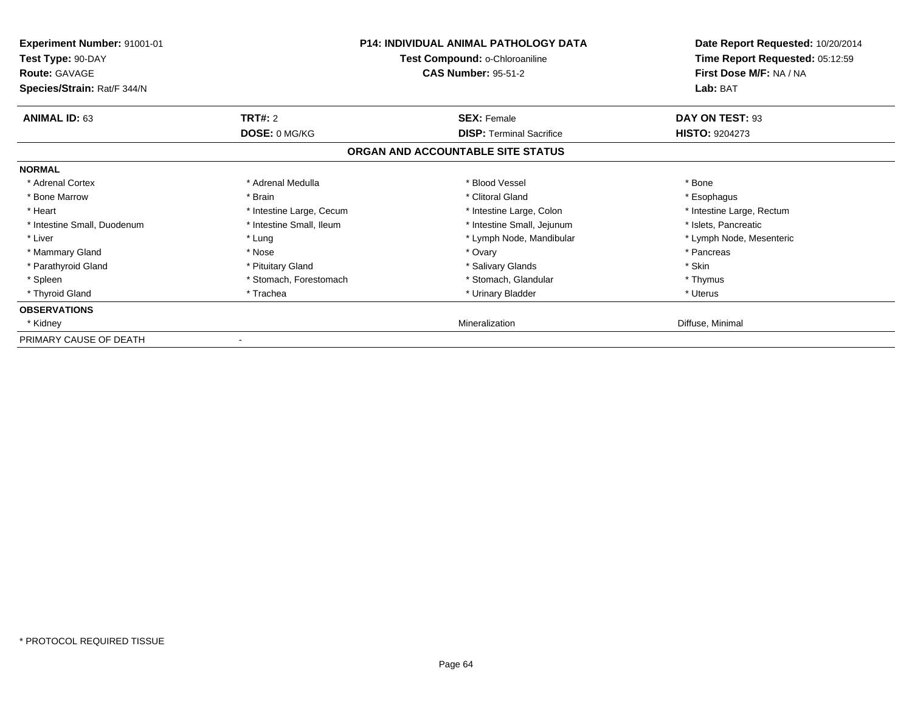| <b>Experiment Number: 91001-01</b><br>Test Type: 90-DAY<br><b>Route: GAVAGE</b><br>Species/Strain: Rat/F 344/N |                          | <b>P14: INDIVIDUAL ANIMAL PATHOLOGY DATA</b><br>Test Compound: o-Chloroaniline<br><b>CAS Number: 95-51-2</b> | Date Report Requested: 10/20/2014<br>Time Report Requested: 05:12:59<br>First Dose M/F: NA / NA<br>Lab: BAT |
|----------------------------------------------------------------------------------------------------------------|--------------------------|--------------------------------------------------------------------------------------------------------------|-------------------------------------------------------------------------------------------------------------|
| <b>ANIMAL ID: 63</b>                                                                                           | <b>TRT#: 2</b>           | <b>SEX: Female</b>                                                                                           | DAY ON TEST: 93                                                                                             |
|                                                                                                                | DOSE: 0 MG/KG            | <b>DISP:</b> Terminal Sacrifice                                                                              | <b>HISTO: 9204273</b>                                                                                       |
|                                                                                                                |                          | ORGAN AND ACCOUNTABLE SITE STATUS                                                                            |                                                                                                             |
| <b>NORMAL</b>                                                                                                  |                          |                                                                                                              |                                                                                                             |
| * Adrenal Cortex                                                                                               | * Adrenal Medulla        | * Blood Vessel                                                                                               | * Bone                                                                                                      |
| * Bone Marrow                                                                                                  | * Brain                  | * Clitoral Gland                                                                                             | * Esophagus                                                                                                 |
| * Heart                                                                                                        | * Intestine Large, Cecum | * Intestine Large, Colon                                                                                     | * Intestine Large, Rectum                                                                                   |
| * Intestine Small, Duodenum                                                                                    | * Intestine Small, Ileum | * Intestine Small, Jejunum                                                                                   | * Islets, Pancreatic                                                                                        |
| * Liver                                                                                                        | * Lung                   | * Lymph Node, Mandibular                                                                                     | * Lymph Node, Mesenteric                                                                                    |
| * Mammary Gland                                                                                                | * Nose                   | * Ovary                                                                                                      | * Pancreas                                                                                                  |
| * Parathyroid Gland                                                                                            | * Pituitary Gland        | * Salivary Glands                                                                                            | * Skin                                                                                                      |
| * Spleen                                                                                                       | * Stomach, Forestomach   | * Stomach, Glandular                                                                                         | * Thymus                                                                                                    |
| * Thyroid Gland                                                                                                | * Trachea                | * Urinary Bladder                                                                                            | * Uterus                                                                                                    |
| <b>OBSERVATIONS</b>                                                                                            |                          |                                                                                                              |                                                                                                             |
| * Kidney                                                                                                       |                          | Mineralization                                                                                               | Diffuse, Minimal                                                                                            |
| PRIMARY CAUSE OF DEATH                                                                                         |                          |                                                                                                              |                                                                                                             |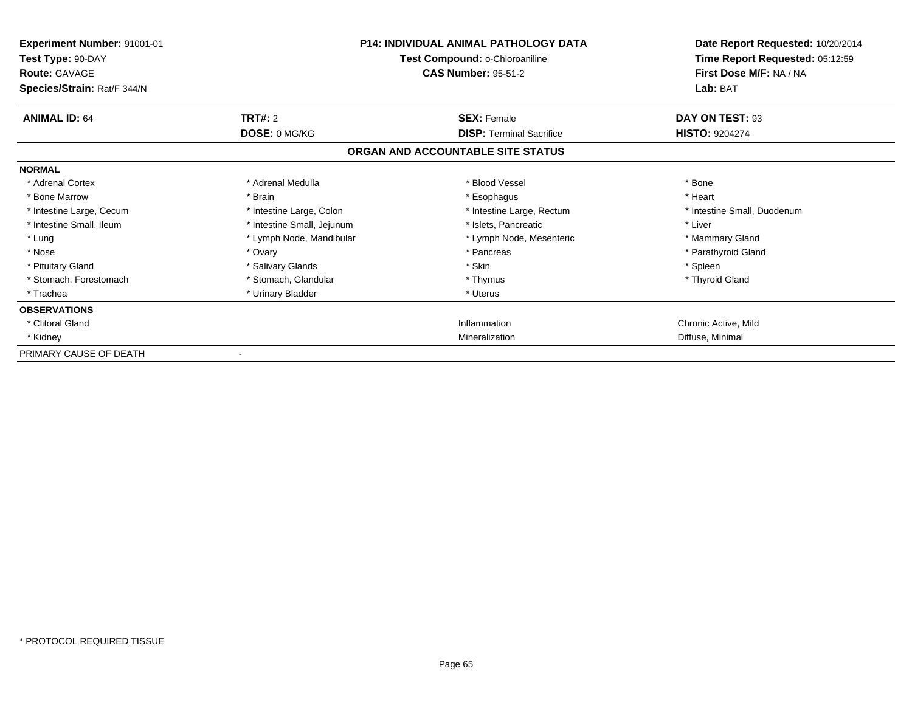| Experiment Number: 91001-01<br>Test Type: 90-DAY<br><b>Route: GAVAGE</b><br>Species/Strain: Rat/F 344/N | <b>P14: INDIVIDUAL ANIMAL PATHOLOGY DATA</b><br>Test Compound: o-Chloroaniline<br><b>CAS Number: 95-51-2</b> |                                   | Date Report Requested: 10/20/2014<br>Time Report Requested: 05:12:59<br>First Dose M/F: NA / NA<br>Lab: BAT |
|---------------------------------------------------------------------------------------------------------|--------------------------------------------------------------------------------------------------------------|-----------------------------------|-------------------------------------------------------------------------------------------------------------|
| <b>ANIMAL ID: 64</b>                                                                                    | TRT#: 2                                                                                                      | <b>SEX: Female</b>                | DAY ON TEST: 93                                                                                             |
|                                                                                                         | DOSE: 0 MG/KG                                                                                                | <b>DISP: Terminal Sacrifice</b>   | <b>HISTO: 9204274</b>                                                                                       |
|                                                                                                         |                                                                                                              | ORGAN AND ACCOUNTABLE SITE STATUS |                                                                                                             |
| <b>NORMAL</b>                                                                                           |                                                                                                              |                                   |                                                                                                             |
| * Adrenal Cortex                                                                                        | * Adrenal Medulla                                                                                            | * Blood Vessel                    | * Bone                                                                                                      |
| * Bone Marrow                                                                                           | * Brain                                                                                                      | * Esophagus                       | * Heart                                                                                                     |
| * Intestine Large, Cecum                                                                                | * Intestine Large, Colon                                                                                     | * Intestine Large, Rectum         | * Intestine Small, Duodenum                                                                                 |
| * Intestine Small, Ileum                                                                                | * Intestine Small, Jejunum                                                                                   | * Islets, Pancreatic              | * Liver                                                                                                     |
| * Lung                                                                                                  | * Lymph Node, Mandibular                                                                                     | * Lymph Node, Mesenteric          | * Mammary Gland                                                                                             |
| * Nose                                                                                                  | * Ovary                                                                                                      | * Pancreas                        | * Parathyroid Gland                                                                                         |
| * Pituitary Gland                                                                                       | * Salivary Glands                                                                                            | * Skin                            | * Spleen                                                                                                    |
| * Stomach, Forestomach                                                                                  | * Stomach, Glandular                                                                                         | * Thymus                          | * Thyroid Gland                                                                                             |
| * Trachea                                                                                               | * Urinary Bladder                                                                                            | * Uterus                          |                                                                                                             |
| <b>OBSERVATIONS</b>                                                                                     |                                                                                                              |                                   |                                                                                                             |
| * Clitoral Gland                                                                                        |                                                                                                              | Inflammation                      | Chronic Active, Mild                                                                                        |
| * Kidney                                                                                                |                                                                                                              | Mineralization                    | Diffuse, Minimal                                                                                            |
| PRIMARY CAUSE OF DEATH                                                                                  |                                                                                                              |                                   |                                                                                                             |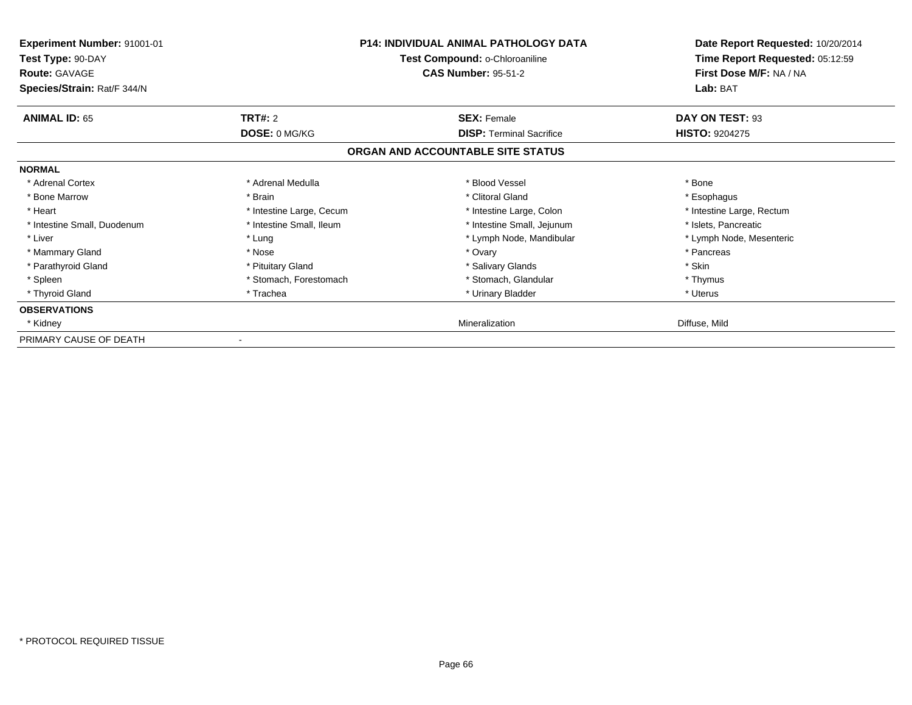| <b>Experiment Number: 91001-01</b><br>Test Type: 90-DAY<br><b>Route: GAVAGE</b><br>Species/Strain: Rat/F 344/N |                          | <b>P14: INDIVIDUAL ANIMAL PATHOLOGY DATA</b><br>Test Compound: o-Chloroaniline<br><b>CAS Number: 95-51-2</b> | Date Report Requested: 10/20/2014<br>Time Report Requested: 05:12:59<br>First Dose M/F: NA / NA<br>Lab: BAT |
|----------------------------------------------------------------------------------------------------------------|--------------------------|--------------------------------------------------------------------------------------------------------------|-------------------------------------------------------------------------------------------------------------|
| <b>ANIMAL ID: 65</b>                                                                                           | <b>TRT#: 2</b>           | <b>SEX: Female</b>                                                                                           | DAY ON TEST: 93                                                                                             |
|                                                                                                                | DOSE: 0 MG/KG            | <b>DISP: Terminal Sacrifice</b>                                                                              | <b>HISTO: 9204275</b>                                                                                       |
|                                                                                                                |                          | ORGAN AND ACCOUNTABLE SITE STATUS                                                                            |                                                                                                             |
| <b>NORMAL</b>                                                                                                  |                          |                                                                                                              |                                                                                                             |
| * Adrenal Cortex                                                                                               | * Adrenal Medulla        | * Blood Vessel                                                                                               | * Bone                                                                                                      |
| * Bone Marrow                                                                                                  | * Brain                  | * Clitoral Gland                                                                                             | * Esophagus                                                                                                 |
| * Heart                                                                                                        | * Intestine Large, Cecum | * Intestine Large, Colon                                                                                     | * Intestine Large, Rectum                                                                                   |
| * Intestine Small, Duodenum                                                                                    | * Intestine Small, Ileum | * Intestine Small, Jejunum                                                                                   | * Islets, Pancreatic                                                                                        |
| * Liver                                                                                                        | * Lung                   | * Lymph Node, Mandibular                                                                                     | * Lymph Node, Mesenteric                                                                                    |
| * Mammary Gland                                                                                                | * Nose                   | * Ovary                                                                                                      | * Pancreas                                                                                                  |
| * Parathyroid Gland                                                                                            | * Pituitary Gland        | * Salivary Glands                                                                                            | * Skin                                                                                                      |
| * Spleen                                                                                                       | * Stomach, Forestomach   | * Stomach, Glandular                                                                                         | * Thymus                                                                                                    |
| * Thyroid Gland                                                                                                | * Trachea                | * Urinary Bladder                                                                                            | * Uterus                                                                                                    |
| <b>OBSERVATIONS</b>                                                                                            |                          |                                                                                                              |                                                                                                             |
| * Kidney                                                                                                       |                          | Mineralization                                                                                               | Diffuse, Mild                                                                                               |
| PRIMARY CAUSE OF DEATH                                                                                         |                          |                                                                                                              |                                                                                                             |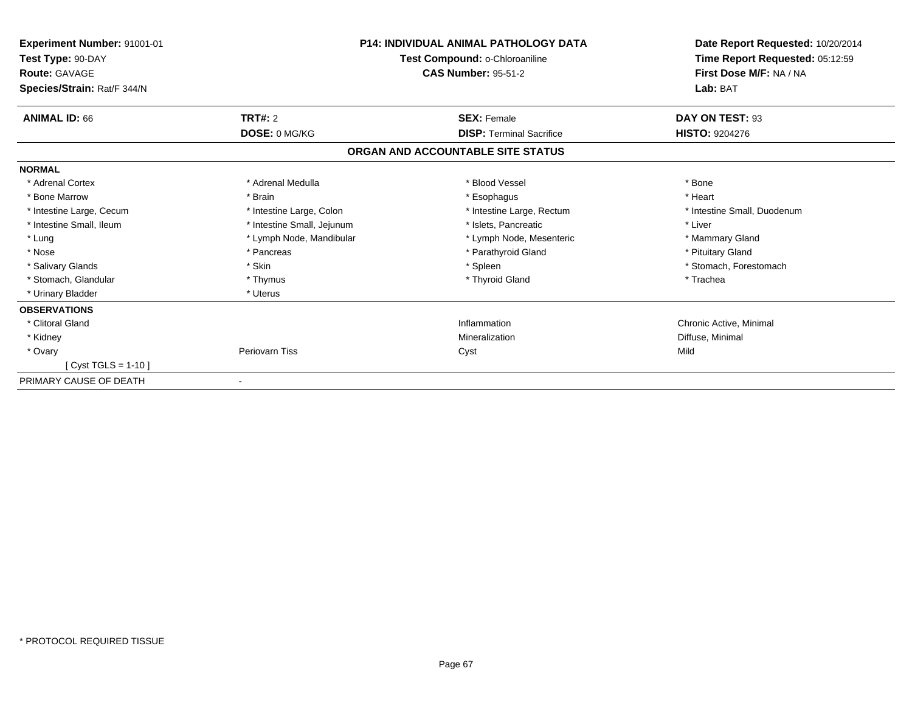| Experiment Number: 91001-01<br>Test Type: 90-DAY<br><b>Route: GAVAGE</b><br>Species/Strain: Rat/F 344/N |                            | <b>P14: INDIVIDUAL ANIMAL PATHOLOGY DATA</b><br>Test Compound: o-Chloroaniline<br><b>CAS Number: 95-51-2</b> | Date Report Requested: 10/20/2014<br>Time Report Requested: 05:12:59<br>First Dose M/F: NA / NA<br>Lab: BAT |
|---------------------------------------------------------------------------------------------------------|----------------------------|--------------------------------------------------------------------------------------------------------------|-------------------------------------------------------------------------------------------------------------|
| <b>ANIMAL ID: 66</b>                                                                                    | <b>TRT#: 2</b>             | <b>SEX: Female</b>                                                                                           | DAY ON TEST: 93                                                                                             |
|                                                                                                         | DOSE: 0 MG/KG              | <b>DISP: Terminal Sacrifice</b>                                                                              | <b>HISTO: 9204276</b>                                                                                       |
|                                                                                                         |                            | ORGAN AND ACCOUNTABLE SITE STATUS                                                                            |                                                                                                             |
| <b>NORMAL</b>                                                                                           |                            |                                                                                                              |                                                                                                             |
| * Adrenal Cortex                                                                                        | * Adrenal Medulla          | * Blood Vessel                                                                                               | * Bone                                                                                                      |
| * Bone Marrow                                                                                           | * Brain                    | * Esophagus                                                                                                  | * Heart                                                                                                     |
| * Intestine Large, Cecum                                                                                | * Intestine Large, Colon   | * Intestine Large, Rectum                                                                                    | * Intestine Small, Duodenum                                                                                 |
| * Intestine Small, Ileum                                                                                | * Intestine Small, Jejunum | * Islets. Pancreatic                                                                                         | * Liver                                                                                                     |
| * Lung                                                                                                  | * Lymph Node, Mandibular   | * Lymph Node, Mesenteric                                                                                     | * Mammary Gland                                                                                             |
| * Nose                                                                                                  | * Pancreas                 | * Parathyroid Gland                                                                                          | * Pituitary Gland                                                                                           |
| * Salivary Glands                                                                                       | * Skin                     | * Spleen                                                                                                     | * Stomach, Forestomach                                                                                      |
| * Stomach, Glandular                                                                                    | * Thymus                   | * Thyroid Gland                                                                                              | * Trachea                                                                                                   |
| * Urinary Bladder                                                                                       | * Uterus                   |                                                                                                              |                                                                                                             |
| <b>OBSERVATIONS</b>                                                                                     |                            |                                                                                                              |                                                                                                             |
| * Clitoral Gland                                                                                        |                            | Inflammation                                                                                                 | Chronic Active, Minimal                                                                                     |
| * Kidney                                                                                                |                            | Mineralization                                                                                               | Diffuse, Minimal                                                                                            |
| * Ovary                                                                                                 | Periovarn Tiss             | Cyst                                                                                                         | Mild                                                                                                        |
| [ $Cyst TGLS = 1-10$ ]                                                                                  |                            |                                                                                                              |                                                                                                             |
| PRIMARY CAUSE OF DEATH                                                                                  |                            |                                                                                                              |                                                                                                             |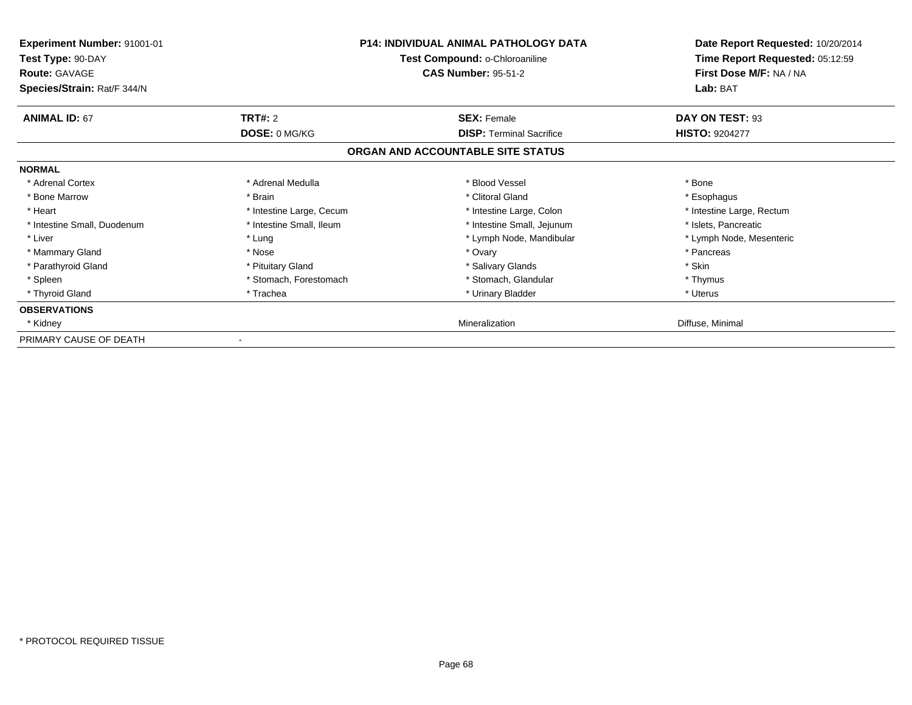| <b>Experiment Number: 91001-01</b><br>Test Type: 90-DAY<br><b>Route: GAVAGE</b><br>Species/Strain: Rat/F 344/N |                          | <b>P14: INDIVIDUAL ANIMAL PATHOLOGY DATA</b><br>Test Compound: o-Chloroaniline<br><b>CAS Number: 95-51-2</b> | Date Report Requested: 10/20/2014<br>Time Report Requested: 05:12:59<br>First Dose M/F: NA / NA<br>Lab: BAT |
|----------------------------------------------------------------------------------------------------------------|--------------------------|--------------------------------------------------------------------------------------------------------------|-------------------------------------------------------------------------------------------------------------|
| <b>ANIMAL ID: 67</b>                                                                                           | <b>TRT#: 2</b>           | <b>SEX: Female</b>                                                                                           | DAY ON TEST: 93                                                                                             |
|                                                                                                                | DOSE: 0 MG/KG            | <b>DISP: Terminal Sacrifice</b>                                                                              | <b>HISTO: 9204277</b>                                                                                       |
|                                                                                                                |                          | ORGAN AND ACCOUNTABLE SITE STATUS                                                                            |                                                                                                             |
| <b>NORMAL</b>                                                                                                  |                          |                                                                                                              |                                                                                                             |
| * Adrenal Cortex                                                                                               | * Adrenal Medulla        | * Blood Vessel                                                                                               | * Bone                                                                                                      |
| * Bone Marrow                                                                                                  | * Brain                  | * Clitoral Gland                                                                                             | * Esophagus                                                                                                 |
| * Heart                                                                                                        | * Intestine Large, Cecum | * Intestine Large, Colon                                                                                     | * Intestine Large, Rectum                                                                                   |
| * Intestine Small, Duodenum                                                                                    | * Intestine Small, Ileum | * Intestine Small, Jejunum                                                                                   | * Islets, Pancreatic                                                                                        |
| * Liver                                                                                                        | * Lung                   | * Lymph Node, Mandibular                                                                                     | * Lymph Node, Mesenteric                                                                                    |
| * Mammary Gland                                                                                                | * Nose                   | * Ovary                                                                                                      | * Pancreas                                                                                                  |
| * Parathyroid Gland                                                                                            | * Pituitary Gland        | * Salivary Glands                                                                                            | * Skin                                                                                                      |
| * Spleen                                                                                                       | * Stomach, Forestomach   | * Stomach, Glandular                                                                                         | * Thymus                                                                                                    |
| * Thyroid Gland                                                                                                | * Trachea                | * Urinary Bladder                                                                                            | * Uterus                                                                                                    |
| <b>OBSERVATIONS</b>                                                                                            |                          |                                                                                                              |                                                                                                             |
| * Kidney                                                                                                       |                          | Mineralization                                                                                               | Diffuse, Minimal                                                                                            |
| PRIMARY CAUSE OF DEATH                                                                                         |                          |                                                                                                              |                                                                                                             |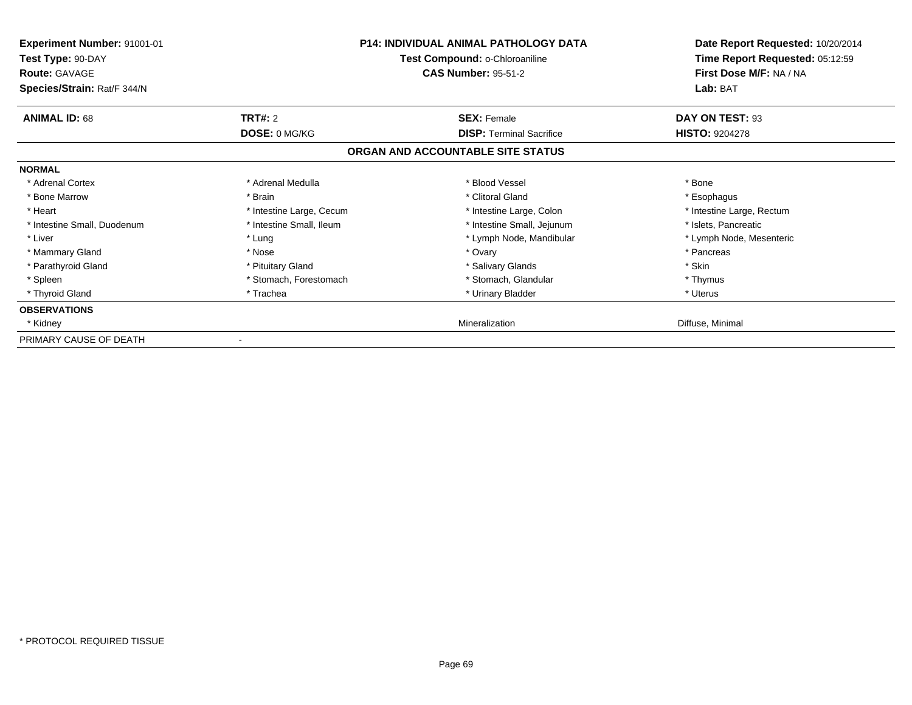| <b>Experiment Number: 91001-01</b><br>Test Type: 90-DAY<br><b>Route: GAVAGE</b><br>Species/Strain: Rat/F 344/N |                          | <b>P14: INDIVIDUAL ANIMAL PATHOLOGY DATA</b><br>Test Compound: o-Chloroaniline<br><b>CAS Number: 95-51-2</b> | Date Report Requested: 10/20/2014<br>Time Report Requested: 05:12:59<br>First Dose M/F: NA / NA<br>Lab: BAT |
|----------------------------------------------------------------------------------------------------------------|--------------------------|--------------------------------------------------------------------------------------------------------------|-------------------------------------------------------------------------------------------------------------|
| <b>ANIMAL ID: 68</b>                                                                                           | <b>TRT#: 2</b>           | <b>SEX: Female</b>                                                                                           | DAY ON TEST: 93                                                                                             |
|                                                                                                                | DOSE: 0 MG/KG            | <b>DISP: Terminal Sacrifice</b>                                                                              | <b>HISTO: 9204278</b>                                                                                       |
|                                                                                                                |                          | ORGAN AND ACCOUNTABLE SITE STATUS                                                                            |                                                                                                             |
| <b>NORMAL</b>                                                                                                  |                          |                                                                                                              |                                                                                                             |
| * Adrenal Cortex                                                                                               | * Adrenal Medulla        | * Blood Vessel                                                                                               | * Bone                                                                                                      |
| * Bone Marrow                                                                                                  | * Brain                  | * Clitoral Gland                                                                                             | * Esophagus                                                                                                 |
| * Heart                                                                                                        | * Intestine Large, Cecum | * Intestine Large, Colon                                                                                     | * Intestine Large, Rectum                                                                                   |
| * Intestine Small, Duodenum                                                                                    | * Intestine Small, Ileum | * Intestine Small, Jejunum                                                                                   | * Islets, Pancreatic                                                                                        |
| * Liver                                                                                                        | * Lung                   | * Lymph Node, Mandibular                                                                                     | * Lymph Node, Mesenteric                                                                                    |
| * Mammary Gland                                                                                                | * Nose                   | * Ovary                                                                                                      | * Pancreas                                                                                                  |
| * Parathyroid Gland                                                                                            | * Pituitary Gland        | * Salivary Glands                                                                                            | * Skin                                                                                                      |
| * Spleen                                                                                                       | * Stomach, Forestomach   | * Stomach, Glandular                                                                                         | * Thymus                                                                                                    |
| * Thyroid Gland                                                                                                | * Trachea                | * Urinary Bladder                                                                                            | * Uterus                                                                                                    |
| <b>OBSERVATIONS</b>                                                                                            |                          |                                                                                                              |                                                                                                             |
| * Kidney                                                                                                       |                          | Mineralization                                                                                               | Diffuse, Minimal                                                                                            |
| PRIMARY CAUSE OF DEATH                                                                                         |                          |                                                                                                              |                                                                                                             |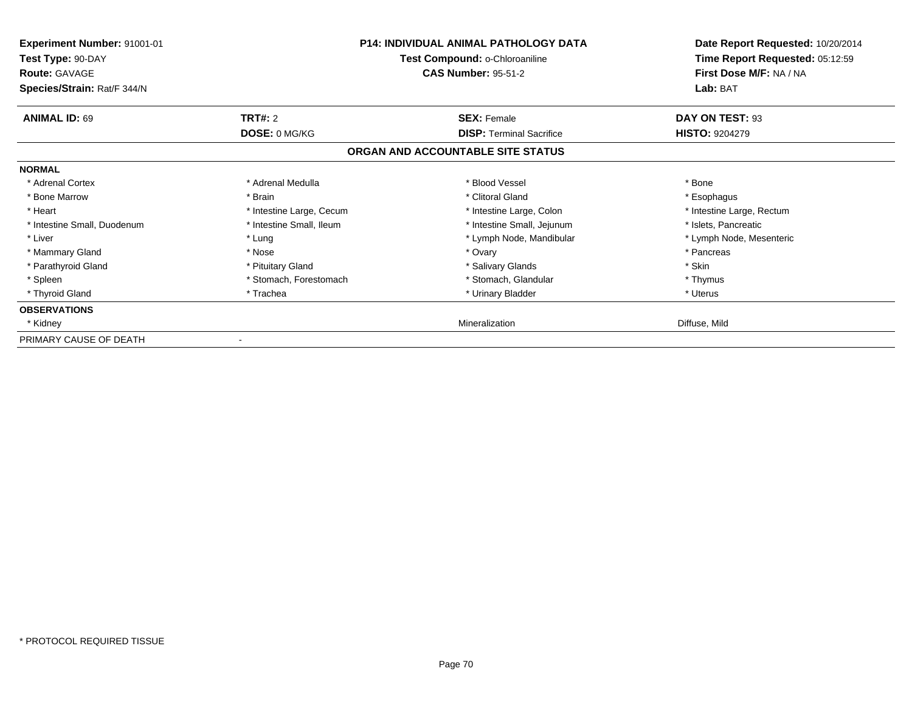| <b>Experiment Number: 91001-01</b><br>Test Type: 90-DAY<br><b>Route: GAVAGE</b><br>Species/Strain: Rat/F 344/N |                          | <b>P14: INDIVIDUAL ANIMAL PATHOLOGY DATA</b><br>Test Compound: o-Chloroaniline<br><b>CAS Number: 95-51-2</b> | Date Report Requested: 10/20/2014<br>Time Report Requested: 05:12:59<br>First Dose M/F: NA / NA<br>Lab: BAT |
|----------------------------------------------------------------------------------------------------------------|--------------------------|--------------------------------------------------------------------------------------------------------------|-------------------------------------------------------------------------------------------------------------|
| <b>ANIMAL ID: 69</b>                                                                                           | <b>TRT#: 2</b>           | <b>SEX: Female</b>                                                                                           | DAY ON TEST: 93                                                                                             |
|                                                                                                                | DOSE: 0 MG/KG            | <b>DISP: Terminal Sacrifice</b>                                                                              | <b>HISTO: 9204279</b>                                                                                       |
|                                                                                                                |                          | ORGAN AND ACCOUNTABLE SITE STATUS                                                                            |                                                                                                             |
| <b>NORMAL</b>                                                                                                  |                          |                                                                                                              |                                                                                                             |
| * Adrenal Cortex                                                                                               | * Adrenal Medulla        | * Blood Vessel                                                                                               | * Bone                                                                                                      |
| * Bone Marrow                                                                                                  | * Brain                  | * Clitoral Gland                                                                                             | * Esophagus                                                                                                 |
| * Heart                                                                                                        | * Intestine Large, Cecum | * Intestine Large, Colon                                                                                     | * Intestine Large, Rectum                                                                                   |
| * Intestine Small, Duodenum                                                                                    | * Intestine Small, Ileum | * Intestine Small, Jejunum                                                                                   | * Islets, Pancreatic                                                                                        |
| * Liver                                                                                                        | * Lung                   | * Lymph Node, Mandibular                                                                                     | * Lymph Node, Mesenteric                                                                                    |
| * Mammary Gland                                                                                                | * Nose                   | * Ovary                                                                                                      | * Pancreas                                                                                                  |
| * Parathyroid Gland                                                                                            | * Pituitary Gland        | * Salivary Glands                                                                                            | * Skin                                                                                                      |
| * Spleen                                                                                                       | * Stomach, Forestomach   | * Stomach, Glandular                                                                                         | * Thymus                                                                                                    |
| * Thyroid Gland                                                                                                | * Trachea                | * Urinary Bladder                                                                                            | * Uterus                                                                                                    |
| <b>OBSERVATIONS</b>                                                                                            |                          |                                                                                                              |                                                                                                             |
| * Kidney                                                                                                       |                          | Mineralization                                                                                               | Diffuse, Mild                                                                                               |
| PRIMARY CAUSE OF DEATH                                                                                         |                          |                                                                                                              |                                                                                                             |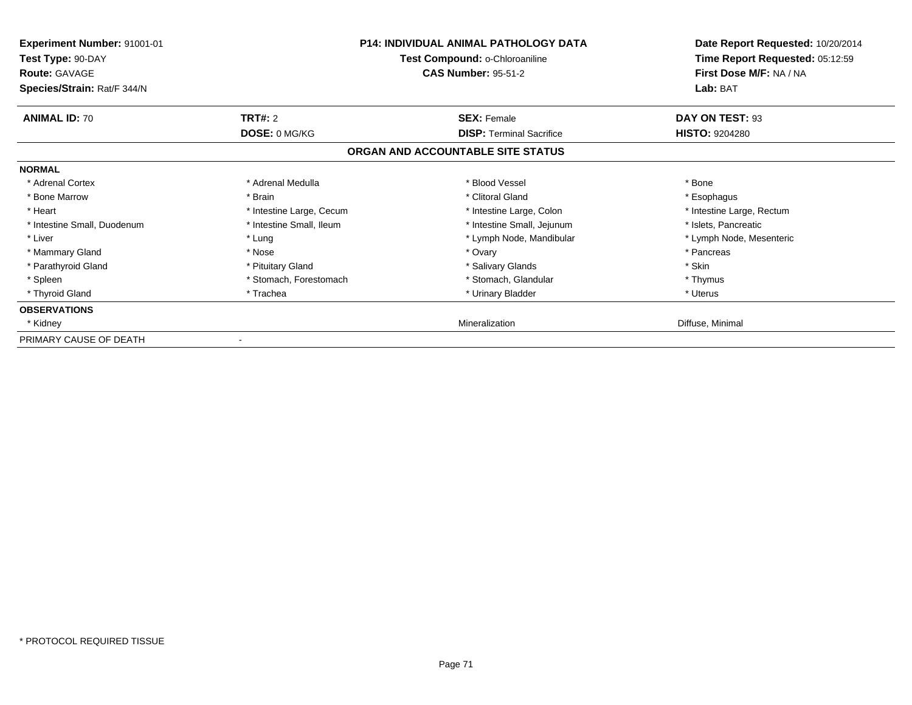| <b>Experiment Number: 91001-01</b><br>Test Type: 90-DAY<br><b>Route: GAVAGE</b><br>Species/Strain: Rat/F 344/N |                          | <b>P14: INDIVIDUAL ANIMAL PATHOLOGY DATA</b><br>Test Compound: o-Chloroaniline<br><b>CAS Number: 95-51-2</b> | Date Report Requested: 10/20/2014<br>Time Report Requested: 05:12:59<br>First Dose M/F: NA / NA<br>Lab: BAT |
|----------------------------------------------------------------------------------------------------------------|--------------------------|--------------------------------------------------------------------------------------------------------------|-------------------------------------------------------------------------------------------------------------|
| <b>ANIMAL ID: 70</b>                                                                                           | <b>TRT#: 2</b>           | <b>SEX: Female</b>                                                                                           | DAY ON TEST: 93                                                                                             |
|                                                                                                                | DOSE: 0 MG/KG            | <b>DISP: Terminal Sacrifice</b>                                                                              | <b>HISTO: 9204280</b>                                                                                       |
|                                                                                                                |                          | ORGAN AND ACCOUNTABLE SITE STATUS                                                                            |                                                                                                             |
| <b>NORMAL</b>                                                                                                  |                          |                                                                                                              |                                                                                                             |
| * Adrenal Cortex                                                                                               | * Adrenal Medulla        | * Blood Vessel                                                                                               | * Bone                                                                                                      |
| * Bone Marrow                                                                                                  | * Brain                  | * Clitoral Gland                                                                                             | * Esophagus                                                                                                 |
| * Heart                                                                                                        | * Intestine Large, Cecum | * Intestine Large, Colon                                                                                     | * Intestine Large, Rectum                                                                                   |
| * Intestine Small, Duodenum                                                                                    | * Intestine Small, Ileum | * Intestine Small, Jejunum                                                                                   | * Islets, Pancreatic                                                                                        |
| * Liver                                                                                                        | * Lung                   | * Lymph Node, Mandibular                                                                                     | * Lymph Node, Mesenteric                                                                                    |
| * Mammary Gland                                                                                                | * Nose                   | * Ovary                                                                                                      | * Pancreas                                                                                                  |
| * Parathyroid Gland                                                                                            | * Pituitary Gland        | * Salivary Glands                                                                                            | * Skin                                                                                                      |
| * Spleen                                                                                                       | * Stomach, Forestomach   | * Stomach, Glandular                                                                                         | * Thymus                                                                                                    |
| * Thyroid Gland                                                                                                | * Trachea                | * Urinary Bladder                                                                                            | * Uterus                                                                                                    |
| <b>OBSERVATIONS</b>                                                                                            |                          |                                                                                                              |                                                                                                             |
| * Kidney                                                                                                       |                          | Mineralization                                                                                               | Diffuse, Minimal                                                                                            |
| PRIMARY CAUSE OF DEATH                                                                                         |                          |                                                                                                              |                                                                                                             |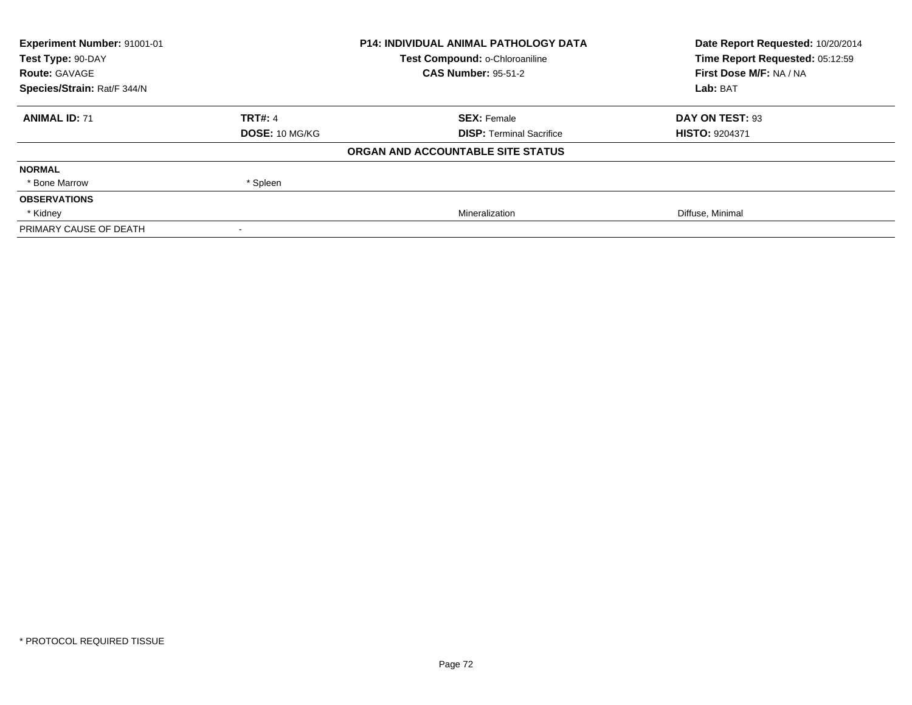| Experiment Number: 91001-01<br>Test Type: 90-DAY |                | <b>P14: INDIVIDUAL ANIMAL PATHOLOGY DATA</b> | Date Report Requested: 10/20/2014<br>Time Report Requested: 05:12:59 |
|--------------------------------------------------|----------------|----------------------------------------------|----------------------------------------------------------------------|
|                                                  |                | Test Compound: o-Chloroaniline               |                                                                      |
| <b>Route: GAVAGE</b>                             |                | <b>CAS Number: 95-51-2</b>                   | First Dose M/F: NA / NA                                              |
| Species/Strain: Rat/F 344/N                      |                |                                              | Lab: BAT                                                             |
| <b>ANIMAL ID: 71</b>                             | <b>TRT#: 4</b> | <b>SEX: Female</b>                           | DAY ON TEST: 93                                                      |
|                                                  | DOSE: 10 MG/KG | <b>DISP: Terminal Sacrifice</b>              | <b>HISTO: 9204371</b>                                                |
|                                                  |                | ORGAN AND ACCOUNTABLE SITE STATUS            |                                                                      |
| <b>NORMAL</b>                                    |                |                                              |                                                                      |
| * Bone Marrow                                    | * Spleen       |                                              |                                                                      |
| <b>OBSERVATIONS</b>                              |                |                                              |                                                                      |
| * Kidney                                         |                | Mineralization                               | Diffuse, Minimal                                                     |
| PRIMARY CAUSE OF DEATH                           |                |                                              |                                                                      |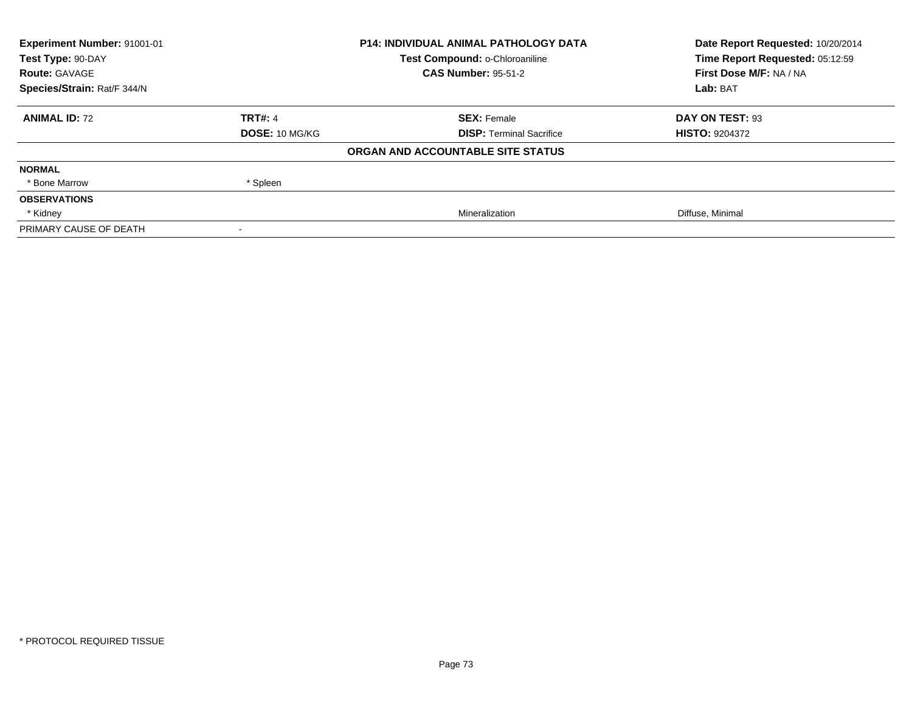| Experiment Number: 91001-01 | <b>P14: INDIVIDUAL ANIMAL PATHOLOGY DATA</b> |                                   | Date Report Requested: 10/20/2014 |
|-----------------------------|----------------------------------------------|-----------------------------------|-----------------------------------|
| Test Type: 90-DAY           |                                              | Test Compound: o-Chloroaniline    | Time Report Requested: 05:12:59   |
| <b>Route: GAVAGE</b>        |                                              | <b>CAS Number: 95-51-2</b>        | First Dose M/F: NA / NA           |
| Species/Strain: Rat/F 344/N |                                              |                                   | Lab: BAT                          |
| <b>ANIMAL ID: 72</b>        | <b>TRT#: 4</b>                               | <b>SEX: Female</b>                | DAY ON TEST: 93                   |
|                             | <b>DOSE: 10 MG/KG</b>                        | <b>DISP: Terminal Sacrifice</b>   | <b>HISTO: 9204372</b>             |
|                             |                                              | ORGAN AND ACCOUNTABLE SITE STATUS |                                   |
| <b>NORMAL</b>               |                                              |                                   |                                   |
| * Bone Marrow               | * Spleen                                     |                                   |                                   |
| <b>OBSERVATIONS</b>         |                                              |                                   |                                   |
| * Kidney                    |                                              | Mineralization                    | Diffuse, Minimal                  |
| PRIMARY CAUSE OF DEATH      |                                              |                                   |                                   |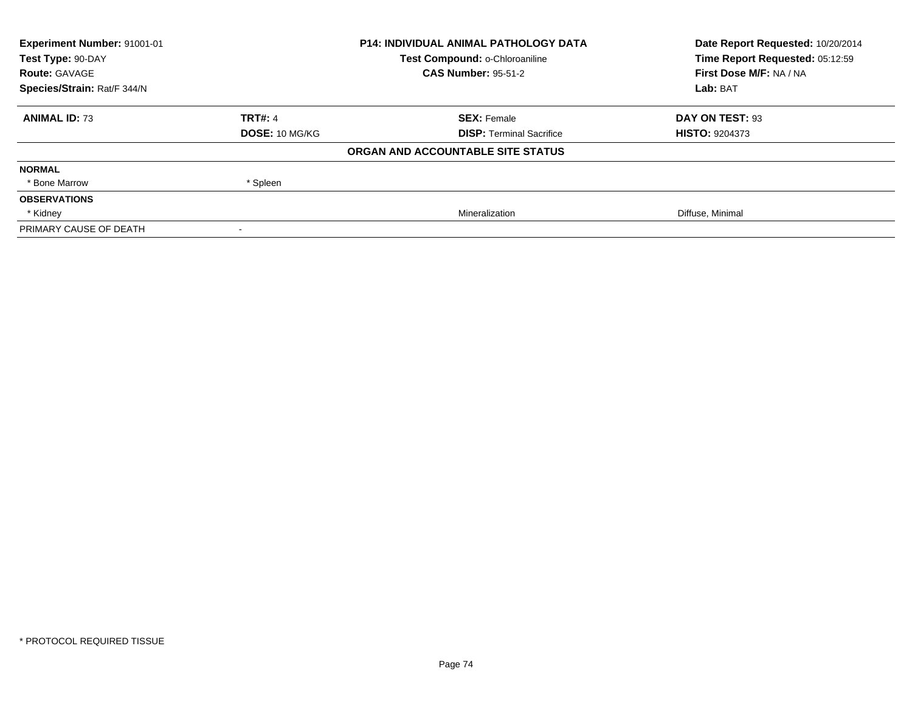| Experiment Number: 91001-01 | <b>P14: INDIVIDUAL ANIMAL PATHOLOGY DATA</b> |                                   | Date Report Requested: 10/20/2014 |  |
|-----------------------------|----------------------------------------------|-----------------------------------|-----------------------------------|--|
| Test Type: 90-DAY           |                                              | Test Compound: o-Chloroaniline    | Time Report Requested: 05:12:59   |  |
| <b>Route: GAVAGE</b>        |                                              | <b>CAS Number: 95-51-2</b>        | First Dose M/F: NA / NA           |  |
| Species/Strain: Rat/F 344/N |                                              |                                   | Lab: BAT                          |  |
| <b>ANIMAL ID: 73</b>        | <b>TRT#: 4</b>                               | <b>SEX: Female</b>                | DAY ON TEST: 93                   |  |
|                             | <b>DOSE: 10 MG/KG</b>                        | <b>DISP:</b> Terminal Sacrifice   | <b>HISTO: 9204373</b>             |  |
|                             |                                              | ORGAN AND ACCOUNTABLE SITE STATUS |                                   |  |
| <b>NORMAL</b>               |                                              |                                   |                                   |  |
| * Bone Marrow               | * Spleen                                     |                                   |                                   |  |
| <b>OBSERVATIONS</b>         |                                              |                                   |                                   |  |
| * Kidney                    |                                              | Mineralization                    | Diffuse, Minimal                  |  |
| PRIMARY CAUSE OF DEATH      |                                              |                                   |                                   |  |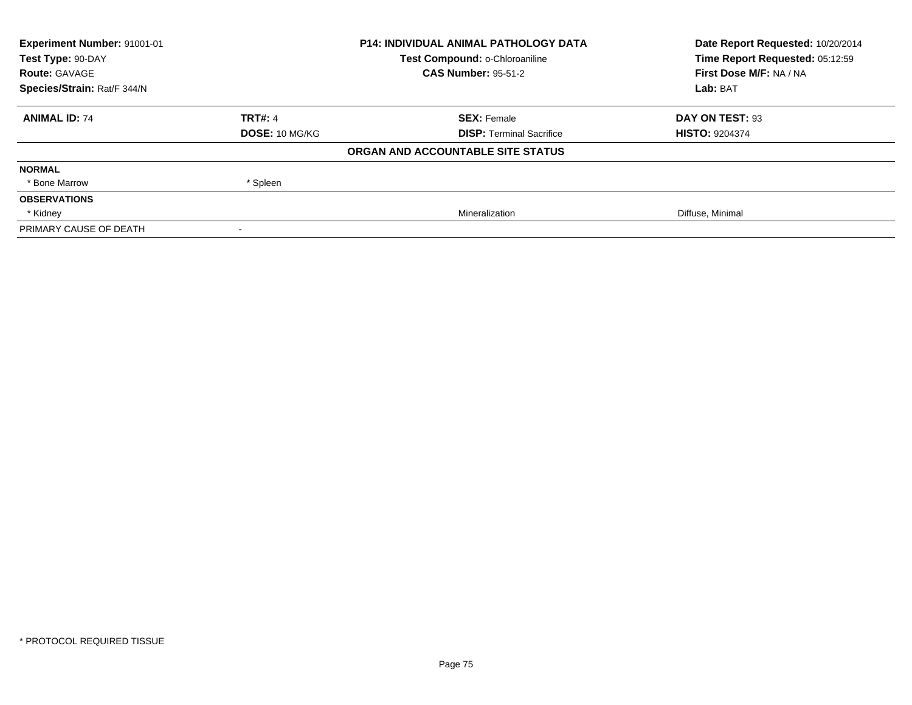| Experiment Number: 91001-01 | <b>P14: INDIVIDUAL ANIMAL PATHOLOGY DATA</b> |                                   | Date Report Requested: 10/20/2014 |  |
|-----------------------------|----------------------------------------------|-----------------------------------|-----------------------------------|--|
| Test Type: 90-DAY           |                                              | Test Compound: o-Chloroaniline    | Time Report Requested: 05:12:59   |  |
| <b>Route: GAVAGE</b>        |                                              | <b>CAS Number: 95-51-2</b>        | First Dose M/F: NA / NA           |  |
| Species/Strain: Rat/F 344/N |                                              |                                   | Lab: BAT                          |  |
| <b>ANIMAL ID: 74</b>        | <b>TRT#: 4</b>                               | <b>SEX: Female</b>                | DAY ON TEST: 93                   |  |
|                             | <b>DOSE: 10 MG/KG</b>                        | <b>DISP: Terminal Sacrifice</b>   | <b>HISTO: 9204374</b>             |  |
|                             |                                              | ORGAN AND ACCOUNTABLE SITE STATUS |                                   |  |
| <b>NORMAL</b>               |                                              |                                   |                                   |  |
| * Bone Marrow               | * Spleen                                     |                                   |                                   |  |
| <b>OBSERVATIONS</b>         |                                              |                                   |                                   |  |
| * Kidney                    |                                              | Mineralization                    | Diffuse, Minimal                  |  |
| PRIMARY CAUSE OF DEATH      |                                              |                                   |                                   |  |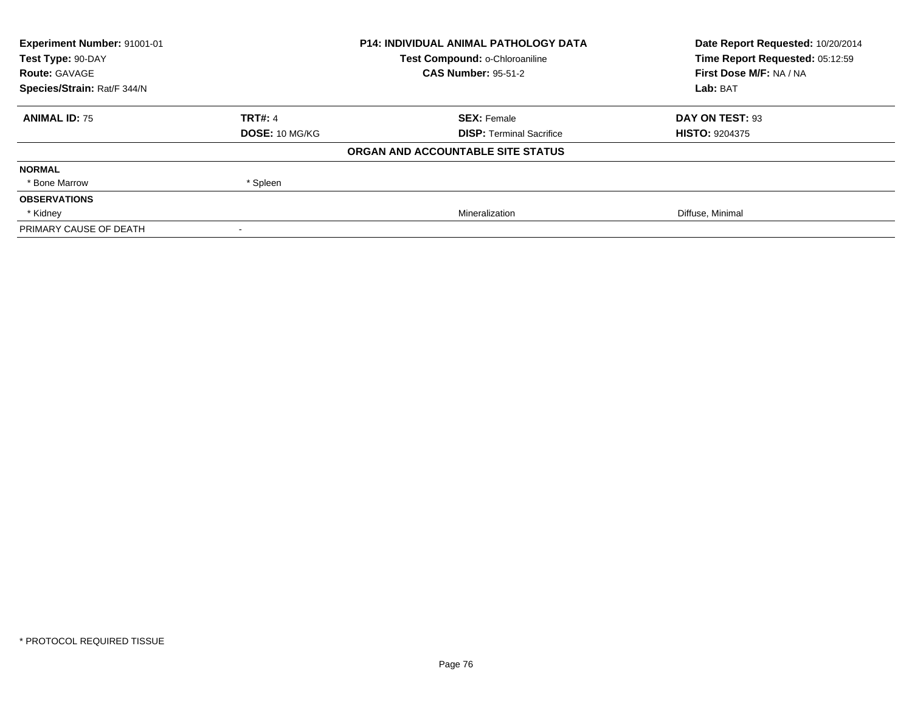| Experiment Number: 91001-01 | <b>P14: INDIVIDUAL ANIMAL PATHOLOGY DATA</b> |                                   | Date Report Requested: 10/20/2014 |  |
|-----------------------------|----------------------------------------------|-----------------------------------|-----------------------------------|--|
| Test Type: 90-DAY           |                                              | Test Compound: o-Chloroaniline    | Time Report Requested: 05:12:59   |  |
| <b>Route: GAVAGE</b>        |                                              | <b>CAS Number: 95-51-2</b>        | First Dose M/F: NA / NA           |  |
| Species/Strain: Rat/F 344/N |                                              |                                   | Lab: BAT                          |  |
| <b>ANIMAL ID: 75</b>        | <b>TRT#: 4</b>                               | <b>SEX: Female</b>                | DAY ON TEST: 93                   |  |
|                             | <b>DOSE: 10 MG/KG</b>                        | <b>DISP: Terminal Sacrifice</b>   | <b>HISTO: 9204375</b>             |  |
|                             |                                              | ORGAN AND ACCOUNTABLE SITE STATUS |                                   |  |
| <b>NORMAL</b>               |                                              |                                   |                                   |  |
| * Bone Marrow               | * Spleen                                     |                                   |                                   |  |
| <b>OBSERVATIONS</b>         |                                              |                                   |                                   |  |
| * Kidney                    |                                              | Mineralization                    | Diffuse, Minimal                  |  |
| PRIMARY CAUSE OF DEATH      |                                              |                                   |                                   |  |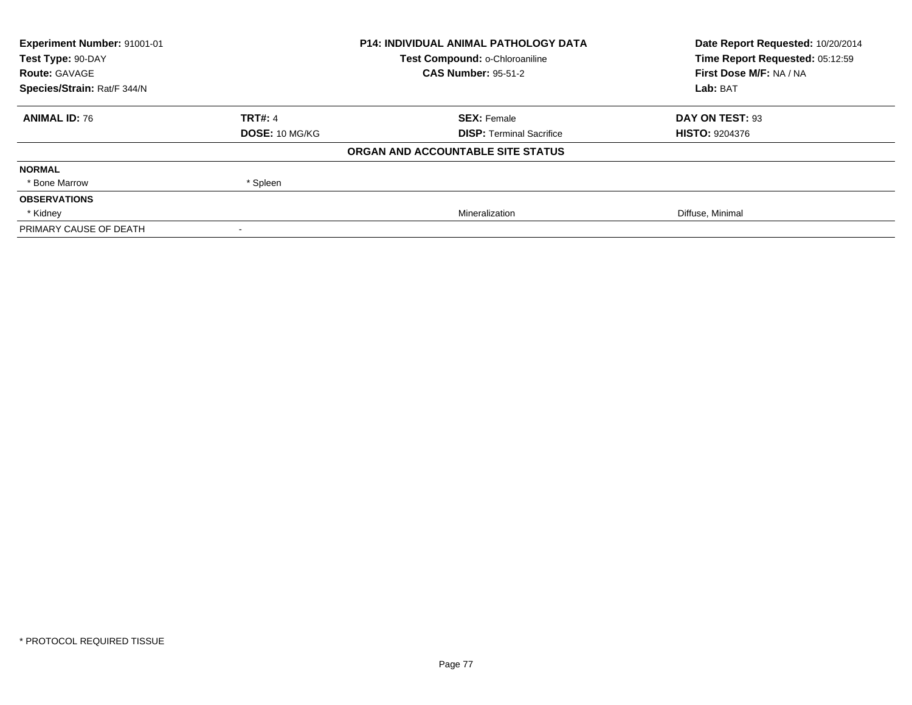| Experiment Number: 91001-01 | <b>P14: INDIVIDUAL ANIMAL PATHOLOGY DATA</b> |                                   | Date Report Requested: 10/20/2014 |
|-----------------------------|----------------------------------------------|-----------------------------------|-----------------------------------|
| Test Type: 90-DAY           |                                              | Test Compound: o-Chloroaniline    | Time Report Requested: 05:12:59   |
| <b>Route: GAVAGE</b>        |                                              | <b>CAS Number: 95-51-2</b>        | First Dose M/F: NA / NA           |
| Species/Strain: Rat/F 344/N |                                              |                                   | Lab: BAT                          |
| <b>ANIMAL ID: 76</b>        | <b>TRT#: 4</b>                               | <b>SEX: Female</b>                | DAY ON TEST: 93                   |
|                             | <b>DOSE: 10 MG/KG</b>                        | <b>DISP: Terminal Sacrifice</b>   | <b>HISTO: 9204376</b>             |
|                             |                                              | ORGAN AND ACCOUNTABLE SITE STATUS |                                   |
| <b>NORMAL</b>               |                                              |                                   |                                   |
| * Bone Marrow               | * Spleen                                     |                                   |                                   |
| <b>OBSERVATIONS</b>         |                                              |                                   |                                   |
| * Kidney                    |                                              | Mineralization                    | Diffuse, Minimal                  |
| PRIMARY CAUSE OF DEATH      |                                              |                                   |                                   |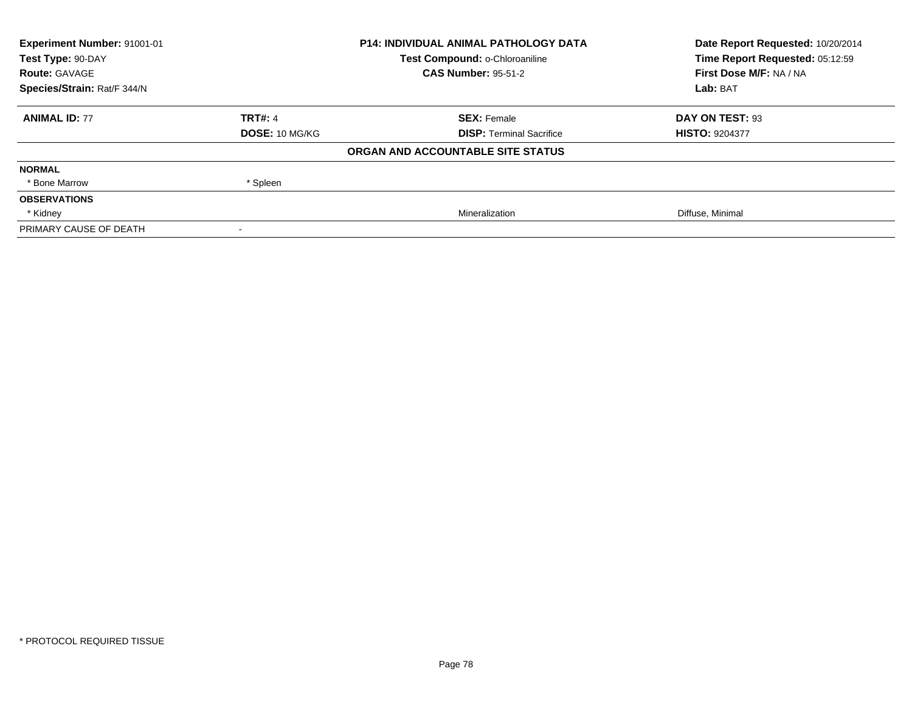| Experiment Number: 91001-01 | <b>P14: INDIVIDUAL ANIMAL PATHOLOGY DATA</b> |                                   | Date Report Requested: 10/20/2014 |
|-----------------------------|----------------------------------------------|-----------------------------------|-----------------------------------|
| Test Type: 90-DAY           |                                              | Test Compound: o-Chloroaniline    | Time Report Requested: 05:12:59   |
| <b>Route: GAVAGE</b>        |                                              | <b>CAS Number: 95-51-2</b>        | First Dose M/F: NA / NA           |
| Species/Strain: Rat/F 344/N |                                              |                                   | Lab: BAT                          |
| <b>ANIMAL ID: 77</b>        | <b>TRT#: 4</b>                               | <b>SEX: Female</b>                | DAY ON TEST: 93                   |
|                             | <b>DOSE: 10 MG/KG</b>                        | <b>DISP: Terminal Sacrifice</b>   | <b>HISTO: 9204377</b>             |
|                             |                                              | ORGAN AND ACCOUNTABLE SITE STATUS |                                   |
| <b>NORMAL</b>               |                                              |                                   |                                   |
| * Bone Marrow               | * Spleen                                     |                                   |                                   |
| <b>OBSERVATIONS</b>         |                                              |                                   |                                   |
| * Kidney                    |                                              | Mineralization                    | Diffuse, Minimal                  |
| PRIMARY CAUSE OF DEATH      |                                              |                                   |                                   |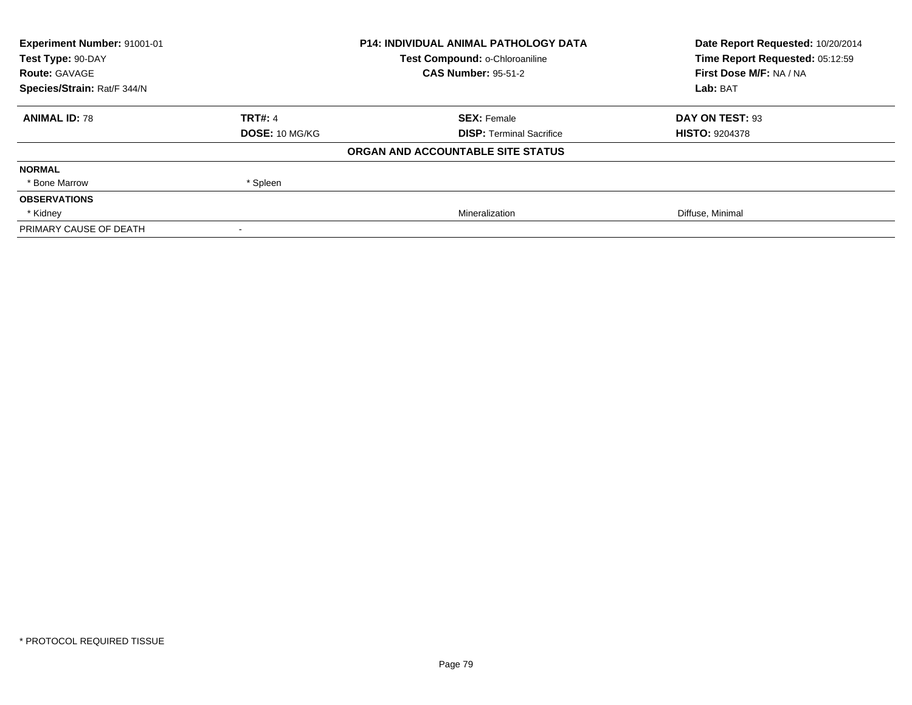| Experiment Number: 91001-01 | <b>P14: INDIVIDUAL ANIMAL PATHOLOGY DATA</b> |                                   | Date Report Requested: 10/20/2014 |
|-----------------------------|----------------------------------------------|-----------------------------------|-----------------------------------|
| Test Type: 90-DAY           |                                              | Test Compound: o-Chloroaniline    | Time Report Requested: 05:12:59   |
| <b>Route: GAVAGE</b>        |                                              | <b>CAS Number: 95-51-2</b>        | First Dose M/F: NA / NA           |
| Species/Strain: Rat/F 344/N |                                              |                                   | Lab: BAT                          |
| <b>ANIMAL ID: 78</b>        | <b>TRT#: 4</b>                               | <b>SEX: Female</b>                | DAY ON TEST: 93                   |
|                             | <b>DOSE: 10 MG/KG</b>                        | <b>DISP: Terminal Sacrifice</b>   | <b>HISTO: 9204378</b>             |
|                             |                                              | ORGAN AND ACCOUNTABLE SITE STATUS |                                   |
| <b>NORMAL</b>               |                                              |                                   |                                   |
| * Bone Marrow               | * Spleen                                     |                                   |                                   |
| <b>OBSERVATIONS</b>         |                                              |                                   |                                   |
| * Kidney                    |                                              | Mineralization                    | Diffuse, Minimal                  |
| PRIMARY CAUSE OF DEATH      |                                              |                                   |                                   |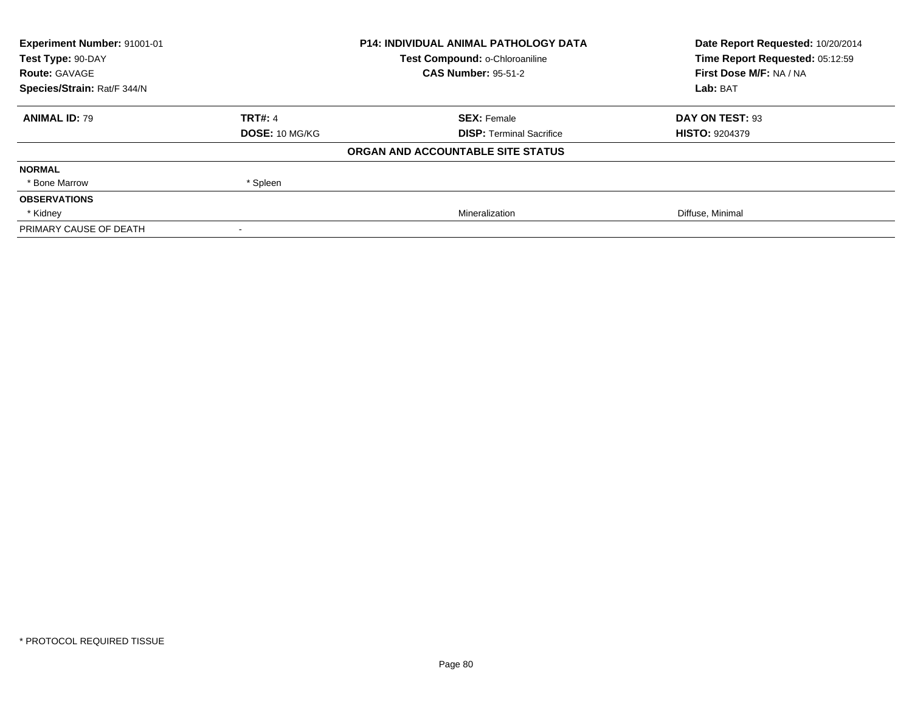| Experiment Number: 91001-01 | <b>P14: INDIVIDUAL ANIMAL PATHOLOGY DATA</b> |                                   | Date Report Requested: 10/20/2014 |  |
|-----------------------------|----------------------------------------------|-----------------------------------|-----------------------------------|--|
| Test Type: 90-DAY           |                                              | Test Compound: o-Chloroaniline    | Time Report Requested: 05:12:59   |  |
| <b>Route: GAVAGE</b>        |                                              | <b>CAS Number: 95-51-2</b>        | First Dose M/F: NA / NA           |  |
| Species/Strain: Rat/F 344/N |                                              |                                   | Lab: BAT                          |  |
| <b>ANIMAL ID: 79</b>        | <b>TRT#: 4</b>                               | <b>SEX: Female</b>                | DAY ON TEST: 93                   |  |
|                             | <b>DOSE: 10 MG/KG</b>                        | <b>DISP: Terminal Sacrifice</b>   | <b>HISTO: 9204379</b>             |  |
|                             |                                              | ORGAN AND ACCOUNTABLE SITE STATUS |                                   |  |
| <b>NORMAL</b>               |                                              |                                   |                                   |  |
| * Bone Marrow               | * Spleen                                     |                                   |                                   |  |
| <b>OBSERVATIONS</b>         |                                              |                                   |                                   |  |
| * Kidney                    |                                              | Mineralization                    | Diffuse, Minimal                  |  |
| PRIMARY CAUSE OF DEATH      |                                              |                                   |                                   |  |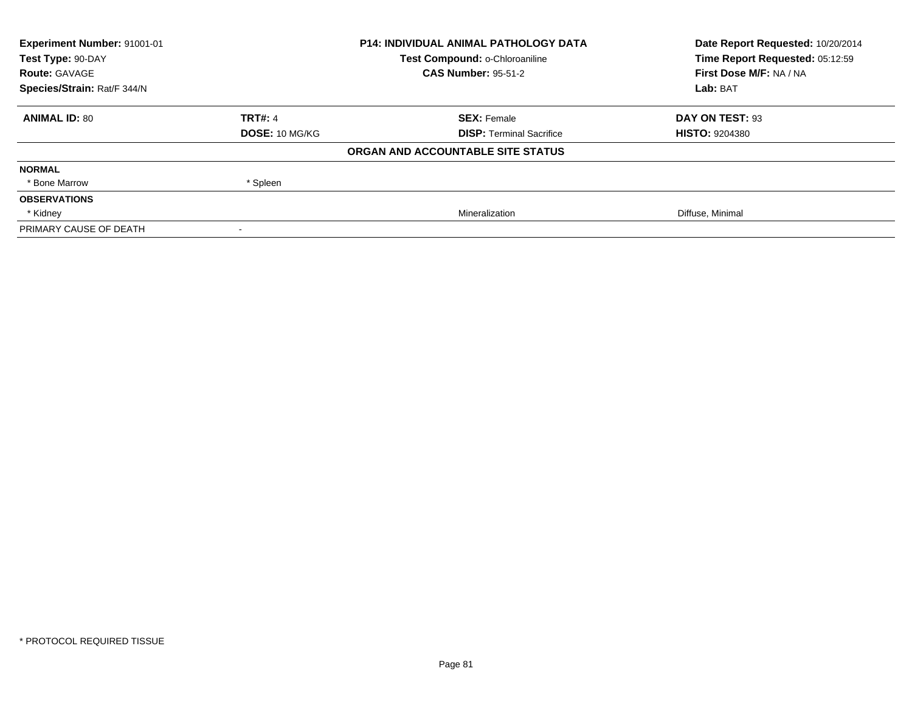| Experiment Number: 91001-01 | <b>P14: INDIVIDUAL ANIMAL PATHOLOGY DATA</b> |                                   | Date Report Requested: 10/20/2014 |  |
|-----------------------------|----------------------------------------------|-----------------------------------|-----------------------------------|--|
| Test Type: 90-DAY           |                                              | Test Compound: o-Chloroaniline    | Time Report Requested: 05:12:59   |  |
| <b>Route: GAVAGE</b>        |                                              | <b>CAS Number: 95-51-2</b>        | First Dose M/F: NA / NA           |  |
| Species/Strain: Rat/F 344/N |                                              |                                   | Lab: BAT                          |  |
| <b>ANIMAL ID: 80</b>        | <b>TRT#: 4</b>                               | <b>SEX: Female</b>                | DAY ON TEST: 93                   |  |
|                             | <b>DOSE: 10 MG/KG</b>                        | <b>DISP: Terminal Sacrifice</b>   | <b>HISTO: 9204380</b>             |  |
|                             |                                              | ORGAN AND ACCOUNTABLE SITE STATUS |                                   |  |
| <b>NORMAL</b>               |                                              |                                   |                                   |  |
| * Bone Marrow               | * Spleen                                     |                                   |                                   |  |
| <b>OBSERVATIONS</b>         |                                              |                                   |                                   |  |
| * Kidney                    |                                              | Mineralization                    | Diffuse, Minimal                  |  |
| PRIMARY CAUSE OF DEATH      |                                              |                                   |                                   |  |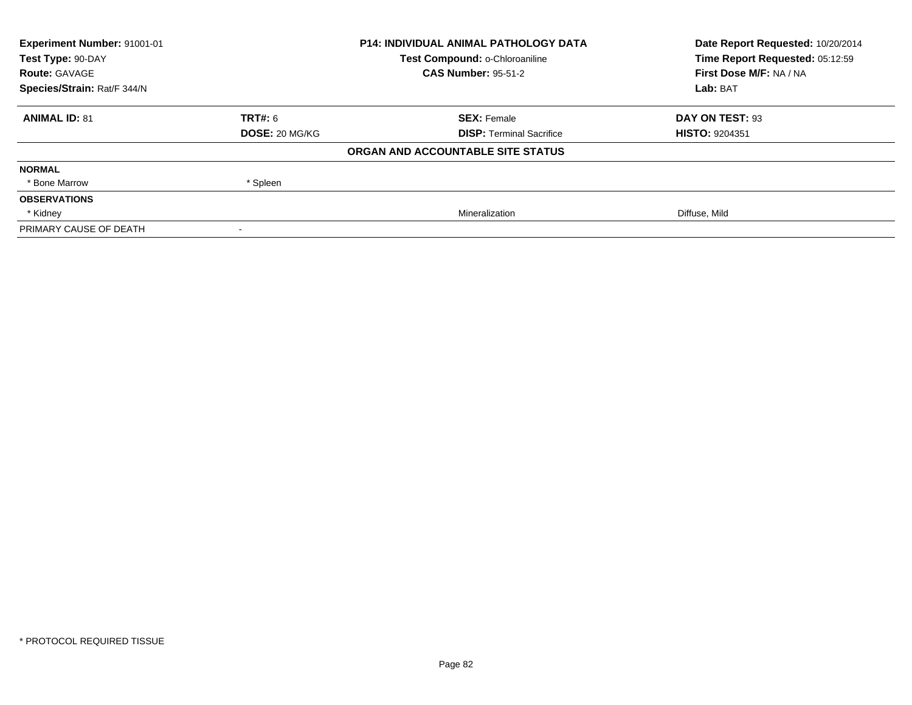| <b>Experiment Number: 91001-01</b> |                       | <b>P14: INDIVIDUAL ANIMAL PATHOLOGY DATA</b> | Date Report Requested: 10/20/2014 |
|------------------------------------|-----------------------|----------------------------------------------|-----------------------------------|
| Test Type: 90-DAY                  |                       | Test Compound: o-Chloroaniline               | Time Report Requested: 05:12:59   |
| <b>Route: GAVAGE</b>               |                       | <b>CAS Number: 95-51-2</b>                   | First Dose M/F: NA / NA           |
| Species/Strain: Rat/F 344/N        |                       |                                              | Lab: BAT                          |
| <b>ANIMAL ID: 81</b>               | <b>TRT#:</b> 6        | <b>SEX: Female</b>                           | DAY ON TEST: 93                   |
|                                    | <b>DOSE: 20 MG/KG</b> | <b>DISP:</b> Terminal Sacrifice              | <b>HISTO: 9204351</b>             |
|                                    |                       | ORGAN AND ACCOUNTABLE SITE STATUS            |                                   |
| <b>NORMAL</b>                      |                       |                                              |                                   |
| * Bone Marrow                      | * Spleen              |                                              |                                   |
| <b>OBSERVATIONS</b>                |                       |                                              |                                   |
| * Kidney                           |                       | Mineralization                               | Diffuse, Mild                     |
| PRIMARY CAUSE OF DEATH             |                       |                                              |                                   |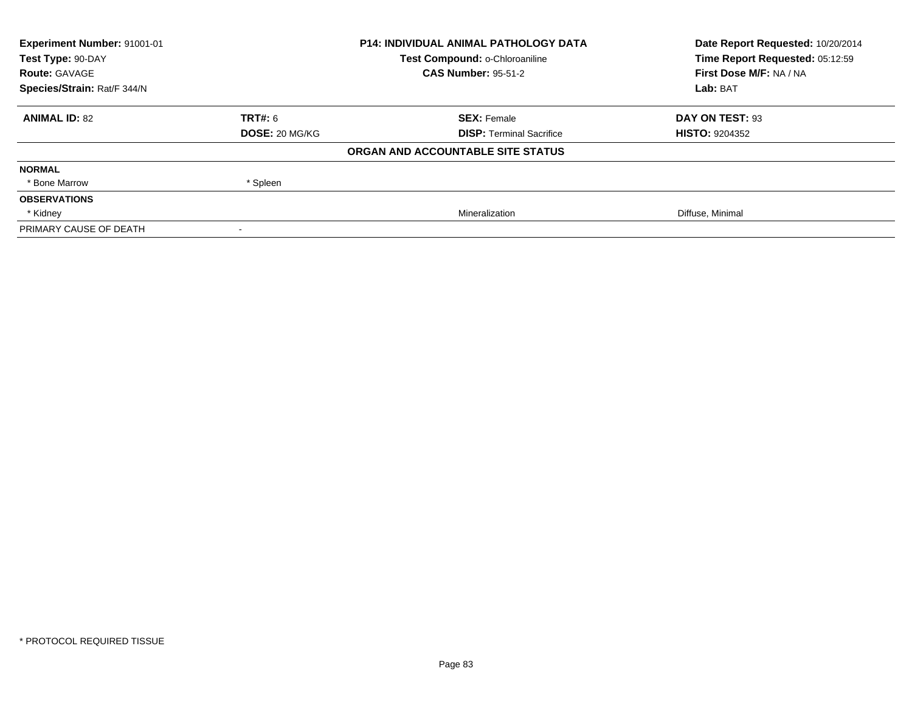| Experiment Number: 91001-01 |                       | <b>P14: INDIVIDUAL ANIMAL PATHOLOGY DATA</b> | Date Report Requested: 10/20/2014 |
|-----------------------------|-----------------------|----------------------------------------------|-----------------------------------|
| Test Type: 90-DAY           |                       | Test Compound: o-Chloroaniline               | Time Report Requested: 05:12:59   |
| <b>Route: GAVAGE</b>        |                       | <b>CAS Number: 95-51-2</b>                   | First Dose M/F: NA / NA           |
| Species/Strain: Rat/F 344/N |                       |                                              | Lab: BAT                          |
| <b>ANIMAL ID: 82</b>        | <b>TRT#: 6</b>        | <b>SEX: Female</b>                           | DAY ON TEST: 93                   |
|                             | <b>DOSE: 20 MG/KG</b> | <b>DISP: Terminal Sacrifice</b>              | <b>HISTO: 9204352</b>             |
|                             |                       | ORGAN AND ACCOUNTABLE SITE STATUS            |                                   |
| <b>NORMAL</b>               |                       |                                              |                                   |
| * Bone Marrow               | * Spleen              |                                              |                                   |
| <b>OBSERVATIONS</b>         |                       |                                              |                                   |
| * Kidney                    |                       | Mineralization                               | Diffuse, Minimal                  |
| PRIMARY CAUSE OF DEATH      |                       |                                              |                                   |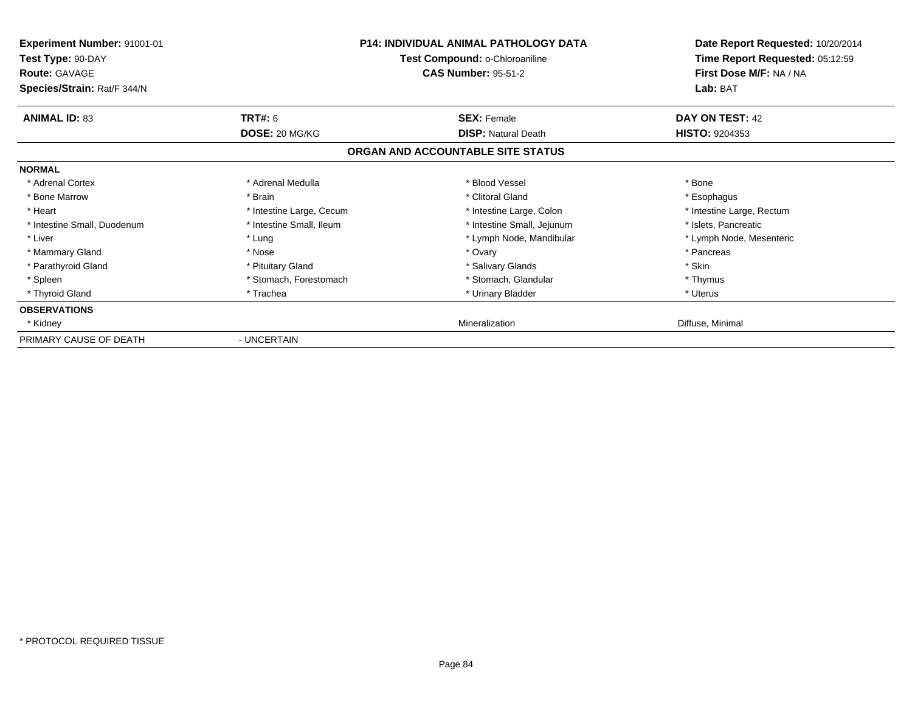| <b>Experiment Number: 91001-01</b><br>Test Type: 90-DAY<br>Route: GAVAGE<br>Species/Strain: Rat/F 344/N |                          | <b>P14: INDIVIDUAL ANIMAL PATHOLOGY DATA</b><br>Test Compound: o-Chloroaniline<br><b>CAS Number: 95-51-2</b> | Date Report Requested: 10/20/2014<br>Time Report Requested: 05:12:59<br>First Dose M/F: NA / NA<br>Lab: BAT |
|---------------------------------------------------------------------------------------------------------|--------------------------|--------------------------------------------------------------------------------------------------------------|-------------------------------------------------------------------------------------------------------------|
| <b>ANIMAL ID: 83</b>                                                                                    | <b>TRT#: 6</b>           | <b>SEX: Female</b>                                                                                           | DAY ON TEST: 42                                                                                             |
|                                                                                                         | DOSE: 20 MG/KG           | <b>DISP: Natural Death</b>                                                                                   | <b>HISTO: 9204353</b>                                                                                       |
|                                                                                                         |                          | ORGAN AND ACCOUNTABLE SITE STATUS                                                                            |                                                                                                             |
| <b>NORMAL</b>                                                                                           |                          |                                                                                                              |                                                                                                             |
| * Adrenal Cortex                                                                                        | * Adrenal Medulla        | * Blood Vessel                                                                                               | * Bone                                                                                                      |
| * Bone Marrow                                                                                           | * Brain                  | * Clitoral Gland                                                                                             | * Esophagus                                                                                                 |
| * Heart                                                                                                 | * Intestine Large, Cecum | * Intestine Large, Colon                                                                                     | * Intestine Large, Rectum                                                                                   |
| * Intestine Small, Duodenum                                                                             | * Intestine Small, Ileum | * Intestine Small, Jejunum                                                                                   | * Islets, Pancreatic                                                                                        |
| * Liver                                                                                                 | * Lung                   | * Lymph Node, Mandibular                                                                                     | * Lymph Node, Mesenteric                                                                                    |
| * Mammary Gland                                                                                         | * Nose                   | * Ovary                                                                                                      | * Pancreas                                                                                                  |
| * Parathyroid Gland                                                                                     | * Pituitary Gland        | * Salivary Glands                                                                                            | * Skin                                                                                                      |
| * Spleen                                                                                                | * Stomach, Forestomach   | * Stomach, Glandular                                                                                         | * Thymus                                                                                                    |
| * Thyroid Gland                                                                                         | * Trachea                | * Urinary Bladder                                                                                            | * Uterus                                                                                                    |
| <b>OBSERVATIONS</b>                                                                                     |                          |                                                                                                              |                                                                                                             |
| * Kidney                                                                                                |                          | Mineralization                                                                                               | Diffuse, Minimal                                                                                            |
| PRIMARY CAUSE OF DEATH                                                                                  | - UNCERTAIN              |                                                                                                              |                                                                                                             |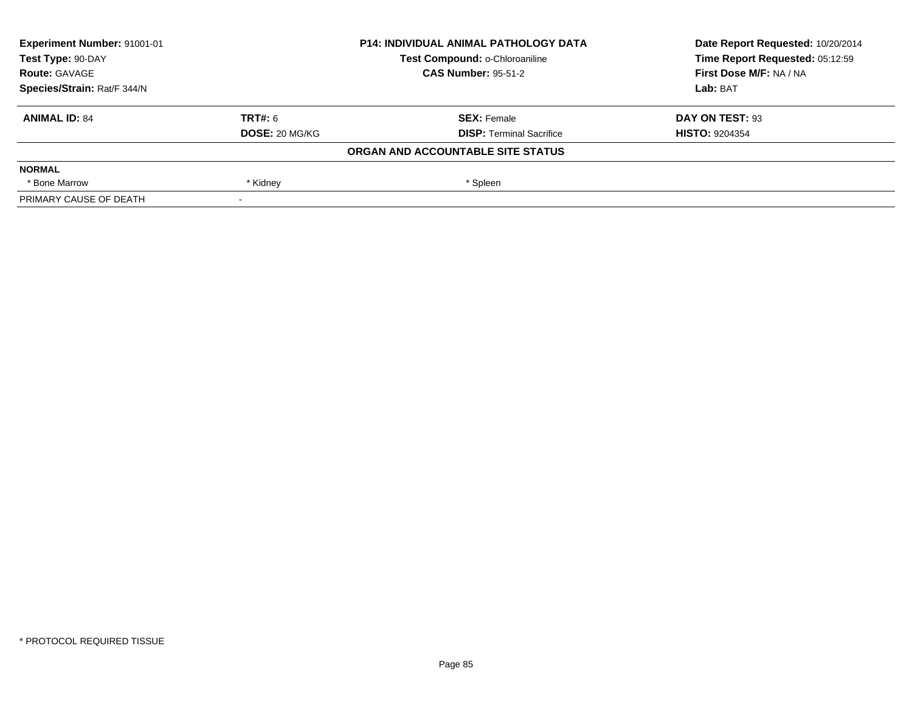| Experiment Number: 91001-01 | <b>P14: INDIVIDUAL ANIMAL PATHOLOGY DATA</b><br>Test Compound: o-Chloroaniline<br><b>CAS Number: 95-51-2</b> |                                   | Date Report Requested: 10/20/2014 |
|-----------------------------|--------------------------------------------------------------------------------------------------------------|-----------------------------------|-----------------------------------|
| Test Type: 90-DAY           |                                                                                                              |                                   | Time Report Requested: 05:12:59   |
| <b>Route: GAVAGE</b>        |                                                                                                              |                                   | First Dose M/F: NA / NA           |
| Species/Strain: Rat/F 344/N |                                                                                                              |                                   | Lab: BAT                          |
| <b>ANIMAL ID: 84</b>        | <b>TRT#: 6</b>                                                                                               | <b>SEX: Female</b>                | DAY ON TEST: 93                   |
|                             | <b>DOSE: 20 MG/KG</b>                                                                                        | <b>DISP:</b> Terminal Sacrifice   | <b>HISTO: 9204354</b>             |
|                             |                                                                                                              | ORGAN AND ACCOUNTABLE SITE STATUS |                                   |
| <b>NORMAL</b>               |                                                                                                              |                                   |                                   |
| * Bone Marrow               | * Kidney                                                                                                     | * Spleen                          |                                   |
| PRIMARY CAUSE OF DEATH      |                                                                                                              |                                   |                                   |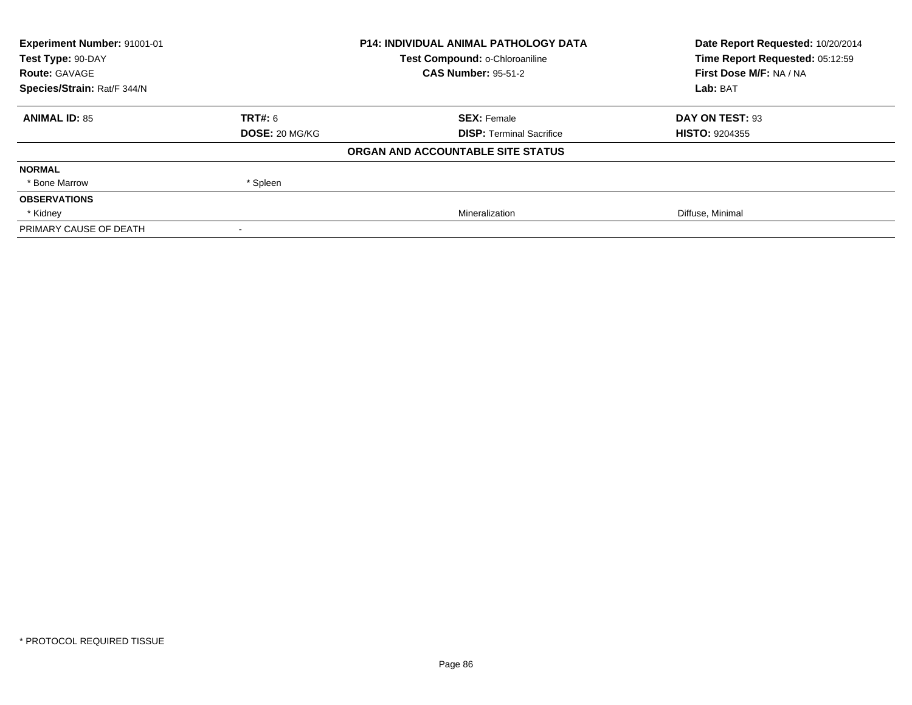| Experiment Number: 91001-01 | <b>P14: INDIVIDUAL ANIMAL PATHOLOGY DATA</b> |                                   | Date Report Requested: 10/20/2014 |
|-----------------------------|----------------------------------------------|-----------------------------------|-----------------------------------|
| Test Type: 90-DAY           |                                              | Test Compound: o-Chloroaniline    | Time Report Requested: 05:12:59   |
| <b>Route: GAVAGE</b>        |                                              | <b>CAS Number: 95-51-2</b>        | First Dose M/F: NA / NA           |
| Species/Strain: Rat/F 344/N |                                              |                                   | Lab: BAT                          |
| <b>ANIMAL ID: 85</b>        | TRT#: 6                                      | <b>SEX: Female</b>                | DAY ON TEST: 93                   |
|                             | <b>DOSE: 20 MG/KG</b>                        | <b>DISP: Terminal Sacrifice</b>   | <b>HISTO: 9204355</b>             |
|                             |                                              | ORGAN AND ACCOUNTABLE SITE STATUS |                                   |
| <b>NORMAL</b>               |                                              |                                   |                                   |
| * Bone Marrow               | * Spleen                                     |                                   |                                   |
| <b>OBSERVATIONS</b>         |                                              |                                   |                                   |
| * Kidney                    |                                              | Mineralization                    | Diffuse, Minimal                  |
| PRIMARY CAUSE OF DEATH      |                                              |                                   |                                   |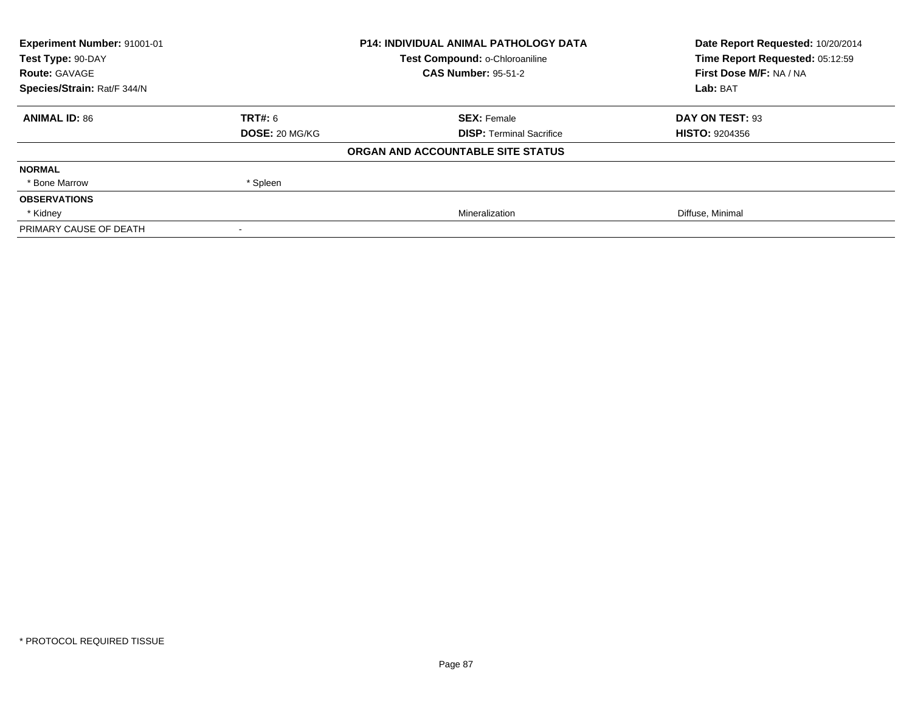| Experiment Number: 91001-01 | <b>P14: INDIVIDUAL ANIMAL PATHOLOGY DATA</b> |                                   | Date Report Requested: 10/20/2014 |
|-----------------------------|----------------------------------------------|-----------------------------------|-----------------------------------|
| Test Type: 90-DAY           |                                              | Test Compound: o-Chloroaniline    | Time Report Requested: 05:12:59   |
| <b>Route: GAVAGE</b>        |                                              | <b>CAS Number: 95-51-2</b>        | First Dose M/F: NA / NA           |
| Species/Strain: Rat/F 344/N |                                              |                                   | Lab: BAT                          |
| <b>ANIMAL ID: 86</b>        | TRT#: 6                                      | <b>SEX: Female</b>                | DAY ON TEST: 93                   |
|                             | <b>DOSE: 20 MG/KG</b>                        | <b>DISP: Terminal Sacrifice</b>   | <b>HISTO: 9204356</b>             |
|                             |                                              | ORGAN AND ACCOUNTABLE SITE STATUS |                                   |
| <b>NORMAL</b>               |                                              |                                   |                                   |
| * Bone Marrow               | * Spleen                                     |                                   |                                   |
| <b>OBSERVATIONS</b>         |                                              |                                   |                                   |
| * Kidney                    |                                              | Mineralization                    | Diffuse, Minimal                  |
| PRIMARY CAUSE OF DEATH      |                                              |                                   |                                   |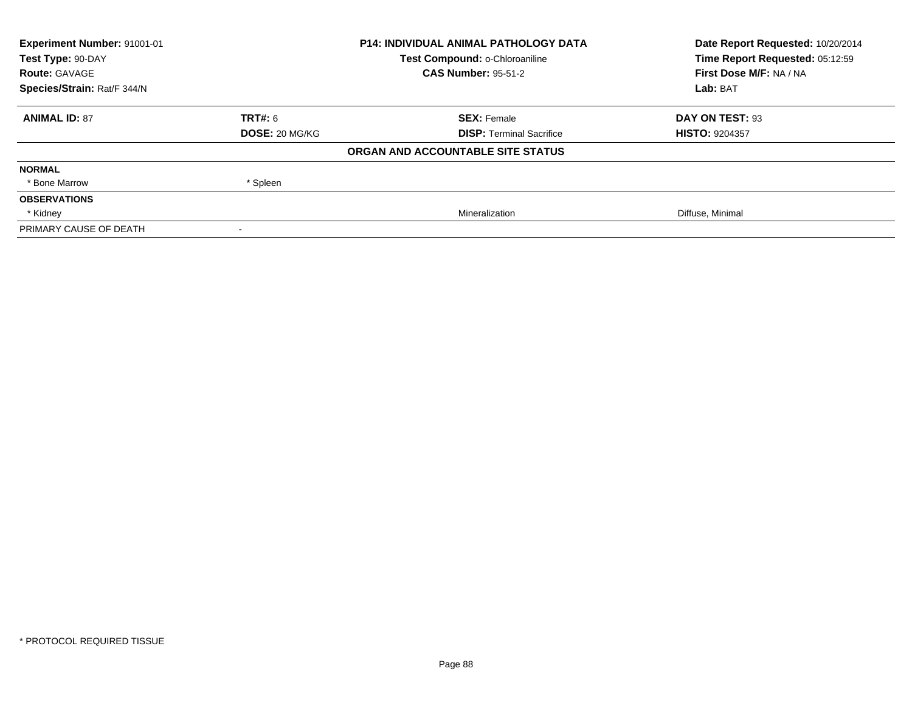| <b>Experiment Number: 91001-01</b> | <b>P14: INDIVIDUAL ANIMAL PATHOLOGY DATA</b> |                                   | Date Report Requested: 10/20/2014 |
|------------------------------------|----------------------------------------------|-----------------------------------|-----------------------------------|
| Test Type: 90-DAY                  |                                              | Test Compound: o-Chloroaniline    | Time Report Requested: 05:12:59   |
| <b>Route: GAVAGE</b>               |                                              | <b>CAS Number: 95-51-2</b>        | First Dose M/F: NA / NA           |
| Species/Strain: Rat/F 344/N        |                                              |                                   | Lab: BAT                          |
| <b>ANIMAL ID: 87</b>               | <b>TRT#:</b> 6                               | <b>SEX: Female</b>                | DAY ON TEST: 93                   |
|                                    | <b>DOSE: 20 MG/KG</b>                        | <b>DISP:</b> Terminal Sacrifice   | <b>HISTO: 9204357</b>             |
|                                    |                                              | ORGAN AND ACCOUNTABLE SITE STATUS |                                   |
| <b>NORMAL</b>                      |                                              |                                   |                                   |
| * Bone Marrow                      | * Spleen                                     |                                   |                                   |
| <b>OBSERVATIONS</b>                |                                              |                                   |                                   |
| * Kidney                           |                                              | Mineralization                    | Diffuse, Minimal                  |
| PRIMARY CAUSE OF DEATH             |                                              |                                   |                                   |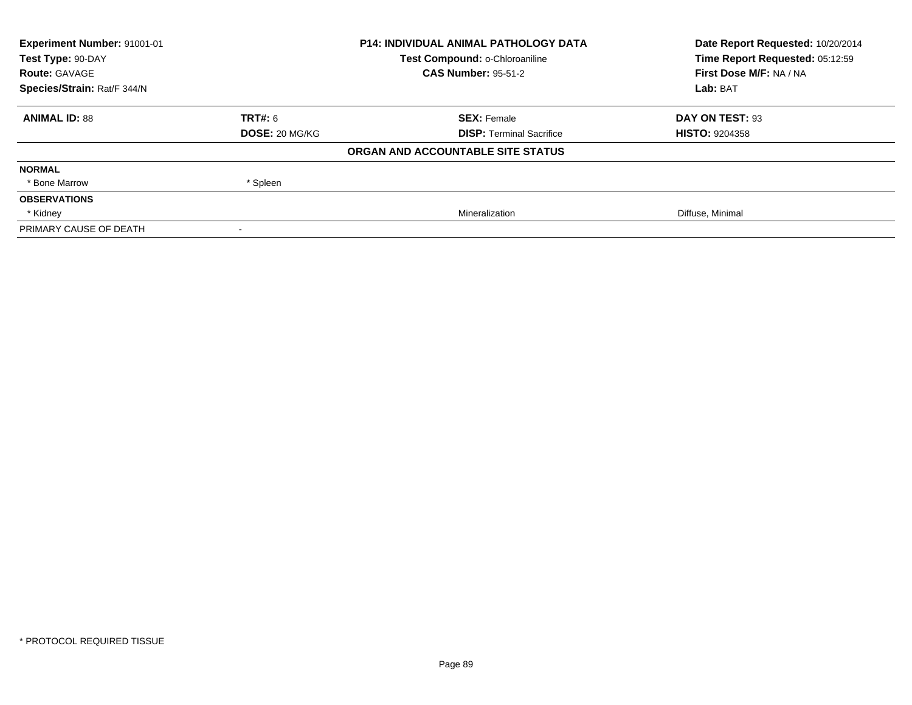| Experiment Number: 91001-01 | <b>P14: INDIVIDUAL ANIMAL PATHOLOGY DATA</b> |                                   | Date Report Requested: 10/20/2014 |
|-----------------------------|----------------------------------------------|-----------------------------------|-----------------------------------|
| Test Type: 90-DAY           |                                              | Test Compound: o-Chloroaniline    | Time Report Requested: 05:12:59   |
| <b>Route: GAVAGE</b>        |                                              | <b>CAS Number: 95-51-2</b>        | First Dose M/F: NA / NA           |
| Species/Strain: Rat/F 344/N |                                              |                                   | Lab: BAT                          |
| <b>ANIMAL ID: 88</b>        | TRT#: 6                                      | <b>SEX: Female</b>                | DAY ON TEST: 93                   |
|                             | <b>DOSE: 20 MG/KG</b>                        | <b>DISP: Terminal Sacrifice</b>   | <b>HISTO: 9204358</b>             |
|                             |                                              | ORGAN AND ACCOUNTABLE SITE STATUS |                                   |
| <b>NORMAL</b>               |                                              |                                   |                                   |
| * Bone Marrow               | * Spleen                                     |                                   |                                   |
| <b>OBSERVATIONS</b>         |                                              |                                   |                                   |
| * Kidney                    |                                              | Mineralization                    | Diffuse, Minimal                  |
| PRIMARY CAUSE OF DEATH      |                                              |                                   |                                   |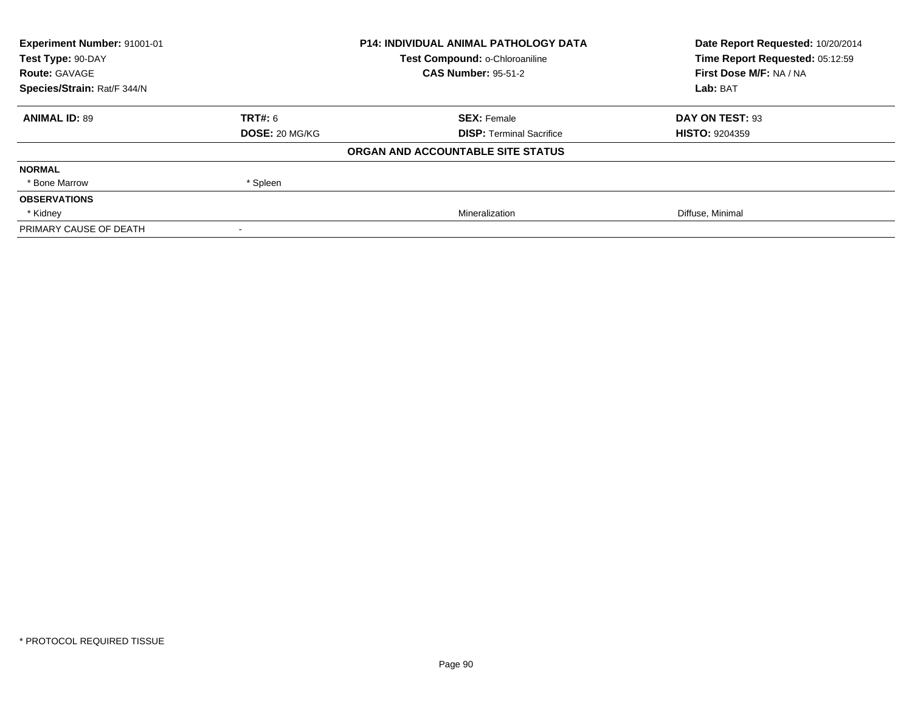| Experiment Number: 91001-01 | <b>P14: INDIVIDUAL ANIMAL PATHOLOGY DATA</b> |                                   | Date Report Requested: 10/20/2014 |
|-----------------------------|----------------------------------------------|-----------------------------------|-----------------------------------|
| Test Type: 90-DAY           |                                              | Test Compound: o-Chloroaniline    | Time Report Requested: 05:12:59   |
| <b>Route: GAVAGE</b>        |                                              | <b>CAS Number: 95-51-2</b>        | First Dose M/F: NA / NA           |
| Species/Strain: Rat/F 344/N |                                              |                                   | Lab: BAT                          |
| <b>ANIMAL ID: 89</b>        | TRT#: 6                                      | <b>SEX: Female</b>                | DAY ON TEST: 93                   |
|                             | <b>DOSE: 20 MG/KG</b>                        | <b>DISP: Terminal Sacrifice</b>   | <b>HISTO: 9204359</b>             |
|                             |                                              | ORGAN AND ACCOUNTABLE SITE STATUS |                                   |
| <b>NORMAL</b>               |                                              |                                   |                                   |
| * Bone Marrow               | * Spleen                                     |                                   |                                   |
| <b>OBSERVATIONS</b>         |                                              |                                   |                                   |
| * Kidney                    |                                              | Mineralization                    | Diffuse, Minimal                  |
| PRIMARY CAUSE OF DEATH      |                                              |                                   |                                   |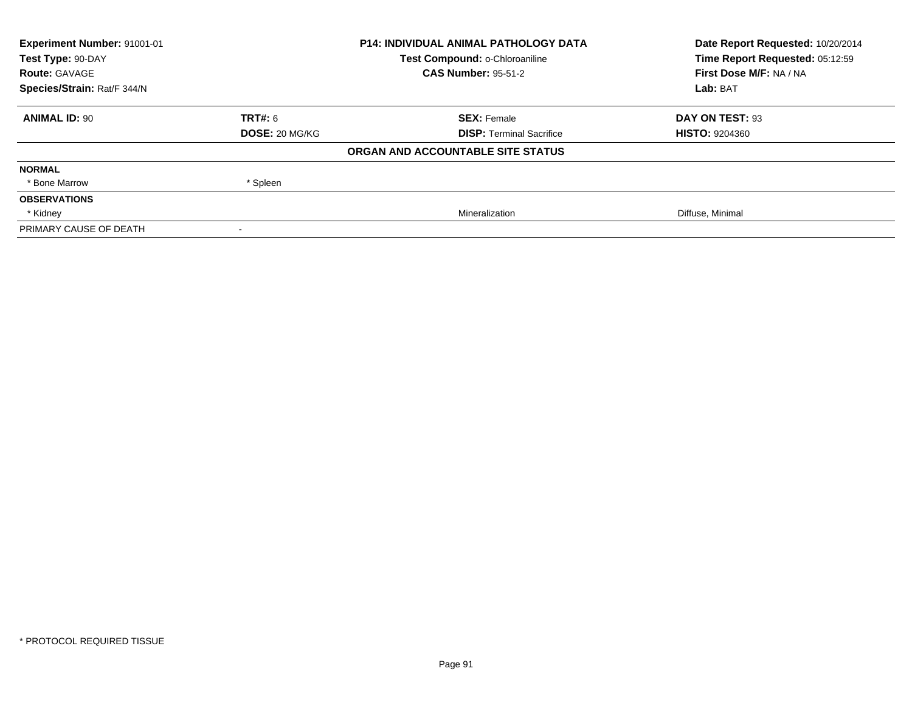| <b>Experiment Number: 91001-01</b> | <b>P14: INDIVIDUAL ANIMAL PATHOLOGY DATA</b> |                                   | Date Report Requested: 10/20/2014 |
|------------------------------------|----------------------------------------------|-----------------------------------|-----------------------------------|
| Test Type: 90-DAY                  |                                              | Test Compound: o-Chloroaniline    | Time Report Requested: 05:12:59   |
| <b>Route: GAVAGE</b>               |                                              | <b>CAS Number: 95-51-2</b>        | First Dose M/F: NA / NA           |
| Species/Strain: Rat/F 344/N        |                                              |                                   | Lab: BAT                          |
| <b>ANIMAL ID: 90</b>               | <b>TRT#:</b> 6                               | <b>SEX: Female</b>                | DAY ON TEST: 93                   |
|                                    | <b>DOSE: 20 MG/KG</b>                        | <b>DISP:</b> Terminal Sacrifice   | <b>HISTO: 9204360</b>             |
|                                    |                                              | ORGAN AND ACCOUNTABLE SITE STATUS |                                   |
| <b>NORMAL</b>                      |                                              |                                   |                                   |
| * Bone Marrow                      | * Spleen                                     |                                   |                                   |
| <b>OBSERVATIONS</b>                |                                              |                                   |                                   |
| * Kidney                           |                                              | Mineralization                    | Diffuse, Minimal                  |
| PRIMARY CAUSE OF DEATH             |                                              |                                   |                                   |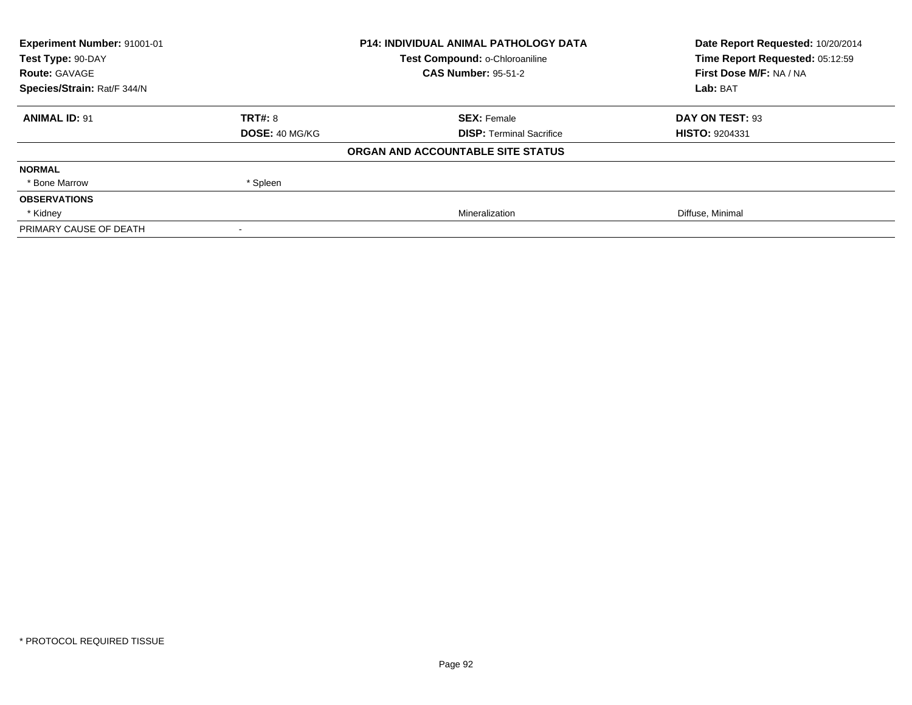| Experiment Number: 91001-01 | <b>P14: INDIVIDUAL ANIMAL PATHOLOGY DATA</b> |                                   | Date Report Requested: 10/20/2014 |
|-----------------------------|----------------------------------------------|-----------------------------------|-----------------------------------|
| Test Type: 90-DAY           |                                              | Test Compound: o-Chloroaniline    | Time Report Requested: 05:12:59   |
| <b>Route: GAVAGE</b>        |                                              | <b>CAS Number: 95-51-2</b>        | First Dose M/F: NA / NA           |
| Species/Strain: Rat/F 344/N |                                              |                                   | Lab: BAT                          |
| <b>ANIMAL ID: 91</b>        | TRT#: 8                                      | <b>SEX: Female</b>                | DAY ON TEST: 93                   |
|                             | <b>DOSE: 40 MG/KG</b>                        | <b>DISP: Terminal Sacrifice</b>   | <b>HISTO: 9204331</b>             |
|                             |                                              | ORGAN AND ACCOUNTABLE SITE STATUS |                                   |
| <b>NORMAL</b>               |                                              |                                   |                                   |
| * Bone Marrow               | * Spleen                                     |                                   |                                   |
| <b>OBSERVATIONS</b>         |                                              |                                   |                                   |
| * Kidney                    |                                              | Mineralization                    | Diffuse, Minimal                  |
| PRIMARY CAUSE OF DEATH      |                                              |                                   |                                   |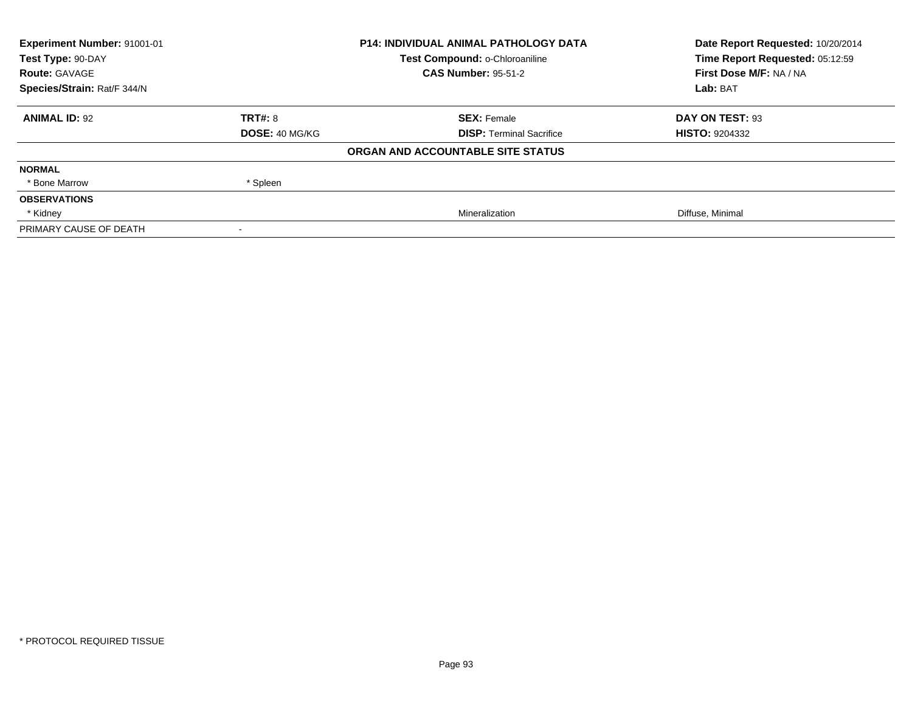| Experiment Number: 91001-01 | <b>P14: INDIVIDUAL ANIMAL PATHOLOGY DATA</b> |                                   | Date Report Requested: 10/20/2014 |
|-----------------------------|----------------------------------------------|-----------------------------------|-----------------------------------|
| Test Type: 90-DAY           |                                              | Test Compound: o-Chloroaniline    | Time Report Requested: 05:12:59   |
| <b>Route: GAVAGE</b>        |                                              | <b>CAS Number: 95-51-2</b>        | First Dose M/F: NA / NA           |
| Species/Strain: Rat/F 344/N |                                              |                                   | Lab: BAT                          |
| <b>ANIMAL ID: 92</b>        | TRT#: 8                                      | <b>SEX: Female</b>                | DAY ON TEST: 93                   |
|                             | <b>DOSE: 40 MG/KG</b>                        | <b>DISP: Terminal Sacrifice</b>   | <b>HISTO: 9204332</b>             |
|                             |                                              | ORGAN AND ACCOUNTABLE SITE STATUS |                                   |
| <b>NORMAL</b>               |                                              |                                   |                                   |
| * Bone Marrow               | * Spleen                                     |                                   |                                   |
| <b>OBSERVATIONS</b>         |                                              |                                   |                                   |
| * Kidney                    |                                              | Mineralization                    | Diffuse, Minimal                  |
| PRIMARY CAUSE OF DEATH      |                                              |                                   |                                   |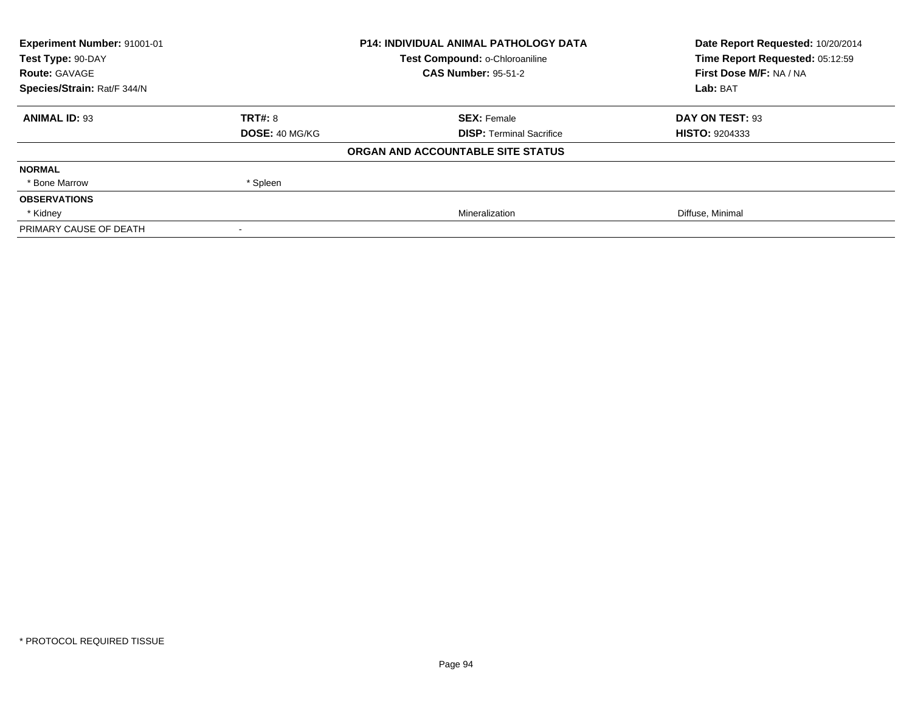| Experiment Number: 91001-01 | <b>P14: INDIVIDUAL ANIMAL PATHOLOGY DATA</b> |                                   | Date Report Requested: 10/20/2014 |
|-----------------------------|----------------------------------------------|-----------------------------------|-----------------------------------|
| Test Type: 90-DAY           |                                              | Test Compound: o-Chloroaniline    | Time Report Requested: 05:12:59   |
| <b>Route: GAVAGE</b>        |                                              | <b>CAS Number: 95-51-2</b>        | First Dose M/F: NA / NA           |
| Species/Strain: Rat/F 344/N |                                              |                                   | Lab: BAT                          |
| <b>ANIMAL ID: 93</b>        | TRT#: 8                                      | <b>SEX: Female</b>                | DAY ON TEST: 93                   |
|                             | <b>DOSE: 40 MG/KG</b>                        | <b>DISP: Terminal Sacrifice</b>   | <b>HISTO: 9204333</b>             |
|                             |                                              | ORGAN AND ACCOUNTABLE SITE STATUS |                                   |
| <b>NORMAL</b>               |                                              |                                   |                                   |
| * Bone Marrow               | * Spleen                                     |                                   |                                   |
| <b>OBSERVATIONS</b>         |                                              |                                   |                                   |
| * Kidney                    |                                              | Mineralization                    | Diffuse, Minimal                  |
| PRIMARY CAUSE OF DEATH      |                                              |                                   |                                   |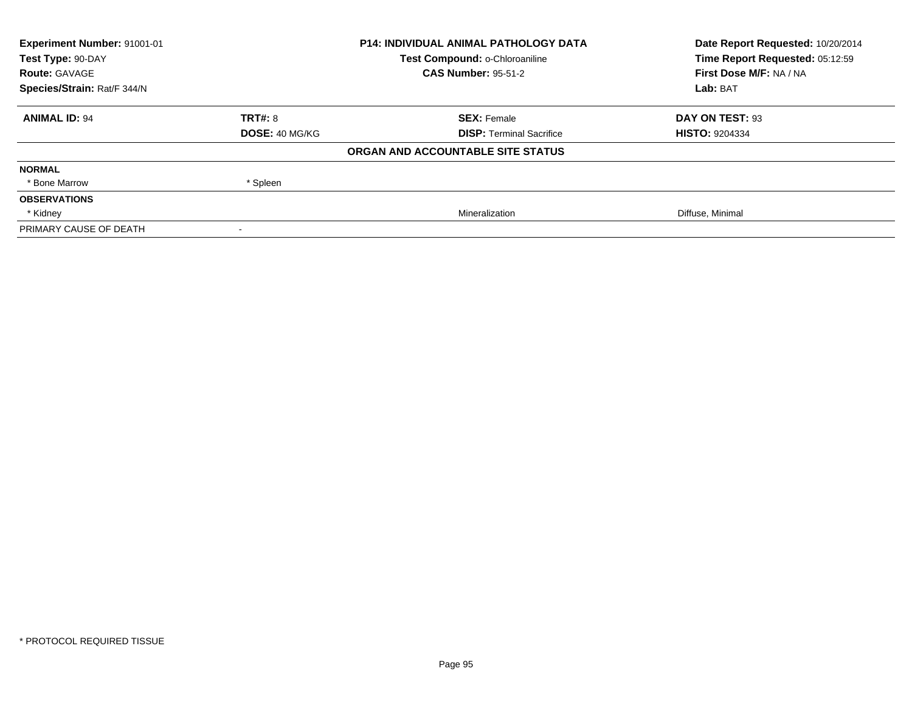| Experiment Number: 91001-01 | <b>P14: INDIVIDUAL ANIMAL PATHOLOGY DATA</b> |                                   | Date Report Requested: 10/20/2014 |
|-----------------------------|----------------------------------------------|-----------------------------------|-----------------------------------|
| Test Type: 90-DAY           |                                              | Test Compound: o-Chloroaniline    | Time Report Requested: 05:12:59   |
| <b>Route: GAVAGE</b>        |                                              | <b>CAS Number: 95-51-2</b>        | First Dose M/F: NA / NA           |
| Species/Strain: Rat/F 344/N |                                              |                                   | Lab: BAT                          |
| <b>ANIMAL ID: 94</b>        | TRT#: 8                                      | <b>SEX: Female</b>                | DAY ON TEST: 93                   |
|                             | <b>DOSE: 40 MG/KG</b>                        | <b>DISP: Terminal Sacrifice</b>   | <b>HISTO: 9204334</b>             |
|                             |                                              | ORGAN AND ACCOUNTABLE SITE STATUS |                                   |
| <b>NORMAL</b>               |                                              |                                   |                                   |
| * Bone Marrow               | * Spleen                                     |                                   |                                   |
| <b>OBSERVATIONS</b>         |                                              |                                   |                                   |
| * Kidney                    |                                              | Mineralization                    | Diffuse, Minimal                  |
| PRIMARY CAUSE OF DEATH      |                                              |                                   |                                   |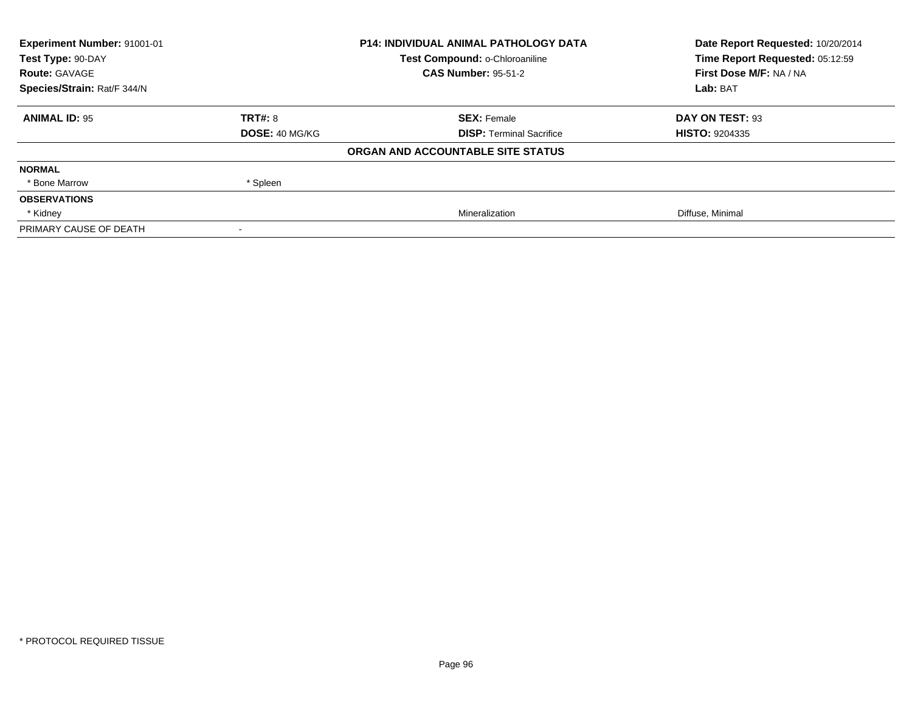| <b>Experiment Number: 91001-01</b> | <b>P14: INDIVIDUAL ANIMAL PATHOLOGY DATA</b> |                                   | Date Report Requested: 10/20/2014 |
|------------------------------------|----------------------------------------------|-----------------------------------|-----------------------------------|
| Test Type: 90-DAY                  |                                              | Test Compound: o-Chloroaniline    | Time Report Requested: 05:12:59   |
| <b>Route: GAVAGE</b>               |                                              | <b>CAS Number: 95-51-2</b>        | First Dose M/F: NA / NA           |
| Species/Strain: Rat/F 344/N        |                                              |                                   | Lab: BAT                          |
| <b>ANIMAL ID: 95</b>               | <b>TRT#: 8</b>                               | <b>SEX: Female</b>                | DAY ON TEST: 93                   |
|                                    | <b>DOSE: 40 MG/KG</b>                        | <b>DISP:</b> Terminal Sacrifice   | <b>HISTO: 9204335</b>             |
|                                    |                                              | ORGAN AND ACCOUNTABLE SITE STATUS |                                   |
| <b>NORMAL</b>                      |                                              |                                   |                                   |
| * Bone Marrow                      | * Spleen                                     |                                   |                                   |
| <b>OBSERVATIONS</b>                |                                              |                                   |                                   |
| * Kidney                           |                                              | Mineralization                    | Diffuse, Minimal                  |
| PRIMARY CAUSE OF DEATH             |                                              |                                   |                                   |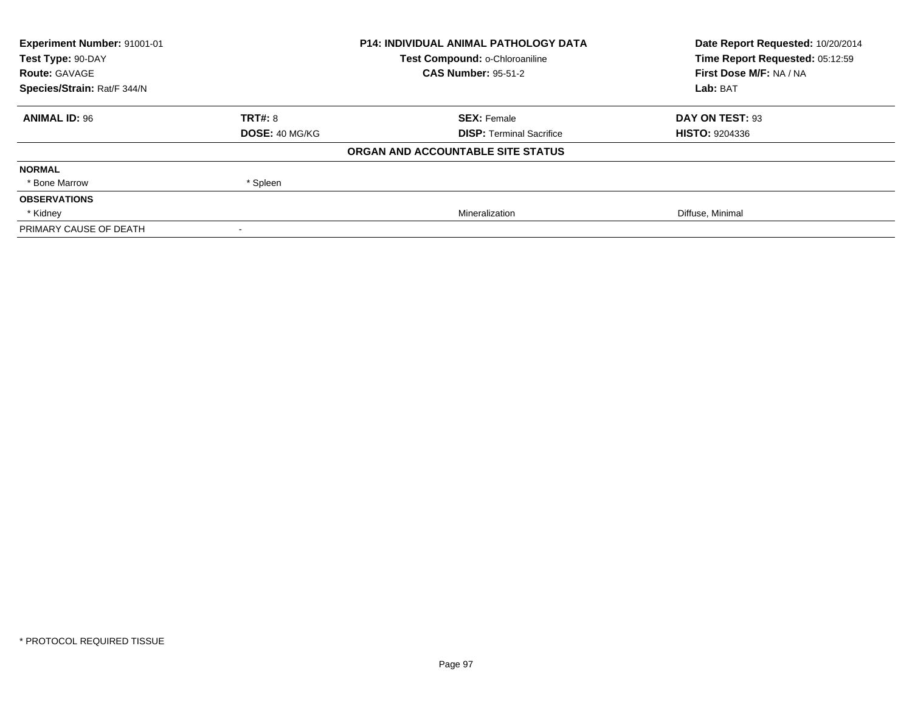| <b>Experiment Number: 91001-01</b> | <b>P14: INDIVIDUAL ANIMAL PATHOLOGY DATA</b> |                                   | Date Report Requested: 10/20/2014 |
|------------------------------------|----------------------------------------------|-----------------------------------|-----------------------------------|
| Test Type: 90-DAY                  |                                              | Test Compound: o-Chloroaniline    | Time Report Requested: 05:12:59   |
| <b>Route: GAVAGE</b>               |                                              | <b>CAS Number: 95-51-2</b>        | First Dose M/F: NA / NA           |
| Species/Strain: Rat/F 344/N        |                                              |                                   | Lab: BAT                          |
| <b>ANIMAL ID: 96</b>               | <b>TRT#: 8</b>                               | <b>SEX: Female</b>                | DAY ON TEST: 93                   |
|                                    | <b>DOSE: 40 MG/KG</b>                        | <b>DISP:</b> Terminal Sacrifice   | <b>HISTO: 9204336</b>             |
|                                    |                                              | ORGAN AND ACCOUNTABLE SITE STATUS |                                   |
| <b>NORMAL</b>                      |                                              |                                   |                                   |
| * Bone Marrow                      | * Spleen                                     |                                   |                                   |
| <b>OBSERVATIONS</b>                |                                              |                                   |                                   |
| * Kidney                           |                                              | Mineralization                    | Diffuse, Minimal                  |
| PRIMARY CAUSE OF DEATH             |                                              |                                   |                                   |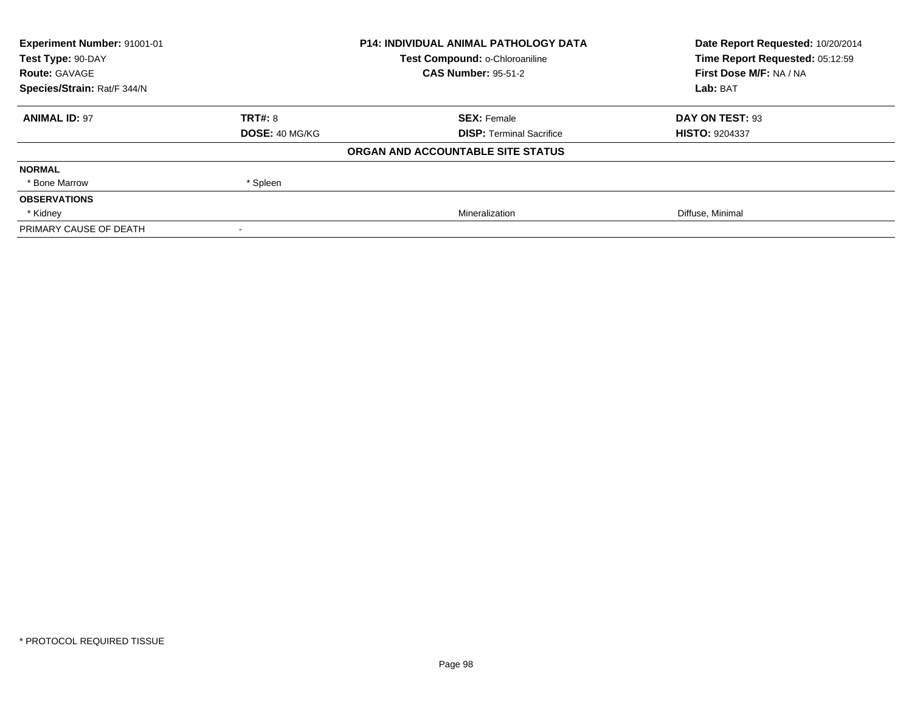| Experiment Number: 91001-01 | <b>P14: INDIVIDUAL ANIMAL PATHOLOGY DATA</b> |                                   | Date Report Requested: 10/20/2014 |
|-----------------------------|----------------------------------------------|-----------------------------------|-----------------------------------|
| Test Type: 90-DAY           |                                              | Test Compound: o-Chloroaniline    | Time Report Requested: 05:12:59   |
| <b>Route: GAVAGE</b>        |                                              | <b>CAS Number: 95-51-2</b>        | First Dose M/F: NA / NA           |
| Species/Strain: Rat/F 344/N |                                              |                                   | Lab: BAT                          |
| <b>ANIMAL ID: 97</b>        | TRT#: 8                                      | <b>SEX: Female</b>                | DAY ON TEST: 93                   |
|                             | <b>DOSE: 40 MG/KG</b>                        | <b>DISP: Terminal Sacrifice</b>   | <b>HISTO: 9204337</b>             |
|                             |                                              | ORGAN AND ACCOUNTABLE SITE STATUS |                                   |
| <b>NORMAL</b>               |                                              |                                   |                                   |
| * Bone Marrow               | * Spleen                                     |                                   |                                   |
| <b>OBSERVATIONS</b>         |                                              |                                   |                                   |
| * Kidney                    |                                              | Mineralization                    | Diffuse, Minimal                  |
| PRIMARY CAUSE OF DEATH      |                                              |                                   |                                   |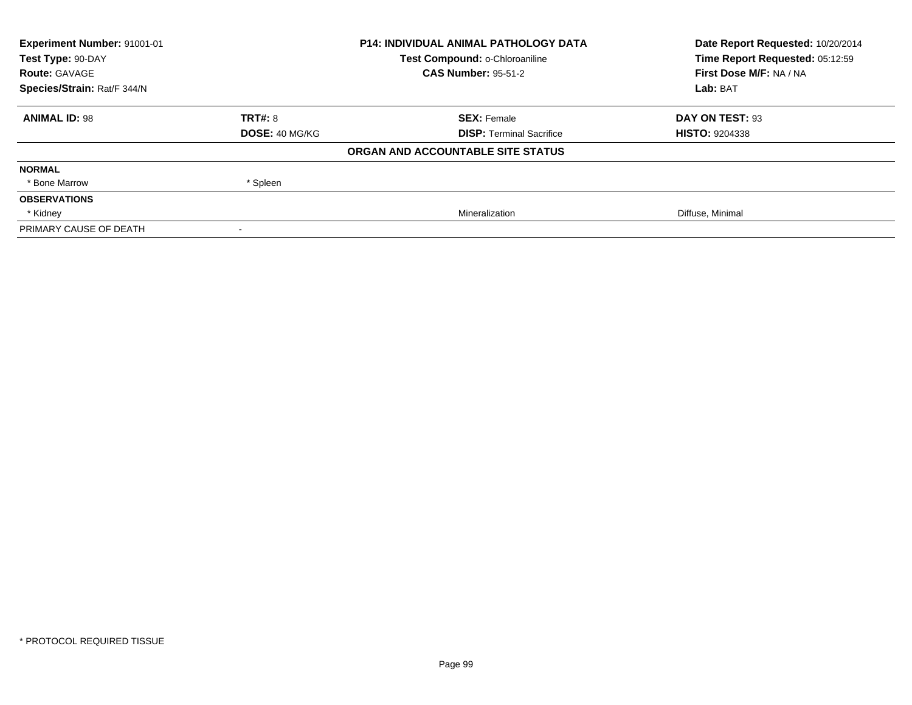| Experiment Number: 91001-01 | <b>P14: INDIVIDUAL ANIMAL PATHOLOGY DATA</b> |                                   | Date Report Requested: 10/20/2014 |
|-----------------------------|----------------------------------------------|-----------------------------------|-----------------------------------|
| Test Type: 90-DAY           |                                              | Test Compound: o-Chloroaniline    | Time Report Requested: 05:12:59   |
| <b>Route: GAVAGE</b>        |                                              | <b>CAS Number: 95-51-2</b>        | First Dose M/F: NA / NA           |
| Species/Strain: Rat/F 344/N |                                              |                                   | Lab: BAT                          |
| <b>ANIMAL ID: 98</b>        | TRT#: 8                                      | <b>SEX: Female</b>                | DAY ON TEST: 93                   |
|                             | <b>DOSE: 40 MG/KG</b>                        | <b>DISP: Terminal Sacrifice</b>   | <b>HISTO: 9204338</b>             |
|                             |                                              | ORGAN AND ACCOUNTABLE SITE STATUS |                                   |
| <b>NORMAL</b>               |                                              |                                   |                                   |
| * Bone Marrow               | * Spleen                                     |                                   |                                   |
| <b>OBSERVATIONS</b>         |                                              |                                   |                                   |
| * Kidney                    |                                              | Mineralization                    | Diffuse, Minimal                  |
| PRIMARY CAUSE OF DEATH      |                                              |                                   |                                   |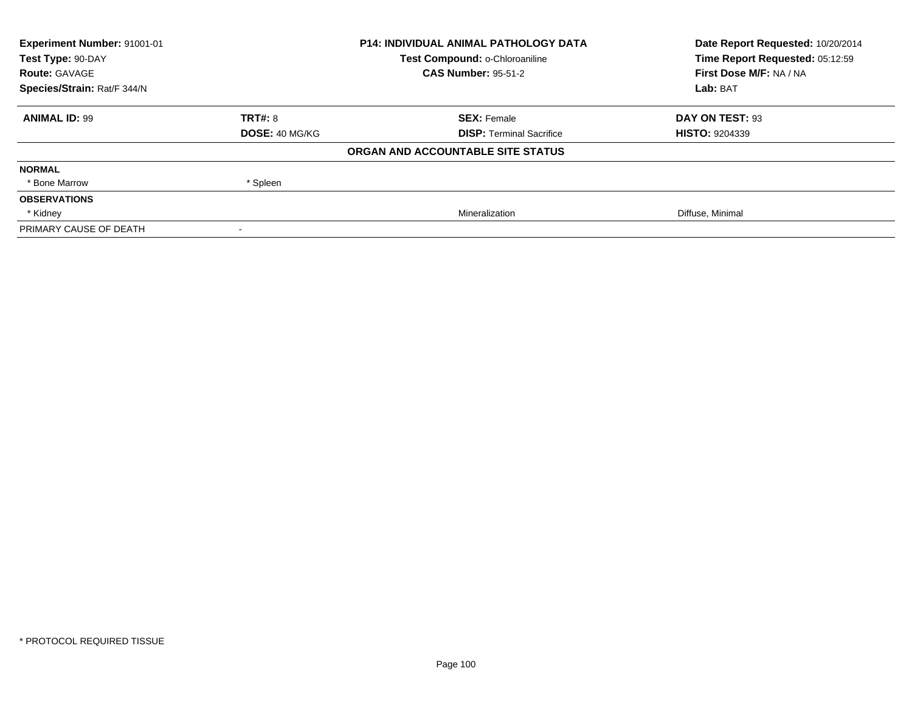| <b>Experiment Number: 91001-01</b> | <b>P14: INDIVIDUAL ANIMAL PATHOLOGY DATA</b> |                                   | Date Report Requested: 10/20/2014 |
|------------------------------------|----------------------------------------------|-----------------------------------|-----------------------------------|
| Test Type: 90-DAY                  |                                              | Test Compound: o-Chloroaniline    | Time Report Requested: 05:12:59   |
| <b>Route: GAVAGE</b>               |                                              | <b>CAS Number: 95-51-2</b>        | First Dose M/F: NA / NA           |
| Species/Strain: Rat/F 344/N        |                                              |                                   | Lab: BAT                          |
| <b>ANIMAL ID: 99</b>               | <b>TRT#: 8</b>                               | <b>SEX: Female</b>                | DAY ON TEST: 93                   |
|                                    | <b>DOSE: 40 MG/KG</b>                        | <b>DISP:</b> Terminal Sacrifice   | <b>HISTO: 9204339</b>             |
|                                    |                                              | ORGAN AND ACCOUNTABLE SITE STATUS |                                   |
| <b>NORMAL</b>                      |                                              |                                   |                                   |
| * Bone Marrow                      | * Spleen                                     |                                   |                                   |
| <b>OBSERVATIONS</b>                |                                              |                                   |                                   |
| * Kidney                           |                                              | Mineralization                    | Diffuse, Minimal                  |
| PRIMARY CAUSE OF DEATH             |                                              |                                   |                                   |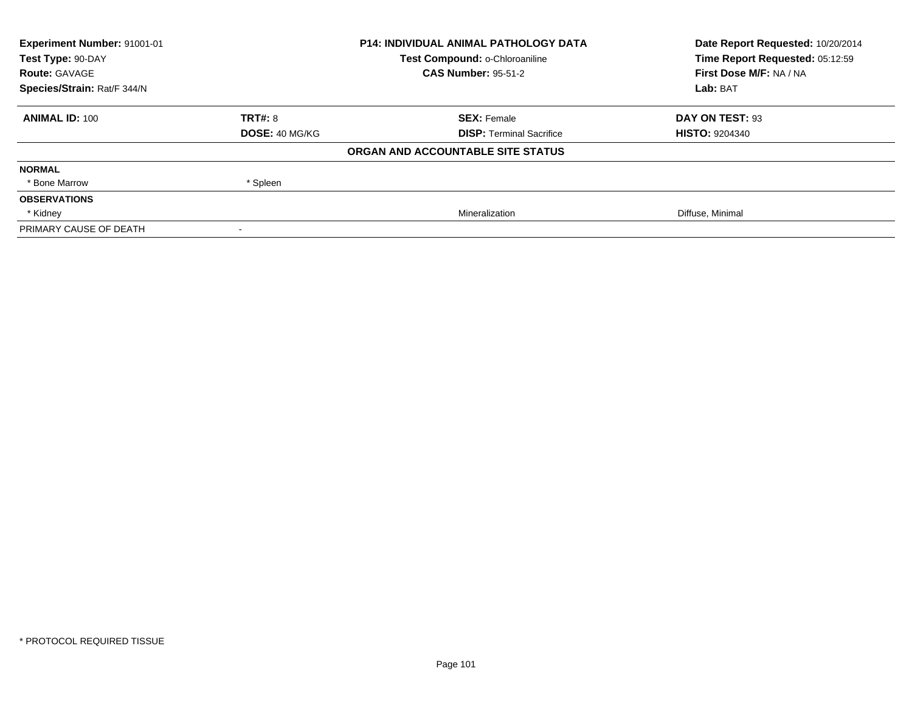| <b>Experiment Number: 91001-01</b> | <b>P14: INDIVIDUAL ANIMAL PATHOLOGY DATA</b> |                                   | Date Report Requested: 10/20/2014 |
|------------------------------------|----------------------------------------------|-----------------------------------|-----------------------------------|
| Test Type: 90-DAY                  |                                              | Test Compound: o-Chloroaniline    | Time Report Requested: 05:12:59   |
| <b>Route: GAVAGE</b>               |                                              | <b>CAS Number: 95-51-2</b>        | First Dose M/F: NA / NA           |
| Species/Strain: Rat/F 344/N        |                                              |                                   | Lab: BAT                          |
| <b>ANIMAL ID: 100</b>              | <b>TRT#: 8</b>                               | <b>SEX: Female</b>                | DAY ON TEST: 93                   |
|                                    | <b>DOSE: 40 MG/KG</b>                        | <b>DISP:</b> Terminal Sacrifice   | <b>HISTO: 9204340</b>             |
|                                    |                                              | ORGAN AND ACCOUNTABLE SITE STATUS |                                   |
| <b>NORMAL</b>                      |                                              |                                   |                                   |
| * Bone Marrow                      | * Spleen                                     |                                   |                                   |
| <b>OBSERVATIONS</b>                |                                              |                                   |                                   |
| * Kidney                           |                                              | Mineralization                    | Diffuse, Minimal                  |
| PRIMARY CAUSE OF DEATH             |                                              |                                   |                                   |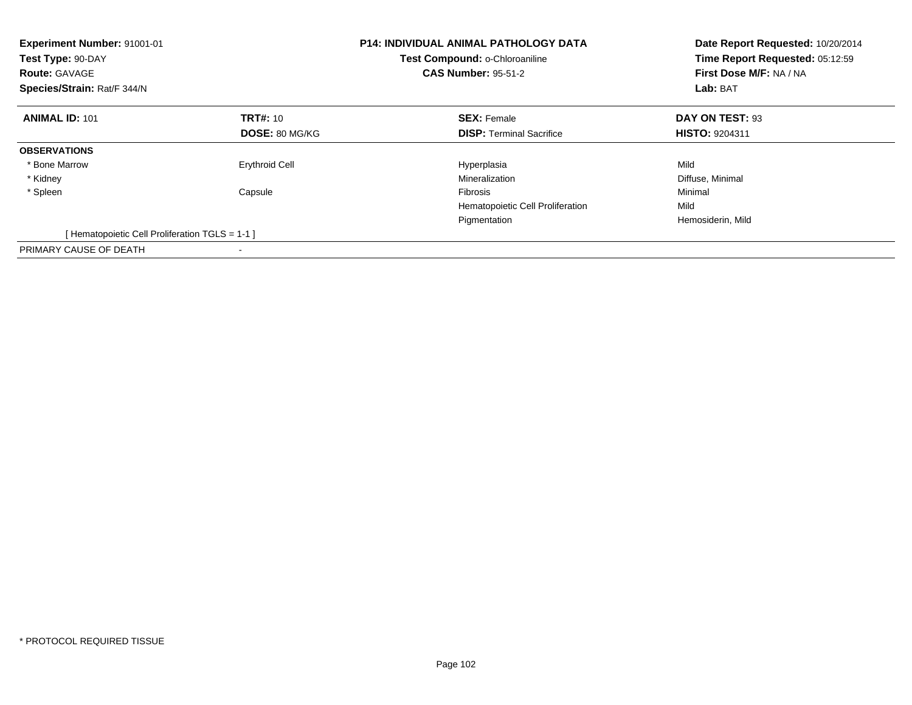| <b>Experiment Number: 91001-01</b><br>Test Type: 90-DAY<br><b>Route: GAVAGE</b><br>Species/Strain: Rat/F 344/N |                       | <b>P14: INDIVIDUAL ANIMAL PATHOLOGY DATA</b><br>Test Compound: o-Chloroaniline<br><b>CAS Number: 95-51-2</b> | Date Report Requested: 10/20/2014<br>Time Report Requested: 05:12:59<br>First Dose M/F: NA / NA<br>Lab: BAT |
|----------------------------------------------------------------------------------------------------------------|-----------------------|--------------------------------------------------------------------------------------------------------------|-------------------------------------------------------------------------------------------------------------|
| <b>ANIMAL ID: 101</b>                                                                                          | <b>TRT#: 10</b>       | <b>SEX: Female</b>                                                                                           | DAY ON TEST: 93                                                                                             |
|                                                                                                                | <b>DOSE: 80 MG/KG</b> | <b>DISP:</b> Terminal Sacrifice                                                                              | <b>HISTO: 9204311</b>                                                                                       |
| <b>OBSERVATIONS</b>                                                                                            |                       |                                                                                                              |                                                                                                             |
| * Bone Marrow                                                                                                  | <b>Erythroid Cell</b> | Hyperplasia                                                                                                  | Mild                                                                                                        |
| * Kidney                                                                                                       |                       | Mineralization                                                                                               | Diffuse, Minimal                                                                                            |
| * Spleen                                                                                                       | Capsule               | Fibrosis                                                                                                     | Minimal                                                                                                     |
|                                                                                                                |                       | Hematopoietic Cell Proliferation                                                                             | Mild                                                                                                        |
|                                                                                                                |                       | Pigmentation                                                                                                 | Hemosiderin, Mild                                                                                           |
| [Hematopoietic Cell Proliferation TGLS = 1-1 ]                                                                 |                       |                                                                                                              |                                                                                                             |
| PRIMARY CAUSE OF DEATH                                                                                         |                       |                                                                                                              |                                                                                                             |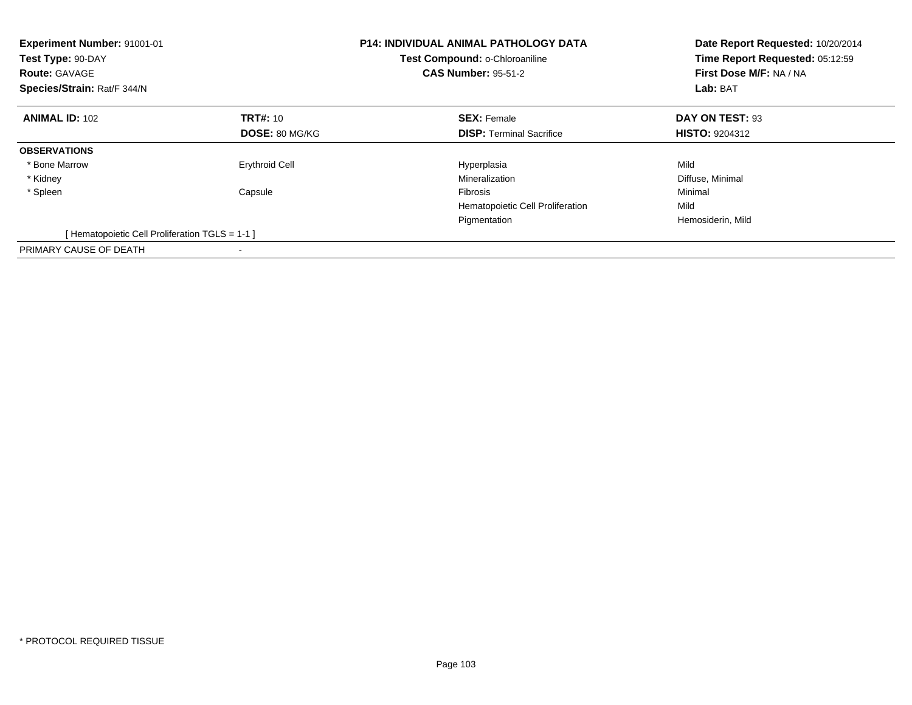| <b>Experiment Number: 91001-01</b><br>Test Type: 90-DAY<br><b>Route: GAVAGE</b><br>Species/Strain: Rat/F 344/N |                       | <b>P14: INDIVIDUAL ANIMAL PATHOLOGY DATA</b><br>Test Compound: o-Chloroaniline<br><b>CAS Number: 95-51-2</b> | Date Report Requested: 10/20/2014<br>Time Report Requested: 05:12:59<br>First Dose M/F: NA / NA<br>Lab: BAT |
|----------------------------------------------------------------------------------------------------------------|-----------------------|--------------------------------------------------------------------------------------------------------------|-------------------------------------------------------------------------------------------------------------|
| <b>ANIMAL ID: 102</b>                                                                                          | <b>TRT#: 10</b>       | <b>SEX: Female</b>                                                                                           | DAY ON TEST: 93                                                                                             |
|                                                                                                                | <b>DOSE: 80 MG/KG</b> | <b>DISP:</b> Terminal Sacrifice                                                                              | <b>HISTO: 9204312</b>                                                                                       |
| <b>OBSERVATIONS</b>                                                                                            |                       |                                                                                                              |                                                                                                             |
| * Bone Marrow                                                                                                  | <b>Erythroid Cell</b> | Hyperplasia                                                                                                  | Mild                                                                                                        |
| * Kidney                                                                                                       |                       | Mineralization                                                                                               | Diffuse, Minimal                                                                                            |
| * Spleen                                                                                                       | Capsule               | <b>Fibrosis</b>                                                                                              | Minimal                                                                                                     |
|                                                                                                                |                       | Hematopoietic Cell Proliferation                                                                             | Mild                                                                                                        |
|                                                                                                                |                       | Pigmentation                                                                                                 | Hemosiderin, Mild                                                                                           |
| [Hematopoietic Cell Proliferation TGLS = 1-1 ]                                                                 |                       |                                                                                                              |                                                                                                             |
| PRIMARY CAUSE OF DEATH                                                                                         |                       |                                                                                                              |                                                                                                             |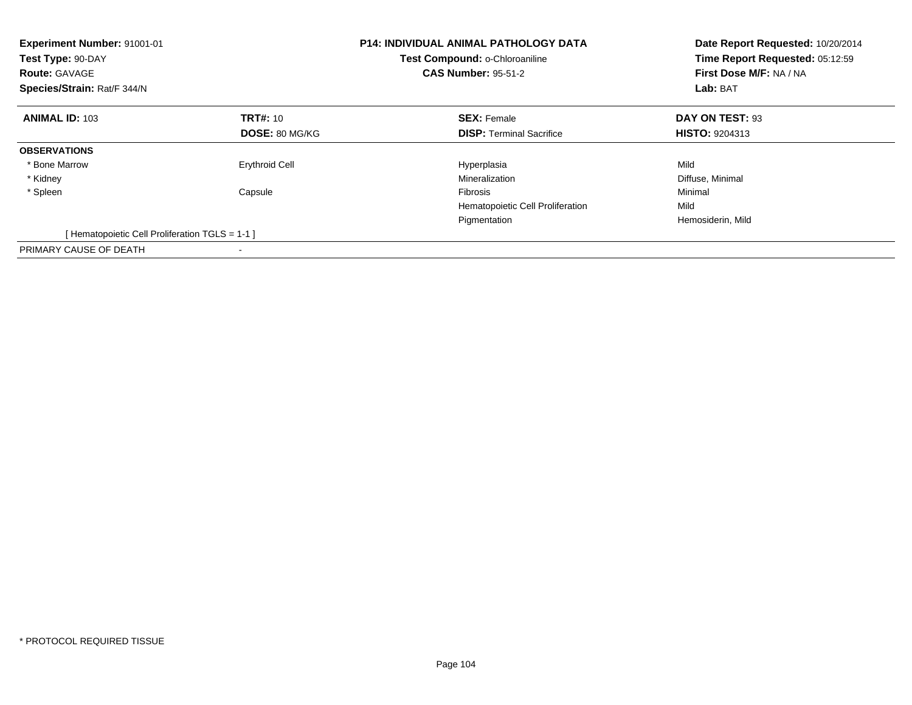| <b>Experiment Number: 91001-01</b><br>Test Type: 90-DAY<br><b>Route: GAVAGE</b><br>Species/Strain: Rat/F 344/N |                       | <b>P14: INDIVIDUAL ANIMAL PATHOLOGY DATA</b><br>Test Compound: o-Chloroaniline<br><b>CAS Number: 95-51-2</b> | Date Report Requested: 10/20/2014<br>Time Report Requested: 05:12:59<br>First Dose M/F: NA / NA<br>Lab: BAT |
|----------------------------------------------------------------------------------------------------------------|-----------------------|--------------------------------------------------------------------------------------------------------------|-------------------------------------------------------------------------------------------------------------|
| <b>ANIMAL ID: 103</b>                                                                                          | <b>TRT#: 10</b>       | <b>SEX: Female</b>                                                                                           | DAY ON TEST: 93                                                                                             |
|                                                                                                                | <b>DOSE: 80 MG/KG</b> | <b>DISP:</b> Terminal Sacrifice                                                                              | <b>HISTO: 9204313</b>                                                                                       |
| <b>OBSERVATIONS</b>                                                                                            |                       |                                                                                                              |                                                                                                             |
| * Bone Marrow                                                                                                  | <b>Erythroid Cell</b> | Hyperplasia                                                                                                  | Mild                                                                                                        |
| * Kidney                                                                                                       |                       | Mineralization                                                                                               | Diffuse, Minimal                                                                                            |
| * Spleen                                                                                                       | Capsule               | Fibrosis                                                                                                     | Minimal                                                                                                     |
|                                                                                                                |                       | Hematopoietic Cell Proliferation                                                                             | Mild                                                                                                        |
|                                                                                                                |                       | Pigmentation                                                                                                 | Hemosiderin, Mild                                                                                           |
| [Hematopoietic Cell Proliferation TGLS = 1-1 ]                                                                 |                       |                                                                                                              |                                                                                                             |
| PRIMARY CAUSE OF DEATH                                                                                         |                       |                                                                                                              |                                                                                                             |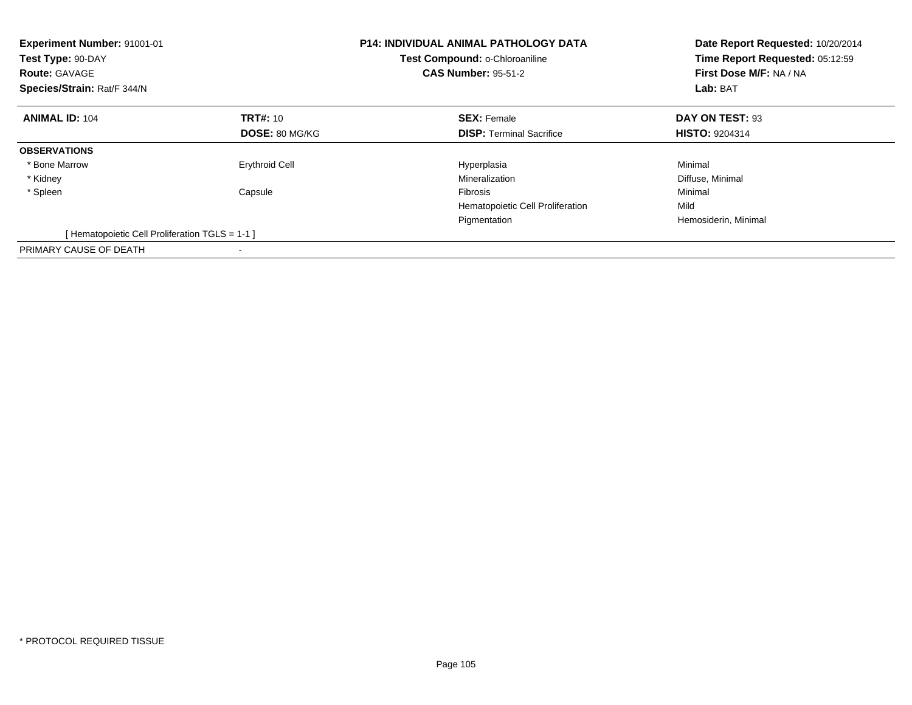| Experiment Number: 91001-01<br>Test Type: 90-DAY<br><b>Route: GAVAGE</b><br>Species/Strain: Rat/F 344/N |                       | <b>P14: INDIVIDUAL ANIMAL PATHOLOGY DATA</b><br>Test Compound: o-Chloroaniline<br><b>CAS Number: 95-51-2</b> | Date Report Requested: 10/20/2014<br>Time Report Requested: 05:12:59<br>First Dose M/F: NA / NA<br>Lab: BAT |
|---------------------------------------------------------------------------------------------------------|-----------------------|--------------------------------------------------------------------------------------------------------------|-------------------------------------------------------------------------------------------------------------|
| <b>ANIMAL ID: 104</b>                                                                                   | <b>TRT#: 10</b>       | <b>SEX: Female</b>                                                                                           | DAY ON TEST: 93                                                                                             |
|                                                                                                         | <b>DOSE: 80 MG/KG</b> | <b>DISP:</b> Terminal Sacrifice                                                                              | <b>HISTO: 9204314</b>                                                                                       |
| <b>OBSERVATIONS</b>                                                                                     |                       |                                                                                                              |                                                                                                             |
| * Bone Marrow                                                                                           | <b>Erythroid Cell</b> | Hyperplasia                                                                                                  | Minimal                                                                                                     |
| * Kidney                                                                                                |                       | Mineralization                                                                                               | Diffuse, Minimal                                                                                            |
| * Spleen                                                                                                | Capsule               | <b>Fibrosis</b>                                                                                              | Minimal                                                                                                     |
|                                                                                                         |                       | Hematopoietic Cell Proliferation                                                                             | Mild                                                                                                        |
|                                                                                                         |                       | Pigmentation                                                                                                 | Hemosiderin, Minimal                                                                                        |
| [Hematopoietic Cell Proliferation TGLS = 1-1 ]                                                          |                       |                                                                                                              |                                                                                                             |
| PRIMARY CAUSE OF DEATH                                                                                  |                       |                                                                                                              |                                                                                                             |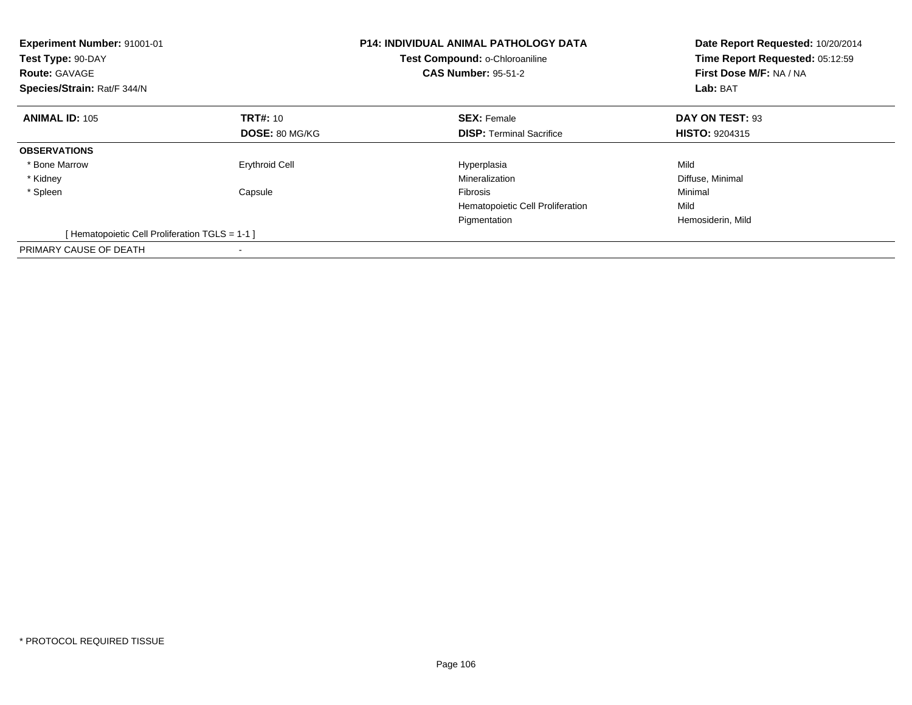| <b>Experiment Number: 91001-01</b><br>Test Type: 90-DAY<br><b>Route: GAVAGE</b><br>Species/Strain: Rat/F 344/N |                       | <b>P14: INDIVIDUAL ANIMAL PATHOLOGY DATA</b><br>Test Compound: o-Chloroaniline<br><b>CAS Number: 95-51-2</b> | Date Report Requested: 10/20/2014<br>Time Report Requested: 05:12:59<br>First Dose M/F: NA / NA<br>Lab: BAT |
|----------------------------------------------------------------------------------------------------------------|-----------------------|--------------------------------------------------------------------------------------------------------------|-------------------------------------------------------------------------------------------------------------|
| <b>ANIMAL ID: 105</b>                                                                                          | <b>TRT#: 10</b>       | <b>SEX: Female</b>                                                                                           | DAY ON TEST: 93                                                                                             |
|                                                                                                                | <b>DOSE: 80 MG/KG</b> | <b>DISP:</b> Terminal Sacrifice                                                                              | <b>HISTO: 9204315</b>                                                                                       |
| <b>OBSERVATIONS</b>                                                                                            |                       |                                                                                                              |                                                                                                             |
| * Bone Marrow                                                                                                  | <b>Erythroid Cell</b> | Hyperplasia                                                                                                  | Mild                                                                                                        |
| * Kidney                                                                                                       |                       | Mineralization                                                                                               | Diffuse, Minimal                                                                                            |
| * Spleen                                                                                                       | Capsule               | Fibrosis                                                                                                     | Minimal                                                                                                     |
|                                                                                                                |                       | Hematopoietic Cell Proliferation                                                                             | Mild                                                                                                        |
|                                                                                                                |                       | Pigmentation                                                                                                 | Hemosiderin, Mild                                                                                           |
| [Hematopoietic Cell Proliferation TGLS = 1-1 ]                                                                 |                       |                                                                                                              |                                                                                                             |
| PRIMARY CAUSE OF DEATH                                                                                         |                       |                                                                                                              |                                                                                                             |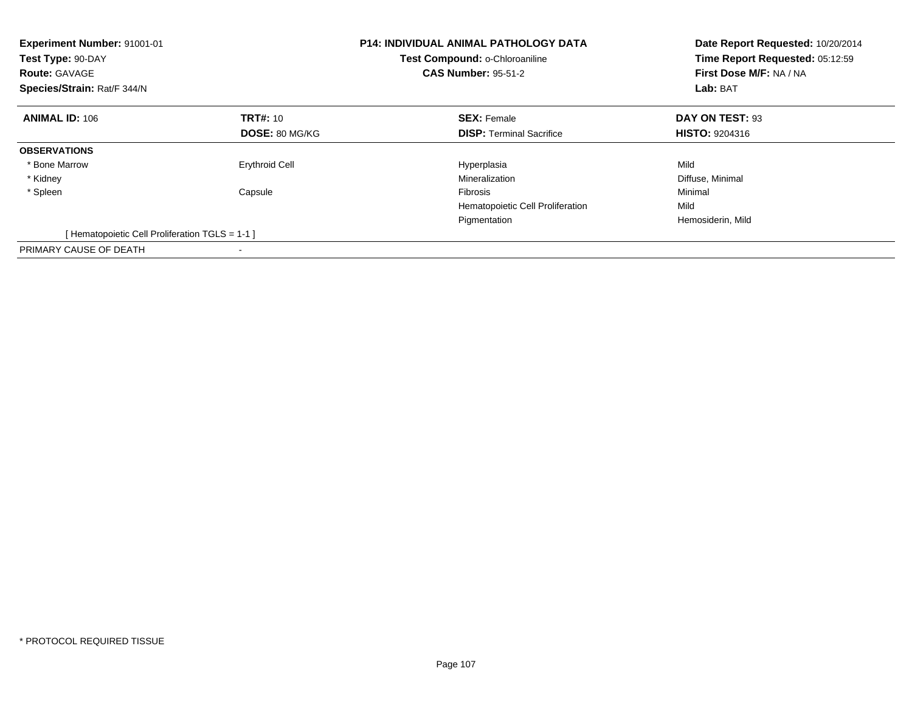| <b>Experiment Number: 91001-01</b><br>Test Type: 90-DAY<br><b>Route: GAVAGE</b><br>Species/Strain: Rat/F 344/N |                       | <b>P14: INDIVIDUAL ANIMAL PATHOLOGY DATA</b><br>Test Compound: o-Chloroaniline<br><b>CAS Number: 95-51-2</b> | Date Report Requested: 10/20/2014<br>Time Report Requested: 05:12:59<br>First Dose M/F: NA / NA<br>Lab: BAT |
|----------------------------------------------------------------------------------------------------------------|-----------------------|--------------------------------------------------------------------------------------------------------------|-------------------------------------------------------------------------------------------------------------|
| <b>ANIMAL ID: 106</b>                                                                                          | <b>TRT#: 10</b>       | <b>SEX: Female</b>                                                                                           | DAY ON TEST: 93                                                                                             |
|                                                                                                                | <b>DOSE: 80 MG/KG</b> | <b>DISP:</b> Terminal Sacrifice                                                                              | <b>HISTO: 9204316</b>                                                                                       |
| <b>OBSERVATIONS</b>                                                                                            |                       |                                                                                                              |                                                                                                             |
| * Bone Marrow                                                                                                  | <b>Erythroid Cell</b> | Hyperplasia                                                                                                  | Mild                                                                                                        |
| * Kidney                                                                                                       |                       | Mineralization                                                                                               | Diffuse, Minimal                                                                                            |
| * Spleen                                                                                                       | Capsule               | Fibrosis                                                                                                     | Minimal                                                                                                     |
|                                                                                                                |                       | Hematopoietic Cell Proliferation                                                                             | Mild                                                                                                        |
|                                                                                                                |                       | Pigmentation                                                                                                 | Hemosiderin, Mild                                                                                           |
| [Hematopoietic Cell Proliferation TGLS = 1-1 ]                                                                 |                       |                                                                                                              |                                                                                                             |
| PRIMARY CAUSE OF DEATH                                                                                         |                       |                                                                                                              |                                                                                                             |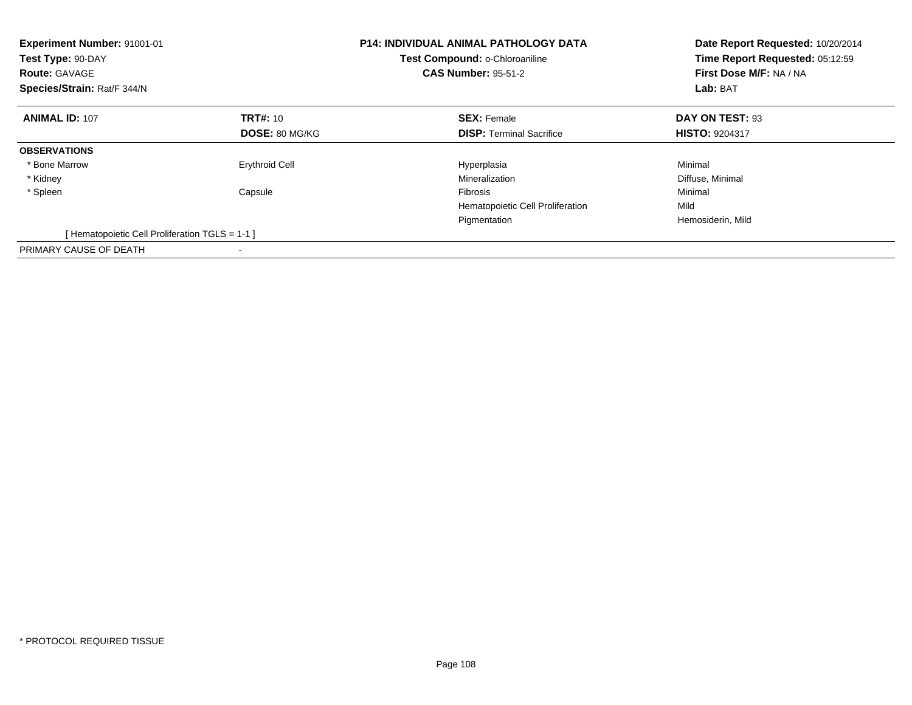| Experiment Number: 91001-01<br>Test Type: 90-DAY<br><b>Route: GAVAGE</b><br>Species/Strain: Rat/F 344/N |                       | <b>P14: INDIVIDUAL ANIMAL PATHOLOGY DATA</b><br>Test Compound: o-Chloroaniline<br><b>CAS Number: 95-51-2</b> | Date Report Requested: 10/20/2014<br>Time Report Requested: 05:12:59<br>First Dose M/F: NA / NA<br>Lab: BAT |
|---------------------------------------------------------------------------------------------------------|-----------------------|--------------------------------------------------------------------------------------------------------------|-------------------------------------------------------------------------------------------------------------|
| <b>ANIMAL ID: 107</b>                                                                                   | <b>TRT#: 10</b>       | <b>SEX: Female</b>                                                                                           | DAY ON TEST: 93                                                                                             |
|                                                                                                         | <b>DOSE: 80 MG/KG</b> | <b>DISP:</b> Terminal Sacrifice                                                                              | <b>HISTO: 9204317</b>                                                                                       |
| <b>OBSERVATIONS</b>                                                                                     |                       |                                                                                                              |                                                                                                             |
| * Bone Marrow                                                                                           | <b>Erythroid Cell</b> | Hyperplasia                                                                                                  | Minimal                                                                                                     |
| * Kidney                                                                                                |                       | Mineralization                                                                                               | Diffuse, Minimal                                                                                            |
| * Spleen                                                                                                | Capsule               | <b>Fibrosis</b>                                                                                              | Minimal                                                                                                     |
|                                                                                                         |                       | Hematopoietic Cell Proliferation                                                                             | Mild                                                                                                        |
|                                                                                                         |                       | Pigmentation                                                                                                 | Hemosiderin, Mild                                                                                           |
| [Hematopoietic Cell Proliferation TGLS = 1-1 ]                                                          |                       |                                                                                                              |                                                                                                             |
| PRIMARY CAUSE OF DEATH                                                                                  |                       |                                                                                                              |                                                                                                             |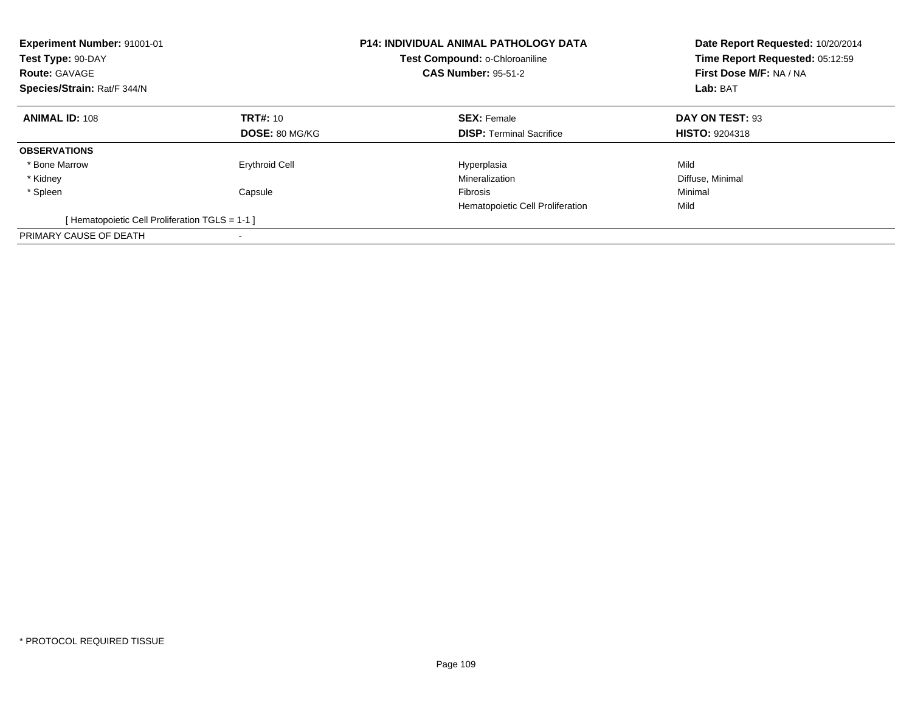| Experiment Number: 91001-01<br>Test Type: 90-DAY<br><b>Route: GAVAGE</b><br>Species/Strain: Rat/F 344/N |                       | <b>P14: INDIVIDUAL ANIMAL PATHOLOGY DATA</b><br>Test Compound: o-Chloroaniline<br><b>CAS Number: 95-51-2</b> | Date Report Requested: 10/20/2014<br>Time Report Requested: 05:12:59<br>First Dose M/F: NA / NA<br>Lab: BAT |
|---------------------------------------------------------------------------------------------------------|-----------------------|--------------------------------------------------------------------------------------------------------------|-------------------------------------------------------------------------------------------------------------|
| <b>ANIMAL ID: 108</b>                                                                                   | <b>TRT#: 10</b>       | <b>SEX: Female</b>                                                                                           | DAY ON TEST: 93                                                                                             |
|                                                                                                         | <b>DOSE: 80 MG/KG</b> | <b>DISP:</b> Terminal Sacrifice                                                                              | <b>HISTO: 9204318</b>                                                                                       |
| <b>OBSERVATIONS</b>                                                                                     |                       |                                                                                                              |                                                                                                             |
| * Bone Marrow                                                                                           | <b>Erythroid Cell</b> | Hyperplasia                                                                                                  | Mild                                                                                                        |
| * Kidney                                                                                                |                       | Mineralization                                                                                               | Diffuse, Minimal                                                                                            |
| * Spleen                                                                                                | Capsule               | <b>Fibrosis</b>                                                                                              | Minimal                                                                                                     |
|                                                                                                         |                       | Hematopoietic Cell Proliferation                                                                             | Mild                                                                                                        |
| [Hematopoietic Cell Proliferation TGLS = 1-1 ]                                                          |                       |                                                                                                              |                                                                                                             |
| PRIMARY CAUSE OF DEATH                                                                                  |                       |                                                                                                              |                                                                                                             |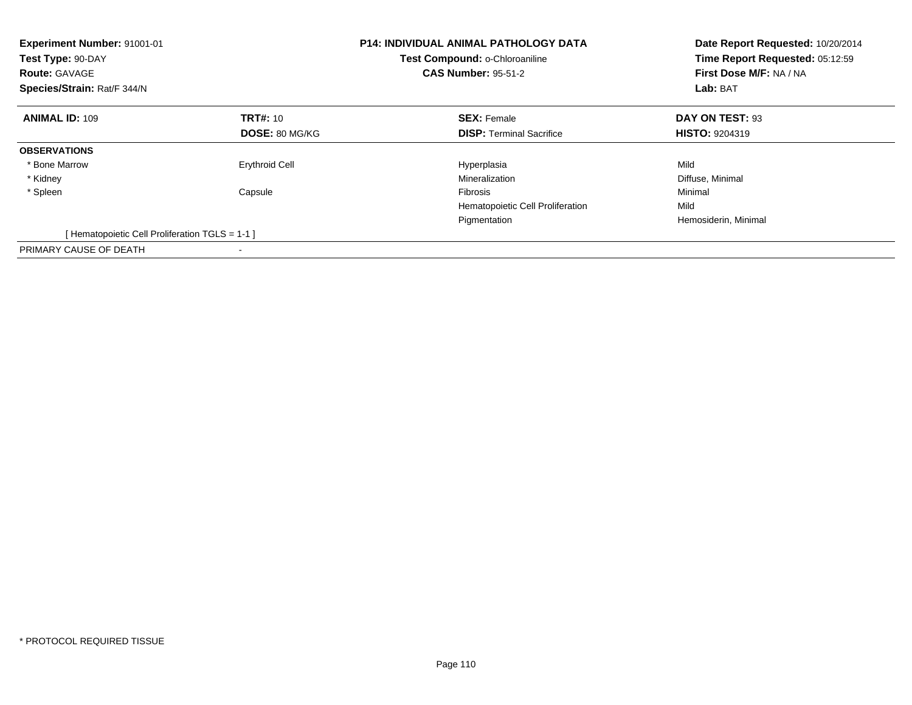| Experiment Number: 91001-01<br>Test Type: 90-DAY<br><b>Route: GAVAGE</b><br>Species/Strain: Rat/F 344/N |                       | <b>P14: INDIVIDUAL ANIMAL PATHOLOGY DATA</b><br>Test Compound: o-Chloroaniline<br><b>CAS Number: 95-51-2</b> | Date Report Requested: 10/20/2014<br>Time Report Requested: 05:12:59<br>First Dose M/F: NA / NA<br>Lab: BAT |
|---------------------------------------------------------------------------------------------------------|-----------------------|--------------------------------------------------------------------------------------------------------------|-------------------------------------------------------------------------------------------------------------|
| <b>ANIMAL ID: 109</b>                                                                                   | <b>TRT#: 10</b>       | <b>SEX: Female</b>                                                                                           | DAY ON TEST: 93                                                                                             |
|                                                                                                         | <b>DOSE: 80 MG/KG</b> | <b>DISP:</b> Terminal Sacrifice                                                                              | <b>HISTO: 9204319</b>                                                                                       |
| <b>OBSERVATIONS</b>                                                                                     |                       |                                                                                                              |                                                                                                             |
| * Bone Marrow                                                                                           | <b>Erythroid Cell</b> | Hyperplasia                                                                                                  | Mild                                                                                                        |
| * Kidney                                                                                                |                       | Mineralization                                                                                               | Diffuse, Minimal                                                                                            |
| * Spleen                                                                                                | Capsule               | Fibrosis                                                                                                     | Minimal                                                                                                     |
|                                                                                                         |                       | Hematopoietic Cell Proliferation                                                                             | Mild                                                                                                        |
|                                                                                                         |                       | Pigmentation                                                                                                 | Hemosiderin, Minimal                                                                                        |
| [Hematopoietic Cell Proliferation TGLS = 1-1 ]                                                          |                       |                                                                                                              |                                                                                                             |
| PRIMARY CAUSE OF DEATH                                                                                  |                       |                                                                                                              |                                                                                                             |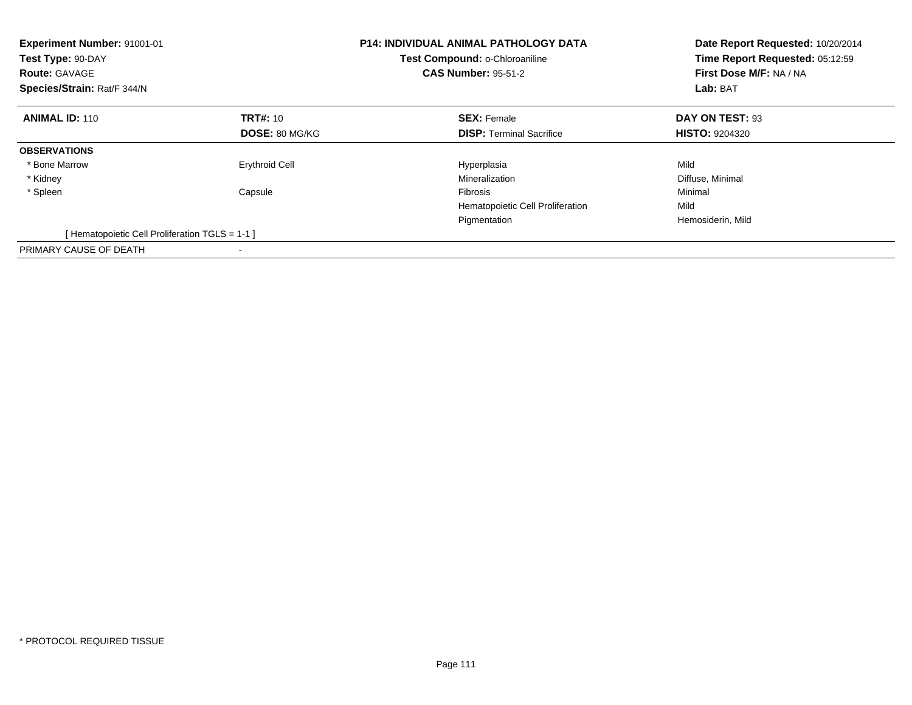| <b>Experiment Number: 91001-01</b><br>Test Type: 90-DAY<br><b>Route: GAVAGE</b><br>Species/Strain: Rat/F 344/N |                       | <b>P14: INDIVIDUAL ANIMAL PATHOLOGY DATA</b><br>Test Compound: o-Chloroaniline<br><b>CAS Number: 95-51-2</b> | Date Report Requested: 10/20/2014<br>Time Report Requested: 05:12:59<br>First Dose M/F: NA / NA<br>Lab: BAT |
|----------------------------------------------------------------------------------------------------------------|-----------------------|--------------------------------------------------------------------------------------------------------------|-------------------------------------------------------------------------------------------------------------|
| <b>ANIMAL ID: 110</b>                                                                                          | <b>TRT#: 10</b>       | <b>SEX: Female</b>                                                                                           | DAY ON TEST: 93                                                                                             |
|                                                                                                                | <b>DOSE: 80 MG/KG</b> | <b>DISP:</b> Terminal Sacrifice                                                                              | <b>HISTO: 9204320</b>                                                                                       |
| <b>OBSERVATIONS</b>                                                                                            |                       |                                                                                                              |                                                                                                             |
| * Bone Marrow                                                                                                  | <b>Erythroid Cell</b> | Hyperplasia                                                                                                  | Mild                                                                                                        |
| * Kidney                                                                                                       |                       | Mineralization                                                                                               | Diffuse, Minimal                                                                                            |
| * Spleen                                                                                                       | Capsule               | Fibrosis                                                                                                     | Minimal                                                                                                     |
|                                                                                                                |                       | Hematopoietic Cell Proliferation                                                                             | Mild                                                                                                        |
|                                                                                                                |                       | Pigmentation                                                                                                 | Hemosiderin, Mild                                                                                           |
| [Hematopoietic Cell Proliferation TGLS = 1-1 ]                                                                 |                       |                                                                                                              |                                                                                                             |
| PRIMARY CAUSE OF DEATH                                                                                         |                       |                                                                                                              |                                                                                                             |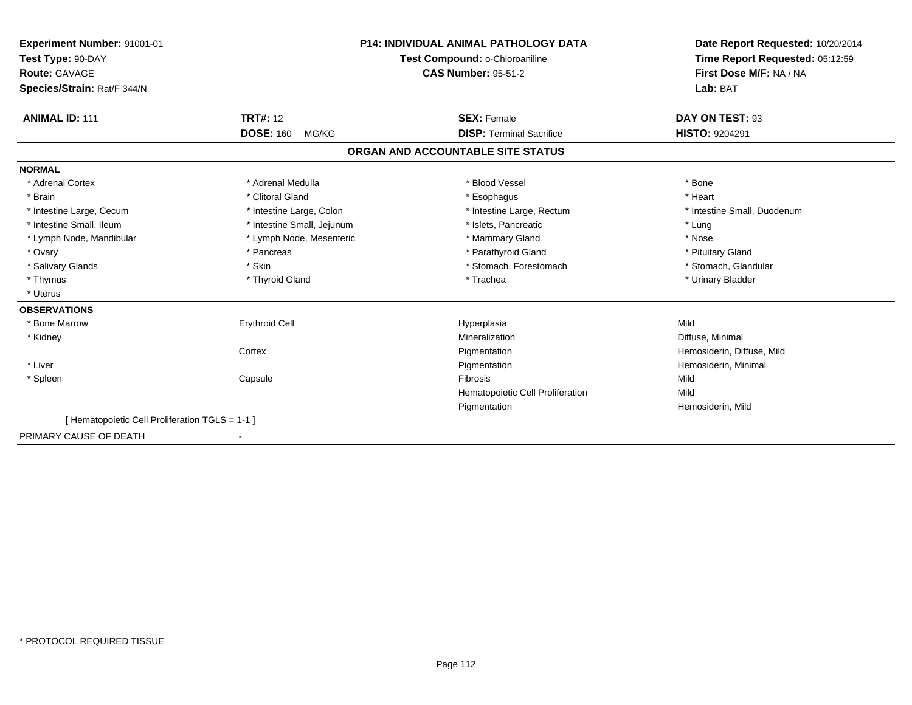| Experiment Number: 91001-01                    | <b>P14: INDIVIDUAL ANIMAL PATHOLOGY DATA</b><br>Test Compound: o-Chloroaniline |                                   | Date Report Requested: 10/20/2014<br>Time Report Requested: 05:12:59 |
|------------------------------------------------|--------------------------------------------------------------------------------|-----------------------------------|----------------------------------------------------------------------|
| Test Type: 90-DAY                              |                                                                                |                                   |                                                                      |
| Route: GAVAGE                                  |                                                                                | <b>CAS Number: 95-51-2</b>        | First Dose M/F: NA / NA                                              |
| Species/Strain: Rat/F 344/N                    |                                                                                |                                   | Lab: BAT                                                             |
|                                                |                                                                                |                                   |                                                                      |
| <b>ANIMAL ID: 111</b>                          | <b>TRT#: 12</b>                                                                | <b>SEX: Female</b>                | DAY ON TEST: 93                                                      |
|                                                | <b>DOSE: 160</b><br>MG/KG                                                      | <b>DISP: Terminal Sacrifice</b>   | <b>HISTO: 9204291</b>                                                |
|                                                |                                                                                | ORGAN AND ACCOUNTABLE SITE STATUS |                                                                      |
| <b>NORMAL</b>                                  |                                                                                |                                   |                                                                      |
| * Adrenal Cortex                               | * Adrenal Medulla                                                              | * Blood Vessel                    | * Bone                                                               |
| * Brain                                        | * Clitoral Gland                                                               | * Esophagus                       | * Heart                                                              |
| * Intestine Large, Cecum                       | * Intestine Large, Colon                                                       | * Intestine Large, Rectum         | * Intestine Small, Duodenum                                          |
| * Intestine Small, Ileum                       | * Intestine Small, Jejunum                                                     | * Islets, Pancreatic              | * Lung                                                               |
| * Lymph Node, Mandibular                       | * Lymph Node, Mesenteric                                                       | * Mammary Gland                   | * Nose                                                               |
| * Ovary                                        | * Pancreas                                                                     | * Parathyroid Gland               | * Pituitary Gland                                                    |
| * Salivary Glands                              | * Skin                                                                         | * Stomach, Forestomach            | * Stomach, Glandular                                                 |
| * Thymus                                       | * Thyroid Gland                                                                | * Trachea                         | * Urinary Bladder                                                    |
| * Uterus                                       |                                                                                |                                   |                                                                      |
| <b>OBSERVATIONS</b>                            |                                                                                |                                   |                                                                      |
| * Bone Marrow                                  | <b>Erythroid Cell</b>                                                          | Hyperplasia                       | Mild                                                                 |
| * Kidney                                       |                                                                                | Mineralization                    | Diffuse, Minimal                                                     |
|                                                | Cortex                                                                         | Pigmentation                      | Hemosiderin, Diffuse, Mild                                           |
| * Liver                                        |                                                                                | Pigmentation                      | Hemosiderin, Minimal                                                 |
| * Spleen                                       | Capsule                                                                        | <b>Fibrosis</b>                   | Mild                                                                 |
|                                                |                                                                                | Hematopoietic Cell Proliferation  | Mild                                                                 |
|                                                |                                                                                | Pigmentation                      | Hemosiderin, Mild                                                    |
| [Hematopoietic Cell Proliferation TGLS = 1-1 ] |                                                                                |                                   |                                                                      |
| PRIMARY CAUSE OF DEATH                         |                                                                                |                                   |                                                                      |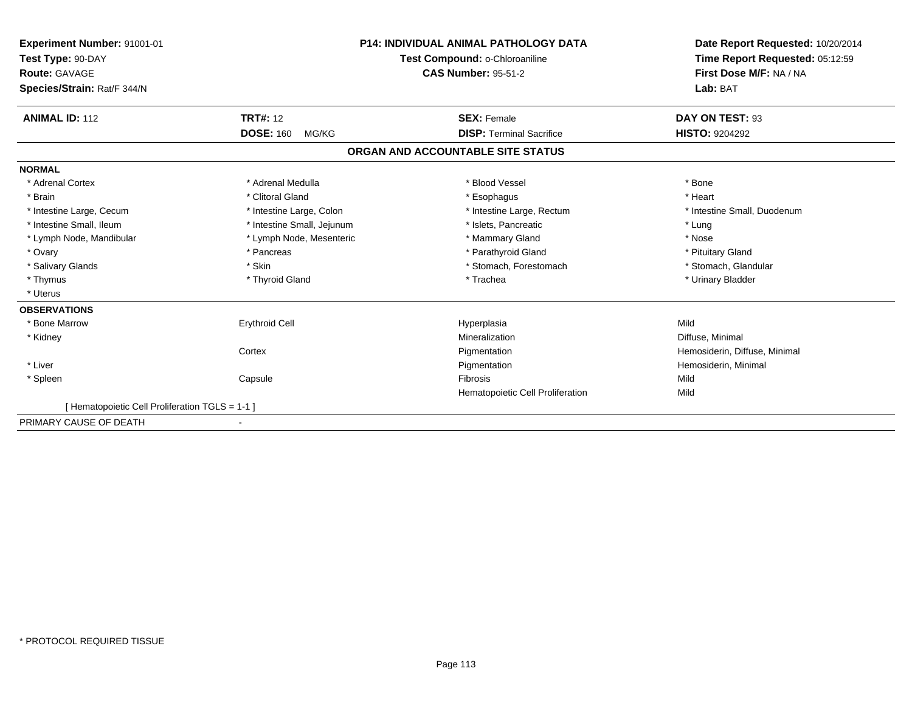| <b>Experiment Number: 91001-01</b><br>Test Type: 90-DAY<br><b>Route: GAVAGE</b><br>Species/Strain: Rat/F 344/N |                            | <b>P14: INDIVIDUAL ANIMAL PATHOLOGY DATA</b><br>Test Compound: o-Chloroaniline<br><b>CAS Number: 95-51-2</b> | Date Report Requested: 10/20/2014<br>Time Report Requested: 05:12:59<br>First Dose M/F: NA / NA<br>Lab: BAT |
|----------------------------------------------------------------------------------------------------------------|----------------------------|--------------------------------------------------------------------------------------------------------------|-------------------------------------------------------------------------------------------------------------|
| <b>ANIMAL ID: 112</b>                                                                                          | <b>TRT#: 12</b>            | <b>SEX: Female</b>                                                                                           | DAY ON TEST: 93                                                                                             |
|                                                                                                                | <b>DOSE: 160</b><br>MG/KG  | <b>DISP: Terminal Sacrifice</b>                                                                              | <b>HISTO: 9204292</b>                                                                                       |
|                                                                                                                |                            | ORGAN AND ACCOUNTABLE SITE STATUS                                                                            |                                                                                                             |
| <b>NORMAL</b>                                                                                                  |                            |                                                                                                              |                                                                                                             |
| * Adrenal Cortex                                                                                               | * Adrenal Medulla          | * Blood Vessel                                                                                               | * Bone                                                                                                      |
| * Brain                                                                                                        | * Clitoral Gland           | * Esophagus                                                                                                  | * Heart                                                                                                     |
| * Intestine Large, Cecum                                                                                       | * Intestine Large, Colon   | * Intestine Large, Rectum                                                                                    | * Intestine Small, Duodenum                                                                                 |
| * Intestine Small, Ileum                                                                                       | * Intestine Small, Jejunum | * Islets, Pancreatic                                                                                         | * Lung                                                                                                      |
| * Lymph Node, Mandibular                                                                                       | * Lymph Node, Mesenteric   | * Mammary Gland                                                                                              | * Nose                                                                                                      |
| * Ovary                                                                                                        | * Pancreas                 | * Parathyroid Gland                                                                                          | * Pituitary Gland                                                                                           |
| * Salivary Glands                                                                                              | * Skin                     | * Stomach, Forestomach                                                                                       | * Stomach, Glandular                                                                                        |
| * Thymus                                                                                                       | * Thyroid Gland            | * Trachea                                                                                                    | * Urinary Bladder                                                                                           |
| * Uterus                                                                                                       |                            |                                                                                                              |                                                                                                             |
| <b>OBSERVATIONS</b>                                                                                            |                            |                                                                                                              |                                                                                                             |
| * Bone Marrow                                                                                                  | <b>Erythroid Cell</b>      | Hyperplasia                                                                                                  | Mild                                                                                                        |
| * Kidney                                                                                                       |                            | Mineralization                                                                                               | Diffuse, Minimal                                                                                            |
|                                                                                                                | Cortex                     | Pigmentation                                                                                                 | Hemosiderin, Diffuse, Minimal                                                                               |
| * Liver                                                                                                        |                            | Pigmentation                                                                                                 | Hemosiderin, Minimal                                                                                        |
| * Spleen                                                                                                       | Capsule                    | Fibrosis                                                                                                     | Mild                                                                                                        |
|                                                                                                                |                            | Hematopoietic Cell Proliferation                                                                             | Mild                                                                                                        |
| [Hematopoietic Cell Proliferation TGLS = 1-1 ]                                                                 |                            |                                                                                                              |                                                                                                             |
| PRIMARY CAUSE OF DEATH                                                                                         |                            |                                                                                                              |                                                                                                             |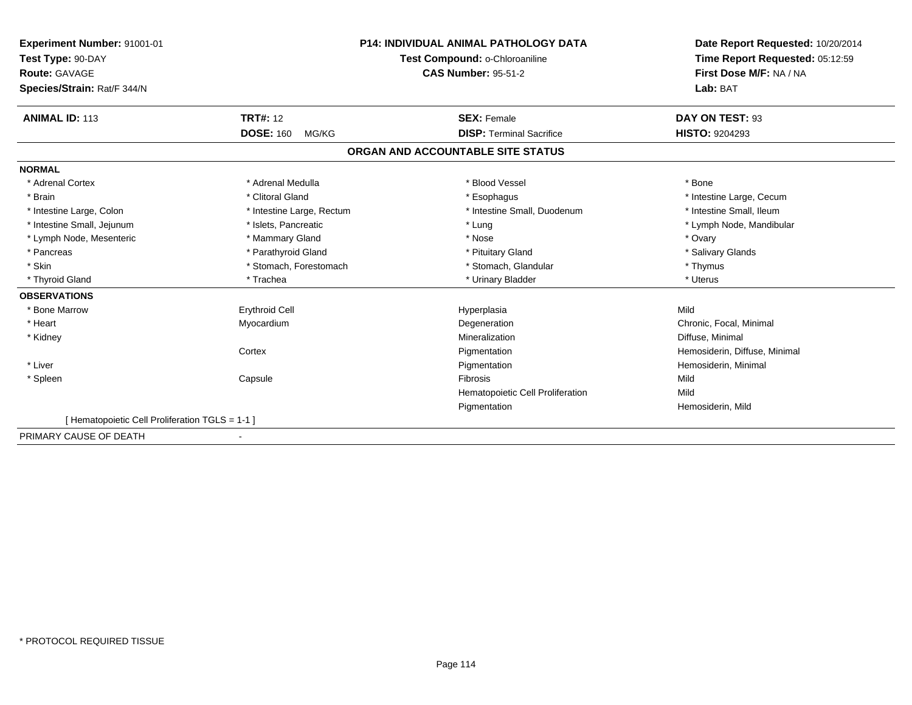| Experiment Number: 91001-01                    |                                | <b>P14: INDIVIDUAL ANIMAL PATHOLOGY DATA</b> | Date Report Requested: 10/20/2014 |
|------------------------------------------------|--------------------------------|----------------------------------------------|-----------------------------------|
| Test Type: 90-DAY                              | Test Compound: o-Chloroaniline |                                              | Time Report Requested: 05:12:59   |
| <b>Route: GAVAGE</b>                           |                                | <b>CAS Number: 95-51-2</b>                   | First Dose M/F: NA / NA           |
| Species/Strain: Rat/F 344/N                    |                                |                                              | Lab: BAT                          |
|                                                |                                |                                              |                                   |
| <b>ANIMAL ID: 113</b>                          | <b>TRT#: 12</b>                | <b>SEX: Female</b>                           | DAY ON TEST: 93                   |
|                                                | <b>DOSE: 160</b><br>MG/KG      | <b>DISP: Terminal Sacrifice</b>              | <b>HISTO: 9204293</b>             |
|                                                |                                | ORGAN AND ACCOUNTABLE SITE STATUS            |                                   |
| <b>NORMAL</b>                                  |                                |                                              |                                   |
| * Adrenal Cortex                               | * Adrenal Medulla              | * Blood Vessel                               | * Bone                            |
| * Brain                                        | * Clitoral Gland               | * Esophagus                                  | * Intestine Large, Cecum          |
| * Intestine Large, Colon                       | * Intestine Large, Rectum      | * Intestine Small, Duodenum                  | * Intestine Small, Ileum          |
| * Intestine Small, Jejunum                     | * Islets, Pancreatic           | * Lung                                       | * Lymph Node, Mandibular          |
| * Lymph Node, Mesenteric                       | * Mammary Gland                | * Nose                                       | * Ovary                           |
| * Pancreas                                     | * Parathyroid Gland            | * Pituitary Gland                            | * Salivary Glands                 |
| * Skin                                         | * Stomach, Forestomach         | * Stomach, Glandular                         | * Thymus                          |
| * Thyroid Gland                                | * Trachea                      | * Urinary Bladder                            | * Uterus                          |
| <b>OBSERVATIONS</b>                            |                                |                                              |                                   |
| * Bone Marrow                                  | <b>Erythroid Cell</b>          | Hyperplasia                                  | Mild                              |
| * Heart                                        | Myocardium                     | Degeneration                                 | Chronic, Focal, Minimal           |
| * Kidney                                       |                                | Mineralization                               | Diffuse, Minimal                  |
|                                                | Cortex                         | Pigmentation                                 | Hemosiderin, Diffuse, Minimal     |
| * Liver                                        |                                | Pigmentation                                 | Hemosiderin, Minimal              |
| * Spleen                                       | Capsule                        | <b>Fibrosis</b>                              | Mild                              |
|                                                |                                | Hematopoietic Cell Proliferation             | Mild                              |
|                                                |                                | Pigmentation                                 | Hemosiderin, Mild                 |
| [Hematopoietic Cell Proliferation TGLS = 1-1 ] |                                |                                              |                                   |
| PRIMARY CAUSE OF DEATH                         |                                |                                              |                                   |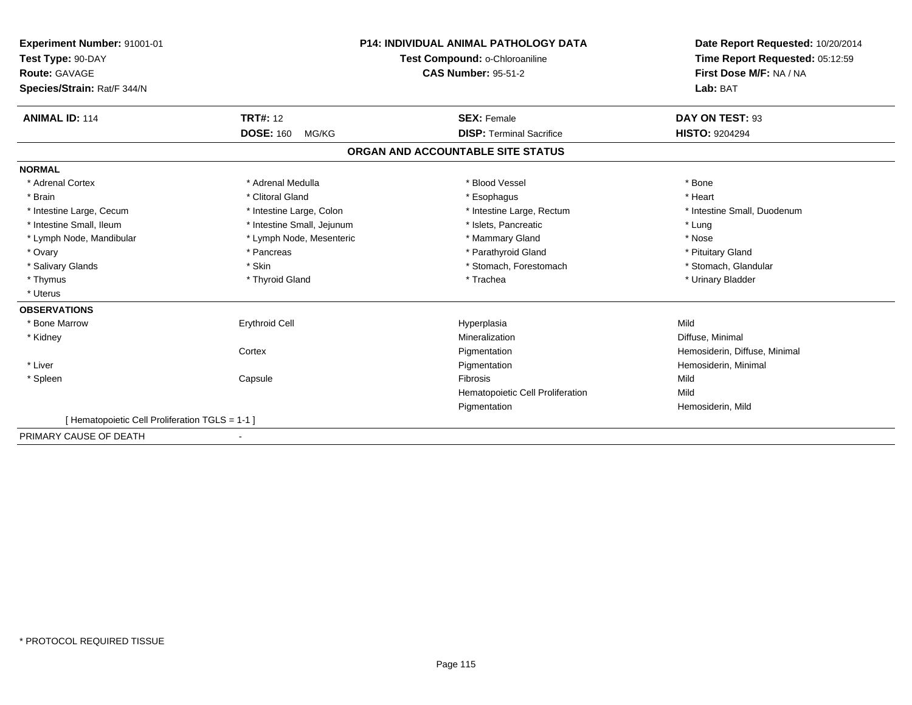| Experiment Number: 91001-01                    |                                | <b>P14: INDIVIDUAL ANIMAL PATHOLOGY DATA</b> | Date Report Requested: 10/20/2014 |
|------------------------------------------------|--------------------------------|----------------------------------------------|-----------------------------------|
| Test Type: 90-DAY                              | Test Compound: o-Chloroaniline |                                              | Time Report Requested: 05:12:59   |
| <b>Route: GAVAGE</b>                           |                                | <b>CAS Number: 95-51-2</b>                   | First Dose M/F: NA / NA           |
| Species/Strain: Rat/F 344/N                    |                                |                                              | Lab: BAT                          |
|                                                |                                |                                              |                                   |
| <b>ANIMAL ID: 114</b>                          | <b>TRT#: 12</b>                | <b>SEX: Female</b>                           | DAY ON TEST: 93                   |
|                                                | <b>DOSE: 160</b><br>MG/KG      | <b>DISP: Terminal Sacrifice</b>              | <b>HISTO: 9204294</b>             |
|                                                |                                | ORGAN AND ACCOUNTABLE SITE STATUS            |                                   |
| <b>NORMAL</b>                                  |                                |                                              |                                   |
| * Adrenal Cortex                               | * Adrenal Medulla              | * Blood Vessel                               | * Bone                            |
| * Brain                                        | * Clitoral Gland               | * Esophagus                                  | * Heart                           |
| * Intestine Large, Cecum                       | * Intestine Large, Colon       | * Intestine Large, Rectum                    | * Intestine Small, Duodenum       |
| * Intestine Small, Ileum                       | * Intestine Small, Jejunum     | * Islets, Pancreatic                         | * Lung                            |
| * Lymph Node, Mandibular                       | * Lymph Node, Mesenteric       | * Mammary Gland                              | * Nose                            |
| * Ovary                                        | * Pancreas                     | * Parathyroid Gland                          | * Pituitary Gland                 |
| * Salivary Glands                              | * Skin                         | * Stomach, Forestomach                       | * Stomach, Glandular              |
| * Thymus                                       | * Thyroid Gland                | * Trachea                                    | * Urinary Bladder                 |
| * Uterus                                       |                                |                                              |                                   |
| <b>OBSERVATIONS</b>                            |                                |                                              |                                   |
| * Bone Marrow                                  | <b>Erythroid Cell</b>          | Hyperplasia                                  | Mild                              |
| * Kidney                                       |                                | Mineralization                               | Diffuse, Minimal                  |
|                                                | Cortex                         | Pigmentation                                 | Hemosiderin, Diffuse, Minimal     |
| * Liver                                        |                                | Pigmentation                                 | Hemosiderin, Minimal              |
| * Spleen                                       | Capsule                        | <b>Fibrosis</b>                              | Mild                              |
|                                                |                                | Hematopoietic Cell Proliferation             | Mild                              |
|                                                |                                | Pigmentation                                 | Hemosiderin, Mild                 |
| [Hematopoietic Cell Proliferation TGLS = 1-1 ] |                                |                                              |                                   |
| PRIMARY CAUSE OF DEATH                         |                                |                                              |                                   |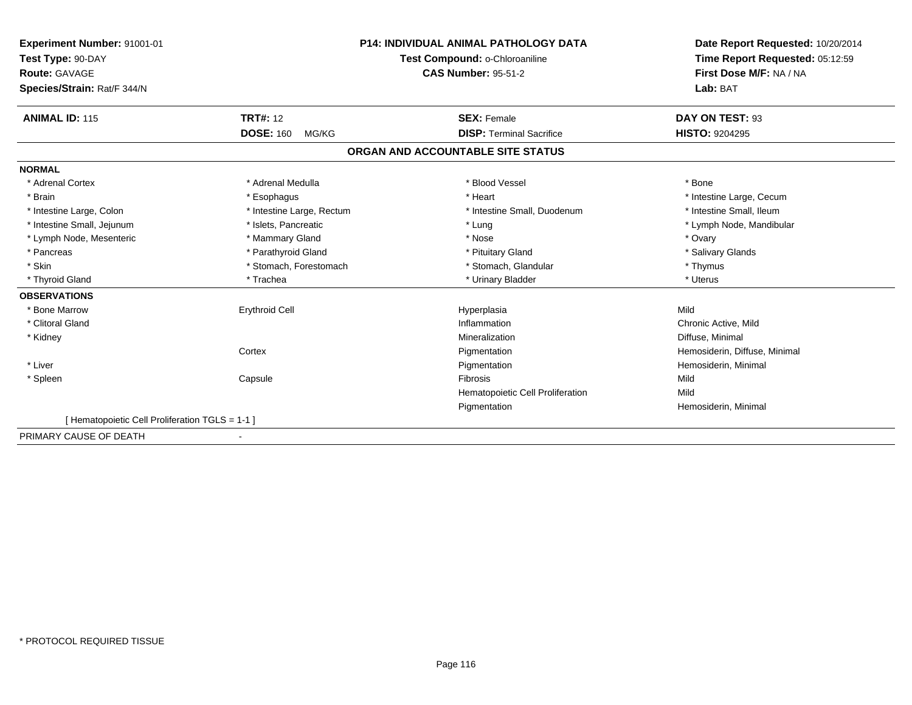| Experiment Number: 91001-01                     |                           | <b>P14: INDIVIDUAL ANIMAL PATHOLOGY DATA</b> | Date Report Requested: 10/20/2014 |
|-------------------------------------------------|---------------------------|----------------------------------------------|-----------------------------------|
| Test Type: 90-DAY                               |                           | Test Compound: o-Chloroaniline               | Time Report Requested: 05:12:59   |
| Route: GAVAGE                                   |                           | <b>CAS Number: 95-51-2</b>                   | First Dose M/F: NA / NA           |
| Species/Strain: Rat/F 344/N                     |                           |                                              | Lab: BAT                          |
|                                                 |                           |                                              |                                   |
| <b>ANIMAL ID: 115</b>                           | <b>TRT#: 12</b>           | <b>SEX: Female</b>                           | DAY ON TEST: 93                   |
|                                                 | <b>DOSE: 160</b><br>MG/KG | <b>DISP: Terminal Sacrifice</b>              | <b>HISTO: 9204295</b>             |
|                                                 |                           | ORGAN AND ACCOUNTABLE SITE STATUS            |                                   |
| <b>NORMAL</b>                                   |                           |                                              |                                   |
| * Adrenal Cortex                                | * Adrenal Medulla         | * Blood Vessel                               | * Bone                            |
| * Brain                                         | * Esophagus               | * Heart                                      | * Intestine Large, Cecum          |
| * Intestine Large, Colon                        | * Intestine Large, Rectum | * Intestine Small, Duodenum                  | * Intestine Small, Ileum          |
| * Intestine Small, Jejunum                      | * Islets, Pancreatic      | * Lung                                       | * Lymph Node, Mandibular          |
| * Lymph Node, Mesenteric                        | * Mammary Gland           | * Nose                                       | * Ovary                           |
| * Pancreas                                      | * Parathyroid Gland       | * Pituitary Gland                            | * Salivary Glands                 |
| * Skin                                          | * Stomach, Forestomach    | * Stomach, Glandular                         | * Thymus                          |
| * Thyroid Gland                                 | * Trachea                 | * Urinary Bladder                            | * Uterus                          |
| <b>OBSERVATIONS</b>                             |                           |                                              |                                   |
| * Bone Marrow                                   | <b>Erythroid Cell</b>     | Hyperplasia                                  | Mild                              |
| * Clitoral Gland                                |                           | Inflammation                                 | Chronic Active, Mild              |
| * Kidney                                        |                           | Mineralization                               | Diffuse, Minimal                  |
|                                                 | Cortex                    | Pigmentation                                 | Hemosiderin, Diffuse, Minimal     |
| * Liver                                         |                           | Pigmentation                                 | Hemosiderin, Minimal              |
| * Spleen                                        | Capsule                   | Fibrosis                                     | Mild                              |
|                                                 |                           | Hematopoietic Cell Proliferation             | Mild                              |
|                                                 |                           | Pigmentation                                 | Hemosiderin, Minimal              |
| [ Hematopoietic Cell Proliferation TGLS = 1-1 ] |                           |                                              |                                   |
| PRIMARY CAUSE OF DEATH                          |                           |                                              |                                   |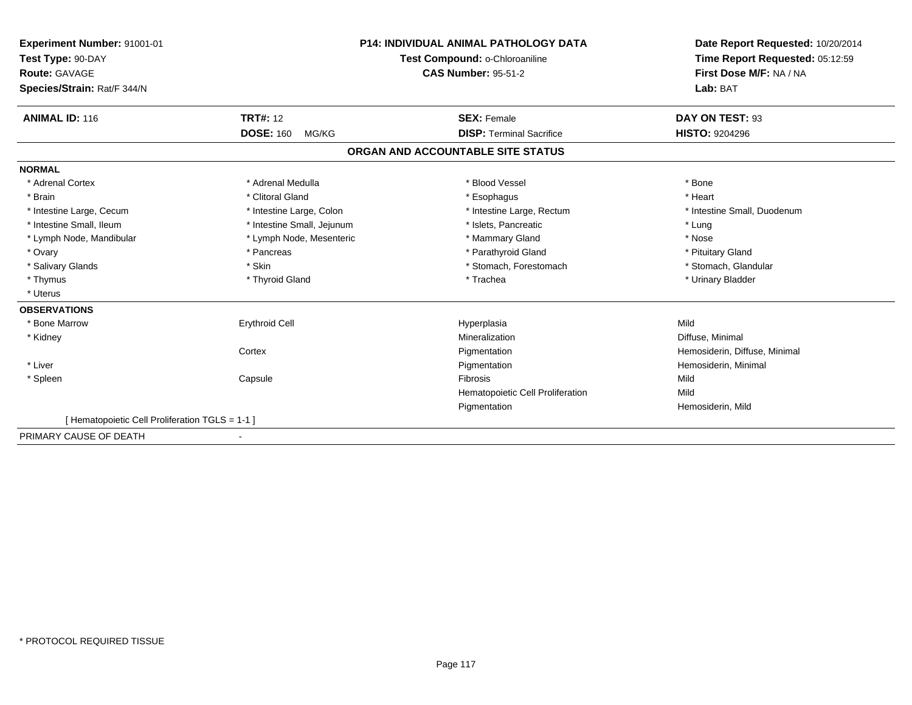| Experiment Number: 91001-01                    |                                | <b>P14: INDIVIDUAL ANIMAL PATHOLOGY DATA</b> | Date Report Requested: 10/20/2014 |
|------------------------------------------------|--------------------------------|----------------------------------------------|-----------------------------------|
| Test Type: 90-DAY                              | Test Compound: o-Chloroaniline |                                              | Time Report Requested: 05:12:59   |
| <b>Route: GAVAGE</b>                           |                                | <b>CAS Number: 95-51-2</b>                   | First Dose M/F: NA / NA           |
| Species/Strain: Rat/F 344/N                    |                                |                                              | Lab: BAT                          |
|                                                |                                |                                              |                                   |
| <b>ANIMAL ID: 116</b>                          | <b>TRT#: 12</b>                | <b>SEX: Female</b>                           | DAY ON TEST: 93                   |
|                                                | <b>DOSE: 160</b><br>MG/KG      | <b>DISP: Terminal Sacrifice</b>              | <b>HISTO: 9204296</b>             |
|                                                |                                | ORGAN AND ACCOUNTABLE SITE STATUS            |                                   |
| <b>NORMAL</b>                                  |                                |                                              |                                   |
| * Adrenal Cortex                               | * Adrenal Medulla              | * Blood Vessel                               | * Bone                            |
| * Brain                                        | * Clitoral Gland               | * Esophagus                                  | * Heart                           |
| * Intestine Large, Cecum                       | * Intestine Large, Colon       | * Intestine Large, Rectum                    | * Intestine Small, Duodenum       |
| * Intestine Small, Ileum                       | * Intestine Small, Jejunum     | * Islets, Pancreatic                         | * Lung                            |
| * Lymph Node, Mandibular                       | * Lymph Node, Mesenteric       | * Mammary Gland                              | * Nose                            |
| * Ovary                                        | * Pancreas                     | * Parathyroid Gland                          | * Pituitary Gland                 |
| * Salivary Glands                              | * Skin                         | * Stomach, Forestomach                       | * Stomach, Glandular              |
| * Thymus                                       | * Thyroid Gland                | * Trachea                                    | * Urinary Bladder                 |
| * Uterus                                       |                                |                                              |                                   |
| <b>OBSERVATIONS</b>                            |                                |                                              |                                   |
| * Bone Marrow                                  | <b>Erythroid Cell</b>          | Hyperplasia                                  | Mild                              |
| * Kidney                                       |                                | Mineralization                               | Diffuse, Minimal                  |
|                                                | Cortex                         | Pigmentation                                 | Hemosiderin, Diffuse, Minimal     |
| * Liver                                        |                                | Pigmentation                                 | Hemosiderin, Minimal              |
| * Spleen                                       | Capsule                        | <b>Fibrosis</b>                              | Mild                              |
|                                                |                                | Hematopoietic Cell Proliferation             | Mild                              |
|                                                |                                | Pigmentation                                 | Hemosiderin, Mild                 |
| [Hematopoietic Cell Proliferation TGLS = 1-1 ] |                                |                                              |                                   |
| PRIMARY CAUSE OF DEATH                         |                                |                                              |                                   |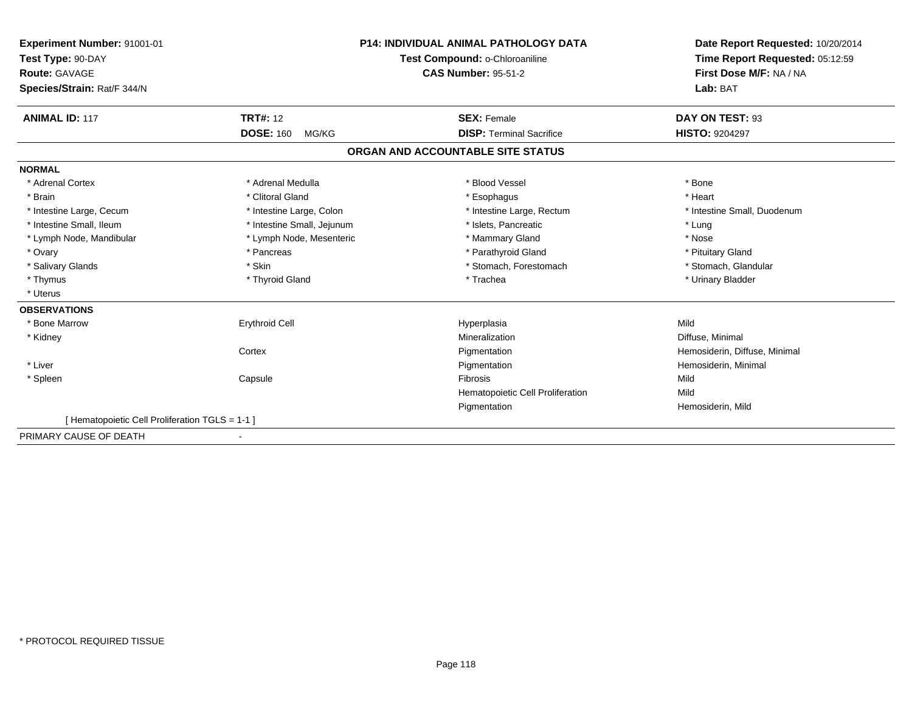| Experiment Number: 91001-01                    |                                | <b>P14: INDIVIDUAL ANIMAL PATHOLOGY DATA</b> | Date Report Requested: 10/20/2014 |
|------------------------------------------------|--------------------------------|----------------------------------------------|-----------------------------------|
| Test Type: 90-DAY                              | Test Compound: o-Chloroaniline |                                              | Time Report Requested: 05:12:59   |
| <b>Route: GAVAGE</b>                           |                                | <b>CAS Number: 95-51-2</b>                   | First Dose M/F: NA / NA           |
| Species/Strain: Rat/F 344/N                    |                                |                                              | Lab: BAT                          |
|                                                |                                |                                              |                                   |
| <b>ANIMAL ID: 117</b>                          | <b>TRT#: 12</b>                | <b>SEX: Female</b>                           | DAY ON TEST: 93                   |
|                                                | <b>DOSE: 160</b><br>MG/KG      | <b>DISP: Terminal Sacrifice</b>              | <b>HISTO: 9204297</b>             |
|                                                |                                | ORGAN AND ACCOUNTABLE SITE STATUS            |                                   |
| <b>NORMAL</b>                                  |                                |                                              |                                   |
| * Adrenal Cortex                               | * Adrenal Medulla              | * Blood Vessel                               | * Bone                            |
| * Brain                                        | * Clitoral Gland               | * Esophagus                                  | * Heart                           |
| * Intestine Large, Cecum                       | * Intestine Large, Colon       | * Intestine Large, Rectum                    | * Intestine Small, Duodenum       |
| * Intestine Small, Ileum                       | * Intestine Small, Jejunum     | * Islets, Pancreatic                         | * Lung                            |
| * Lymph Node, Mandibular                       | * Lymph Node, Mesenteric       | * Mammary Gland                              | * Nose                            |
| * Ovary                                        | * Pancreas                     | * Parathyroid Gland                          | * Pituitary Gland                 |
| * Salivary Glands                              | * Skin                         | * Stomach, Forestomach                       | * Stomach, Glandular              |
| * Thymus                                       | * Thyroid Gland                | * Trachea                                    | * Urinary Bladder                 |
| * Uterus                                       |                                |                                              |                                   |
| <b>OBSERVATIONS</b>                            |                                |                                              |                                   |
| * Bone Marrow                                  | <b>Erythroid Cell</b>          | Hyperplasia                                  | Mild                              |
| * Kidney                                       |                                | Mineralization                               | Diffuse, Minimal                  |
|                                                | Cortex                         | Pigmentation                                 | Hemosiderin, Diffuse, Minimal     |
| * Liver                                        |                                | Pigmentation                                 | Hemosiderin, Minimal              |
| * Spleen                                       | Capsule                        | <b>Fibrosis</b>                              | Mild                              |
|                                                |                                | Hematopoietic Cell Proliferation             | Mild                              |
|                                                |                                | Pigmentation                                 | Hemosiderin, Mild                 |
| [Hematopoietic Cell Proliferation TGLS = 1-1 ] |                                |                                              |                                   |
| PRIMARY CAUSE OF DEATH                         |                                |                                              |                                   |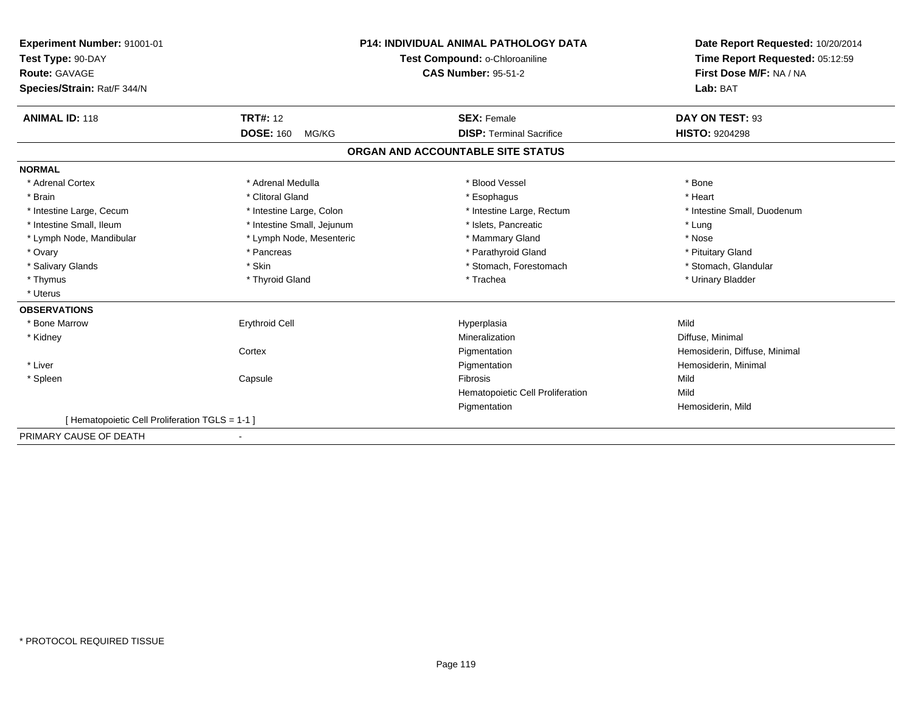| Experiment Number: 91001-01                    |                                | <b>P14: INDIVIDUAL ANIMAL PATHOLOGY DATA</b> | Date Report Requested: 10/20/2014 |
|------------------------------------------------|--------------------------------|----------------------------------------------|-----------------------------------|
| Test Type: 90-DAY                              | Test Compound: o-Chloroaniline |                                              | Time Report Requested: 05:12:59   |
| <b>Route: GAVAGE</b>                           |                                | <b>CAS Number: 95-51-2</b>                   | First Dose M/F: NA / NA           |
| Species/Strain: Rat/F 344/N                    |                                |                                              | Lab: BAT                          |
|                                                |                                |                                              |                                   |
| <b>ANIMAL ID: 118</b>                          | <b>TRT#: 12</b>                | <b>SEX: Female</b>                           | DAY ON TEST: 93                   |
|                                                | <b>DOSE: 160</b><br>MG/KG      | <b>DISP: Terminal Sacrifice</b>              | <b>HISTO: 9204298</b>             |
|                                                |                                | ORGAN AND ACCOUNTABLE SITE STATUS            |                                   |
| <b>NORMAL</b>                                  |                                |                                              |                                   |
| * Adrenal Cortex                               | * Adrenal Medulla              | * Blood Vessel                               | * Bone                            |
| * Brain                                        | * Clitoral Gland               | * Esophagus                                  | * Heart                           |
| * Intestine Large, Cecum                       | * Intestine Large, Colon       | * Intestine Large, Rectum                    | * Intestine Small, Duodenum       |
| * Intestine Small, Ileum                       | * Intestine Small, Jejunum     | * Islets, Pancreatic                         | * Lung                            |
| * Lymph Node, Mandibular                       | * Lymph Node, Mesenteric       | * Mammary Gland                              | * Nose                            |
| * Ovary                                        | * Pancreas                     | * Parathyroid Gland                          | * Pituitary Gland                 |
| * Salivary Glands                              | * Skin                         | * Stomach, Forestomach                       | * Stomach, Glandular              |
| * Thymus                                       | * Thyroid Gland                | * Trachea                                    | * Urinary Bladder                 |
| * Uterus                                       |                                |                                              |                                   |
| <b>OBSERVATIONS</b>                            |                                |                                              |                                   |
| * Bone Marrow                                  | <b>Erythroid Cell</b>          | Hyperplasia                                  | Mild                              |
| * Kidney                                       |                                | Mineralization                               | Diffuse, Minimal                  |
|                                                | Cortex                         | Pigmentation                                 | Hemosiderin, Diffuse, Minimal     |
| * Liver                                        |                                | Pigmentation                                 | Hemosiderin, Minimal              |
| * Spleen                                       | Capsule                        | <b>Fibrosis</b>                              | Mild                              |
|                                                |                                | Hematopoietic Cell Proliferation             | Mild                              |
|                                                |                                | Pigmentation                                 | Hemosiderin, Mild                 |
| [Hematopoietic Cell Proliferation TGLS = 1-1 ] |                                |                                              |                                   |
| PRIMARY CAUSE OF DEATH                         |                                |                                              |                                   |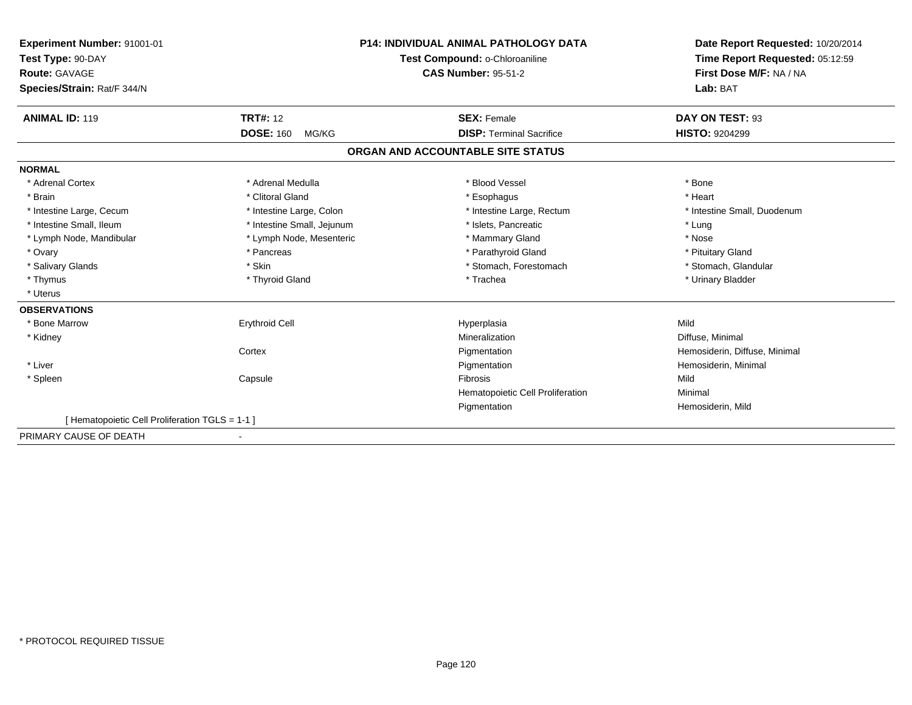| Experiment Number: 91001-01                    | <b>P14: INDIVIDUAL ANIMAL PATHOLOGY DATA</b><br>Test Compound: o-Chloroaniline |                                   | Date Report Requested: 10/20/2014<br>Time Report Requested: 05:12:59 |
|------------------------------------------------|--------------------------------------------------------------------------------|-----------------------------------|----------------------------------------------------------------------|
| Test Type: 90-DAY                              |                                                                                |                                   |                                                                      |
| <b>Route: GAVAGE</b>                           |                                                                                | <b>CAS Number: 95-51-2</b>        | First Dose M/F: NA / NA                                              |
| Species/Strain: Rat/F 344/N                    |                                                                                |                                   | Lab: BAT                                                             |
|                                                |                                                                                |                                   |                                                                      |
| <b>ANIMAL ID: 119</b>                          | <b>TRT#: 12</b>                                                                | <b>SEX: Female</b>                | DAY ON TEST: 93                                                      |
|                                                | <b>DOSE: 160</b><br>MG/KG                                                      | <b>DISP: Terminal Sacrifice</b>   | <b>HISTO: 9204299</b>                                                |
|                                                |                                                                                | ORGAN AND ACCOUNTABLE SITE STATUS |                                                                      |
| <b>NORMAL</b>                                  |                                                                                |                                   |                                                                      |
| * Adrenal Cortex                               | * Adrenal Medulla                                                              | * Blood Vessel                    | * Bone                                                               |
| * Brain                                        | * Clitoral Gland                                                               | * Esophagus                       | * Heart                                                              |
| * Intestine Large, Cecum                       | * Intestine Large, Colon                                                       | * Intestine Large, Rectum         | * Intestine Small, Duodenum                                          |
| * Intestine Small, Ileum                       | * Intestine Small, Jejunum                                                     | * Islets, Pancreatic              | * Lung                                                               |
| * Lymph Node, Mandibular                       | * Lymph Node, Mesenteric                                                       | * Mammary Gland                   | * Nose                                                               |
| * Ovary                                        | * Pancreas                                                                     | * Parathyroid Gland               | * Pituitary Gland                                                    |
| * Salivary Glands                              | * Skin                                                                         | * Stomach, Forestomach            | * Stomach, Glandular                                                 |
| * Thymus                                       | * Thyroid Gland                                                                | * Trachea                         | * Urinary Bladder                                                    |
| * Uterus                                       |                                                                                |                                   |                                                                      |
| <b>OBSERVATIONS</b>                            |                                                                                |                                   |                                                                      |
| * Bone Marrow                                  | <b>Erythroid Cell</b>                                                          | Hyperplasia                       | Mild                                                                 |
| * Kidney                                       |                                                                                | Mineralization                    | Diffuse, Minimal                                                     |
|                                                | Cortex                                                                         | Pigmentation                      | Hemosiderin, Diffuse, Minimal                                        |
| * Liver                                        |                                                                                | Pigmentation                      | Hemosiderin, Minimal                                                 |
| * Spleen                                       | Capsule                                                                        | <b>Fibrosis</b>                   | Mild                                                                 |
|                                                |                                                                                | Hematopoietic Cell Proliferation  | Minimal                                                              |
|                                                |                                                                                | Pigmentation                      | Hemosiderin, Mild                                                    |
| [Hematopoietic Cell Proliferation TGLS = 1-1 ] |                                                                                |                                   |                                                                      |
| PRIMARY CAUSE OF DEATH                         |                                                                                |                                   |                                                                      |